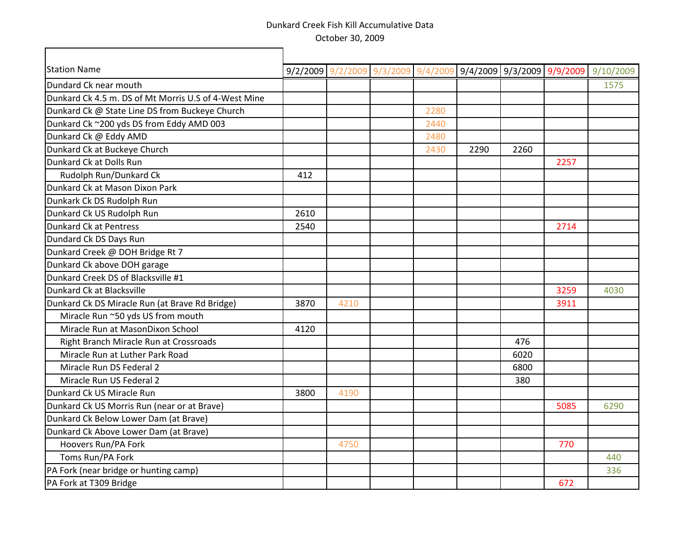┓

Г

| <b>Station Name</b>                                  | 9/2/2009 |      | $9/2/2009$ $9/3/2009$ $9/4/2009$ $9/4/2009$ $9/3/2009$ $9/9/2009$ |      |      |      |      | 9/10/2009 |
|------------------------------------------------------|----------|------|-------------------------------------------------------------------|------|------|------|------|-----------|
| Dundard Ck near mouth                                |          |      |                                                                   |      |      |      |      | 1575      |
| Dunkard Ck 4.5 m. DS of Mt Morris U.S of 4-West Mine |          |      |                                                                   |      |      |      |      |           |
| Dunkard Ck @ State Line DS from Buckeye Church       |          |      |                                                                   | 2280 |      |      |      |           |
| Dunkard Ck ~200 yds DS from Eddy AMD 003             |          |      |                                                                   | 2440 |      |      |      |           |
| Dunkard Ck @ Eddy AMD                                |          |      |                                                                   | 2480 |      |      |      |           |
| Dunkard Ck at Buckeye Church                         |          |      |                                                                   | 2430 | 2290 | 2260 |      |           |
| Dunkard Ck at Dolls Run                              |          |      |                                                                   |      |      |      | 2257 |           |
| Rudolph Run/Dunkard Ck                               | 412      |      |                                                                   |      |      |      |      |           |
| Dunkard Ck at Mason Dixon Park                       |          |      |                                                                   |      |      |      |      |           |
| Dunkark Ck DS Rudolph Run                            |          |      |                                                                   |      |      |      |      |           |
| Dunkard Ck US Rudolph Run                            | 2610     |      |                                                                   |      |      |      |      |           |
| Dunkard Ck at Pentress                               | 2540     |      |                                                                   |      |      |      | 2714 |           |
| Dundard Ck DS Days Run                               |          |      |                                                                   |      |      |      |      |           |
| Dunkard Creek @ DOH Bridge Rt 7                      |          |      |                                                                   |      |      |      |      |           |
| Dunkard Ck above DOH garage                          |          |      |                                                                   |      |      |      |      |           |
| Dunkard Creek DS of Blacksville #1                   |          |      |                                                                   |      |      |      |      |           |
| Dunkard Ck at Blacksville                            |          |      |                                                                   |      |      |      | 3259 | 4030      |
| Dunkard Ck DS Miracle Run (at Brave Rd Bridge)       | 3870     | 4210 |                                                                   |      |      |      | 3911 |           |
| Miracle Run ~50 yds US from mouth                    |          |      |                                                                   |      |      |      |      |           |
| Miracle Run at MasonDixon School                     | 4120     |      |                                                                   |      |      |      |      |           |
| Right Branch Miracle Run at Crossroads               |          |      |                                                                   |      |      | 476  |      |           |
| Miracle Run at Luther Park Road                      |          |      |                                                                   |      |      | 6020 |      |           |
| Miracle Run DS Federal 2                             |          |      |                                                                   |      |      | 6800 |      |           |
| Miracle Run US Federal 2                             |          |      |                                                                   |      |      | 380  |      |           |
| Dunkard Ck US Miracle Run                            | 3800     | 4190 |                                                                   |      |      |      |      |           |
| Dunkard Ck US Morris Run (near or at Brave)          |          |      |                                                                   |      |      |      | 5085 | 6290      |
| Dunkard Ck Below Lower Dam (at Brave)                |          |      |                                                                   |      |      |      |      |           |
| Dunkard Ck Above Lower Dam (at Brave)                |          |      |                                                                   |      |      |      |      |           |
| Hoovers Run/PA Fork                                  |          | 4750 |                                                                   |      |      |      | 770  |           |
| Toms Run/PA Fork                                     |          |      |                                                                   |      |      |      |      | 440       |
| PA Fork (near bridge or hunting camp)                |          |      |                                                                   |      |      |      |      | 336       |
| PA Fork at T309 Bridge                               |          |      |                                                                   |      |      |      | 672  |           |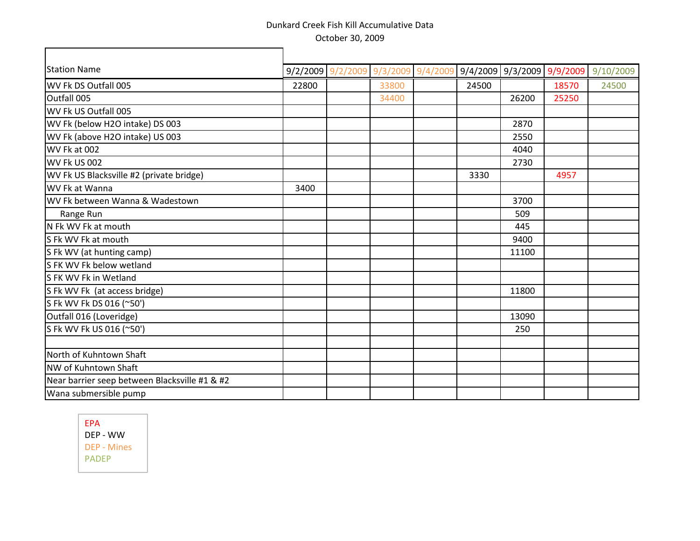┓

| <b>Station Name</b>                           |       | 9/2/2009 9/2/2009 9/3/2009 9/4/2009 9/4/2009 9/3/2009 9/9/2009 |       |       |       | 9/10/2009 |
|-----------------------------------------------|-------|----------------------------------------------------------------|-------|-------|-------|-----------|
| WV Fk DS Outfall 005                          | 22800 | 33800                                                          | 24500 |       | 18570 | 24500     |
| Outfall 005                                   |       | 34400                                                          |       | 26200 | 25250 |           |
| WV Fk US Outfall 005                          |       |                                                                |       |       |       |           |
| WV Fk (below H2O intake) DS 003               |       |                                                                |       | 2870  |       |           |
| WV Fk (above H2O intake) US 003               |       |                                                                |       | 2550  |       |           |
| WV Fk at 002                                  |       |                                                                |       | 4040  |       |           |
| WV Fk US 002                                  |       |                                                                |       | 2730  |       |           |
| WV Fk US Blacksville #2 (private bridge)      |       |                                                                | 3330  |       | 4957  |           |
| WV Fk at Wanna                                | 3400  |                                                                |       |       |       |           |
| WV Fk between Wanna & Wadestown               |       |                                                                |       | 3700  |       |           |
| Range Run                                     |       |                                                                |       | 509   |       |           |
| N Fk WV Fk at mouth                           |       |                                                                |       | 445   |       |           |
| S Fk WV Fk at mouth                           |       |                                                                |       | 9400  |       |           |
| S Fk WV (at hunting camp)                     |       |                                                                |       | 11100 |       |           |
| S FK WV Fk below wetland                      |       |                                                                |       |       |       |           |
| S FK WV Fk in Wetland                         |       |                                                                |       |       |       |           |
| S Fk WV Fk (at access bridge)                 |       |                                                                |       | 11800 |       |           |
| S Fk WV Fk DS 016 (~50')                      |       |                                                                |       |       |       |           |
| Outfall 016 (Loveridge)                       |       |                                                                |       | 13090 |       |           |
| S Fk WV Fk US 016 (~50')                      |       |                                                                |       | 250   |       |           |
|                                               |       |                                                                |       |       |       |           |
| North of Kuhntown Shaft                       |       |                                                                |       |       |       |           |
| NW of Kuhntown Shaft                          |       |                                                                |       |       |       |           |
| Near barrier seep between Blacksville #1 & #2 |       |                                                                |       |       |       |           |
| Wana submersible pump                         |       |                                                                |       |       |       |           |

EPA DEP - WW DEP - Mines PADEP

 $\Gamma$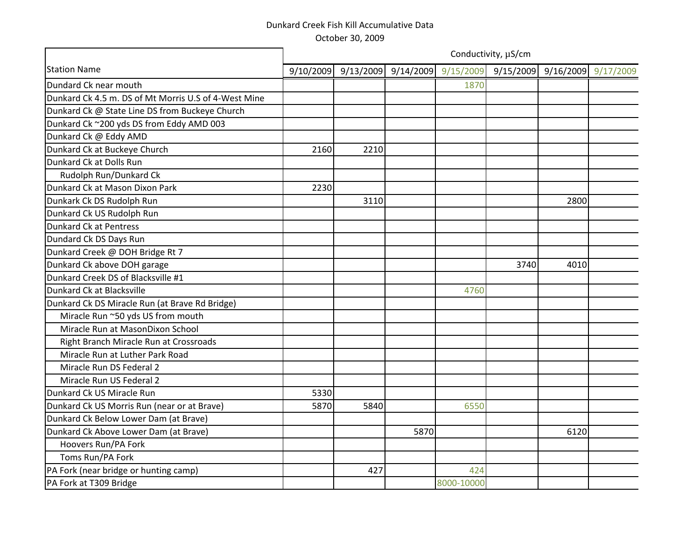|                                                      |           |           |           |            | Conductivity, µS/cm |      |                     |
|------------------------------------------------------|-----------|-----------|-----------|------------|---------------------|------|---------------------|
| <b>Station Name</b>                                  | 9/10/2009 | 9/13/2009 | 9/14/2009 | 9/15/2009  | 9/15/2009           |      | 9/16/2009 9/17/2009 |
| Dundard Ck near mouth                                |           |           |           | 1870       |                     |      |                     |
| Dunkard Ck 4.5 m. DS of Mt Morris U.S of 4-West Mine |           |           |           |            |                     |      |                     |
| Dunkard Ck @ State Line DS from Buckeye Church       |           |           |           |            |                     |      |                     |
| Dunkard Ck ~200 yds DS from Eddy AMD 003             |           |           |           |            |                     |      |                     |
| Dunkard Ck @ Eddy AMD                                |           |           |           |            |                     |      |                     |
| Dunkard Ck at Buckeye Church                         | 2160      | 2210      |           |            |                     |      |                     |
| Dunkard Ck at Dolls Run                              |           |           |           |            |                     |      |                     |
| Rudolph Run/Dunkard Ck                               |           |           |           |            |                     |      |                     |
| Dunkard Ck at Mason Dixon Park                       | 2230      |           |           |            |                     |      |                     |
| Dunkark Ck DS Rudolph Run                            |           | 3110      |           |            |                     | 2800 |                     |
| Dunkard Ck US Rudolph Run                            |           |           |           |            |                     |      |                     |
| <b>Dunkard Ck at Pentress</b>                        |           |           |           |            |                     |      |                     |
| Dundard Ck DS Days Run                               |           |           |           |            |                     |      |                     |
| Dunkard Creek @ DOH Bridge Rt 7                      |           |           |           |            |                     |      |                     |
| Dunkard Ck above DOH garage                          |           |           |           |            | 3740                | 4010 |                     |
| Dunkard Creek DS of Blacksville #1                   |           |           |           |            |                     |      |                     |
| Dunkard Ck at Blacksville                            |           |           |           | 4760       |                     |      |                     |
| Dunkard Ck DS Miracle Run (at Brave Rd Bridge)       |           |           |           |            |                     |      |                     |
| Miracle Run ~50 yds US from mouth                    |           |           |           |            |                     |      |                     |
| Miracle Run at MasonDixon School                     |           |           |           |            |                     |      |                     |
| Right Branch Miracle Run at Crossroads               |           |           |           |            |                     |      |                     |
| Miracle Run at Luther Park Road                      |           |           |           |            |                     |      |                     |
| Miracle Run DS Federal 2                             |           |           |           |            |                     |      |                     |
| Miracle Run US Federal 2                             |           |           |           |            |                     |      |                     |
| Dunkard Ck US Miracle Run                            | 5330      |           |           |            |                     |      |                     |
| Dunkard Ck US Morris Run (near or at Brave)          | 5870      | 5840      |           | 6550       |                     |      |                     |
| Dunkard Ck Below Lower Dam (at Brave)                |           |           |           |            |                     |      |                     |
| Dunkard Ck Above Lower Dam (at Brave)                |           |           | 5870      |            |                     | 6120 |                     |
| Hoovers Run/PA Fork                                  |           |           |           |            |                     |      |                     |
| Toms Run/PA Fork                                     |           |           |           |            |                     |      |                     |
| PA Fork (near bridge or hunting camp)                |           | 427       |           | 424        |                     |      |                     |
| PA Fork at T309 Bridge                               |           |           |           | 8000-10000 |                     |      |                     |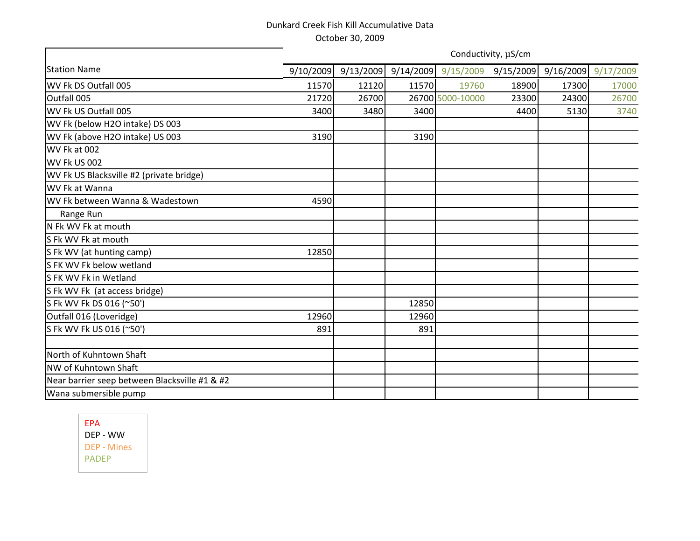|                                               |           |           |           |                  | Conductivity, µS/cm |       |                     |
|-----------------------------------------------|-----------|-----------|-----------|------------------|---------------------|-------|---------------------|
| <b>Station Name</b>                           | 9/10/2009 | 9/13/2009 | 9/14/2009 | 9/15/2009        | 9/15/2009           |       | 9/16/2009 9/17/2009 |
| WV Fk DS Outfall 005                          | 11570     | 12120     | 11570     | 19760            | 18900               | 17300 | 17000               |
| Outfall 005                                   | 21720     | 26700     |           | 26700 5000-10000 | 23300               | 24300 | 26700               |
| WV Fk US Outfall 005                          | 3400      | 3480      | 3400      |                  | 4400                | 5130  | 3740                |
| WV Fk (below H2O intake) DS 003               |           |           |           |                  |                     |       |                     |
| WV Fk (above H2O intake) US 003               | 3190      |           | 3190      |                  |                     |       |                     |
| WV Fk at 002                                  |           |           |           |                  |                     |       |                     |
| WV Fk US 002                                  |           |           |           |                  |                     |       |                     |
| WV Fk US Blacksville #2 (private bridge)      |           |           |           |                  |                     |       |                     |
| WV Fk at Wanna                                |           |           |           |                  |                     |       |                     |
| WV Fk between Wanna & Wadestown               | 4590      |           |           |                  |                     |       |                     |
| Range Run                                     |           |           |           |                  |                     |       |                     |
| N Fk WV Fk at mouth                           |           |           |           |                  |                     |       |                     |
| S Fk WV Fk at mouth                           |           |           |           |                  |                     |       |                     |
| S Fk WV (at hunting camp)                     | 12850     |           |           |                  |                     |       |                     |
| S FK WV Fk below wetland                      |           |           |           |                  |                     |       |                     |
| S FK WV Fk in Wetland                         |           |           |           |                  |                     |       |                     |
| S Fk WV Fk (at access bridge)                 |           |           |           |                  |                     |       |                     |
| S Fk WV Fk DS 016 (~50')                      |           |           | 12850     |                  |                     |       |                     |
| Outfall 016 (Loveridge)                       | 12960     |           | 12960     |                  |                     |       |                     |
| S Fk WV Fk US 016 (~50')                      | 891       |           | 891       |                  |                     |       |                     |
|                                               |           |           |           |                  |                     |       |                     |
| North of Kuhntown Shaft                       |           |           |           |                  |                     |       |                     |
| NW of Kuhntown Shaft                          |           |           |           |                  |                     |       |                     |
| Near barrier seep between Blacksville #1 & #2 |           |           |           |                  |                     |       |                     |
| Wana submersible pump                         |           |           |           |                  |                     |       |                     |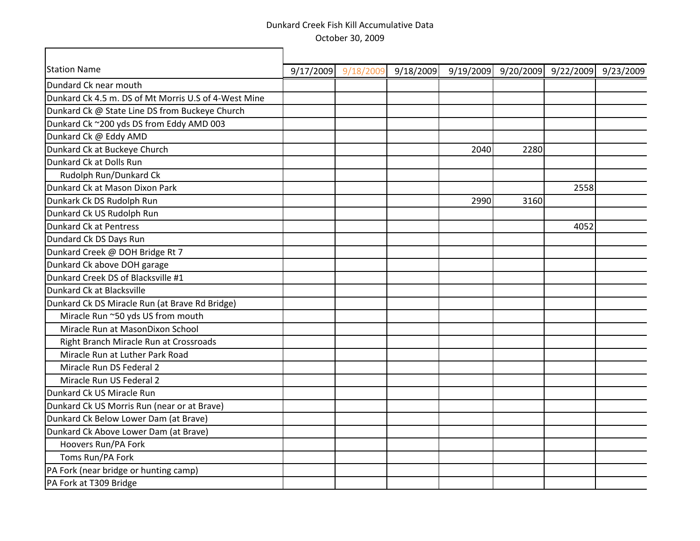┓

Г

| <b>Station Name</b>                                  | 9/17/2009 | 9/18/2009 | 9/18/2009 | 9/19/2009 | 9/20/2009 | 9/22/2009 | 9/23/2009 |
|------------------------------------------------------|-----------|-----------|-----------|-----------|-----------|-----------|-----------|
| Dundard Ck near mouth                                |           |           |           |           |           |           |           |
| Dunkard Ck 4.5 m. DS of Mt Morris U.S of 4-West Mine |           |           |           |           |           |           |           |
| Dunkard Ck @ State Line DS from Buckeye Church       |           |           |           |           |           |           |           |
| Dunkard Ck ~200 yds DS from Eddy AMD 003             |           |           |           |           |           |           |           |
| Dunkard Ck @ Eddy AMD                                |           |           |           |           |           |           |           |
| Dunkard Ck at Buckeye Church                         |           |           |           | 2040      | 2280      |           |           |
| Dunkard Ck at Dolls Run                              |           |           |           |           |           |           |           |
| Rudolph Run/Dunkard Ck                               |           |           |           |           |           |           |           |
| Dunkard Ck at Mason Dixon Park                       |           |           |           |           |           | 2558      |           |
| Dunkark Ck DS Rudolph Run                            |           |           |           | 2990      | 3160      |           |           |
| Dunkard Ck US Rudolph Run                            |           |           |           |           |           |           |           |
| Dunkard Ck at Pentress                               |           |           |           |           |           | 4052      |           |
| Dundard Ck DS Days Run                               |           |           |           |           |           |           |           |
| Dunkard Creek @ DOH Bridge Rt 7                      |           |           |           |           |           |           |           |
| Dunkard Ck above DOH garage                          |           |           |           |           |           |           |           |
| Dunkard Creek DS of Blacksville #1                   |           |           |           |           |           |           |           |
| Dunkard Ck at Blacksville                            |           |           |           |           |           |           |           |
| Dunkard Ck DS Miracle Run (at Brave Rd Bridge)       |           |           |           |           |           |           |           |
| Miracle Run ~50 yds US from mouth                    |           |           |           |           |           |           |           |
| Miracle Run at MasonDixon School                     |           |           |           |           |           |           |           |
| Right Branch Miracle Run at Crossroads               |           |           |           |           |           |           |           |
| Miracle Run at Luther Park Road                      |           |           |           |           |           |           |           |
| Miracle Run DS Federal 2                             |           |           |           |           |           |           |           |
| Miracle Run US Federal 2                             |           |           |           |           |           |           |           |
| Dunkard Ck US Miracle Run                            |           |           |           |           |           |           |           |
| Dunkard Ck US Morris Run (near or at Brave)          |           |           |           |           |           |           |           |
| Dunkard Ck Below Lower Dam (at Brave)                |           |           |           |           |           |           |           |
| Dunkard Ck Above Lower Dam (at Brave)                |           |           |           |           |           |           |           |
| Hoovers Run/PA Fork                                  |           |           |           |           |           |           |           |
| Toms Run/PA Fork                                     |           |           |           |           |           |           |           |
| PA Fork (near bridge or hunting camp)                |           |           |           |           |           |           |           |
| PA Fork at T309 Bridge                               |           |           |           |           |           |           |           |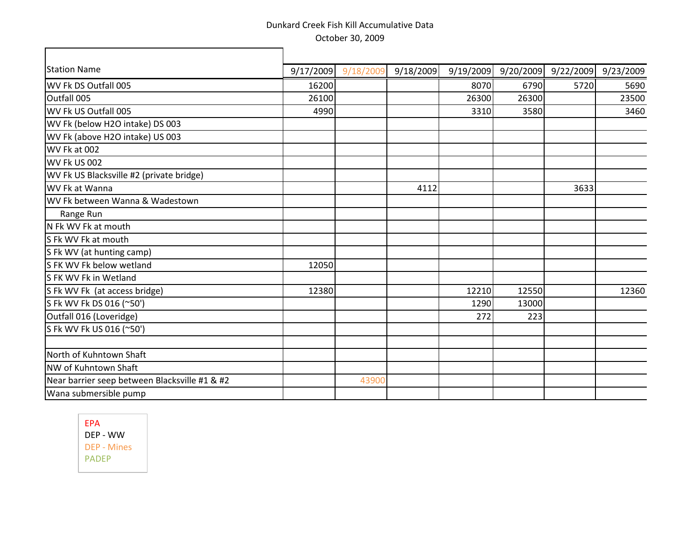$\overline{\mathbf{u}}$ 

| <b>Station Name</b>                           | 9/17/2009 | 9/18/2009 | 9/18/2009 | 9/19/2009 | 9/20/2009 | 9/22/2009 | 9/23/2009 |
|-----------------------------------------------|-----------|-----------|-----------|-----------|-----------|-----------|-----------|
| WV Fk DS Outfall 005                          | 16200     |           |           | 8070      | 6790      | 5720      | 5690      |
| Outfall 005                                   | 26100     |           |           | 26300     | 26300     |           | 23500     |
| WV Fk US Outfall 005                          | 4990      |           |           | 3310      | 3580      |           | 3460      |
| WV Fk (below H2O intake) DS 003               |           |           |           |           |           |           |           |
| WV Fk (above H2O intake) US 003               |           |           |           |           |           |           |           |
| WV Fk at 002                                  |           |           |           |           |           |           |           |
| WV Fk US 002                                  |           |           |           |           |           |           |           |
| WV Fk US Blacksville #2 (private bridge)      |           |           |           |           |           |           |           |
| WV Fk at Wanna                                |           |           | 4112      |           |           | 3633      |           |
| WV Fk between Wanna & Wadestown               |           |           |           |           |           |           |           |
| Range Run                                     |           |           |           |           |           |           |           |
| N Fk WV Fk at mouth                           |           |           |           |           |           |           |           |
| S Fk WV Fk at mouth                           |           |           |           |           |           |           |           |
| S Fk WV (at hunting camp)                     |           |           |           |           |           |           |           |
| S FK WV Fk below wetland                      | 12050     |           |           |           |           |           |           |
| S FK WV Fk in Wetland                         |           |           |           |           |           |           |           |
| S Fk WV Fk (at access bridge)                 | 12380     |           |           | 12210     | 12550     |           | 12360     |
| S Fk WV Fk DS 016 (~50')                      |           |           |           | 1290      | 13000     |           |           |
| Outfall 016 (Loveridge)                       |           |           |           | 272       | 223       |           |           |
| S Fk WV Fk US 016 (~50')                      |           |           |           |           |           |           |           |
|                                               |           |           |           |           |           |           |           |
| North of Kuhntown Shaft                       |           |           |           |           |           |           |           |
| <b>NW of Kuhntown Shaft</b>                   |           |           |           |           |           |           |           |
| Near barrier seep between Blacksville #1 & #2 |           | 43900     |           |           |           |           |           |
| Wana submersible pump                         |           |           |           |           |           |           |           |

EPA DEP - WW DEP - Mines PADEP

г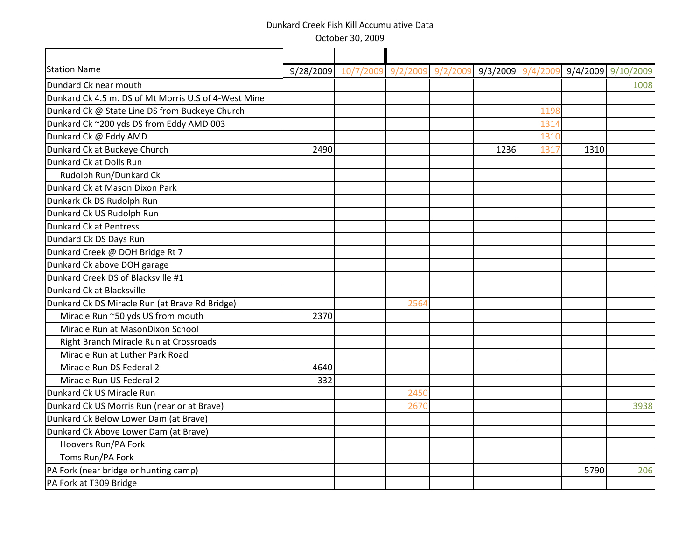October 30, 2009

| <b>Station Name</b>                                  | 9/28/2009 10/7/200 | 9 9/2/200 | 9/2/2 | 9/3/2009 | 9/4/2        | 9/4/2009 9/10/2009 |      |
|------------------------------------------------------|--------------------|-----------|-------|----------|--------------|--------------------|------|
| Dundard Ck near mouth                                |                    |           |       |          |              |                    | 1008 |
| Dunkard Ck 4.5 m. DS of Mt Morris U.S of 4-West Mine |                    |           |       |          |              |                    |      |
|                                                      |                    |           |       |          | 1198         |                    |      |
| Dunkard Ck @ State Line DS from Buckeye Church       |                    |           |       |          |              |                    |      |
| Dunkard Ck ~200 yds DS from Eddy AMD 003             |                    |           |       |          | 1314<br>1310 |                    |      |
| Dunkard Ck @ Eddy AMD                                |                    |           |       |          |              |                    |      |
| Dunkard Ck at Buckeye Church                         | 2490               |           |       | 1236     | 1317         | 1310               |      |
| Dunkard Ck at Dolls Run                              |                    |           |       |          |              |                    |      |
| Rudolph Run/Dunkard Ck                               |                    |           |       |          |              |                    |      |
| Dunkard Ck at Mason Dixon Park                       |                    |           |       |          |              |                    |      |
| Dunkark Ck DS Rudolph Run                            |                    |           |       |          |              |                    |      |
| Dunkard Ck US Rudolph Run                            |                    |           |       |          |              |                    |      |
| <b>Dunkard Ck at Pentress</b>                        |                    |           |       |          |              |                    |      |
| Dundard Ck DS Days Run                               |                    |           |       |          |              |                    |      |
| Dunkard Creek @ DOH Bridge Rt 7                      |                    |           |       |          |              |                    |      |
| Dunkard Ck above DOH garage                          |                    |           |       |          |              |                    |      |
| Dunkard Creek DS of Blacksville #1                   |                    |           |       |          |              |                    |      |
| Dunkard Ck at Blacksville                            |                    |           |       |          |              |                    |      |
| Dunkard Ck DS Miracle Run (at Brave Rd Bridge)       |                    | 2564      |       |          |              |                    |      |
| Miracle Run ~50 yds US from mouth                    | 2370               |           |       |          |              |                    |      |
| Miracle Run at MasonDixon School                     |                    |           |       |          |              |                    |      |
| Right Branch Miracle Run at Crossroads               |                    |           |       |          |              |                    |      |
| Miracle Run at Luther Park Road                      |                    |           |       |          |              |                    |      |
| Miracle Run DS Federal 2                             | 4640               |           |       |          |              |                    |      |
| Miracle Run US Federal 2                             | 332                |           |       |          |              |                    |      |
| Dunkard Ck US Miracle Run                            |                    | 2450      |       |          |              |                    |      |
| Dunkard Ck US Morris Run (near or at Brave)          |                    | 2670      |       |          |              |                    | 3938 |
| Dunkard Ck Below Lower Dam (at Brave)                |                    |           |       |          |              |                    |      |
| Dunkard Ck Above Lower Dam (at Brave)                |                    |           |       |          |              |                    |      |
| Hoovers Run/PA Fork                                  |                    |           |       |          |              |                    |      |
| Toms Run/PA Fork                                     |                    |           |       |          |              |                    |      |
| PA Fork (near bridge or hunting camp)                |                    |           |       |          |              | 5790               | 206  |
| PA Fork at T309 Bridge                               |                    |           |       |          |              |                    |      |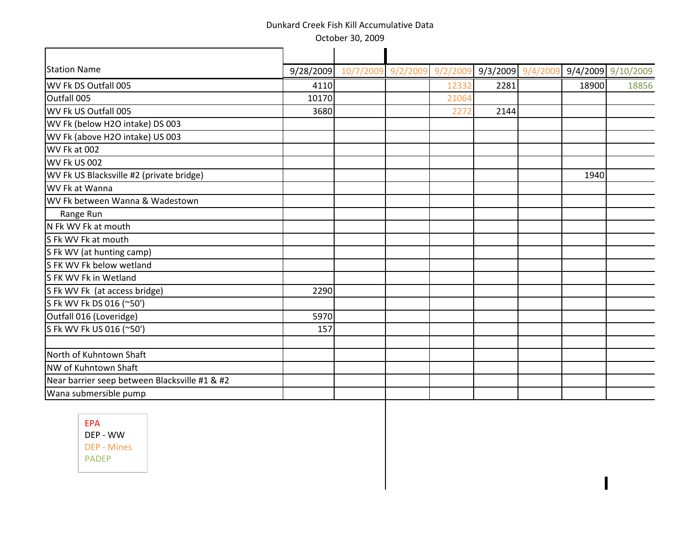October 30, 2009

| <b>Station Name</b>                           | 9/28/2009 | 10/7/200 | 9/2/200 | 9/2/20 | 9/3/2009 | 9/4/20 | 9/4/2009 9/10/2009 |       |
|-----------------------------------------------|-----------|----------|---------|--------|----------|--------|--------------------|-------|
| WV Fk DS Outfall 005                          | 4110      |          |         | 1233   | 2281     |        | 18900              | 18856 |
| Outfall 005                                   | 10170     |          |         | 21064  |          |        |                    |       |
| WV Fk US Outfall 005                          | 3680      |          |         | 2272   | 2144     |        |                    |       |
| WV Fk (below H2O intake) DS 003               |           |          |         |        |          |        |                    |       |
| WV Fk (above H2O intake) US 003               |           |          |         |        |          |        |                    |       |
| WV Fk at 002                                  |           |          |         |        |          |        |                    |       |
| <b>WV Fk US 002</b>                           |           |          |         |        |          |        |                    |       |
| WV Fk US Blacksville #2 (private bridge)      |           |          |         |        |          |        | 1940               |       |
| WV Fk at Wanna                                |           |          |         |        |          |        |                    |       |
| WV Fk between Wanna & Wadestown               |           |          |         |        |          |        |                    |       |
| Range Run                                     |           |          |         |        |          |        |                    |       |
| N Fk WV Fk at mouth                           |           |          |         |        |          |        |                    |       |
| S Fk WV Fk at mouth                           |           |          |         |        |          |        |                    |       |
| S Fk WV (at hunting camp)                     |           |          |         |        |          |        |                    |       |
| S FK WV Fk below wetland                      |           |          |         |        |          |        |                    |       |
| S FK WV Fk in Wetland                         |           |          |         |        |          |        |                    |       |
| S Fk WV Fk (at access bridge)                 | 2290      |          |         |        |          |        |                    |       |
| S Fk WV Fk DS 016 (~50')                      |           |          |         |        |          |        |                    |       |
| Outfall 016 (Loveridge)                       | 5970      |          |         |        |          |        |                    |       |
| S Fk WV Fk US 016 (~50')                      | 157       |          |         |        |          |        |                    |       |
| North of Kuhntown Shaft                       |           |          |         |        |          |        |                    |       |
| NW of Kuhntown Shaft                          |           |          |         |        |          |        |                    |       |
| Near barrier seep between Blacksville #1 & #2 |           |          |         |        |          |        |                    |       |
| Wana submersible pump                         |           |          |         |        |          |        |                    |       |
|                                               |           |          |         |        |          |        |                    |       |

 $\overline{\phantom{a}}$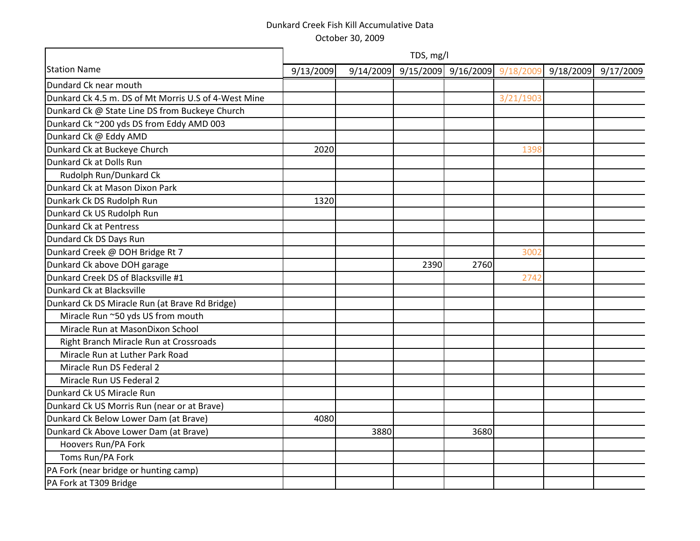|                                                      |           |           | TDS, mg/l |                               |           |           |           |
|------------------------------------------------------|-----------|-----------|-----------|-------------------------------|-----------|-----------|-----------|
| <b>Station Name</b>                                  | 9/13/2009 | 9/14/2009 |           | 9/15/2009 9/16/2009 9/18/2009 |           | 9/18/2009 | 9/17/2009 |
| Dundard Ck near mouth                                |           |           |           |                               |           |           |           |
| Dunkard Ck 4.5 m. DS of Mt Morris U.S of 4-West Mine |           |           |           |                               | 3/21/1903 |           |           |
| Dunkard Ck @ State Line DS from Buckeye Church       |           |           |           |                               |           |           |           |
| Dunkard Ck ~200 yds DS from Eddy AMD 003             |           |           |           |                               |           |           |           |
| Dunkard Ck @ Eddy AMD                                |           |           |           |                               |           |           |           |
| Dunkard Ck at Buckeye Church                         | 2020      |           |           |                               | 1398      |           |           |
| Dunkard Ck at Dolls Run                              |           |           |           |                               |           |           |           |
| Rudolph Run/Dunkard Ck                               |           |           |           |                               |           |           |           |
| Dunkard Ck at Mason Dixon Park                       |           |           |           |                               |           |           |           |
| Dunkark Ck DS Rudolph Run                            | 1320      |           |           |                               |           |           |           |
| Dunkard Ck US Rudolph Run                            |           |           |           |                               |           |           |           |
| <b>Dunkard Ck at Pentress</b>                        |           |           |           |                               |           |           |           |
| Dundard Ck DS Days Run                               |           |           |           |                               |           |           |           |
| Dunkard Creek @ DOH Bridge Rt 7                      |           |           |           |                               | 3002      |           |           |
| Dunkard Ck above DOH garage                          |           |           | 2390      | 2760                          |           |           |           |
| Dunkard Creek DS of Blacksville #1                   |           |           |           |                               | 2742      |           |           |
| Dunkard Ck at Blacksville                            |           |           |           |                               |           |           |           |
| Dunkard Ck DS Miracle Run (at Brave Rd Bridge)       |           |           |           |                               |           |           |           |
| Miracle Run ~50 yds US from mouth                    |           |           |           |                               |           |           |           |
| Miracle Run at MasonDixon School                     |           |           |           |                               |           |           |           |
| Right Branch Miracle Run at Crossroads               |           |           |           |                               |           |           |           |
| Miracle Run at Luther Park Road                      |           |           |           |                               |           |           |           |
| Miracle Run DS Federal 2                             |           |           |           |                               |           |           |           |
| Miracle Run US Federal 2                             |           |           |           |                               |           |           |           |
| Dunkard Ck US Miracle Run                            |           |           |           |                               |           |           |           |
| Dunkard Ck US Morris Run (near or at Brave)          |           |           |           |                               |           |           |           |
| Dunkard Ck Below Lower Dam (at Brave)                | 4080      |           |           |                               |           |           |           |
| Dunkard Ck Above Lower Dam (at Brave)                |           | 3880      |           | 3680                          |           |           |           |
| Hoovers Run/PA Fork                                  |           |           |           |                               |           |           |           |
| Toms Run/PA Fork                                     |           |           |           |                               |           |           |           |
| PA Fork (near bridge or hunting camp)                |           |           |           |                               |           |           |           |
| PA Fork at T309 Bridge                               |           |           |           |                               |           |           |           |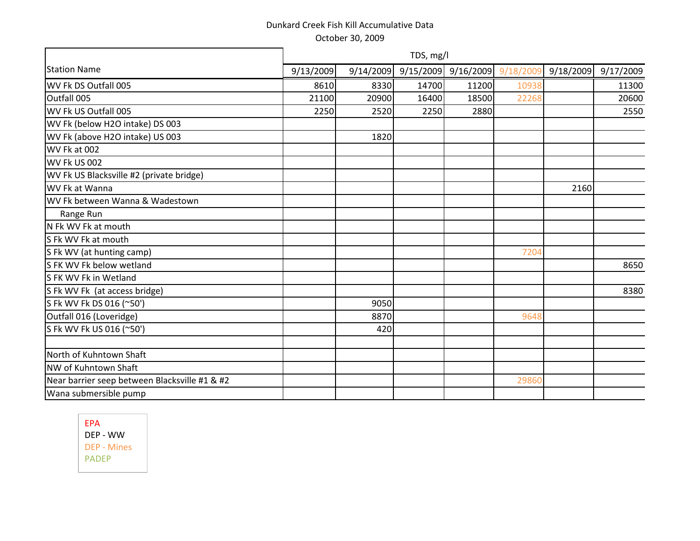|                                               |           |       | TDS, mg/l               |       |                     |           |           |
|-----------------------------------------------|-----------|-------|-------------------------|-------|---------------------|-----------|-----------|
| <b>Station Name</b>                           | 9/13/2009 |       | $9/14/2009$ $9/15/2009$ |       | 9/16/2009 9/18/2009 | 9/18/2009 | 9/17/2009 |
| WV Fk DS Outfall 005                          | 8610      | 8330  | 14700                   | 11200 | 10938               |           | 11300     |
| Outfall 005                                   | 21100     | 20900 | 16400                   | 18500 | 22268               |           | 20600     |
| WV Fk US Outfall 005                          | 2250      | 2520  | 2250                    | 2880  |                     |           | 2550      |
| WV Fk (below H2O intake) DS 003               |           |       |                         |       |                     |           |           |
| WV Fk (above H2O intake) US 003               |           | 1820  |                         |       |                     |           |           |
| WV Fk at 002                                  |           |       |                         |       |                     |           |           |
| WV Fk US 002                                  |           |       |                         |       |                     |           |           |
| WV Fk US Blacksville #2 (private bridge)      |           |       |                         |       |                     |           |           |
| WV Fk at Wanna                                |           |       |                         |       |                     | 2160      |           |
| WV Fk between Wanna & Wadestown               |           |       |                         |       |                     |           |           |
| Range Run                                     |           |       |                         |       |                     |           |           |
| N Fk WV Fk at mouth                           |           |       |                         |       |                     |           |           |
| S Fk WV Fk at mouth                           |           |       |                         |       |                     |           |           |
| S Fk WV (at hunting camp)                     |           |       |                         |       | 7204                |           |           |
| S FK WV Fk below wetland                      |           |       |                         |       |                     |           | 8650      |
| S FK WV Fk in Wetland                         |           |       |                         |       |                     |           |           |
| S Fk WV Fk (at access bridge)                 |           |       |                         |       |                     |           | 8380      |
| S Fk WV Fk DS 016 (~50')                      |           | 9050  |                         |       |                     |           |           |
| Outfall 016 (Loveridge)                       |           | 8870  |                         |       | 9648                |           |           |
| S Fk WV Fk US 016 (~50')                      |           | 420   |                         |       |                     |           |           |
|                                               |           |       |                         |       |                     |           |           |
| North of Kuhntown Shaft                       |           |       |                         |       |                     |           |           |
| NW of Kuhntown Shaft                          |           |       |                         |       |                     |           |           |
| Near barrier seep between Blacksville #1 & #2 |           |       |                         |       | 29860               |           |           |
| Wana submersible pump                         |           |       |                         |       |                     |           |           |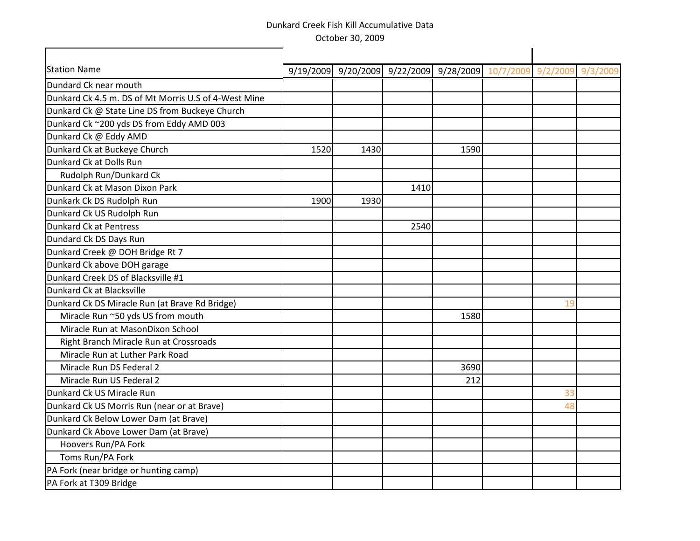| <b>Station Name</b>                                  |      | 9/19/2009 9/20/2009 9/22/2009 9/28/2009 10/7/2009 9/2/2009 |      |      |    | 9/3/2009 |
|------------------------------------------------------|------|------------------------------------------------------------|------|------|----|----------|
| Dundard Ck near mouth                                |      |                                                            |      |      |    |          |
| Dunkard Ck 4.5 m. DS of Mt Morris U.S of 4-West Mine |      |                                                            |      |      |    |          |
| Dunkard Ck @ State Line DS from Buckeye Church       |      |                                                            |      |      |    |          |
| Dunkard Ck ~200 yds DS from Eddy AMD 003             |      |                                                            |      |      |    |          |
| Dunkard Ck @ Eddy AMD                                |      |                                                            |      |      |    |          |
| Dunkard Ck at Buckeye Church                         | 1520 | 1430                                                       |      | 1590 |    |          |
| Dunkard Ck at Dolls Run                              |      |                                                            |      |      |    |          |
| Rudolph Run/Dunkard Ck                               |      |                                                            |      |      |    |          |
| Dunkard Ck at Mason Dixon Park                       |      |                                                            | 1410 |      |    |          |
| Dunkark Ck DS Rudolph Run                            | 1900 | 1930                                                       |      |      |    |          |
| Dunkard Ck US Rudolph Run                            |      |                                                            |      |      |    |          |
| Dunkard Ck at Pentress                               |      |                                                            | 2540 |      |    |          |
| Dundard Ck DS Days Run                               |      |                                                            |      |      |    |          |
| Dunkard Creek @ DOH Bridge Rt 7                      |      |                                                            |      |      |    |          |
| Dunkard Ck above DOH garage                          |      |                                                            |      |      |    |          |
| Dunkard Creek DS of Blacksville #1                   |      |                                                            |      |      |    |          |
| Dunkard Ck at Blacksville                            |      |                                                            |      |      |    |          |
| Dunkard Ck DS Miracle Run (at Brave Rd Bridge)       |      |                                                            |      |      | 19 |          |
| Miracle Run ~50 yds US from mouth                    |      |                                                            |      | 1580 |    |          |
| Miracle Run at MasonDixon School                     |      |                                                            |      |      |    |          |
| Right Branch Miracle Run at Crossroads               |      |                                                            |      |      |    |          |
| Miracle Run at Luther Park Road                      |      |                                                            |      |      |    |          |
| Miracle Run DS Federal 2                             |      |                                                            |      | 3690 |    |          |
| Miracle Run US Federal 2                             |      |                                                            |      | 212  |    |          |
| Dunkard Ck US Miracle Run                            |      |                                                            |      |      | 33 |          |
| Dunkard Ck US Morris Run (near or at Brave)          |      |                                                            |      |      | 48 |          |
| Dunkard Ck Below Lower Dam (at Brave)                |      |                                                            |      |      |    |          |
| Dunkard Ck Above Lower Dam (at Brave)                |      |                                                            |      |      |    |          |
| Hoovers Run/PA Fork                                  |      |                                                            |      |      |    |          |
| Toms Run/PA Fork                                     |      |                                                            |      |      |    |          |
| PA Fork (near bridge or hunting camp)                |      |                                                            |      |      |    |          |
| PA Fork at T309 Bridge                               |      |                                                            |      |      |    |          |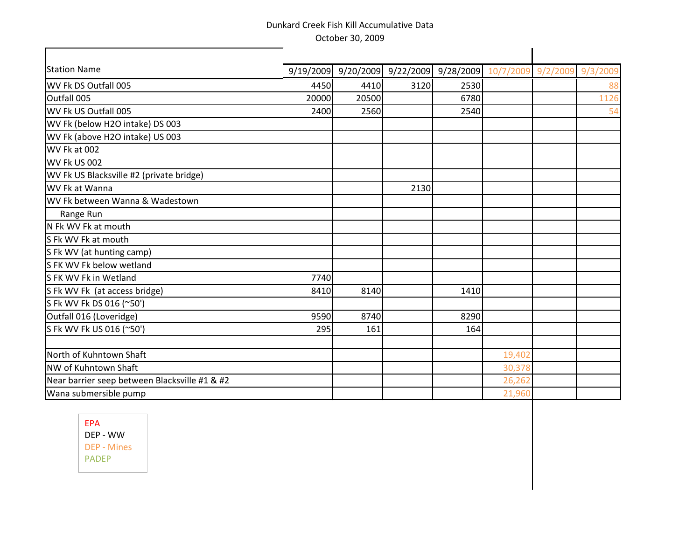| <b>Station Name</b>                           |       |       |      | 9/19/2009 9/20/2009 9/22/2009 9/28/2009 10/7/2009 9/2/2009 |        | 9/3/200 |
|-----------------------------------------------|-------|-------|------|------------------------------------------------------------|--------|---------|
| WV Fk DS Outfall 005                          | 4450  | 4410  | 3120 | 2530                                                       |        |         |
| Outfall 005                                   | 20000 | 20500 |      | 6780                                                       |        | 1126    |
| WV Fk US Outfall 005                          | 2400  | 2560  |      | 2540                                                       |        |         |
| WV Fk (below H2O intake) DS 003               |       |       |      |                                                            |        |         |
| WV Fk (above H2O intake) US 003               |       |       |      |                                                            |        |         |
| WV Fk at 002                                  |       |       |      |                                                            |        |         |
| <b>WV Fk US 002</b>                           |       |       |      |                                                            |        |         |
| WV Fk US Blacksville #2 (private bridge)      |       |       |      |                                                            |        |         |
| WV Fk at Wanna                                |       |       | 2130 |                                                            |        |         |
| WV Fk between Wanna & Wadestown               |       |       |      |                                                            |        |         |
| Range Run                                     |       |       |      |                                                            |        |         |
| N Fk WV Fk at mouth                           |       |       |      |                                                            |        |         |
| S Fk WV Fk at mouth                           |       |       |      |                                                            |        |         |
| S Fk WV (at hunting camp)                     |       |       |      |                                                            |        |         |
| S FK WV Fk below wetland                      |       |       |      |                                                            |        |         |
| S FK WV Fk in Wetland                         | 7740  |       |      |                                                            |        |         |
| S Fk WV Fk (at access bridge)                 | 8410  | 8140  |      | 1410                                                       |        |         |
| S Fk WV Fk DS 016 (~50')                      |       |       |      |                                                            |        |         |
| Outfall 016 (Loveridge)                       | 9590  | 8740  |      | 8290                                                       |        |         |
| S Fk WV Fk US 016 (~50')                      | 295   | 161   |      | 164                                                        |        |         |
| North of Kuhntown Shaft                       |       |       |      |                                                            | 19,402 |         |
| NW of Kuhntown Shaft                          |       |       |      |                                                            | 30,378 |         |
| Near barrier seep between Blacksville #1 & #2 |       |       |      |                                                            | 26,262 |         |
| Wana submersible pump                         |       |       |      |                                                            | 21,960 |         |
|                                               |       |       |      |                                                            |        |         |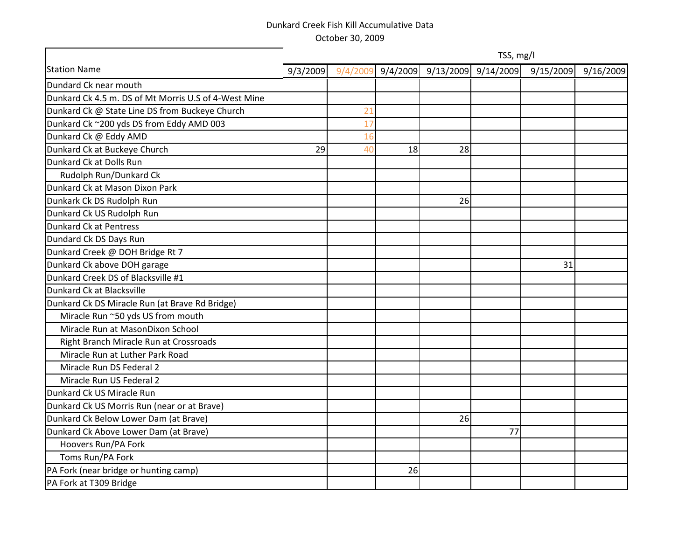|                                                      | TSS, mg/l |    |    |                             |           |           |           |  |  |  |
|------------------------------------------------------|-----------|----|----|-----------------------------|-----------|-----------|-----------|--|--|--|
| <b>Station Name</b>                                  | 9/3/2009  |    |    | 9/4/2009 9/4/2009 9/13/2009 | 9/14/2009 | 9/15/2009 | 9/16/2009 |  |  |  |
| Dundard Ck near mouth                                |           |    |    |                             |           |           |           |  |  |  |
| Dunkard Ck 4.5 m. DS of Mt Morris U.S of 4-West Mine |           |    |    |                             |           |           |           |  |  |  |
| Dunkard Ck @ State Line DS from Buckeye Church       |           | 21 |    |                             |           |           |           |  |  |  |
| Dunkard Ck ~200 yds DS from Eddy AMD 003             |           | 17 |    |                             |           |           |           |  |  |  |
| Dunkard Ck @ Eddy AMD                                |           | 16 |    |                             |           |           |           |  |  |  |
| Dunkard Ck at Buckeye Church                         | 29        | 40 | 18 | 28                          |           |           |           |  |  |  |
| Dunkard Ck at Dolls Run                              |           |    |    |                             |           |           |           |  |  |  |
| Rudolph Run/Dunkard Ck                               |           |    |    |                             |           |           |           |  |  |  |
| Dunkard Ck at Mason Dixon Park                       |           |    |    |                             |           |           |           |  |  |  |
| Dunkark Ck DS Rudolph Run                            |           |    |    | 26                          |           |           |           |  |  |  |
| Dunkard Ck US Rudolph Run                            |           |    |    |                             |           |           |           |  |  |  |
| Dunkard Ck at Pentress                               |           |    |    |                             |           |           |           |  |  |  |
| Dundard Ck DS Days Run                               |           |    |    |                             |           |           |           |  |  |  |
| Dunkard Creek @ DOH Bridge Rt 7                      |           |    |    |                             |           |           |           |  |  |  |
| Dunkard Ck above DOH garage                          |           |    |    |                             |           | 31        |           |  |  |  |
| Dunkard Creek DS of Blacksville #1                   |           |    |    |                             |           |           |           |  |  |  |
| Dunkard Ck at Blacksville                            |           |    |    |                             |           |           |           |  |  |  |
| Dunkard Ck DS Miracle Run (at Brave Rd Bridge)       |           |    |    |                             |           |           |           |  |  |  |
| Miracle Run ~50 yds US from mouth                    |           |    |    |                             |           |           |           |  |  |  |
| Miracle Run at MasonDixon School                     |           |    |    |                             |           |           |           |  |  |  |
| Right Branch Miracle Run at Crossroads               |           |    |    |                             |           |           |           |  |  |  |
| Miracle Run at Luther Park Road                      |           |    |    |                             |           |           |           |  |  |  |
| Miracle Run DS Federal 2                             |           |    |    |                             |           |           |           |  |  |  |
| Miracle Run US Federal 2                             |           |    |    |                             |           |           |           |  |  |  |
| Dunkard Ck US Miracle Run                            |           |    |    |                             |           |           |           |  |  |  |
| Dunkard Ck US Morris Run (near or at Brave)          |           |    |    |                             |           |           |           |  |  |  |
| Dunkard Ck Below Lower Dam (at Brave)                |           |    |    | 26                          |           |           |           |  |  |  |
| Dunkard Ck Above Lower Dam (at Brave)                |           |    |    |                             | 77        |           |           |  |  |  |
| Hoovers Run/PA Fork                                  |           |    |    |                             |           |           |           |  |  |  |
| Toms Run/PA Fork                                     |           |    |    |                             |           |           |           |  |  |  |
| PA Fork (near bridge or hunting camp)                |           |    | 26 |                             |           |           |           |  |  |  |
| PA Fork at T309 Bridge                               |           |    |    |                             |           |           |           |  |  |  |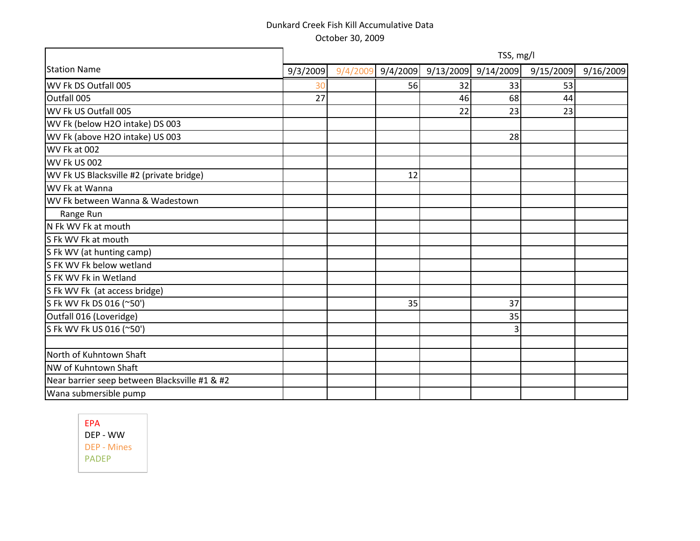|                                               | TSS, mg/l |          |          |           |           |           |           |  |  |
|-----------------------------------------------|-----------|----------|----------|-----------|-----------|-----------|-----------|--|--|
| <b>Station Name</b>                           | 9/3/2009  | 9/4/2009 | 9/4/2009 | 9/13/2009 | 9/14/2009 | 9/15/2009 | 9/16/2009 |  |  |
| WV Fk DS Outfall 005                          | 30        |          | 56       | 32        | 33        | 53        |           |  |  |
| Outfall 005                                   | 27        |          |          | 46        | 68        | 44        |           |  |  |
| WV Fk US Outfall 005                          |           |          |          | 22        | 23        | 23        |           |  |  |
| WV Fk (below H2O intake) DS 003               |           |          |          |           |           |           |           |  |  |
| WV Fk (above H2O intake) US 003               |           |          |          |           | 28        |           |           |  |  |
| WV Fk at 002                                  |           |          |          |           |           |           |           |  |  |
| WV Fk US 002                                  |           |          |          |           |           |           |           |  |  |
| WV Fk US Blacksville #2 (private bridge)      |           |          | 12       |           |           |           |           |  |  |
| WV Fk at Wanna                                |           |          |          |           |           |           |           |  |  |
| WV Fk between Wanna & Wadestown               |           |          |          |           |           |           |           |  |  |
| Range Run                                     |           |          |          |           |           |           |           |  |  |
| N Fk WV Fk at mouth                           |           |          |          |           |           |           |           |  |  |
| S Fk WV Fk at mouth                           |           |          |          |           |           |           |           |  |  |
| S Fk WV (at hunting camp)                     |           |          |          |           |           |           |           |  |  |
| S FK WV Fk below wetland                      |           |          |          |           |           |           |           |  |  |
| S FK WV Fk in Wetland                         |           |          |          |           |           |           |           |  |  |
| S Fk WV Fk (at access bridge)                 |           |          |          |           |           |           |           |  |  |
| S Fk WV Fk DS 016 (~50')                      |           |          | 35       |           | 37        |           |           |  |  |
| Outfall 016 (Loveridge)                       |           |          |          |           | 35        |           |           |  |  |
| S Fk WV Fk US 016 (~50')                      |           |          |          |           | 3         |           |           |  |  |
|                                               |           |          |          |           |           |           |           |  |  |
| North of Kuhntown Shaft                       |           |          |          |           |           |           |           |  |  |
| NW of Kuhntown Shaft                          |           |          |          |           |           |           |           |  |  |
| Near barrier seep between Blacksville #1 & #2 |           |          |          |           |           |           |           |  |  |
| Wana submersible pump                         |           |          |          |           |           |           |           |  |  |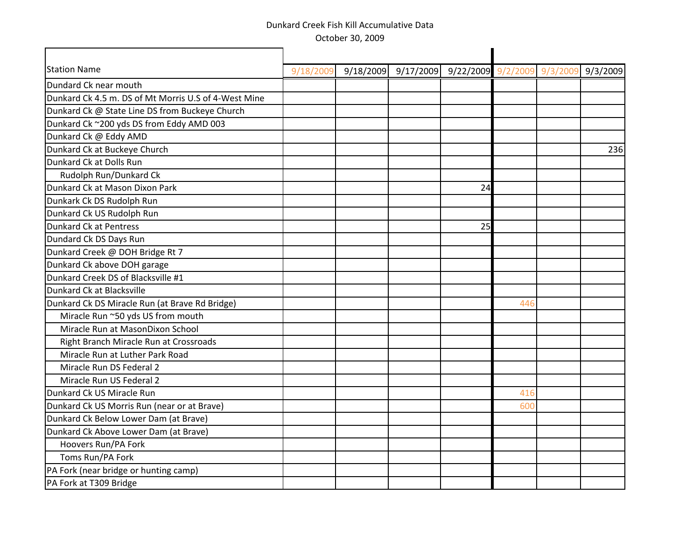| <b>Station Name</b><br>9/18/2009 9/17/2009 9/22/2009 9/2/2009 9/3/2009<br>9/3/2009<br>9/18/200 |
|------------------------------------------------------------------------------------------------|
| Dundard Ck near mouth                                                                          |
| Dunkard Ck 4.5 m. DS of Mt Morris U.S of 4-West Mine                                           |
| Dunkard Ck @ State Line DS from Buckeye Church                                                 |
| Dunkard Ck ~200 yds DS from Eddy AMD 003                                                       |
| Dunkard Ck @ Eddy AMD                                                                          |
| Dunkard Ck at Buckeye Church<br>236                                                            |
| Dunkard Ck at Dolls Run                                                                        |
| Rudolph Run/Dunkard Ck                                                                         |
| Dunkard Ck at Mason Dixon Park<br>24                                                           |
| Dunkark Ck DS Rudolph Run                                                                      |
| Dunkard Ck US Rudolph Run                                                                      |
| Dunkard Ck at Pentress<br>25                                                                   |
| Dundard Ck DS Days Run                                                                         |
| Dunkard Creek @ DOH Bridge Rt 7                                                                |
| Dunkard Ck above DOH garage                                                                    |
| Dunkard Creek DS of Blacksville #1                                                             |
| Dunkard Ck at Blacksville                                                                      |
| Dunkard Ck DS Miracle Run (at Brave Rd Bridge)<br>446                                          |
| Miracle Run ~50 yds US from mouth                                                              |
| Miracle Run at MasonDixon School                                                               |
| Right Branch Miracle Run at Crossroads                                                         |
| Miracle Run at Luther Park Road                                                                |
| Miracle Run DS Federal 2                                                                       |
| Miracle Run US Federal 2                                                                       |
| Dunkard Ck US Miracle Run<br>416                                                               |
| Dunkard Ck US Morris Run (near or at Brave)<br>600                                             |
| Dunkard Ck Below Lower Dam (at Brave)                                                          |
| Dunkard Ck Above Lower Dam (at Brave)                                                          |
| Hoovers Run/PA Fork                                                                            |
| Toms Run/PA Fork                                                                               |
| PA Fork (near bridge or hunting camp)                                                          |
| PA Fork at T309 Bridge                                                                         |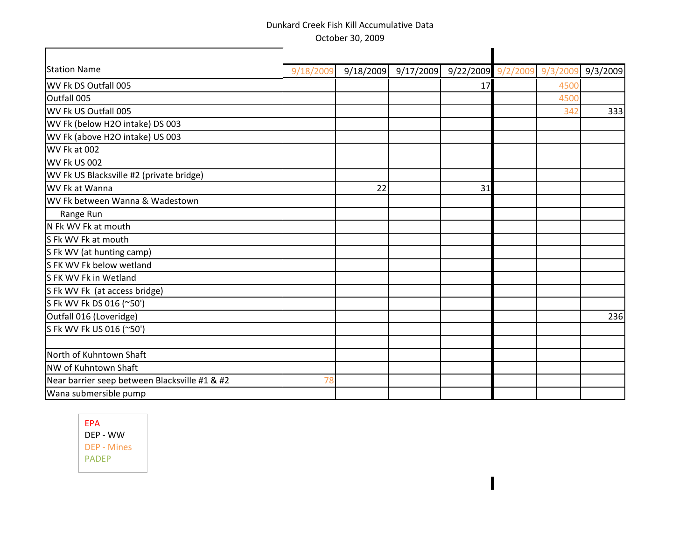| <b>Station Name</b>                           | 9/18/2009 |    | 9/18/2009 9/17/2009 9/22/2009 9/2/2009 |    | 9/3/200 | 9/3/2009 |
|-----------------------------------------------|-----------|----|----------------------------------------|----|---------|----------|
| WV Fk DS Outfall 005                          |           |    |                                        | 17 | 450     |          |
| Outfall 005                                   |           |    |                                        |    | 4500    |          |
| WV Fk US Outfall 005                          |           |    |                                        |    | 342     | 333      |
| WV Fk (below H2O intake) DS 003               |           |    |                                        |    |         |          |
| WV Fk (above H2O intake) US 003               |           |    |                                        |    |         |          |
| WV Fk at 002                                  |           |    |                                        |    |         |          |
| WV Fk US 002                                  |           |    |                                        |    |         |          |
| WV Fk US Blacksville #2 (private bridge)      |           |    |                                        |    |         |          |
| WV Fk at Wanna                                |           | 22 |                                        | 31 |         |          |
| WV Fk between Wanna & Wadestown               |           |    |                                        |    |         |          |
| Range Run                                     |           |    |                                        |    |         |          |
| N Fk WV Fk at mouth                           |           |    |                                        |    |         |          |
| S Fk WV Fk at mouth                           |           |    |                                        |    |         |          |
| S Fk WV (at hunting camp)                     |           |    |                                        |    |         |          |
| S FK WV Fk below wetland                      |           |    |                                        |    |         |          |
| S FK WV Fk in Wetland                         |           |    |                                        |    |         |          |
| S Fk WV Fk (at access bridge)                 |           |    |                                        |    |         |          |
| S Fk WV Fk DS 016 (~50')                      |           |    |                                        |    |         |          |
| Outfall 016 (Loveridge)                       |           |    |                                        |    |         | 236      |
| S Fk WV Fk US 016 (~50')                      |           |    |                                        |    |         |          |
|                                               |           |    |                                        |    |         |          |
| North of Kuhntown Shaft                       |           |    |                                        |    |         |          |
| NW of Kuhntown Shaft                          |           |    |                                        |    |         |          |
| Near barrier seep between Blacksville #1 & #2 |           |    |                                        |    |         |          |
| Wana submersible pump                         |           |    |                                        |    |         |          |

 $\overline{\mathbf{I}}$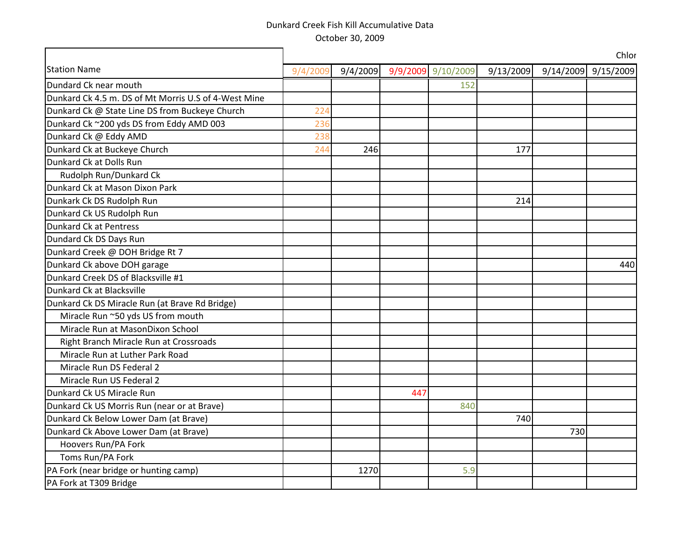|                                                      |          |          |     |                    |           |           | Chlor     |
|------------------------------------------------------|----------|----------|-----|--------------------|-----------|-----------|-----------|
| <b>Station Name</b>                                  | 9/4/2009 | 9/4/2009 |     | 9/9/2009 9/10/2009 | 9/13/2009 | 9/14/2009 | 9/15/2009 |
| Dundard Ck near mouth                                |          |          |     | 152                |           |           |           |
| Dunkard Ck 4.5 m. DS of Mt Morris U.S of 4-West Mine |          |          |     |                    |           |           |           |
| Dunkard Ck @ State Line DS from Buckeye Church       | 224      |          |     |                    |           |           |           |
| Dunkard Ck ~200 yds DS from Eddy AMD 003             | 236      |          |     |                    |           |           |           |
| Dunkard Ck @ Eddy AMD                                | 238      |          |     |                    |           |           |           |
| Dunkard Ck at Buckeye Church                         | 244      | 246      |     |                    | 177       |           |           |
| Dunkard Ck at Dolls Run                              |          |          |     |                    |           |           |           |
| Rudolph Run/Dunkard Ck                               |          |          |     |                    |           |           |           |
| Dunkard Ck at Mason Dixon Park                       |          |          |     |                    |           |           |           |
| Dunkark Ck DS Rudolph Run                            |          |          |     |                    | 214       |           |           |
| Dunkard Ck US Rudolph Run                            |          |          |     |                    |           |           |           |
| Dunkard Ck at Pentress                               |          |          |     |                    |           |           |           |
| Dundard Ck DS Days Run                               |          |          |     |                    |           |           |           |
| Dunkard Creek @ DOH Bridge Rt 7                      |          |          |     |                    |           |           |           |
| Dunkard Ck above DOH garage                          |          |          |     |                    |           |           | 440       |
| Dunkard Creek DS of Blacksville #1                   |          |          |     |                    |           |           |           |
| Dunkard Ck at Blacksville                            |          |          |     |                    |           |           |           |
| Dunkard Ck DS Miracle Run (at Brave Rd Bridge)       |          |          |     |                    |           |           |           |
| Miracle Run ~50 yds US from mouth                    |          |          |     |                    |           |           |           |
| Miracle Run at MasonDixon School                     |          |          |     |                    |           |           |           |
| Right Branch Miracle Run at Crossroads               |          |          |     |                    |           |           |           |
| Miracle Run at Luther Park Road                      |          |          |     |                    |           |           |           |
| Miracle Run DS Federal 2                             |          |          |     |                    |           |           |           |
| Miracle Run US Federal 2                             |          |          |     |                    |           |           |           |
| Dunkard Ck US Miracle Run                            |          |          | 447 |                    |           |           |           |
| Dunkard Ck US Morris Run (near or at Brave)          |          |          |     | 840                |           |           |           |
| Dunkard Ck Below Lower Dam (at Brave)                |          |          |     |                    | 740       |           |           |
| Dunkard Ck Above Lower Dam (at Brave)                |          |          |     |                    |           | 730       |           |
| Hoovers Run/PA Fork                                  |          |          |     |                    |           |           |           |
| Toms Run/PA Fork                                     |          |          |     |                    |           |           |           |
| PA Fork (near bridge or hunting camp)                |          | 1270     |     | 5.9                |           |           |           |
| PA Fork at T309 Bridge                               |          |          |     |                    |           |           |           |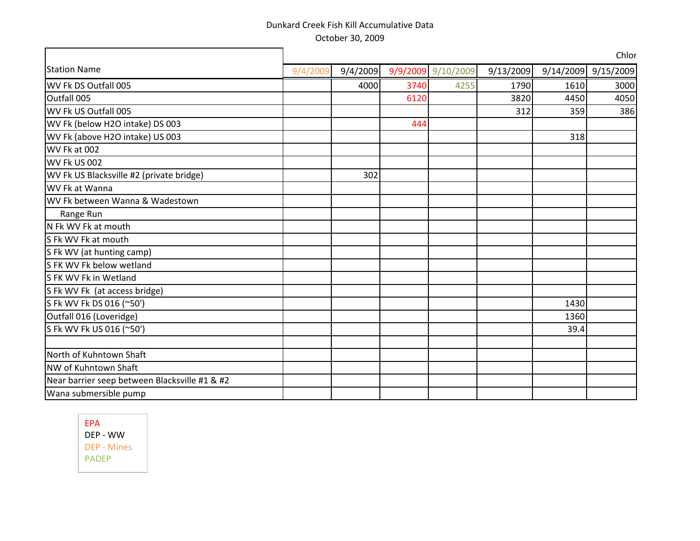|                                               |          |          |      |                    |           |      | Chlor               |
|-----------------------------------------------|----------|----------|------|--------------------|-----------|------|---------------------|
| <b>Station Name</b>                           | 9/4/2009 | 9/4/2009 |      | 9/9/2009 9/10/2009 | 9/13/2009 |      | 9/14/2009 9/15/2009 |
| WV Fk DS Outfall 005                          |          | 4000     | 3740 | 4255               | 1790      | 1610 | 3000                |
| Outfall 005                                   |          |          | 6120 |                    | 3820      | 4450 | 4050                |
| WV Fk US Outfall 005                          |          |          |      |                    | 312       | 359  | 386                 |
| WV Fk (below H2O intake) DS 003               |          |          | 444  |                    |           |      |                     |
| WV Fk (above H2O intake) US 003               |          |          |      |                    |           | 318  |                     |
| WV Fk at 002                                  |          |          |      |                    |           |      |                     |
| WV Fk US 002                                  |          |          |      |                    |           |      |                     |
| WV Fk US Blacksville #2 (private bridge)      |          | 302      |      |                    |           |      |                     |
| WV Fk at Wanna                                |          |          |      |                    |           |      |                     |
| WV Fk between Wanna & Wadestown               |          |          |      |                    |           |      |                     |
| Range Run                                     |          |          |      |                    |           |      |                     |
| N Fk WV Fk at mouth                           |          |          |      |                    |           |      |                     |
| S Fk WV Fk at mouth                           |          |          |      |                    |           |      |                     |
| S Fk WV (at hunting camp)                     |          |          |      |                    |           |      |                     |
| S FK WV Fk below wetland                      |          |          |      |                    |           |      |                     |
| S FK WV Fk in Wetland                         |          |          |      |                    |           |      |                     |
| S Fk WV Fk (at access bridge)                 |          |          |      |                    |           |      |                     |
| S Fk WV Fk DS 016 (~50')                      |          |          |      |                    |           | 1430 |                     |
| Outfall 016 (Loveridge)                       |          |          |      |                    |           | 1360 |                     |
| S Fk WV Fk US 016 (~50')                      |          |          |      |                    |           | 39.4 |                     |
|                                               |          |          |      |                    |           |      |                     |
| North of Kuhntown Shaft                       |          |          |      |                    |           |      |                     |
| NW of Kuhntown Shaft                          |          |          |      |                    |           |      |                     |
| Near barrier seep between Blacksville #1 & #2 |          |          |      |                    |           |      |                     |
| Wana submersible pump                         |          |          |      |                    |           |      |                     |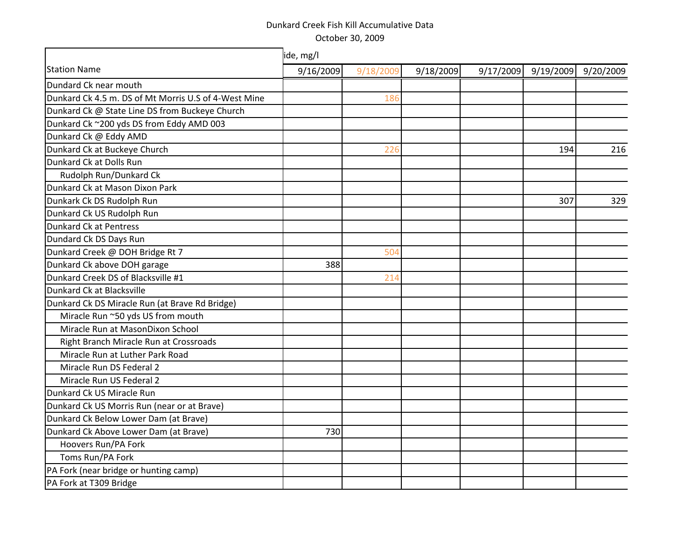|                                                      | ide, mg/l |           |           |           |           |           |  |  |
|------------------------------------------------------|-----------|-----------|-----------|-----------|-----------|-----------|--|--|
| <b>Station Name</b>                                  | 9/16/2009 | 9/18/2009 | 9/18/2009 | 9/17/2009 | 9/19/2009 | 9/20/2009 |  |  |
| Dundard Ck near mouth                                |           |           |           |           |           |           |  |  |
| Dunkard Ck 4.5 m. DS of Mt Morris U.S of 4-West Mine |           | 186       |           |           |           |           |  |  |
| Dunkard Ck @ State Line DS from Buckeye Church       |           |           |           |           |           |           |  |  |
| Dunkard Ck ~200 yds DS from Eddy AMD 003             |           |           |           |           |           |           |  |  |
| Dunkard Ck @ Eddy AMD                                |           |           |           |           |           |           |  |  |
| Dunkard Ck at Buckeye Church                         |           | 226       |           |           | 194       | 216       |  |  |
| Dunkard Ck at Dolls Run                              |           |           |           |           |           |           |  |  |
| Rudolph Run/Dunkard Ck                               |           |           |           |           |           |           |  |  |
| Dunkard Ck at Mason Dixon Park                       |           |           |           |           |           |           |  |  |
| Dunkark Ck DS Rudolph Run                            |           |           |           |           | 307       | 329       |  |  |
| Dunkard Ck US Rudolph Run                            |           |           |           |           |           |           |  |  |
| Dunkard Ck at Pentress                               |           |           |           |           |           |           |  |  |
| Dundard Ck DS Days Run                               |           |           |           |           |           |           |  |  |
| Dunkard Creek @ DOH Bridge Rt 7                      |           | 504       |           |           |           |           |  |  |
| Dunkard Ck above DOH garage                          | 388       |           |           |           |           |           |  |  |
| Dunkard Creek DS of Blacksville #1                   |           | 214       |           |           |           |           |  |  |
| Dunkard Ck at Blacksville                            |           |           |           |           |           |           |  |  |
| Dunkard Ck DS Miracle Run (at Brave Rd Bridge)       |           |           |           |           |           |           |  |  |
| Miracle Run ~50 yds US from mouth                    |           |           |           |           |           |           |  |  |
| Miracle Run at MasonDixon School                     |           |           |           |           |           |           |  |  |
| Right Branch Miracle Run at Crossroads               |           |           |           |           |           |           |  |  |
| Miracle Run at Luther Park Road                      |           |           |           |           |           |           |  |  |
| Miracle Run DS Federal 2                             |           |           |           |           |           |           |  |  |
| Miracle Run US Federal 2                             |           |           |           |           |           |           |  |  |
| Dunkard Ck US Miracle Run                            |           |           |           |           |           |           |  |  |
| Dunkard Ck US Morris Run (near or at Brave)          |           |           |           |           |           |           |  |  |
| Dunkard Ck Below Lower Dam (at Brave)                |           |           |           |           |           |           |  |  |
| Dunkard Ck Above Lower Dam (at Brave)                | 730       |           |           |           |           |           |  |  |
| Hoovers Run/PA Fork                                  |           |           |           |           |           |           |  |  |
| Toms Run/PA Fork                                     |           |           |           |           |           |           |  |  |
| PA Fork (near bridge or hunting camp)                |           |           |           |           |           |           |  |  |
| PA Fork at T309 Bridge                               |           |           |           |           |           |           |  |  |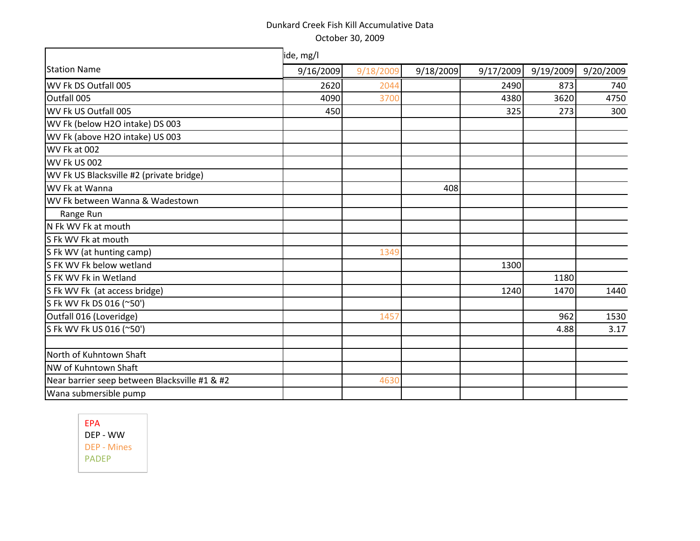|                                               | ide, mg/l |           |           |           |           |           |  |  |  |  |  |  |
|-----------------------------------------------|-----------|-----------|-----------|-----------|-----------|-----------|--|--|--|--|--|--|
| <b>Station Name</b>                           | 9/16/2009 | 9/18/2009 | 9/18/2009 | 9/17/2009 | 9/19/2009 | 9/20/2009 |  |  |  |  |  |  |
| WV Fk DS Outfall 005                          | 2620      | 2044      |           | 2490      | 873       | 740       |  |  |  |  |  |  |
| Outfall 005                                   | 4090      | 3700      |           | 4380      | 3620      | 4750      |  |  |  |  |  |  |
| WV Fk US Outfall 005                          | 450       |           |           | 325       | 273       | 300       |  |  |  |  |  |  |
| WV Fk (below H2O intake) DS 003               |           |           |           |           |           |           |  |  |  |  |  |  |
| WV Fk (above H2O intake) US 003               |           |           |           |           |           |           |  |  |  |  |  |  |
| WV Fk at 002                                  |           |           |           |           |           |           |  |  |  |  |  |  |
| WV Fk US 002                                  |           |           |           |           |           |           |  |  |  |  |  |  |
| WV Fk US Blacksville #2 (private bridge)      |           |           |           |           |           |           |  |  |  |  |  |  |
| WV Fk at Wanna                                |           |           | 408       |           |           |           |  |  |  |  |  |  |
| WV Fk between Wanna & Wadestown               |           |           |           |           |           |           |  |  |  |  |  |  |
| Range Run                                     |           |           |           |           |           |           |  |  |  |  |  |  |
| N Fk WV Fk at mouth                           |           |           |           |           |           |           |  |  |  |  |  |  |
| S Fk WV Fk at mouth                           |           |           |           |           |           |           |  |  |  |  |  |  |
| S Fk WV (at hunting camp)                     |           | 1349      |           |           |           |           |  |  |  |  |  |  |
| S FK WV Fk below wetland                      |           |           |           | 1300      |           |           |  |  |  |  |  |  |
| S FK WV Fk in Wetland                         |           |           |           |           | 1180      |           |  |  |  |  |  |  |
| S Fk WV Fk (at access bridge)                 |           |           |           | 1240      | 1470      | 1440      |  |  |  |  |  |  |
| S Fk WV Fk DS 016 (~50')                      |           |           |           |           |           |           |  |  |  |  |  |  |
| Outfall 016 (Loveridge)                       |           | 1457      |           |           | 962       | 1530      |  |  |  |  |  |  |
| S Fk WV Fk US 016 (~50')                      |           |           |           |           | 4.88      | 3.17      |  |  |  |  |  |  |
|                                               |           |           |           |           |           |           |  |  |  |  |  |  |
| North of Kuhntown Shaft                       |           |           |           |           |           |           |  |  |  |  |  |  |
| NW of Kuhntown Shaft                          |           |           |           |           |           |           |  |  |  |  |  |  |
| Near barrier seep between Blacksville #1 & #2 |           | 4630      |           |           |           |           |  |  |  |  |  |  |
| Wana submersible pump                         |           |           |           |           |           |           |  |  |  |  |  |  |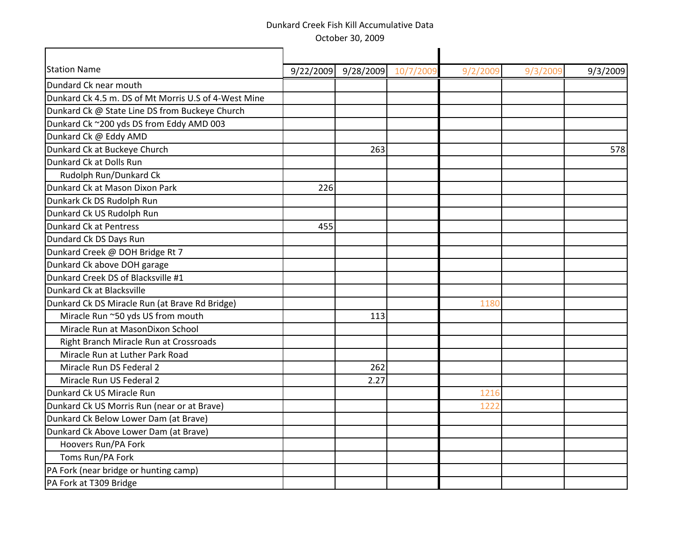| <b>Station Name</b>                                  |     | 9/22/2009 9/28/2009 10/7/2009 | 9/2/200 | 9/3/200 | 9/3/2009 |
|------------------------------------------------------|-----|-------------------------------|---------|---------|----------|
| Dundard Ck near mouth                                |     |                               |         |         |          |
| Dunkard Ck 4.5 m. DS of Mt Morris U.S of 4-West Mine |     |                               |         |         |          |
| Dunkard Ck @ State Line DS from Buckeye Church       |     |                               |         |         |          |
| Dunkard Ck ~200 yds DS from Eddy AMD 003             |     |                               |         |         |          |
| Dunkard Ck @ Eddy AMD                                |     |                               |         |         |          |
| Dunkard Ck at Buckeye Church                         |     | 263                           |         |         | 578      |
| Dunkard Ck at Dolls Run                              |     |                               |         |         |          |
| Rudolph Run/Dunkard Ck                               |     |                               |         |         |          |
| Dunkard Ck at Mason Dixon Park                       | 226 |                               |         |         |          |
| Dunkark Ck DS Rudolph Run                            |     |                               |         |         |          |
| Dunkard Ck US Rudolph Run                            |     |                               |         |         |          |
| Dunkard Ck at Pentress                               | 455 |                               |         |         |          |
| Dundard Ck DS Days Run                               |     |                               |         |         |          |
| Dunkard Creek @ DOH Bridge Rt 7                      |     |                               |         |         |          |
| Dunkard Ck above DOH garage                          |     |                               |         |         |          |
| Dunkard Creek DS of Blacksville #1                   |     |                               |         |         |          |
| Dunkard Ck at Blacksville                            |     |                               |         |         |          |
| Dunkard Ck DS Miracle Run (at Brave Rd Bridge)       |     |                               | 1180    |         |          |
| Miracle Run ~50 yds US from mouth                    |     | 113                           |         |         |          |
| Miracle Run at MasonDixon School                     |     |                               |         |         |          |
| Right Branch Miracle Run at Crossroads               |     |                               |         |         |          |
| Miracle Run at Luther Park Road                      |     |                               |         |         |          |
| Miracle Run DS Federal 2                             |     | 262                           |         |         |          |
| Miracle Run US Federal 2                             |     | 2.27                          |         |         |          |
| Dunkard Ck US Miracle Run                            |     |                               | 1216    |         |          |
| Dunkard Ck US Morris Run (near or at Brave)          |     |                               | 1222    |         |          |
| Dunkard Ck Below Lower Dam (at Brave)                |     |                               |         |         |          |
| Dunkard Ck Above Lower Dam (at Brave)                |     |                               |         |         |          |
| Hoovers Run/PA Fork                                  |     |                               |         |         |          |
| Toms Run/PA Fork                                     |     |                               |         |         |          |
| PA Fork (near bridge or hunting camp)                |     |                               |         |         |          |
| PA Fork at T309 Bridge                               |     |                               |         |         |          |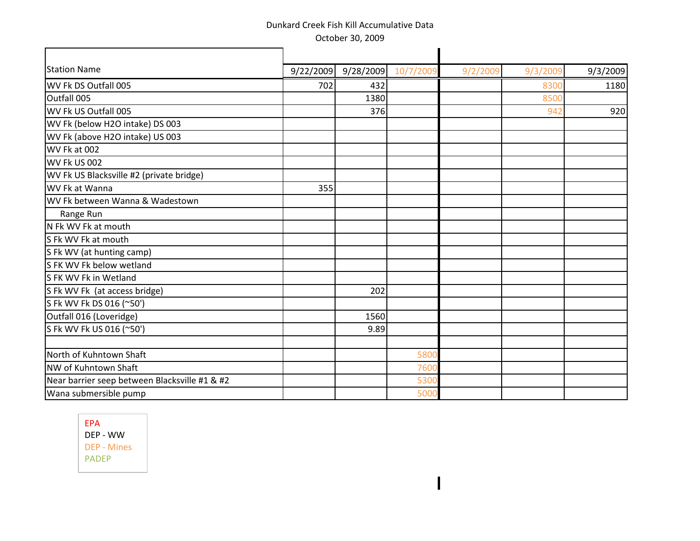| <b>Station Name</b>                           |     | $9/22/2009$ 9/28/2009 | 10/7/2009 | 9/2/2009 | 9/3/200 | 9/3/2009 |
|-----------------------------------------------|-----|-----------------------|-----------|----------|---------|----------|
| WV Fk DS Outfall 005                          | 702 | 432                   |           |          | 830     | 1180     |
| Outfall 005                                   |     | 1380                  |           |          | 8500    |          |
| WV Fk US Outfall 005                          |     | 376                   |           |          | 942     | 920      |
| WV Fk (below H2O intake) DS 003               |     |                       |           |          |         |          |
| WV Fk (above H2O intake) US 003               |     |                       |           |          |         |          |
| WV Fk at 002                                  |     |                       |           |          |         |          |
| WV Fk US 002                                  |     |                       |           |          |         |          |
| WV Fk US Blacksville #2 (private bridge)      |     |                       |           |          |         |          |
| WV Fk at Wanna                                | 355 |                       |           |          |         |          |
| WV Fk between Wanna & Wadestown               |     |                       |           |          |         |          |
| Range Run                                     |     |                       |           |          |         |          |
| N Fk WV Fk at mouth                           |     |                       |           |          |         |          |
| S Fk WV Fk at mouth                           |     |                       |           |          |         |          |
| S Fk WV (at hunting camp)                     |     |                       |           |          |         |          |
| S FK WV Fk below wetland                      |     |                       |           |          |         |          |
| S FK WV Fk in Wetland                         |     |                       |           |          |         |          |
| S Fk WV Fk (at access bridge)                 |     | 202                   |           |          |         |          |
| S Fk WV Fk DS 016 (~50')                      |     |                       |           |          |         |          |
| Outfall 016 (Loveridge)                       |     | 1560                  |           |          |         |          |
| S Fk WV Fk US 016 (~50')                      |     | 9.89                  |           |          |         |          |
|                                               |     |                       |           |          |         |          |
| North of Kuhntown Shaft                       |     |                       | 580       |          |         |          |
| NW of Kuhntown Shaft                          |     |                       | 760       |          |         |          |
| Near barrier seep between Blacksville #1 & #2 |     |                       | 530       |          |         |          |
| Wana submersible pump                         |     |                       | 500       |          |         |          |

 $\blacksquare$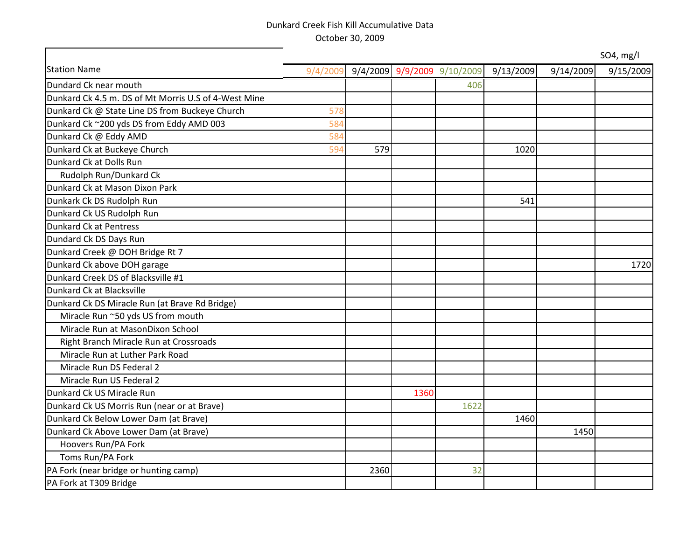|                                                      |          |      |      |                             |           |           | SO4, mg/l |
|------------------------------------------------------|----------|------|------|-----------------------------|-----------|-----------|-----------|
| <b>Station Name</b>                                  | 9/4/2009 |      |      | 9/4/2009 9/9/2009 9/10/2009 | 9/13/2009 | 9/14/2009 | 9/15/2009 |
| Dundard Ck near mouth                                |          |      |      | 406                         |           |           |           |
| Dunkard Ck 4.5 m. DS of Mt Morris U.S of 4-West Mine |          |      |      |                             |           |           |           |
| Dunkard Ck @ State Line DS from Buckeye Church       | 578      |      |      |                             |           |           |           |
| Dunkard Ck ~200 yds DS from Eddy AMD 003             | 584      |      |      |                             |           |           |           |
| Dunkard Ck @ Eddy AMD                                | 584      |      |      |                             |           |           |           |
| Dunkard Ck at Buckeye Church                         | 594      | 579  |      |                             | 1020      |           |           |
| Dunkard Ck at Dolls Run                              |          |      |      |                             |           |           |           |
| Rudolph Run/Dunkard Ck                               |          |      |      |                             |           |           |           |
| Dunkard Ck at Mason Dixon Park                       |          |      |      |                             |           |           |           |
| Dunkark Ck DS Rudolph Run                            |          |      |      |                             | 541       |           |           |
| Dunkard Ck US Rudolph Run                            |          |      |      |                             |           |           |           |
| Dunkard Ck at Pentress                               |          |      |      |                             |           |           |           |
| Dundard Ck DS Days Run                               |          |      |      |                             |           |           |           |
| Dunkard Creek @ DOH Bridge Rt 7                      |          |      |      |                             |           |           |           |
| Dunkard Ck above DOH garage                          |          |      |      |                             |           |           | 1720      |
| Dunkard Creek DS of Blacksville #1                   |          |      |      |                             |           |           |           |
| Dunkard Ck at Blacksville                            |          |      |      |                             |           |           |           |
| Dunkard Ck DS Miracle Run (at Brave Rd Bridge)       |          |      |      |                             |           |           |           |
| Miracle Run ~50 yds US from mouth                    |          |      |      |                             |           |           |           |
| Miracle Run at MasonDixon School                     |          |      |      |                             |           |           |           |
| Right Branch Miracle Run at Crossroads               |          |      |      |                             |           |           |           |
| Miracle Run at Luther Park Road                      |          |      |      |                             |           |           |           |
| Miracle Run DS Federal 2                             |          |      |      |                             |           |           |           |
| Miracle Run US Federal 2                             |          |      |      |                             |           |           |           |
| Dunkard Ck US Miracle Run                            |          |      | 1360 |                             |           |           |           |
| Dunkard Ck US Morris Run (near or at Brave)          |          |      |      | 1622                        |           |           |           |
| Dunkard Ck Below Lower Dam (at Brave)                |          |      |      |                             | 1460      |           |           |
| Dunkard Ck Above Lower Dam (at Brave)                |          |      |      |                             |           | 1450      |           |
| Hoovers Run/PA Fork                                  |          |      |      |                             |           |           |           |
| Toms Run/PA Fork                                     |          |      |      |                             |           |           |           |
| PA Fork (near bridge or hunting camp)                |          | 2360 |      | 32                          |           |           |           |
| PA Fork at T309 Bridge                               |          |      |      |                             |           |           |           |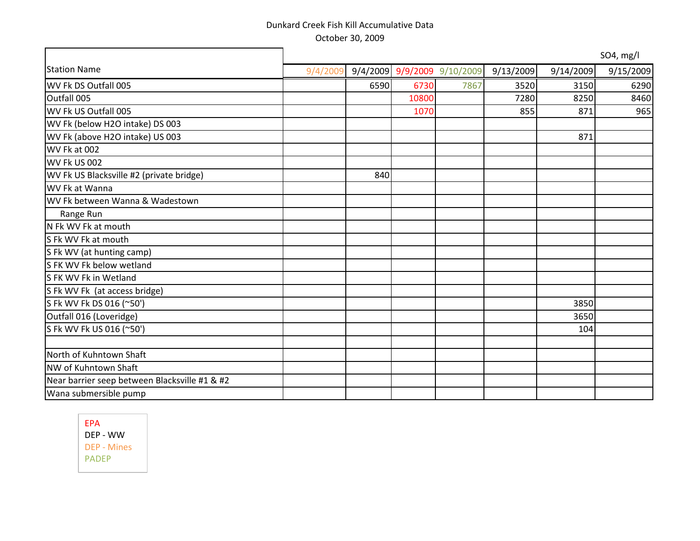|                                               |          |      |       |                             |           |           | SO4, mg/l |
|-----------------------------------------------|----------|------|-------|-----------------------------|-----------|-----------|-----------|
| <b>Station Name</b>                           | 9/4/2009 |      |       | 9/4/2009 9/9/2009 9/10/2009 | 9/13/2009 | 9/14/2009 | 9/15/2009 |
| WV Fk DS Outfall 005                          |          | 6590 | 6730  | 7867                        | 3520      | 3150      | 6290      |
| Outfall 005                                   |          |      | 10800 |                             | 7280      | 8250      | 8460      |
| WV Fk US Outfall 005                          |          |      | 1070  |                             | 855       | 871       | 965       |
| WV Fk (below H2O intake) DS 003               |          |      |       |                             |           |           |           |
| WV Fk (above H2O intake) US 003               |          |      |       |                             |           | 871       |           |
| WV Fk at 002                                  |          |      |       |                             |           |           |           |
| WV Fk US 002                                  |          |      |       |                             |           |           |           |
| WV Fk US Blacksville #2 (private bridge)      |          | 840  |       |                             |           |           |           |
| WV Fk at Wanna                                |          |      |       |                             |           |           |           |
| WV Fk between Wanna & Wadestown               |          |      |       |                             |           |           |           |
| Range Run                                     |          |      |       |                             |           |           |           |
| N Fk WV Fk at mouth                           |          |      |       |                             |           |           |           |
| S Fk WV Fk at mouth                           |          |      |       |                             |           |           |           |
| S Fk WV (at hunting camp)                     |          |      |       |                             |           |           |           |
| S FK WV Fk below wetland                      |          |      |       |                             |           |           |           |
| S FK WV Fk in Wetland                         |          |      |       |                             |           |           |           |
| S Fk WV Fk (at access bridge)                 |          |      |       |                             |           |           |           |
| S Fk WV Fk DS 016 (~50')                      |          |      |       |                             |           | 3850      |           |
| Outfall 016 (Loveridge)                       |          |      |       |                             |           | 3650      |           |
| S Fk WV Fk US 016 (~50')                      |          |      |       |                             |           | 104       |           |
|                                               |          |      |       |                             |           |           |           |
| North of Kuhntown Shaft                       |          |      |       |                             |           |           |           |
| NW of Kuhntown Shaft                          |          |      |       |                             |           |           |           |
| Near barrier seep between Blacksville #1 & #2 |          |      |       |                             |           |           |           |
| Wana submersible pump                         |          |      |       |                             |           |           |           |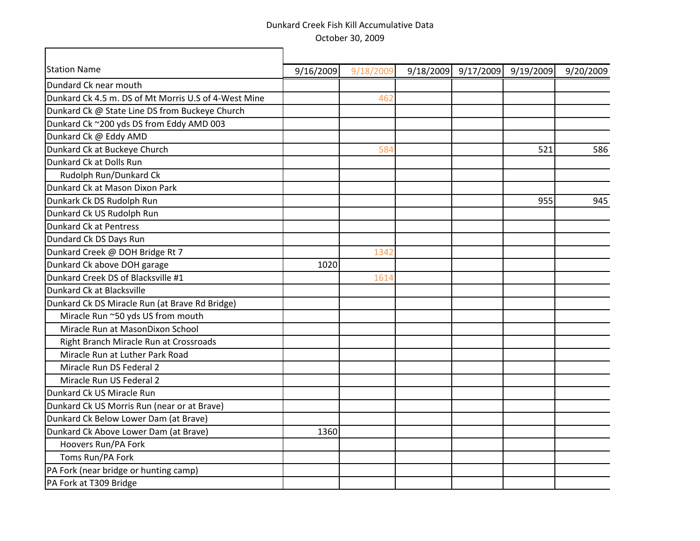٦

 $\Gamma$ 

| <b>Station Name</b>                                  | 9/16/2009 | 9/18/2009 | 9/18/2009 | 9/17/2009 | 9/19/2009 | 9/20/2009 |
|------------------------------------------------------|-----------|-----------|-----------|-----------|-----------|-----------|
| Dundard Ck near mouth                                |           |           |           |           |           |           |
| Dunkard Ck 4.5 m. DS of Mt Morris U.S of 4-West Mine |           | 462       |           |           |           |           |
| Dunkard Ck @ State Line DS from Buckeye Church       |           |           |           |           |           |           |
| Dunkard Ck ~200 yds DS from Eddy AMD 003             |           |           |           |           |           |           |
| Dunkard Ck @ Eddy AMD                                |           |           |           |           |           |           |
| Dunkard Ck at Buckeye Church                         |           | 584       |           |           | 521       | 586       |
| Dunkard Ck at Dolls Run                              |           |           |           |           |           |           |
| Rudolph Run/Dunkard Ck                               |           |           |           |           |           |           |
| Dunkard Ck at Mason Dixon Park                       |           |           |           |           |           |           |
| Dunkark Ck DS Rudolph Run                            |           |           |           |           | 955       | 945       |
| Dunkard Ck US Rudolph Run                            |           |           |           |           |           |           |
| Dunkard Ck at Pentress                               |           |           |           |           |           |           |
| Dundard Ck DS Days Run                               |           |           |           |           |           |           |
| Dunkard Creek @ DOH Bridge Rt 7                      |           | 1342      |           |           |           |           |
| Dunkard Ck above DOH garage                          | 1020      |           |           |           |           |           |
| Dunkard Creek DS of Blacksville #1                   |           | 1614      |           |           |           |           |
| Dunkard Ck at Blacksville                            |           |           |           |           |           |           |
| Dunkard Ck DS Miracle Run (at Brave Rd Bridge)       |           |           |           |           |           |           |
| Miracle Run ~50 yds US from mouth                    |           |           |           |           |           |           |
| Miracle Run at MasonDixon School                     |           |           |           |           |           |           |
| Right Branch Miracle Run at Crossroads               |           |           |           |           |           |           |
| Miracle Run at Luther Park Road                      |           |           |           |           |           |           |
| Miracle Run DS Federal 2                             |           |           |           |           |           |           |
| Miracle Run US Federal 2                             |           |           |           |           |           |           |
| Dunkard Ck US Miracle Run                            |           |           |           |           |           |           |
| Dunkard Ck US Morris Run (near or at Brave)          |           |           |           |           |           |           |
| Dunkard Ck Below Lower Dam (at Brave)                |           |           |           |           |           |           |
| Dunkard Ck Above Lower Dam (at Brave)                | 1360      |           |           |           |           |           |
| Hoovers Run/PA Fork                                  |           |           |           |           |           |           |
| Toms Run/PA Fork                                     |           |           |           |           |           |           |
| PA Fork (near bridge or hunting camp)                |           |           |           |           |           |           |
| PA Fork at T309 Bridge                               |           |           |           |           |           |           |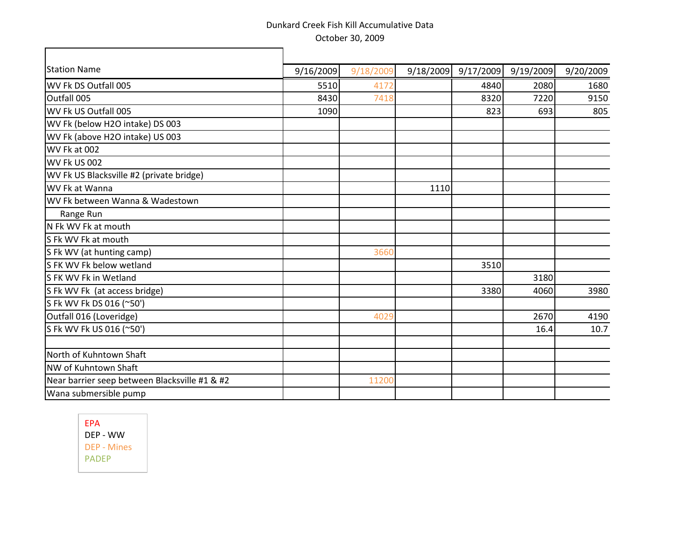$\overline{\mathbf{u}}$ 

| <b>Station Name</b>                           | 9/16/2009 | 9/18/2009 | 9/18/2009 | 9/17/2009 | 9/19/2009 | 9/20/2009 |
|-----------------------------------------------|-----------|-----------|-----------|-----------|-----------|-----------|
| WV Fk DS Outfall 005                          | 5510      | 4172      |           | 4840      | 2080      | 1680      |
| Outfall 005                                   | 8430      | 7418      |           | 8320      | 7220      | 9150      |
| WV Fk US Outfall 005                          | 1090      |           |           | 823       | 693       | 805       |
| WV Fk (below H2O intake) DS 003               |           |           |           |           |           |           |
| WV Fk (above H2O intake) US 003               |           |           |           |           |           |           |
| WV Fk at 002                                  |           |           |           |           |           |           |
| WV Fk US 002                                  |           |           |           |           |           |           |
| WV Fk US Blacksville #2 (private bridge)      |           |           |           |           |           |           |
| WV Fk at Wanna                                |           |           | 1110      |           |           |           |
| WV Fk between Wanna & Wadestown               |           |           |           |           |           |           |
| Range Run                                     |           |           |           |           |           |           |
| N Fk WV Fk at mouth                           |           |           |           |           |           |           |
| S Fk WV Fk at mouth                           |           |           |           |           |           |           |
| S Fk WV (at hunting camp)                     |           | 3660      |           |           |           |           |
| S FK WV Fk below wetland                      |           |           |           | 3510      |           |           |
| SFK WV Fk in Wetland                          |           |           |           |           | 3180      |           |
| S Fk WV Fk (at access bridge)                 |           |           |           | 3380      | 4060      | 3980      |
| S Fk WV Fk DS 016 (~50')                      |           |           |           |           |           |           |
| Outfall 016 (Loveridge)                       |           | 4029      |           |           | 2670      | 4190      |
| S Fk WV Fk US 016 (~50')                      |           |           |           |           | 16.4      | 10.7      |
|                                               |           |           |           |           |           |           |
| North of Kuhntown Shaft                       |           |           |           |           |           |           |
| NW of Kuhntown Shaft                          |           |           |           |           |           |           |
| Near barrier seep between Blacksville #1 & #2 |           | 11200     |           |           |           |           |
| Wana submersible pump                         |           |           |           |           |           |           |

EPA DEP - WW DEP - Mines PADEP

г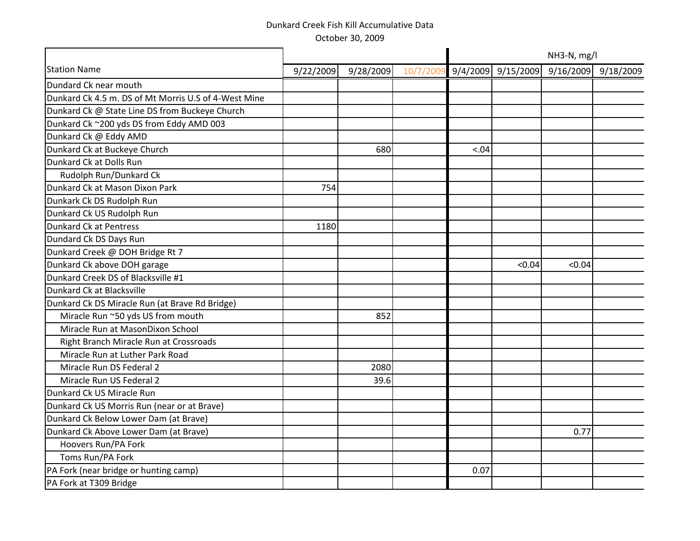|           |           |          |       |        | NH3-N, mg/l |                         |
|-----------|-----------|----------|-------|--------|-------------|-------------------------|
| 9/22/2009 | 9/28/2009 | 10/7/200 |       |        |             | $9/16/2009$ $9/18/2009$ |
|           |           |          |       |        |             |                         |
|           |           |          |       |        |             |                         |
|           |           |          |       |        |             |                         |
|           |           |          |       |        |             |                         |
|           |           |          |       |        |             |                         |
|           | 680       |          | < .04 |        |             |                         |
|           |           |          |       |        |             |                         |
|           |           |          |       |        |             |                         |
| 754       |           |          |       |        |             |                         |
|           |           |          |       |        |             |                         |
|           |           |          |       |        |             |                         |
| 1180      |           |          |       |        |             |                         |
|           |           |          |       |        |             |                         |
|           |           |          |       |        |             |                         |
|           |           |          |       | < 0.04 | < 0.04      |                         |
|           |           |          |       |        |             |                         |
|           |           |          |       |        |             |                         |
|           |           |          |       |        |             |                         |
|           | 852       |          |       |        |             |                         |
|           |           |          |       |        |             |                         |
|           |           |          |       |        |             |                         |
|           |           |          |       |        |             |                         |
|           | 2080      |          |       |        |             |                         |
|           | 39.6      |          |       |        |             |                         |
|           |           |          |       |        |             |                         |
|           |           |          |       |        |             |                         |
|           |           |          |       |        |             |                         |
|           |           |          |       |        | 0.77        |                         |
|           |           |          |       |        |             |                         |
|           |           |          |       |        |             |                         |
|           |           |          | 0.07  |        |             |                         |
|           |           |          |       |        |             |                         |
|           |           |          |       |        |             | $9/4/2009$ 9/15/2009    |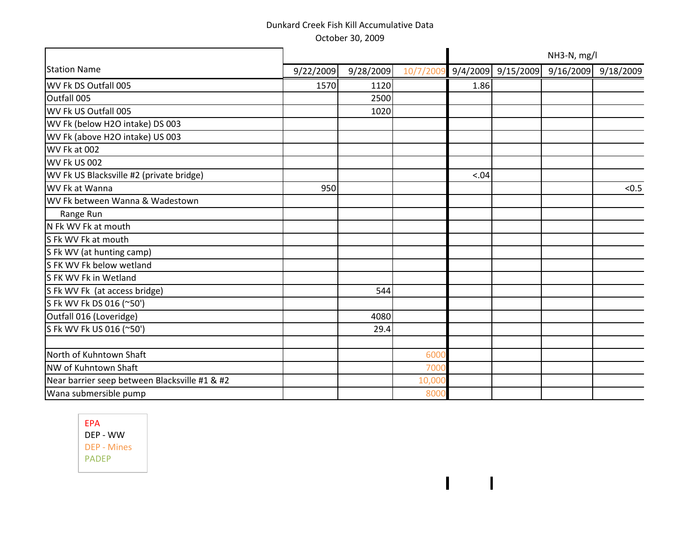|                                               |           |           |          |        |                      | NH3-N, mg/l         |       |
|-----------------------------------------------|-----------|-----------|----------|--------|----------------------|---------------------|-------|
| <b>Station Name</b>                           | 9/22/2009 | 9/28/2009 | 10/7/200 |        | $9/4/2009$ 9/15/2009 | 9/16/2009 9/18/2009 |       |
| WV Fk DS Outfall 005                          | 1570      | 1120      |          | 1.86   |                      |                     |       |
| Outfall 005                                   |           | 2500      |          |        |                      |                     |       |
| WV Fk US Outfall 005                          |           | 1020      |          |        |                      |                     |       |
| WV Fk (below H2O intake) DS 003               |           |           |          |        |                      |                     |       |
| WV Fk (above H2O intake) US 003               |           |           |          |        |                      |                     |       |
| WV Fk at 002                                  |           |           |          |        |                      |                     |       |
| <b>WV Fk US 002</b>                           |           |           |          |        |                      |                     |       |
| WV Fk US Blacksville #2 (private bridge)      |           |           |          | < 0.04 |                      |                     |       |
| WV Fk at Wanna                                | 950       |           |          |        |                      |                     | < 0.5 |
| WV Fk between Wanna & Wadestown               |           |           |          |        |                      |                     |       |
| Range Run                                     |           |           |          |        |                      |                     |       |
| N Fk WV Fk at mouth                           |           |           |          |        |                      |                     |       |
| S Fk WV Fk at mouth                           |           |           |          |        |                      |                     |       |
| S Fk WV (at hunting camp)                     |           |           |          |        |                      |                     |       |
| S FK WV Fk below wetland                      |           |           |          |        |                      |                     |       |
| S FK WV Fk in Wetland                         |           |           |          |        |                      |                     |       |
| S Fk WV Fk (at access bridge)                 |           | 544       |          |        |                      |                     |       |
| S Fk WV Fk DS 016 (~50')                      |           |           |          |        |                      |                     |       |
| Outfall 016 (Loveridge)                       |           | 4080      |          |        |                      |                     |       |
| S Fk WV Fk US 016 (~50')                      |           | 29.4      |          |        |                      |                     |       |
| North of Kuhntown Shaft                       |           |           | 600      |        |                      |                     |       |
| NW of Kuhntown Shaft                          |           |           | 700      |        |                      |                     |       |
| Near barrier seep between Blacksville #1 & #2 |           |           | 10,00    |        |                      |                     |       |
| Wana submersible pump                         |           |           | 800      |        |                      |                     |       |
|                                               |           |           |          |        |                      |                     |       |

 $\mathbf{I}$ 

 $\overline{\phantom{a}}$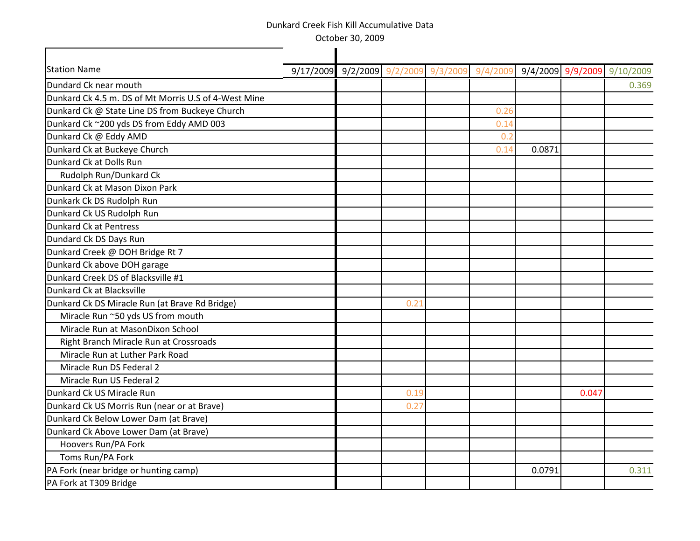October 30, 2009

| 9/17/2009 9/2/2009 9/2/2009 9/3/2009 9/4/2009 9/4/2009 9/9/2009 9/10/2009<br>Dundard Ck near mouth<br>0.369<br>Dunkard Ck 4.5 m. DS of Mt Morris U.S of 4-West Mine<br>Dunkard Ck @ State Line DS from Buckeye Church<br>0.26<br>Dunkard Ck ~200 yds DS from Eddy AMD 003<br>0.14<br>Dunkard Ck @ Eddy AMD<br>0.2<br>Dunkard Ck at Buckeye Church<br>0.0871<br>0.14<br>Dunkard Ck at Dolls Run<br>Rudolph Run/Dunkard Ck<br>Dunkard Ck at Mason Dixon Park<br>Dunkark Ck DS Rudolph Run<br>Dunkard Ck US Rudolph Run<br>Dunkard Ck at Pentress<br>Dundard Ck DS Days Run<br>Dunkard Creek @ DOH Bridge Rt 7<br>Dunkard Ck above DOH garage<br>Dunkard Creek DS of Blacksville #1<br>Dunkard Ck at Blacksville<br>Dunkard Ck DS Miracle Run (at Brave Rd Bridge)<br>0.21<br>Miracle Run ~50 yds US from mouth |
|--------------------------------------------------------------------------------------------------------------------------------------------------------------------------------------------------------------------------------------------------------------------------------------------------------------------------------------------------------------------------------------------------------------------------------------------------------------------------------------------------------------------------------------------------------------------------------------------------------------------------------------------------------------------------------------------------------------------------------------------------------------------------------------------------------------|
|                                                                                                                                                                                                                                                                                                                                                                                                                                                                                                                                                                                                                                                                                                                                                                                                              |
|                                                                                                                                                                                                                                                                                                                                                                                                                                                                                                                                                                                                                                                                                                                                                                                                              |
|                                                                                                                                                                                                                                                                                                                                                                                                                                                                                                                                                                                                                                                                                                                                                                                                              |
|                                                                                                                                                                                                                                                                                                                                                                                                                                                                                                                                                                                                                                                                                                                                                                                                              |
|                                                                                                                                                                                                                                                                                                                                                                                                                                                                                                                                                                                                                                                                                                                                                                                                              |
|                                                                                                                                                                                                                                                                                                                                                                                                                                                                                                                                                                                                                                                                                                                                                                                                              |
|                                                                                                                                                                                                                                                                                                                                                                                                                                                                                                                                                                                                                                                                                                                                                                                                              |
|                                                                                                                                                                                                                                                                                                                                                                                                                                                                                                                                                                                                                                                                                                                                                                                                              |
|                                                                                                                                                                                                                                                                                                                                                                                                                                                                                                                                                                                                                                                                                                                                                                                                              |
|                                                                                                                                                                                                                                                                                                                                                                                                                                                                                                                                                                                                                                                                                                                                                                                                              |
|                                                                                                                                                                                                                                                                                                                                                                                                                                                                                                                                                                                                                                                                                                                                                                                                              |
|                                                                                                                                                                                                                                                                                                                                                                                                                                                                                                                                                                                                                                                                                                                                                                                                              |
|                                                                                                                                                                                                                                                                                                                                                                                                                                                                                                                                                                                                                                                                                                                                                                                                              |
|                                                                                                                                                                                                                                                                                                                                                                                                                                                                                                                                                                                                                                                                                                                                                                                                              |
|                                                                                                                                                                                                                                                                                                                                                                                                                                                                                                                                                                                                                                                                                                                                                                                                              |
|                                                                                                                                                                                                                                                                                                                                                                                                                                                                                                                                                                                                                                                                                                                                                                                                              |
|                                                                                                                                                                                                                                                                                                                                                                                                                                                                                                                                                                                                                                                                                                                                                                                                              |
|                                                                                                                                                                                                                                                                                                                                                                                                                                                                                                                                                                                                                                                                                                                                                                                                              |
|                                                                                                                                                                                                                                                                                                                                                                                                                                                                                                                                                                                                                                                                                                                                                                                                              |
| Miracle Run at MasonDixon School                                                                                                                                                                                                                                                                                                                                                                                                                                                                                                                                                                                                                                                                                                                                                                             |
| Right Branch Miracle Run at Crossroads                                                                                                                                                                                                                                                                                                                                                                                                                                                                                                                                                                                                                                                                                                                                                                       |
| Miracle Run at Luther Park Road                                                                                                                                                                                                                                                                                                                                                                                                                                                                                                                                                                                                                                                                                                                                                                              |
| Miracle Run DS Federal 2                                                                                                                                                                                                                                                                                                                                                                                                                                                                                                                                                                                                                                                                                                                                                                                     |
| Miracle Run US Federal 2                                                                                                                                                                                                                                                                                                                                                                                                                                                                                                                                                                                                                                                                                                                                                                                     |
| Dunkard Ck US Miracle Run<br>0.19<br>0.047                                                                                                                                                                                                                                                                                                                                                                                                                                                                                                                                                                                                                                                                                                                                                                   |
| Dunkard Ck US Morris Run (near or at Brave)<br>0.27                                                                                                                                                                                                                                                                                                                                                                                                                                                                                                                                                                                                                                                                                                                                                          |
| Dunkard Ck Below Lower Dam (at Brave)                                                                                                                                                                                                                                                                                                                                                                                                                                                                                                                                                                                                                                                                                                                                                                        |
| Dunkard Ck Above Lower Dam (at Brave)                                                                                                                                                                                                                                                                                                                                                                                                                                                                                                                                                                                                                                                                                                                                                                        |
| Hoovers Run/PA Fork                                                                                                                                                                                                                                                                                                                                                                                                                                                                                                                                                                                                                                                                                                                                                                                          |
| Toms Run/PA Fork                                                                                                                                                                                                                                                                                                                                                                                                                                                                                                                                                                                                                                                                                                                                                                                             |
| PA Fork (near bridge or hunting camp)<br>0.0791<br>0.311                                                                                                                                                                                                                                                                                                                                                                                                                                                                                                                                                                                                                                                                                                                                                     |
| PA Fork at T309 Bridge                                                                                                                                                                                                                                                                                                                                                                                                                                                                                                                                                                                                                                                                                                                                                                                       |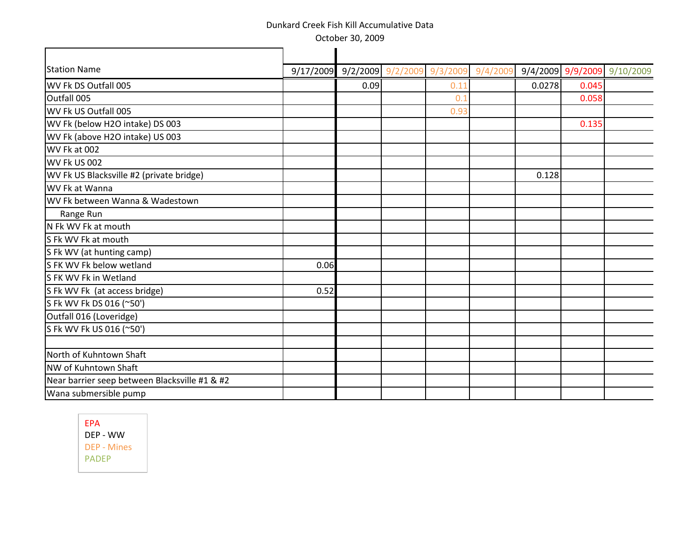October 30, 2009

| <b>Station Name</b>                           |      | 9/17/2009 9/2/2009 9/2/2009 | 9/3/2009 | 9/4/2009 |        |       | 9/4/2009 9/9/2009 9/10/2009 |
|-----------------------------------------------|------|-----------------------------|----------|----------|--------|-------|-----------------------------|
| WV Fk DS Outfall 005                          |      | 0.09                        | 0.11     |          | 0.0278 | 0.045 |                             |
| Outfall 005                                   |      |                             | 0.       |          |        | 0.058 |                             |
| WV Fk US Outfall 005                          |      |                             | 0.93     |          |        |       |                             |
| WV Fk (below H2O intake) DS 003               |      |                             |          |          |        | 0.135 |                             |
| WV Fk (above H2O intake) US 003               |      |                             |          |          |        |       |                             |
| WV Fk at 002                                  |      |                             |          |          |        |       |                             |
| WV Fk US 002                                  |      |                             |          |          |        |       |                             |
| WV Fk US Blacksville #2 (private bridge)      |      |                             |          |          | 0.128  |       |                             |
| WV Fk at Wanna                                |      |                             |          |          |        |       |                             |
| WV Fk between Wanna & Wadestown               |      |                             |          |          |        |       |                             |
| Range Run                                     |      |                             |          |          |        |       |                             |
| N Fk WV Fk at mouth                           |      |                             |          |          |        |       |                             |
| S Fk WV Fk at mouth                           |      |                             |          |          |        |       |                             |
| S Fk WV (at hunting camp)                     |      |                             |          |          |        |       |                             |
| S FK WV Fk below wetland                      | 0.06 |                             |          |          |        |       |                             |
| S FK WV Fk in Wetland                         |      |                             |          |          |        |       |                             |
| S Fk WV Fk (at access bridge)                 | 0.52 |                             |          |          |        |       |                             |
| S Fk WV Fk DS 016 (~50')                      |      |                             |          |          |        |       |                             |
| Outfall 016 (Loveridge)                       |      |                             |          |          |        |       |                             |
| S Fk WV Fk US 016 (~50')                      |      |                             |          |          |        |       |                             |
|                                               |      |                             |          |          |        |       |                             |
| North of Kuhntown Shaft                       |      |                             |          |          |        |       |                             |
| NW of Kuhntown Shaft                          |      |                             |          |          |        |       |                             |
| Near barrier seep between Blacksville #1 & #2 |      |                             |          |          |        |       |                             |
| Wana submersible pump                         |      |                             |          |          |        |       |                             |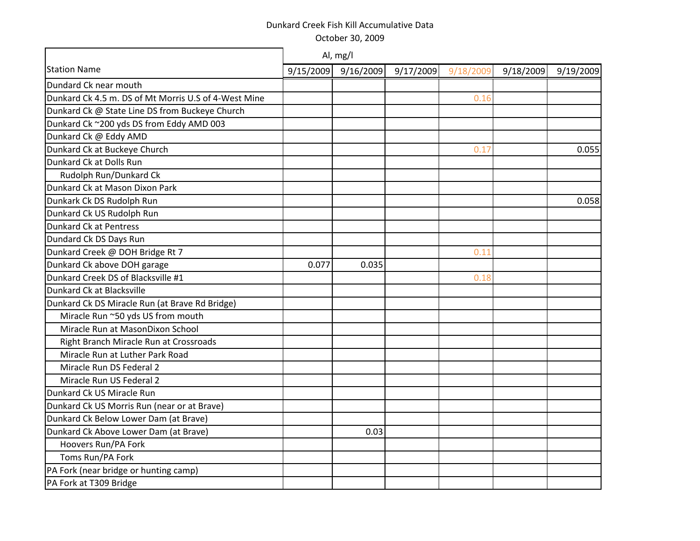October 30, 2009

|                                                      |           | Al, mg/l  |           |           |           |           |
|------------------------------------------------------|-----------|-----------|-----------|-----------|-----------|-----------|
| <b>Station Name</b>                                  | 9/15/2009 | 9/16/2009 | 9/17/2009 | 9/18/2009 | 9/18/2009 | 9/19/2009 |
| Dundard Ck near mouth                                |           |           |           |           |           |           |
| Dunkard Ck 4.5 m. DS of Mt Morris U.S of 4-West Mine |           |           |           | 0.16      |           |           |
| Dunkard Ck @ State Line DS from Buckeye Church       |           |           |           |           |           |           |
| Dunkard Ck ~200 yds DS from Eddy AMD 003             |           |           |           |           |           |           |
| Dunkard Ck @ Eddy AMD                                |           |           |           |           |           |           |
| Dunkard Ck at Buckeye Church                         |           |           |           | 0.17      |           | 0.055     |
| Dunkard Ck at Dolls Run                              |           |           |           |           |           |           |
| Rudolph Run/Dunkard Ck                               |           |           |           |           |           |           |
| Dunkard Ck at Mason Dixon Park                       |           |           |           |           |           |           |
| Dunkark Ck DS Rudolph Run                            |           |           |           |           |           | 0.058     |
| Dunkard Ck US Rudolph Run                            |           |           |           |           |           |           |
| <b>Dunkard Ck at Pentress</b>                        |           |           |           |           |           |           |
| Dundard Ck DS Days Run                               |           |           |           |           |           |           |
| Dunkard Creek @ DOH Bridge Rt 7                      |           |           |           | 0.11      |           |           |
| Dunkard Ck above DOH garage                          | 0.077     | 0.035     |           |           |           |           |
| Dunkard Creek DS of Blacksville #1                   |           |           |           | 0.18      |           |           |
| Dunkard Ck at Blacksville                            |           |           |           |           |           |           |
| Dunkard Ck DS Miracle Run (at Brave Rd Bridge)       |           |           |           |           |           |           |
| Miracle Run ~50 yds US from mouth                    |           |           |           |           |           |           |
| Miracle Run at MasonDixon School                     |           |           |           |           |           |           |
| Right Branch Miracle Run at Crossroads               |           |           |           |           |           |           |
| Miracle Run at Luther Park Road                      |           |           |           |           |           |           |
| Miracle Run DS Federal 2                             |           |           |           |           |           |           |
| Miracle Run US Federal 2                             |           |           |           |           |           |           |
| Dunkard Ck US Miracle Run                            |           |           |           |           |           |           |
| Dunkard Ck US Morris Run (near or at Brave)          |           |           |           |           |           |           |
| Dunkard Ck Below Lower Dam (at Brave)                |           |           |           |           |           |           |
| Dunkard Ck Above Lower Dam (at Brave)                |           | 0.03      |           |           |           |           |
| Hoovers Run/PA Fork                                  |           |           |           |           |           |           |
| Toms Run/PA Fork                                     |           |           |           |           |           |           |
| PA Fork (near bridge or hunting camp)                |           |           |           |           |           |           |
| PA Fork at T309 Bridge                               |           |           |           |           |           |           |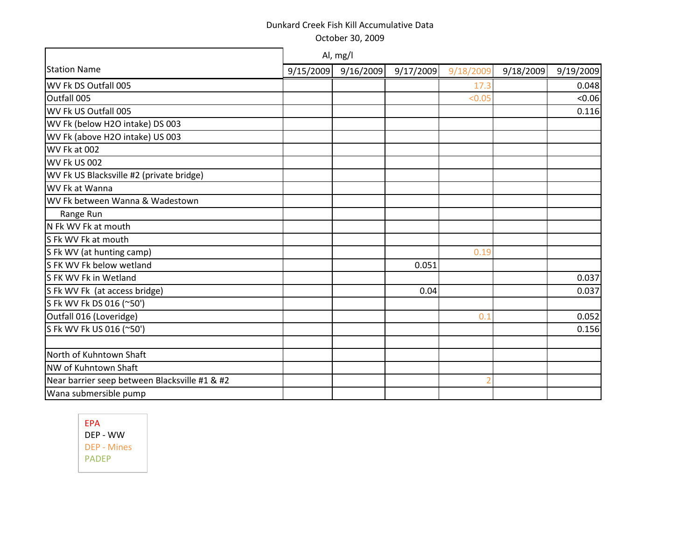October 30, 2009

|                                               |           | Al, mg/l  |           |           |           |           |
|-----------------------------------------------|-----------|-----------|-----------|-----------|-----------|-----------|
| <b>Station Name</b>                           | 9/15/2009 | 9/16/2009 | 9/17/2009 | 9/18/2009 | 9/18/2009 | 9/19/2009 |
| WV Fk DS Outfall 005                          |           |           |           | 17.3      |           | 0.048     |
| Outfall 005                                   |           |           |           | < 0.05    |           | < 0.06    |
| WV Fk US Outfall 005                          |           |           |           |           |           | 0.116     |
| WV Fk (below H2O intake) DS 003               |           |           |           |           |           |           |
| WV Fk (above H2O intake) US 003               |           |           |           |           |           |           |
| WV Fk at 002                                  |           |           |           |           |           |           |
| WV Fk US 002                                  |           |           |           |           |           |           |
| WV Fk US Blacksville #2 (private bridge)      |           |           |           |           |           |           |
| WV Fk at Wanna                                |           |           |           |           |           |           |
| WV Fk between Wanna & Wadestown               |           |           |           |           |           |           |
| Range Run                                     |           |           |           |           |           |           |
| N Fk WV Fk at mouth                           |           |           |           |           |           |           |
| S Fk WV Fk at mouth                           |           |           |           |           |           |           |
| S Fk WV (at hunting camp)                     |           |           |           | 0.19      |           |           |
| S FK WV Fk below wetland                      |           |           | 0.051     |           |           |           |
| S FK WV Fk in Wetland                         |           |           |           |           |           | 0.037     |
| S Fk WV Fk (at access bridge)                 |           |           | 0.04      |           |           | 0.037     |
| S Fk WV Fk DS 016 (~50')                      |           |           |           |           |           |           |
| Outfall 016 (Loveridge)                       |           |           |           | 0.1       |           | 0.052     |
| S Fk WV Fk US 016 (~50')                      |           |           |           |           |           | 0.156     |
|                                               |           |           |           |           |           |           |
| North of Kuhntown Shaft                       |           |           |           |           |           |           |
| NW of Kuhntown Shaft                          |           |           |           |           |           |           |
| Near barrier seep between Blacksville #1 & #2 |           |           |           |           |           |           |
| Wana submersible pump                         |           |           |           |           |           |           |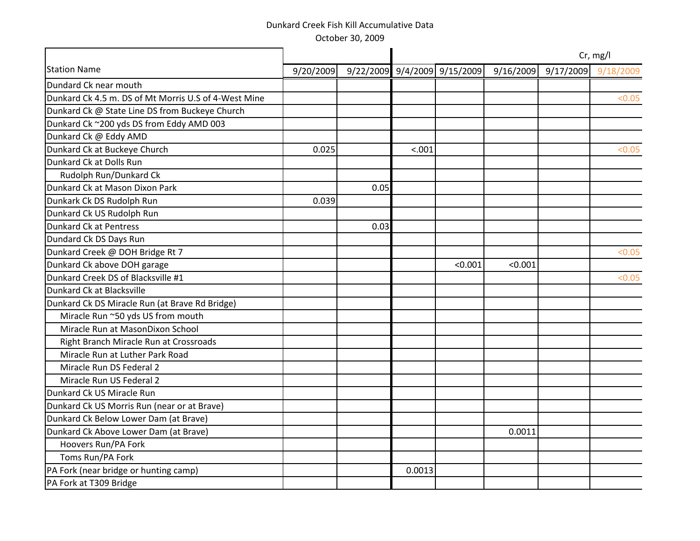October 30, 2009

|                                                      |           |      |        |                              |           |           | Cr, mg/l  |
|------------------------------------------------------|-----------|------|--------|------------------------------|-----------|-----------|-----------|
| <b>Station Name</b>                                  | 9/20/2009 |      |        | 9/22/2009 9/4/2009 9/15/2009 | 9/16/2009 | 9/17/2009 | 9/18/2009 |
| Dundard Ck near mouth                                |           |      |        |                              |           |           |           |
| Dunkard Ck 4.5 m. DS of Mt Morris U.S of 4-West Mine |           |      |        |                              |           |           | < 0.05    |
| Dunkard Ck @ State Line DS from Buckeye Church       |           |      |        |                              |           |           |           |
| Dunkard Ck ~200 yds DS from Eddy AMD 003             |           |      |        |                              |           |           |           |
| Dunkard Ck @ Eddy AMD                                |           |      |        |                              |           |           |           |
| Dunkard Ck at Buckeye Church                         | 0.025     |      | < .001 |                              |           |           | < 0.05    |
| Dunkard Ck at Dolls Run                              |           |      |        |                              |           |           |           |
| Rudolph Run/Dunkard Ck                               |           |      |        |                              |           |           |           |
| Dunkard Ck at Mason Dixon Park                       |           | 0.05 |        |                              |           |           |           |
| Dunkark Ck DS Rudolph Run                            | 0.039     |      |        |                              |           |           |           |
| Dunkard Ck US Rudolph Run                            |           |      |        |                              |           |           |           |
| <b>Dunkard Ck at Pentress</b>                        |           | 0.03 |        |                              |           |           |           |
| Dundard Ck DS Days Run                               |           |      |        |                              |           |           |           |
| Dunkard Creek @ DOH Bridge Rt 7                      |           |      |        |                              |           |           | < 0.05    |
| Dunkard Ck above DOH garage                          |           |      |        | < 0.001                      | < 0.001   |           |           |
| Dunkard Creek DS of Blacksville #1                   |           |      |        |                              |           |           | < 0.05    |
| Dunkard Ck at Blacksville                            |           |      |        |                              |           |           |           |
| Dunkard Ck DS Miracle Run (at Brave Rd Bridge)       |           |      |        |                              |           |           |           |
| Miracle Run ~50 yds US from mouth                    |           |      |        |                              |           |           |           |
| Miracle Run at MasonDixon School                     |           |      |        |                              |           |           |           |
| Right Branch Miracle Run at Crossroads               |           |      |        |                              |           |           |           |
| Miracle Run at Luther Park Road                      |           |      |        |                              |           |           |           |
| Miracle Run DS Federal 2                             |           |      |        |                              |           |           |           |
| Miracle Run US Federal 2                             |           |      |        |                              |           |           |           |
| Dunkard Ck US Miracle Run                            |           |      |        |                              |           |           |           |
| Dunkard Ck US Morris Run (near or at Brave)          |           |      |        |                              |           |           |           |
| Dunkard Ck Below Lower Dam (at Brave)                |           |      |        |                              |           |           |           |
| Dunkard Ck Above Lower Dam (at Brave)                |           |      |        |                              | 0.0011    |           |           |
| Hoovers Run/PA Fork                                  |           |      |        |                              |           |           |           |
| Toms Run/PA Fork                                     |           |      |        |                              |           |           |           |
| PA Fork (near bridge or hunting camp)                |           |      | 0.0013 |                              |           |           |           |
| PA Fork at T309 Bridge                               |           |      |        |                              |           |           |           |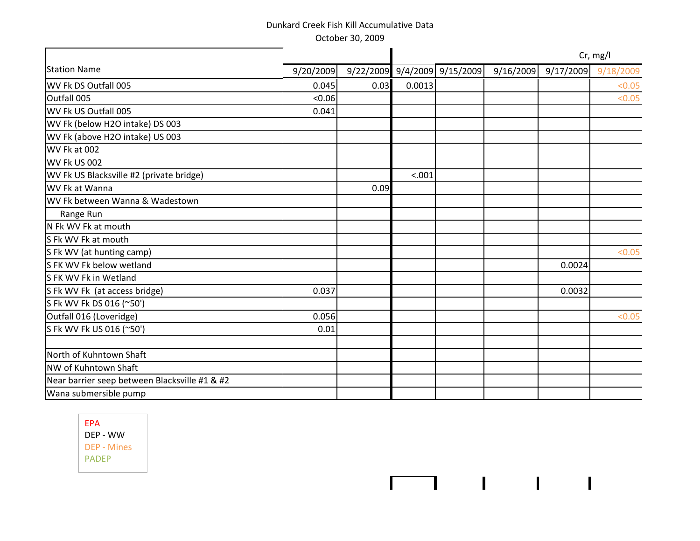|                                               |           |      |        |                              |           |           | Cr, mg/l  |
|-----------------------------------------------|-----------|------|--------|------------------------------|-----------|-----------|-----------|
| <b>Station Name</b>                           | 9/20/2009 |      |        | 9/22/2009 9/4/2009 9/15/2009 | 9/16/2009 | 9/17/2009 | 9/18/2009 |
| WV Fk DS Outfall 005                          | 0.045     | 0.03 | 0.0013 |                              |           |           | < 0.05    |
| Outfall 005                                   | < 0.06    |      |        |                              |           |           | < 0.05    |
| WV Fk US Outfall 005                          | 0.041     |      |        |                              |           |           |           |
| WV Fk (below H2O intake) DS 003               |           |      |        |                              |           |           |           |
| WV Fk (above H2O intake) US 003               |           |      |        |                              |           |           |           |
| WV Fk at 002                                  |           |      |        |                              |           |           |           |
| <b>WV Fk US 002</b>                           |           |      |        |                              |           |           |           |
| WV Fk US Blacksville #2 (private bridge)      |           |      | < .001 |                              |           |           |           |
| WV Fk at Wanna                                |           | 0.09 |        |                              |           |           |           |
| WV Fk between Wanna & Wadestown               |           |      |        |                              |           |           |           |
| Range Run                                     |           |      |        |                              |           |           |           |
| N Fk WV Fk at mouth                           |           |      |        |                              |           |           |           |
| S Fk WV Fk at mouth                           |           |      |        |                              |           |           |           |
| S Fk WV (at hunting camp)                     |           |      |        |                              |           |           | < 0.05    |
| S FK WV Fk below wetland                      |           |      |        |                              |           | 0.0024    |           |
| S FK WV Fk in Wetland                         |           |      |        |                              |           |           |           |
| S Fk WV Fk (at access bridge)                 | 0.037     |      |        |                              |           | 0.0032    |           |
| S Fk WV Fk DS 016 (~50')                      |           |      |        |                              |           |           |           |
| Outfall 016 (Loveridge)                       | 0.056     |      |        |                              |           |           | < 0.05    |
| S Fk WV Fk US 016 (~50')                      | 0.01      |      |        |                              |           |           |           |
| North of Kuhntown Shaft                       |           |      |        |                              |           |           |           |
| NW of Kuhntown Shaft                          |           |      |        |                              |           |           |           |
| Near barrier seep between Blacksville #1 & #2 |           |      |        |                              |           |           |           |
| Wana submersible pump                         |           |      |        |                              |           |           |           |
|                                               |           |      |        |                              |           |           |           |

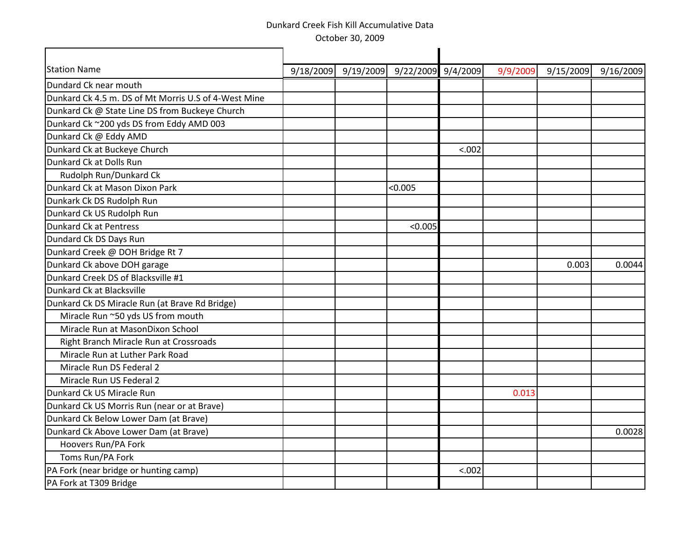| <b>Station Name</b>                                  | 9/18/2009 | 9/19/2009 | 9/22/2009 9/4/2009 |        | 9/9/2009 | 9/15/2009 | 9/16/2009 |
|------------------------------------------------------|-----------|-----------|--------------------|--------|----------|-----------|-----------|
| Dundard Ck near mouth                                |           |           |                    |        |          |           |           |
| Dunkard Ck 4.5 m. DS of Mt Morris U.S of 4-West Mine |           |           |                    |        |          |           |           |
| Dunkard Ck @ State Line DS from Buckeye Church       |           |           |                    |        |          |           |           |
| Dunkard Ck ~200 yds DS from Eddy AMD 003             |           |           |                    |        |          |           |           |
| Dunkard Ck @ Eddy AMD                                |           |           |                    |        |          |           |           |
| Dunkard Ck at Buckeye Church                         |           |           |                    | < .002 |          |           |           |
| Dunkard Ck at Dolls Run                              |           |           |                    |        |          |           |           |
| Rudolph Run/Dunkard Ck                               |           |           |                    |        |          |           |           |
| Dunkard Ck at Mason Dixon Park                       |           |           | < 0.005            |        |          |           |           |
| Dunkark Ck DS Rudolph Run                            |           |           |                    |        |          |           |           |
| Dunkard Ck US Rudolph Run                            |           |           |                    |        |          |           |           |
| Dunkard Ck at Pentress                               |           |           | < 0.005            |        |          |           |           |
| Dundard Ck DS Days Run                               |           |           |                    |        |          |           |           |
| Dunkard Creek @ DOH Bridge Rt 7                      |           |           |                    |        |          |           |           |
| Dunkard Ck above DOH garage                          |           |           |                    |        |          | 0.003     | 0.0044    |
| Dunkard Creek DS of Blacksville #1                   |           |           |                    |        |          |           |           |
| Dunkard Ck at Blacksville                            |           |           |                    |        |          |           |           |
| Dunkard Ck DS Miracle Run (at Brave Rd Bridge)       |           |           |                    |        |          |           |           |
| Miracle Run ~50 yds US from mouth                    |           |           |                    |        |          |           |           |
| Miracle Run at MasonDixon School                     |           |           |                    |        |          |           |           |
| Right Branch Miracle Run at Crossroads               |           |           |                    |        |          |           |           |
| Miracle Run at Luther Park Road                      |           |           |                    |        |          |           |           |
| Miracle Run DS Federal 2                             |           |           |                    |        |          |           |           |
| Miracle Run US Federal 2                             |           |           |                    |        |          |           |           |
| Dunkard Ck US Miracle Run                            |           |           |                    |        | 0.013    |           |           |
| Dunkard Ck US Morris Run (near or at Brave)          |           |           |                    |        |          |           |           |
| Dunkard Ck Below Lower Dam (at Brave)                |           |           |                    |        |          |           |           |
| Dunkard Ck Above Lower Dam (at Brave)                |           |           |                    |        |          |           | 0.0028    |
| Hoovers Run/PA Fork                                  |           |           |                    |        |          |           |           |
| Toms Run/PA Fork                                     |           |           |                    |        |          |           |           |
| PA Fork (near bridge or hunting camp)                |           |           |                    | < .002 |          |           |           |
| PA Fork at T309 Bridge                               |           |           |                    |        |          |           |           |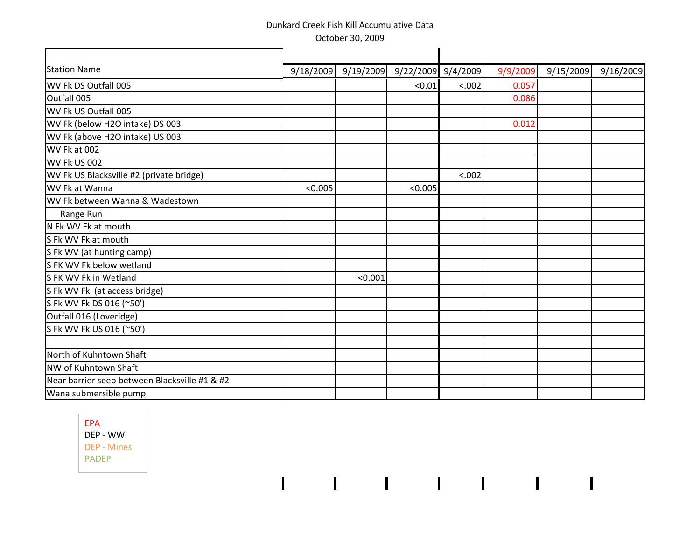| <b>Station Name</b>                           | 9/18/2009 | 9/19/2009 | 9/22/2009 9/4/2009 |        | 9/9/2009 | 9/15/2009 | 9/16/2009 |
|-----------------------------------------------|-----------|-----------|--------------------|--------|----------|-----------|-----------|
| WV Fk DS Outfall 005                          |           |           | < 0.01             | < .002 | 0.057    |           |           |
| Outfall 005                                   |           |           |                    |        | 0.086    |           |           |
| WV Fk US Outfall 005                          |           |           |                    |        |          |           |           |
| WV Fk (below H2O intake) DS 003               |           |           |                    |        | 0.012    |           |           |
| WV Fk (above H2O intake) US 003               |           |           |                    |        |          |           |           |
| WV Fk at 002                                  |           |           |                    |        |          |           |           |
| WV Fk US 002                                  |           |           |                    |        |          |           |           |
| WV Fk US Blacksville #2 (private bridge)      |           |           |                    | < .002 |          |           |           |
| WV Fk at Wanna                                | < 0.005   |           | < 0.005            |        |          |           |           |
| WV Fk between Wanna & Wadestown               |           |           |                    |        |          |           |           |
| Range Run                                     |           |           |                    |        |          |           |           |
| N Fk WV Fk at mouth                           |           |           |                    |        |          |           |           |
| S Fk WV Fk at mouth                           |           |           |                    |        |          |           |           |
| S Fk WV (at hunting camp)                     |           |           |                    |        |          |           |           |
| S FK WV Fk below wetland                      |           |           |                    |        |          |           |           |
| S FK WV Fk in Wetland                         |           | < 0.001   |                    |        |          |           |           |
| S Fk WV Fk (at access bridge)                 |           |           |                    |        |          |           |           |
| S Fk WV Fk DS 016 (~50')                      |           |           |                    |        |          |           |           |
| Outfall 016 (Loveridge)                       |           |           |                    |        |          |           |           |
| S Fk WV Fk US 016 (~50')                      |           |           |                    |        |          |           |           |
|                                               |           |           |                    |        |          |           |           |
| North of Kuhntown Shaft                       |           |           |                    |        |          |           |           |
| NW of Kuhntown Shaft                          |           |           |                    |        |          |           |           |
| Near barrier seep between Blacksville #1 & #2 |           |           |                    |        |          |           |           |
| Wana submersible pump                         |           |           |                    |        |          |           |           |
|                                               |           |           |                    |        |          |           |           |

 $1 - 1 - 1 = 1 - 1 = 1 - 1 = 1 = 1$ 

 $\overline{1}$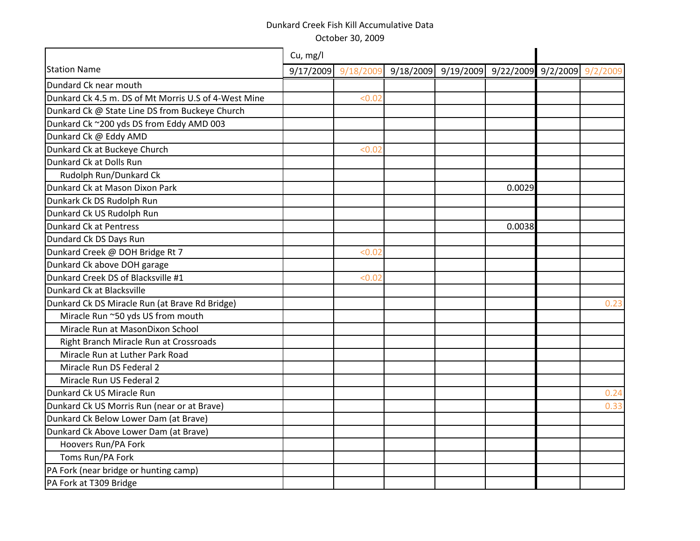|                                                      | Cu, mg/l            |        |                                                 |        |      |
|------------------------------------------------------|---------------------|--------|-------------------------------------------------|--------|------|
| <b>Station Name</b>                                  | 9/17/2009 9/18/2009 |        | 9/18/2009 9/19/2009 9/22/2009 9/2/2009 9/2/2009 |        |      |
| Dundard Ck near mouth                                |                     |        |                                                 |        |      |
| Dunkard Ck 4.5 m. DS of Mt Morris U.S of 4-West Mine |                     | < 0.02 |                                                 |        |      |
| Dunkard Ck @ State Line DS from Buckeye Church       |                     |        |                                                 |        |      |
| Dunkard Ck ~200 yds DS from Eddy AMD 003             |                     |        |                                                 |        |      |
| Dunkard Ck @ Eddy AMD                                |                     |        |                                                 |        |      |
| Dunkard Ck at Buckeye Church                         |                     | < 0.02 |                                                 |        |      |
| Dunkard Ck at Dolls Run                              |                     |        |                                                 |        |      |
| Rudolph Run/Dunkard Ck                               |                     |        |                                                 |        |      |
| Dunkard Ck at Mason Dixon Park                       |                     |        |                                                 | 0.0029 |      |
| Dunkark Ck DS Rudolph Run                            |                     |        |                                                 |        |      |
| Dunkard Ck US Rudolph Run                            |                     |        |                                                 |        |      |
| Dunkard Ck at Pentress                               |                     |        |                                                 | 0.0038 |      |
| Dundard Ck DS Days Run                               |                     |        |                                                 |        |      |
| Dunkard Creek @ DOH Bridge Rt 7                      |                     | < 0.02 |                                                 |        |      |
| Dunkard Ck above DOH garage                          |                     |        |                                                 |        |      |
| Dunkard Creek DS of Blacksville #1                   |                     | < 0.02 |                                                 |        |      |
| Dunkard Ck at Blacksville                            |                     |        |                                                 |        |      |
| Dunkard Ck DS Miracle Run (at Brave Rd Bridge)       |                     |        |                                                 |        | 0.23 |
| Miracle Run ~50 yds US from mouth                    |                     |        |                                                 |        |      |
| Miracle Run at MasonDixon School                     |                     |        |                                                 |        |      |
| Right Branch Miracle Run at Crossroads               |                     |        |                                                 |        |      |
| Miracle Run at Luther Park Road                      |                     |        |                                                 |        |      |
| Miracle Run DS Federal 2                             |                     |        |                                                 |        |      |
| Miracle Run US Federal 2                             |                     |        |                                                 |        |      |
| Dunkard Ck US Miracle Run                            |                     |        |                                                 |        | 0.24 |
| Dunkard Ck US Morris Run (near or at Brave)          |                     |        |                                                 |        | 0.33 |
| Dunkard Ck Below Lower Dam (at Brave)                |                     |        |                                                 |        |      |
| Dunkard Ck Above Lower Dam (at Brave)                |                     |        |                                                 |        |      |
| Hoovers Run/PA Fork                                  |                     |        |                                                 |        |      |
| Toms Run/PA Fork                                     |                     |        |                                                 |        |      |
| PA Fork (near bridge or hunting camp)                |                     |        |                                                 |        |      |
| PA Fork at T309 Bridge                               |                     |        |                                                 |        |      |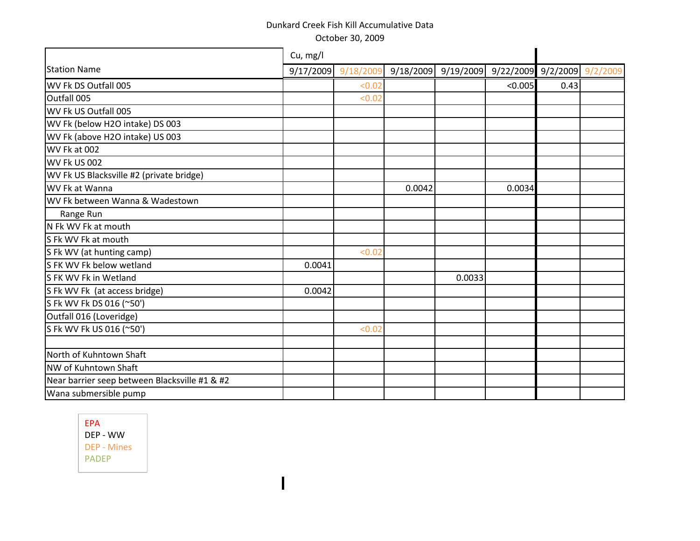| Cu, mg/l |        |                    |        |         |                                                        |
|----------|--------|--------------------|--------|---------|--------------------------------------------------------|
|          |        |                    |        |         |                                                        |
|          | < 0.02 |                    |        | < 0.005 |                                                        |
|          | < 0.02 |                    |        |         |                                                        |
|          |        |                    |        |         |                                                        |
|          |        |                    |        |         |                                                        |
|          |        |                    |        |         |                                                        |
|          |        |                    |        |         |                                                        |
|          |        |                    |        |         |                                                        |
|          |        |                    |        |         |                                                        |
|          |        | 0.0042             |        | 0.0034  |                                                        |
|          |        |                    |        |         |                                                        |
|          |        |                    |        |         |                                                        |
|          |        |                    |        |         |                                                        |
|          |        |                    |        |         |                                                        |
|          | < 0.02 |                    |        |         |                                                        |
| 0.0041   |        |                    |        |         |                                                        |
|          |        |                    | 0.0033 |         |                                                        |
| 0.0042   |        |                    |        |         |                                                        |
|          |        |                    |        |         |                                                        |
|          |        |                    |        |         |                                                        |
|          | < 0.02 |                    |        |         |                                                        |
|          |        |                    |        |         |                                                        |
|          |        |                    |        |         |                                                        |
|          |        |                    |        |         |                                                        |
|          |        |                    |        |         |                                                        |
|          |        |                    |        |         |                                                        |
|          |        | 9/17/2009 9/18/200 |        |         | $9/18/2009$ $9/19/2009$ $9/22/2009$ $9/2/2009$<br>0.43 |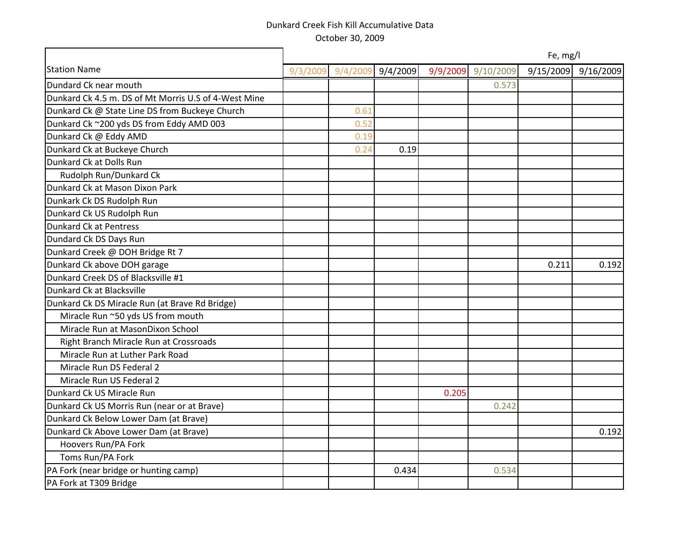|                                                      | Fe, mg/l |          |          |       |                    |           |           |  |
|------------------------------------------------------|----------|----------|----------|-------|--------------------|-----------|-----------|--|
| <b>Station Name</b>                                  | 9/3/2009 | 9/4/2009 | 9/4/2009 |       | 9/9/2009 9/10/2009 | 9/15/2009 | 9/16/2009 |  |
| Dundard Ck near mouth                                |          |          |          |       | 0.573              |           |           |  |
| Dunkard Ck 4.5 m. DS of Mt Morris U.S of 4-West Mine |          |          |          |       |                    |           |           |  |
| Dunkard Ck @ State Line DS from Buckeye Church       |          | 0.61     |          |       |                    |           |           |  |
| Dunkard Ck ~200 yds DS from Eddy AMD 003             |          | 0.52     |          |       |                    |           |           |  |
| Dunkard Ck @ Eddy AMD                                |          | 0.19     |          |       |                    |           |           |  |
| Dunkard Ck at Buckeye Church                         |          | 0.24     | 0.19     |       |                    |           |           |  |
| Dunkard Ck at Dolls Run                              |          |          |          |       |                    |           |           |  |
| Rudolph Run/Dunkard Ck                               |          |          |          |       |                    |           |           |  |
| Dunkard Ck at Mason Dixon Park                       |          |          |          |       |                    |           |           |  |
| Dunkark Ck DS Rudolph Run                            |          |          |          |       |                    |           |           |  |
| Dunkard Ck US Rudolph Run                            |          |          |          |       |                    |           |           |  |
| Dunkard Ck at Pentress                               |          |          |          |       |                    |           |           |  |
| Dundard Ck DS Days Run                               |          |          |          |       |                    |           |           |  |
| Dunkard Creek @ DOH Bridge Rt 7                      |          |          |          |       |                    |           |           |  |
| Dunkard Ck above DOH garage                          |          |          |          |       |                    | 0.211     | 0.192     |  |
| Dunkard Creek DS of Blacksville #1                   |          |          |          |       |                    |           |           |  |
| Dunkard Ck at Blacksville                            |          |          |          |       |                    |           |           |  |
| Dunkard Ck DS Miracle Run (at Brave Rd Bridge)       |          |          |          |       |                    |           |           |  |
| Miracle Run ~50 yds US from mouth                    |          |          |          |       |                    |           |           |  |
| Miracle Run at MasonDixon School                     |          |          |          |       |                    |           |           |  |
| Right Branch Miracle Run at Crossroads               |          |          |          |       |                    |           |           |  |
| Miracle Run at Luther Park Road                      |          |          |          |       |                    |           |           |  |
| Miracle Run DS Federal 2                             |          |          |          |       |                    |           |           |  |
| Miracle Run US Federal 2                             |          |          |          |       |                    |           |           |  |
| Dunkard Ck US Miracle Run                            |          |          |          | 0.205 |                    |           |           |  |
| Dunkard Ck US Morris Run (near or at Brave)          |          |          |          |       | 0.242              |           |           |  |
| Dunkard Ck Below Lower Dam (at Brave)                |          |          |          |       |                    |           |           |  |
| Dunkard Ck Above Lower Dam (at Brave)                |          |          |          |       |                    |           | 0.192     |  |
| Hoovers Run/PA Fork                                  |          |          |          |       |                    |           |           |  |
| Toms Run/PA Fork                                     |          |          |          |       |                    |           |           |  |
| PA Fork (near bridge or hunting camp)                |          |          | 0.434    |       | 0.534              |           |           |  |
| PA Fork at T309 Bridge                               |          |          |          |       |                    |           |           |  |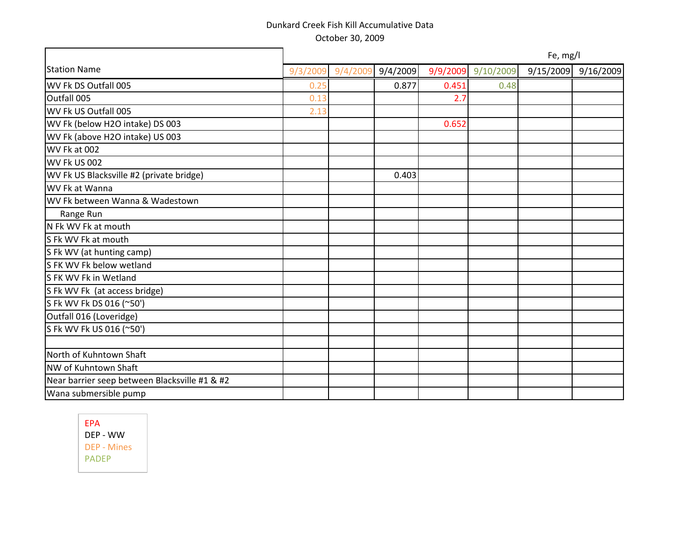|                                               |          | Fe, mg/l |          |       |                    |           |           |  |  |
|-----------------------------------------------|----------|----------|----------|-------|--------------------|-----------|-----------|--|--|
| <b>Station Name</b>                           | 9/3/2009 | 9/4/2009 | 9/4/2009 |       | 9/9/2009 9/10/2009 | 9/15/2009 | 9/16/2009 |  |  |
| WV Fk DS Outfall 005                          | 0.25     |          | 0.877    | 0.451 | 0.48               |           |           |  |  |
| Outfall 005                                   | 0.13     |          |          | 2.7   |                    |           |           |  |  |
| WV Fk US Outfall 005                          | 2.13     |          |          |       |                    |           |           |  |  |
| WV Fk (below H2O intake) DS 003               |          |          |          | 0.652 |                    |           |           |  |  |
| WV Fk (above H2O intake) US 003               |          |          |          |       |                    |           |           |  |  |
| WV Fk at 002                                  |          |          |          |       |                    |           |           |  |  |
| WV Fk US 002                                  |          |          |          |       |                    |           |           |  |  |
| WV Fk US Blacksville #2 (private bridge)      |          |          | 0.403    |       |                    |           |           |  |  |
| WV Fk at Wanna                                |          |          |          |       |                    |           |           |  |  |
| WV Fk between Wanna & Wadestown               |          |          |          |       |                    |           |           |  |  |
| Range Run                                     |          |          |          |       |                    |           |           |  |  |
| N Fk WV Fk at mouth                           |          |          |          |       |                    |           |           |  |  |
| S Fk WV Fk at mouth                           |          |          |          |       |                    |           |           |  |  |
| S Fk WV (at hunting camp)                     |          |          |          |       |                    |           |           |  |  |
| S FK WV Fk below wetland                      |          |          |          |       |                    |           |           |  |  |
| S FK WV Fk in Wetland                         |          |          |          |       |                    |           |           |  |  |
| S Fk WV Fk (at access bridge)                 |          |          |          |       |                    |           |           |  |  |
| S Fk WV Fk DS 016 (~50')                      |          |          |          |       |                    |           |           |  |  |
| Outfall 016 (Loveridge)                       |          |          |          |       |                    |           |           |  |  |
| S Fk WV Fk US 016 (~50')                      |          |          |          |       |                    |           |           |  |  |
|                                               |          |          |          |       |                    |           |           |  |  |
| North of Kuhntown Shaft                       |          |          |          |       |                    |           |           |  |  |
| NW of Kuhntown Shaft                          |          |          |          |       |                    |           |           |  |  |
| Near barrier seep between Blacksville #1 & #2 |          |          |          |       |                    |           |           |  |  |
| Wana submersible pump                         |          |          |          |       |                    |           |           |  |  |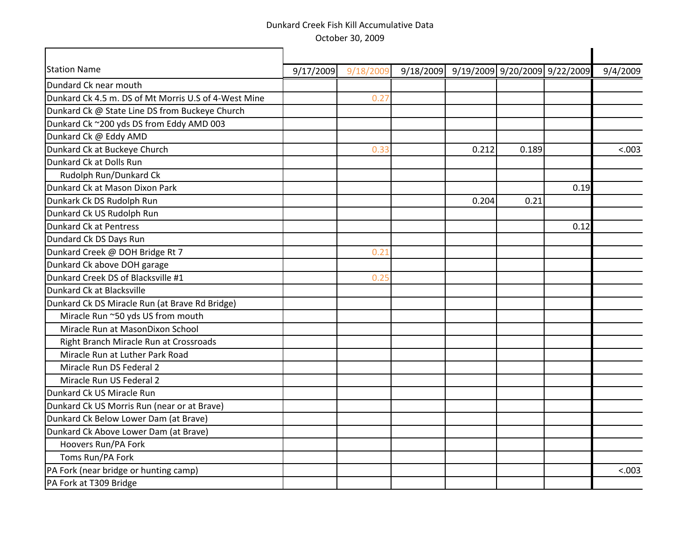| <b>Station Name</b>                                  | 9/17/2009 | 9/18/2009 | 9/18/2009 | 9/19/2009 9/20/2009 9/22/2009 |       |      | 9/4/2009 |
|------------------------------------------------------|-----------|-----------|-----------|-------------------------------|-------|------|----------|
| Dundard Ck near mouth                                |           |           |           |                               |       |      |          |
| Dunkard Ck 4.5 m. DS of Mt Morris U.S of 4-West Mine |           | 0.27      |           |                               |       |      |          |
| Dunkard Ck @ State Line DS from Buckeye Church       |           |           |           |                               |       |      |          |
| Dunkard Ck ~200 yds DS from Eddy AMD 003             |           |           |           |                               |       |      |          |
| Dunkard Ck @ Eddy AMD                                |           |           |           |                               |       |      |          |
| Dunkard Ck at Buckeye Church                         |           | 0.33      |           | 0.212                         | 0.189 |      | < .003   |
| Dunkard Ck at Dolls Run                              |           |           |           |                               |       |      |          |
| Rudolph Run/Dunkard Ck                               |           |           |           |                               |       |      |          |
| Dunkard Ck at Mason Dixon Park                       |           |           |           |                               |       | 0.19 |          |
| Dunkark Ck DS Rudolph Run                            |           |           |           | 0.204                         | 0.21  |      |          |
| Dunkard Ck US Rudolph Run                            |           |           |           |                               |       |      |          |
| Dunkard Ck at Pentress                               |           |           |           |                               |       | 0.12 |          |
| Dundard Ck DS Days Run                               |           |           |           |                               |       |      |          |
| Dunkard Creek @ DOH Bridge Rt 7                      |           | 0.21      |           |                               |       |      |          |
| Dunkard Ck above DOH garage                          |           |           |           |                               |       |      |          |
| Dunkard Creek DS of Blacksville #1                   |           | 0.25      |           |                               |       |      |          |
| Dunkard Ck at Blacksville                            |           |           |           |                               |       |      |          |
| Dunkard Ck DS Miracle Run (at Brave Rd Bridge)       |           |           |           |                               |       |      |          |
| Miracle Run ~50 yds US from mouth                    |           |           |           |                               |       |      |          |
| Miracle Run at MasonDixon School                     |           |           |           |                               |       |      |          |
| Right Branch Miracle Run at Crossroads               |           |           |           |                               |       |      |          |
| Miracle Run at Luther Park Road                      |           |           |           |                               |       |      |          |
| Miracle Run DS Federal 2                             |           |           |           |                               |       |      |          |
| Miracle Run US Federal 2                             |           |           |           |                               |       |      |          |
| Dunkard Ck US Miracle Run                            |           |           |           |                               |       |      |          |
| Dunkard Ck US Morris Run (near or at Brave)          |           |           |           |                               |       |      |          |
| Dunkard Ck Below Lower Dam (at Brave)                |           |           |           |                               |       |      |          |
| Dunkard Ck Above Lower Dam (at Brave)                |           |           |           |                               |       |      |          |
| Hoovers Run/PA Fork                                  |           |           |           |                               |       |      |          |
| Toms Run/PA Fork                                     |           |           |           |                               |       |      |          |
| PA Fork (near bridge or hunting camp)                |           |           |           |                               |       |      | < .003   |
| PA Fork at T309 Bridge                               |           |           |           |                               |       |      |          |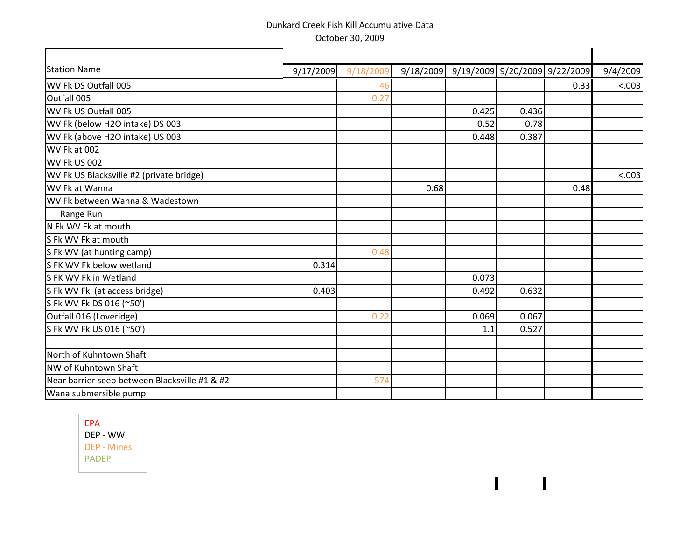| <b>Station Name</b>                           | 9/17/2009 | 9/18/2009 |      |       |       | 9/18/2009 9/19/2009 9/20/2009 9/22/2009 | 9/4/2009 |
|-----------------------------------------------|-----------|-----------|------|-------|-------|-----------------------------------------|----------|
| WV Fk DS Outfall 005                          |           |           |      |       |       | 0.33                                    | &003     |
| Outfall 005                                   |           | 0.27      |      |       |       |                                         |          |
| WV Fk US Outfall 005                          |           |           |      | 0.425 | 0.436 |                                         |          |
| WV Fk (below H2O intake) DS 003               |           |           |      | 0.52  | 0.78  |                                         |          |
| WV Fk (above H2O intake) US 003               |           |           |      | 0.448 | 0.387 |                                         |          |
| WV Fk at 002                                  |           |           |      |       |       |                                         |          |
| WV Fk US 002                                  |           |           |      |       |       |                                         |          |
| WV Fk US Blacksville #2 (private bridge)      |           |           |      |       |       |                                         | < .003   |
| WV Fk at Wanna                                |           |           | 0.68 |       |       | 0.48                                    |          |
| WV Fk between Wanna & Wadestown               |           |           |      |       |       |                                         |          |
| Range Run                                     |           |           |      |       |       |                                         |          |
| N Fk WV Fk at mouth                           |           |           |      |       |       |                                         |          |
| S Fk WV Fk at mouth                           |           |           |      |       |       |                                         |          |
| S Fk WV (at hunting camp)                     |           | 0.48      |      |       |       |                                         |          |
| S FK WV Fk below wetland                      | 0.314     |           |      |       |       |                                         |          |
| S FK WV Fk in Wetland                         |           |           |      | 0.073 |       |                                         |          |
| S Fk WV Fk (at access bridge)                 | 0.403     |           |      | 0.492 | 0.632 |                                         |          |
| S Fk WV Fk DS 016 (~50')                      |           |           |      |       |       |                                         |          |
| Outfall 016 (Loveridge)                       |           | 0.22      |      | 0.069 | 0.067 |                                         |          |
| S Fk WV Fk US 016 (~50')                      |           |           |      | 1.1   | 0.527 |                                         |          |
| North of Kuhntown Shaft                       |           |           |      |       |       |                                         |          |
| NW of Kuhntown Shaft                          |           |           |      |       |       |                                         |          |
| Near barrier seep between Blacksville #1 & #2 |           | 574       |      |       |       |                                         |          |
| Wana submersible pump                         |           |           |      |       |       |                                         |          |

 $\overline{1}$ 

 $\mathbf{I}$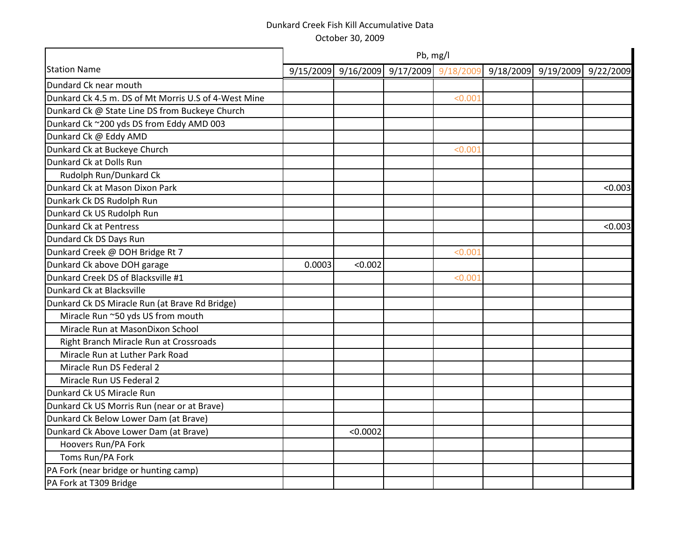|                                                      | Pb, mg/l |                                         |  |         |  |                     |           |  |  |  |  |
|------------------------------------------------------|----------|-----------------------------------------|--|---------|--|---------------------|-----------|--|--|--|--|
| <b>Station Name</b>                                  |          | 9/15/2009 9/16/2009 9/17/2009 9/18/2009 |  |         |  | 9/18/2009 9/19/2009 | 9/22/2009 |  |  |  |  |
| Dundard Ck near mouth                                |          |                                         |  |         |  |                     |           |  |  |  |  |
| Dunkard Ck 4.5 m. DS of Mt Morris U.S of 4-West Mine |          |                                         |  | < 0.001 |  |                     |           |  |  |  |  |
| Dunkard Ck @ State Line DS from Buckeye Church       |          |                                         |  |         |  |                     |           |  |  |  |  |
| Dunkard Ck ~200 yds DS from Eddy AMD 003             |          |                                         |  |         |  |                     |           |  |  |  |  |
| Dunkard Ck @ Eddy AMD                                |          |                                         |  |         |  |                     |           |  |  |  |  |
| Dunkard Ck at Buckeye Church                         |          |                                         |  | < 0.001 |  |                     |           |  |  |  |  |
| Dunkard Ck at Dolls Run                              |          |                                         |  |         |  |                     |           |  |  |  |  |
| Rudolph Run/Dunkard Ck                               |          |                                         |  |         |  |                     |           |  |  |  |  |
| Dunkard Ck at Mason Dixon Park                       |          |                                         |  |         |  |                     | < 0.003   |  |  |  |  |
| Dunkark Ck DS Rudolph Run                            |          |                                         |  |         |  |                     |           |  |  |  |  |
| Dunkard Ck US Rudolph Run                            |          |                                         |  |         |  |                     |           |  |  |  |  |
| Dunkard Ck at Pentress                               |          |                                         |  |         |  |                     | < 0.003   |  |  |  |  |
| Dundard Ck DS Days Run                               |          |                                         |  |         |  |                     |           |  |  |  |  |
| Dunkard Creek @ DOH Bridge Rt 7                      |          |                                         |  | < 0.001 |  |                     |           |  |  |  |  |
| Dunkard Ck above DOH garage                          | 0.0003   | < 0.002                                 |  |         |  |                     |           |  |  |  |  |
| Dunkard Creek DS of Blacksville #1                   |          |                                         |  | < 0.001 |  |                     |           |  |  |  |  |
| Dunkard Ck at Blacksville                            |          |                                         |  |         |  |                     |           |  |  |  |  |
| Dunkard Ck DS Miracle Run (at Brave Rd Bridge)       |          |                                         |  |         |  |                     |           |  |  |  |  |
| Miracle Run ~50 yds US from mouth                    |          |                                         |  |         |  |                     |           |  |  |  |  |
| Miracle Run at MasonDixon School                     |          |                                         |  |         |  |                     |           |  |  |  |  |
| Right Branch Miracle Run at Crossroads               |          |                                         |  |         |  |                     |           |  |  |  |  |
| Miracle Run at Luther Park Road                      |          |                                         |  |         |  |                     |           |  |  |  |  |
| Miracle Run DS Federal 2                             |          |                                         |  |         |  |                     |           |  |  |  |  |
| Miracle Run US Federal 2                             |          |                                         |  |         |  |                     |           |  |  |  |  |
| Dunkard Ck US Miracle Run                            |          |                                         |  |         |  |                     |           |  |  |  |  |
| Dunkard Ck US Morris Run (near or at Brave)          |          |                                         |  |         |  |                     |           |  |  |  |  |
| Dunkard Ck Below Lower Dam (at Brave)                |          |                                         |  |         |  |                     |           |  |  |  |  |
| Dunkard Ck Above Lower Dam (at Brave)                |          | < 0.0002                                |  |         |  |                     |           |  |  |  |  |
| Hoovers Run/PA Fork                                  |          |                                         |  |         |  |                     |           |  |  |  |  |
| Toms Run/PA Fork                                     |          |                                         |  |         |  |                     |           |  |  |  |  |
| PA Fork (near bridge or hunting camp)                |          |                                         |  |         |  |                     |           |  |  |  |  |
| PA Fork at T309 Bridge                               |          |                                         |  |         |  |                     |           |  |  |  |  |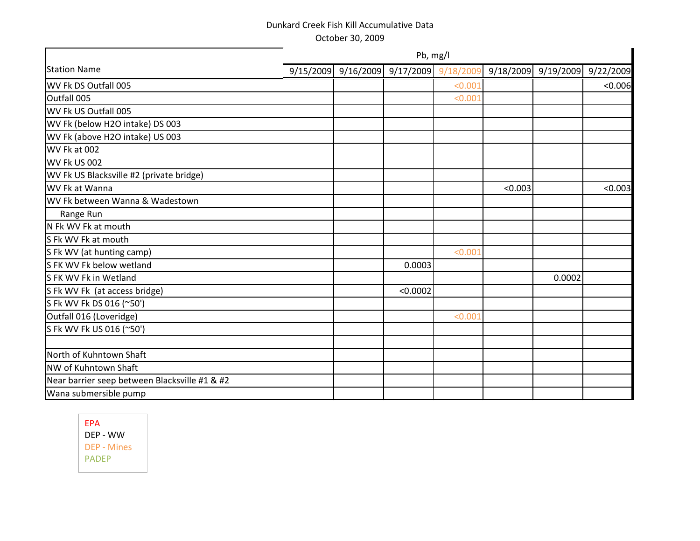|                                               |                         | Pb, mg/l |         |                                                 |        |           |
|-----------------------------------------------|-------------------------|----------|---------|-------------------------------------------------|--------|-----------|
| <b>Station Name</b>                           | $9/15/2009$ $9/16/2009$ |          |         | $9/17/2009$ $9/18/2009$ $9/18/2009$ $9/19/2009$ |        | 9/22/2009 |
| WV Fk DS Outfall 005                          |                         |          | < 0.001 |                                                 |        | < 0.006   |
| Outfall 005                                   |                         |          | < 0.001 |                                                 |        |           |
| WV Fk US Outfall 005                          |                         |          |         |                                                 |        |           |
| WV Fk (below H2O intake) DS 003               |                         |          |         |                                                 |        |           |
| WV Fk (above H2O intake) US 003               |                         |          |         |                                                 |        |           |
| WV Fk at 002                                  |                         |          |         |                                                 |        |           |
| WV Fk US 002                                  |                         |          |         |                                                 |        |           |
| WV Fk US Blacksville #2 (private bridge)      |                         |          |         |                                                 |        |           |
| WV Fk at Wanna                                |                         |          |         | < 0.003                                         |        | < 0.003   |
| WV Fk between Wanna & Wadestown               |                         |          |         |                                                 |        |           |
| Range Run                                     |                         |          |         |                                                 |        |           |
| N Fk WV Fk at mouth                           |                         |          |         |                                                 |        |           |
| S Fk WV Fk at mouth                           |                         |          |         |                                                 |        |           |
| S Fk WV (at hunting camp)                     |                         |          | < 0.001 |                                                 |        |           |
| S FK WV Fk below wetland                      |                         | 0.0003   |         |                                                 |        |           |
| S FK WV Fk in Wetland                         |                         |          |         |                                                 | 0.0002 |           |
| S Fk WV Fk (at access bridge)                 |                         | < 0.0002 |         |                                                 |        |           |
| S Fk WV Fk DS 016 (~50')                      |                         |          |         |                                                 |        |           |
| Outfall 016 (Loveridge)                       |                         |          | < 0.001 |                                                 |        |           |
| S Fk WV Fk US 016 (~50')                      |                         |          |         |                                                 |        |           |
|                                               |                         |          |         |                                                 |        |           |
| North of Kuhntown Shaft                       |                         |          |         |                                                 |        |           |
| NW of Kuhntown Shaft                          |                         |          |         |                                                 |        |           |
| Near barrier seep between Blacksville #1 & #2 |                         |          |         |                                                 |        |           |
| Wana submersible pump                         |                         |          |         |                                                 |        |           |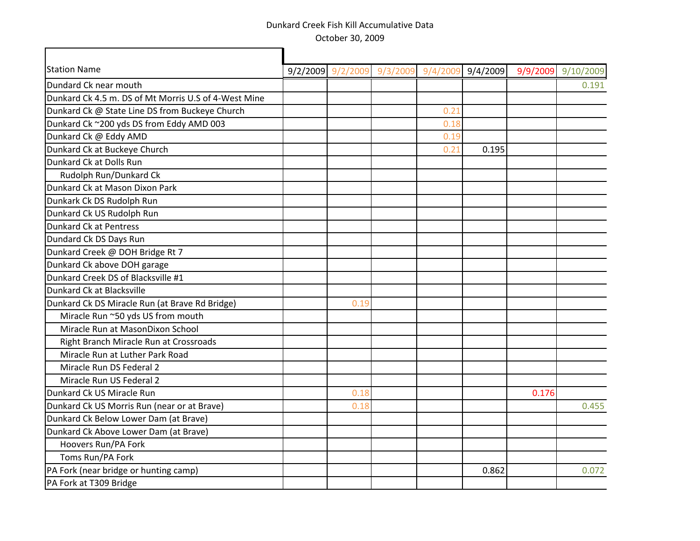Г

| <b>Station Name</b>                                  | 9/2/2009 | 9/2/2009 | 9/3/2009 | 9/4/2009 | 9/4/2009 | 9/9/2009 | 9/10/2009 |
|------------------------------------------------------|----------|----------|----------|----------|----------|----------|-----------|
| Dundard Ck near mouth                                |          |          |          |          |          |          | 0.191     |
| Dunkard Ck 4.5 m. DS of Mt Morris U.S of 4-West Mine |          |          |          |          |          |          |           |
| Dunkard Ck @ State Line DS from Buckeye Church       |          |          |          | 0.21     |          |          |           |
| Dunkard Ck ~200 yds DS from Eddy AMD 003             |          |          |          | 0.18     |          |          |           |
| Dunkard Ck @ Eddy AMD                                |          |          |          | 0.19     |          |          |           |
| Dunkard Ck at Buckeye Church                         |          |          |          | 0.21     | 0.195    |          |           |
| Dunkard Ck at Dolls Run                              |          |          |          |          |          |          |           |
| Rudolph Run/Dunkard Ck                               |          |          |          |          |          |          |           |
| Dunkard Ck at Mason Dixon Park                       |          |          |          |          |          |          |           |
| Dunkark Ck DS Rudolph Run                            |          |          |          |          |          |          |           |
| Dunkard Ck US Rudolph Run                            |          |          |          |          |          |          |           |
| Dunkard Ck at Pentress                               |          |          |          |          |          |          |           |
| Dundard Ck DS Days Run                               |          |          |          |          |          |          |           |
| Dunkard Creek @ DOH Bridge Rt 7                      |          |          |          |          |          |          |           |
| Dunkard Ck above DOH garage                          |          |          |          |          |          |          |           |
| Dunkard Creek DS of Blacksville #1                   |          |          |          |          |          |          |           |
| Dunkard Ck at Blacksville                            |          |          |          |          |          |          |           |
| Dunkard Ck DS Miracle Run (at Brave Rd Bridge)       |          | 0.19     |          |          |          |          |           |
| Miracle Run ~50 yds US from mouth                    |          |          |          |          |          |          |           |
| Miracle Run at MasonDixon School                     |          |          |          |          |          |          |           |
| Right Branch Miracle Run at Crossroads               |          |          |          |          |          |          |           |
| Miracle Run at Luther Park Road                      |          |          |          |          |          |          |           |
| Miracle Run DS Federal 2                             |          |          |          |          |          |          |           |
| Miracle Run US Federal 2                             |          |          |          |          |          |          |           |
| Dunkard Ck US Miracle Run                            |          | 0.18     |          |          |          | 0.176    |           |
| Dunkard Ck US Morris Run (near or at Brave)          |          | 0.18     |          |          |          |          | 0.455     |
| Dunkard Ck Below Lower Dam (at Brave)                |          |          |          |          |          |          |           |
| Dunkard Ck Above Lower Dam (at Brave)                |          |          |          |          |          |          |           |
| Hoovers Run/PA Fork                                  |          |          |          |          |          |          |           |
| Toms Run/PA Fork                                     |          |          |          |          |          |          |           |
| PA Fork (near bridge or hunting camp)                |          |          |          |          | 0.862    |          | 0.072     |
| PA Fork at T309 Bridge                               |          |          |          |          |          |          |           |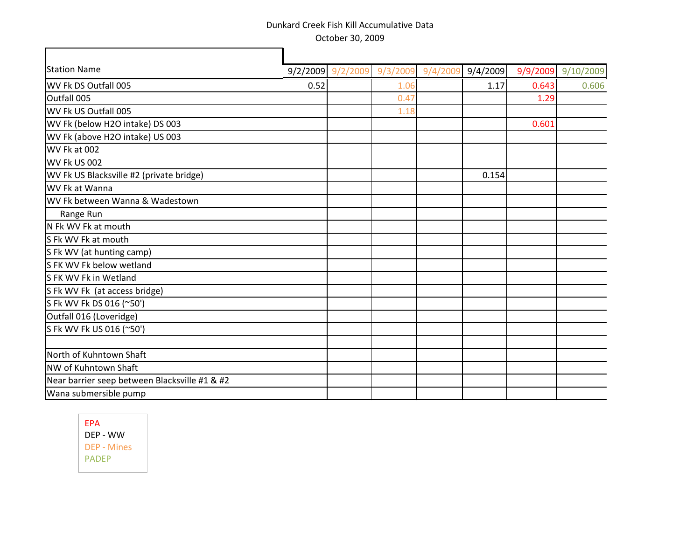| <b>Station Name</b>                           |      | 9/2/2009 9/2/2009 9/3/2009 9/4/2009 |      | 9/4/2009 |       | 9/9/2009 9/10/2009 |
|-----------------------------------------------|------|-------------------------------------|------|----------|-------|--------------------|
| WV Fk DS Outfall 005                          | 0.52 |                                     | 1.06 | 1.17     | 0.643 | 0.606              |
| Outfall 005                                   |      |                                     | 0.47 |          | 1.29  |                    |
| WV Fk US Outfall 005                          |      |                                     | 1.18 |          |       |                    |
| WV Fk (below H2O intake) DS 003               |      |                                     |      |          | 0.601 |                    |
| WV Fk (above H2O intake) US 003               |      |                                     |      |          |       |                    |
| WV Fk at 002                                  |      |                                     |      |          |       |                    |
| WV Fk US 002                                  |      |                                     |      |          |       |                    |
| WV Fk US Blacksville #2 (private bridge)      |      |                                     |      | 0.154    |       |                    |
| WV Fk at Wanna                                |      |                                     |      |          |       |                    |
| WV Fk between Wanna & Wadestown               |      |                                     |      |          |       |                    |
| Range Run                                     |      |                                     |      |          |       |                    |
| N Fk WV Fk at mouth                           |      |                                     |      |          |       |                    |
| S Fk WV Fk at mouth                           |      |                                     |      |          |       |                    |
| S Fk WV (at hunting camp)                     |      |                                     |      |          |       |                    |
| S FK WV Fk below wetland                      |      |                                     |      |          |       |                    |
| S FK WV Fk in Wetland                         |      |                                     |      |          |       |                    |
| S Fk WV Fk (at access bridge)                 |      |                                     |      |          |       |                    |
| S Fk WV Fk DS 016 (~50')                      |      |                                     |      |          |       |                    |
| Outfall 016 (Loveridge)                       |      |                                     |      |          |       |                    |
| S Fk WV Fk US 016 (~50')                      |      |                                     |      |          |       |                    |
|                                               |      |                                     |      |          |       |                    |
| North of Kuhntown Shaft                       |      |                                     |      |          |       |                    |
| NW of Kuhntown Shaft                          |      |                                     |      |          |       |                    |
| Near barrier seep between Blacksville #1 & #2 |      |                                     |      |          |       |                    |
| Wana submersible pump                         |      |                                     |      |          |       |                    |

EPA DEP - WW DEP - Mines PADEP

 $\Gamma$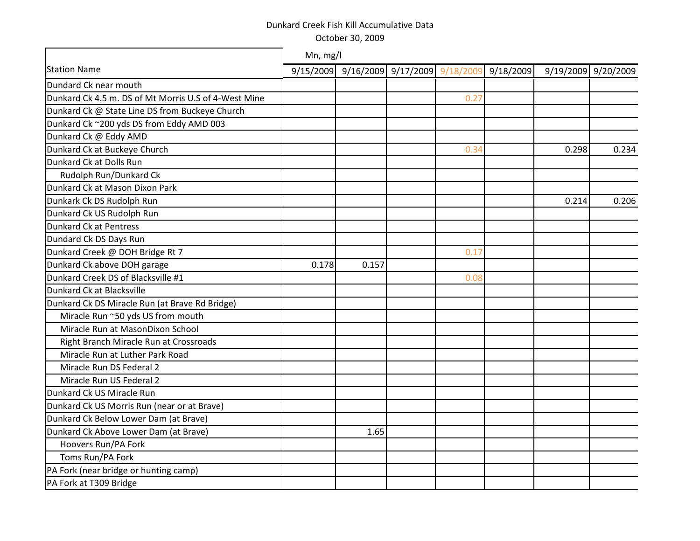|                                                      | Mn, mg/l |                                         |      |           |       |                     |
|------------------------------------------------------|----------|-----------------------------------------|------|-----------|-------|---------------------|
| <b>Station Name</b>                                  |          | 9/15/2009 9/16/2009 9/17/2009 9/18/2009 |      | 9/18/2009 |       | 9/19/2009 9/20/2009 |
| Dundard Ck near mouth                                |          |                                         |      |           |       |                     |
| Dunkard Ck 4.5 m. DS of Mt Morris U.S of 4-West Mine |          |                                         | 0.27 |           |       |                     |
| Dunkard Ck @ State Line DS from Buckeye Church       |          |                                         |      |           |       |                     |
| Dunkard Ck ~200 yds DS from Eddy AMD 003             |          |                                         |      |           |       |                     |
| Dunkard Ck @ Eddy AMD                                |          |                                         |      |           |       |                     |
| Dunkard Ck at Buckeye Church                         |          |                                         | 0.34 |           | 0.298 | 0.234               |
| Dunkard Ck at Dolls Run                              |          |                                         |      |           |       |                     |
| Rudolph Run/Dunkard Ck                               |          |                                         |      |           |       |                     |
| Dunkard Ck at Mason Dixon Park                       |          |                                         |      |           |       |                     |
| Dunkark Ck DS Rudolph Run                            |          |                                         |      |           | 0.214 | 0.206               |
| Dunkard Ck US Rudolph Run                            |          |                                         |      |           |       |                     |
| Dunkard Ck at Pentress                               |          |                                         |      |           |       |                     |
| Dundard Ck DS Days Run                               |          |                                         |      |           |       |                     |
| Dunkard Creek @ DOH Bridge Rt 7                      |          |                                         | 0.17 |           |       |                     |
| Dunkard Ck above DOH garage                          | 0.178    | 0.157                                   |      |           |       |                     |
| Dunkard Creek DS of Blacksville #1                   |          |                                         | 0.08 |           |       |                     |
| Dunkard Ck at Blacksville                            |          |                                         |      |           |       |                     |
| Dunkard Ck DS Miracle Run (at Brave Rd Bridge)       |          |                                         |      |           |       |                     |
| Miracle Run ~50 yds US from mouth                    |          |                                         |      |           |       |                     |
| Miracle Run at MasonDixon School                     |          |                                         |      |           |       |                     |
| Right Branch Miracle Run at Crossroads               |          |                                         |      |           |       |                     |
| Miracle Run at Luther Park Road                      |          |                                         |      |           |       |                     |
| Miracle Run DS Federal 2                             |          |                                         |      |           |       |                     |
| Miracle Run US Federal 2                             |          |                                         |      |           |       |                     |
| Dunkard Ck US Miracle Run                            |          |                                         |      |           |       |                     |
| Dunkard Ck US Morris Run (near or at Brave)          |          |                                         |      |           |       |                     |
| Dunkard Ck Below Lower Dam (at Brave)                |          |                                         |      |           |       |                     |
| Dunkard Ck Above Lower Dam (at Brave)                |          | 1.65                                    |      |           |       |                     |
| Hoovers Run/PA Fork                                  |          |                                         |      |           |       |                     |
| Toms Run/PA Fork                                     |          |                                         |      |           |       |                     |
| PA Fork (near bridge or hunting camp)                |          |                                         |      |           |       |                     |
| PA Fork at T309 Bridge                               |          |                                         |      |           |       |                     |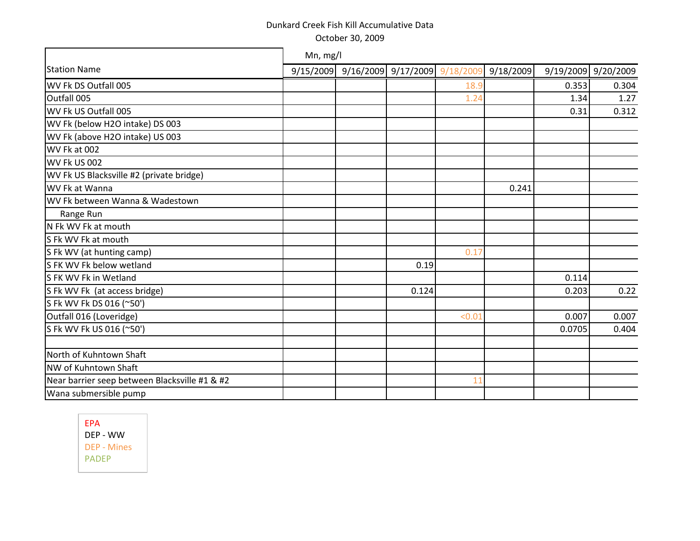| <b>Station Name</b>                           | 9/15/2009 |       | 9/16/2009 9/17/2009 9/18/2009 | 9/18/2009 |        | 9/19/2009 9/20/2009 |
|-----------------------------------------------|-----------|-------|-------------------------------|-----------|--------|---------------------|
| WV Fk DS Outfall 005                          |           |       | 18.9                          |           | 0.353  | 0.304               |
| Outfall 005                                   |           |       | 1.24                          |           | 1.34   | 1.27                |
| WV Fk US Outfall 005                          |           |       |                               |           | 0.31   | 0.312               |
| WV Fk (below H2O intake) DS 003               |           |       |                               |           |        |                     |
| WV Fk (above H2O intake) US 003               |           |       |                               |           |        |                     |
| WV Fk at 002                                  |           |       |                               |           |        |                     |
| WV Fk US 002                                  |           |       |                               |           |        |                     |
| WV Fk US Blacksville #2 (private bridge)      |           |       |                               |           |        |                     |
| WV Fk at Wanna                                |           |       |                               | 0.241     |        |                     |
| WV Fk between Wanna & Wadestown               |           |       |                               |           |        |                     |
| Range Run                                     |           |       |                               |           |        |                     |
| N Fk WV Fk at mouth                           |           |       |                               |           |        |                     |
| S Fk WV Fk at mouth                           |           |       |                               |           |        |                     |
| S Fk WV (at hunting camp)                     |           |       | 0.17                          |           |        |                     |
| S FK WV Fk below wetland                      |           | 0.19  |                               |           |        |                     |
| S FK WV Fk in Wetland                         |           |       |                               |           | 0.114  |                     |
| S Fk WV Fk (at access bridge)                 |           | 0.124 |                               |           | 0.203  | 0.22                |
| S Fk WV Fk DS 016 (~50')                      |           |       |                               |           |        |                     |
| Outfall 016 (Loveridge)                       |           |       | < 0.01                        |           | 0.007  | 0.007               |
| S Fk WV Fk US 016 (~50')                      |           |       |                               |           | 0.0705 | 0.404               |
|                                               |           |       |                               |           |        |                     |
| North of Kuhntown Shaft                       |           |       |                               |           |        |                     |
| NW of Kuhntown Shaft                          |           |       |                               |           |        |                     |
| Near barrier seep between Blacksville #1 & #2 |           |       | 11                            |           |        |                     |
| Wana submersible pump                         |           |       |                               |           |        |                     |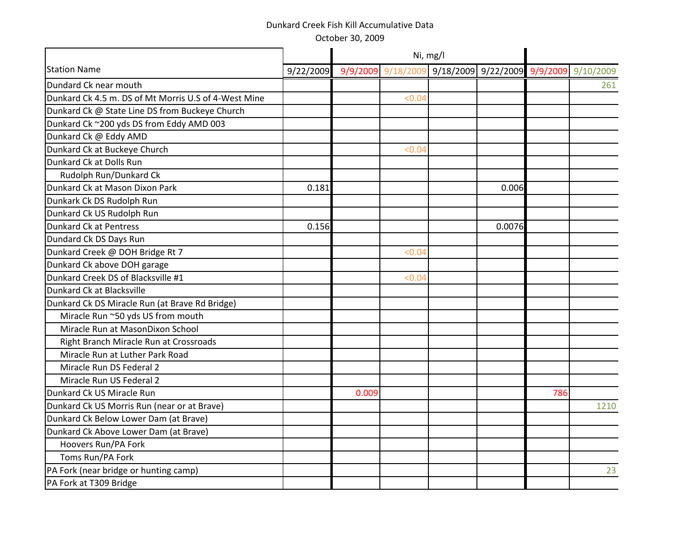October 30, 2009

|                                                      |           |          |          | Ni, mg/l |                                        |     |      |
|------------------------------------------------------|-----------|----------|----------|----------|----------------------------------------|-----|------|
| <b>Station Name</b>                                  | 9/22/2009 | 9/9/2009 | 9/18/200 |          | 9/18/2009 9/22/2009 9/9/2009 9/10/2009 |     |      |
| Dundard Ck near mouth                                |           |          |          |          |                                        |     | 261  |
| Dunkard Ck 4.5 m. DS of Mt Morris U.S of 4-West Mine |           |          | < 0.04   |          |                                        |     |      |
| Dunkard Ck @ State Line DS from Buckeye Church       |           |          |          |          |                                        |     |      |
| Dunkard Ck ~200 yds DS from Eddy AMD 003             |           |          |          |          |                                        |     |      |
| Dunkard Ck @ Eddy AMD                                |           |          |          |          |                                        |     |      |
| Dunkard Ck at Buckeye Church                         |           |          | < 0.04   |          |                                        |     |      |
| Dunkard Ck at Dolls Run                              |           |          |          |          |                                        |     |      |
| Rudolph Run/Dunkard Ck                               |           |          |          |          |                                        |     |      |
| Dunkard Ck at Mason Dixon Park                       | 0.181     |          |          |          | 0.006                                  |     |      |
| Dunkark Ck DS Rudolph Run                            |           |          |          |          |                                        |     |      |
| Dunkard Ck US Rudolph Run                            |           |          |          |          |                                        |     |      |
| <b>Dunkard Ck at Pentress</b>                        | 0.156     |          |          |          | 0.0076                                 |     |      |
| Dundard Ck DS Days Run                               |           |          |          |          |                                        |     |      |
| Dunkard Creek @ DOH Bridge Rt 7                      |           |          | < 0.04   |          |                                        |     |      |
| Dunkard Ck above DOH garage                          |           |          |          |          |                                        |     |      |
| Dunkard Creek DS of Blacksville #1                   |           |          | < 0.04   |          |                                        |     |      |
| Dunkard Ck at Blacksville                            |           |          |          |          |                                        |     |      |
| Dunkard Ck DS Miracle Run (at Brave Rd Bridge)       |           |          |          |          |                                        |     |      |
| Miracle Run ~50 yds US from mouth                    |           |          |          |          |                                        |     |      |
| Miracle Run at MasonDixon School                     |           |          |          |          |                                        |     |      |
| Right Branch Miracle Run at Crossroads               |           |          |          |          |                                        |     |      |
| Miracle Run at Luther Park Road                      |           |          |          |          |                                        |     |      |
| Miracle Run DS Federal 2                             |           |          |          |          |                                        |     |      |
| Miracle Run US Federal 2                             |           |          |          |          |                                        |     |      |
| Dunkard Ck US Miracle Run                            |           | 0.009    |          |          |                                        | 786 |      |
| Dunkard Ck US Morris Run (near or at Brave)          |           |          |          |          |                                        |     | 1210 |
| Dunkard Ck Below Lower Dam (at Brave)                |           |          |          |          |                                        |     |      |
| Dunkard Ck Above Lower Dam (at Brave)                |           |          |          |          |                                        |     |      |
| Hoovers Run/PA Fork                                  |           |          |          |          |                                        |     |      |
| Toms Run/PA Fork                                     |           |          |          |          |                                        |     |      |
| PA Fork (near bridge or hunting camp)                |           |          |          |          |                                        |     | 23   |
| PA Fork at T309 Bridge                               |           |          |          |          |                                        |     |      |
|                                                      |           |          |          |          |                                        |     |      |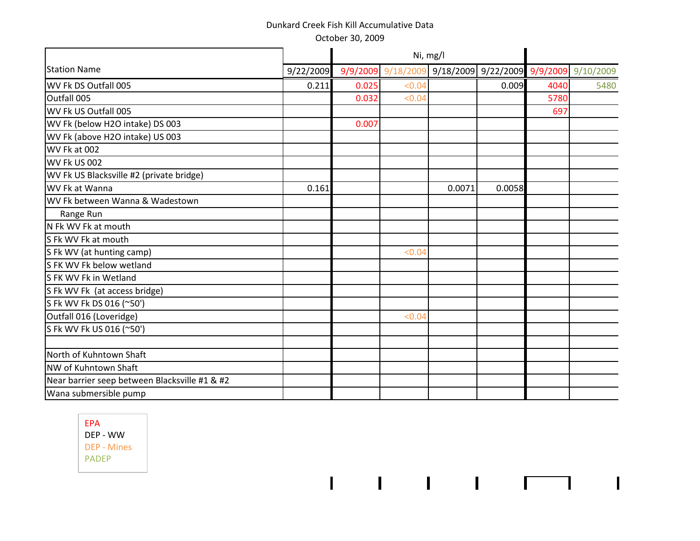|                                               |           |          |         | Ni, mg/l |                                        |      |      |
|-----------------------------------------------|-----------|----------|---------|----------|----------------------------------------|------|------|
| <b>Station Name</b>                           | 9/22/2009 | 9/9/2009 | 9/18/20 |          | 9/18/2009 9/22/2009 9/9/2009 9/10/2009 |      |      |
| WV Fk DS Outfall 005                          | 0.211     | 0.025    | < 0.04  |          | 0.009                                  | 4040 | 5480 |
| Outfall 005                                   |           | 0.032    | < 0.04  |          |                                        | 5780 |      |
| WV Fk US Outfall 005                          |           |          |         |          |                                        | 697  |      |
| WV Fk (below H2O intake) DS 003               |           | 0.007    |         |          |                                        |      |      |
| WV Fk (above H2O intake) US 003               |           |          |         |          |                                        |      |      |
| WV Fk at 002                                  |           |          |         |          |                                        |      |      |
| <b>WV Fk US 002</b>                           |           |          |         |          |                                        |      |      |
| WV Fk US Blacksville #2 (private bridge)      |           |          |         |          |                                        |      |      |
| WV Fk at Wanna                                | 0.161     |          |         | 0.0071   | 0.0058                                 |      |      |
| WV Fk between Wanna & Wadestown               |           |          |         |          |                                        |      |      |
| Range Run                                     |           |          |         |          |                                        |      |      |
| N Fk WV Fk at mouth                           |           |          |         |          |                                        |      |      |
| S Fk WV Fk at mouth                           |           |          |         |          |                                        |      |      |
| S Fk WV (at hunting camp)                     |           |          | < 0.04  |          |                                        |      |      |
| S FK WV Fk below wetland                      |           |          |         |          |                                        |      |      |
| S FK WV Fk in Wetland                         |           |          |         |          |                                        |      |      |
| S Fk WV Fk (at access bridge)                 |           |          |         |          |                                        |      |      |
| S Fk WV Fk DS 016 (~50')                      |           |          |         |          |                                        |      |      |
| Outfall 016 (Loveridge)                       |           |          | < 0.04  |          |                                        |      |      |
| S Fk WV Fk US 016 (~50')                      |           |          |         |          |                                        |      |      |
| North of Kuhntown Shaft                       |           |          |         |          |                                        |      |      |
| NW of Kuhntown Shaft                          |           |          |         |          |                                        |      |      |
| Near barrier seep between Blacksville #1 & #2 |           |          |         |          |                                        |      |      |
| Wana submersible pump                         |           |          |         |          |                                        |      |      |
|                                               |           |          |         |          |                                        |      |      |

 $1 - 1 - 1 - 1 - 1 - 1$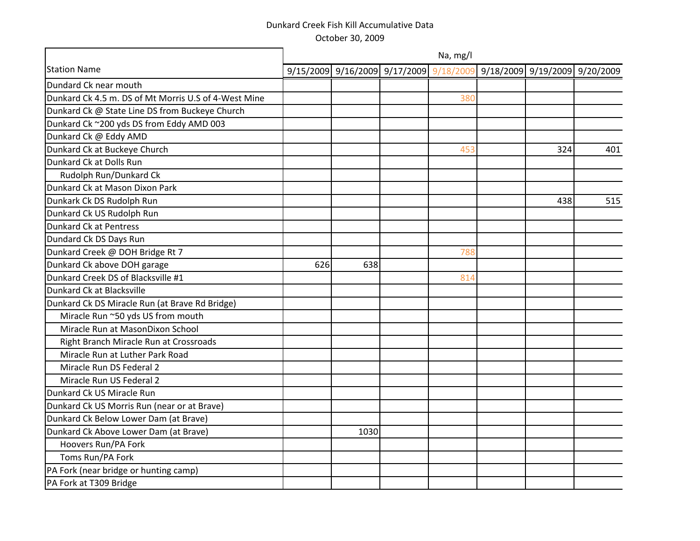Dundard Ck near mouth Dunkard Ck 4.5 m. DS of Mt Morris U.S of 4-West Mine Dunkard Ck @ State Line DS from Buckeye Church Dunkard Ck ~200 yds DS from Eddy AMD 003 Dunkard Ck @ Eddy AMD Dunkard Ck at Buckeye Church Dunkard Ck at Dolls Run Rudolph Run/Dunkard Ck Dunkard Ck at Mason Dixon Park Dunkark Ck DS Rudolph Run Dunkard Ck US Rudolph Run Dunkard Ck at Pentress Dundard Ck DS Days Run Dunkard Creek @ DOH Bridge Rt 7 Dunkard Ck above DOH garage Dunkard Creek DS of Blacksville #1 Dunkard Ck at Blacksville Dunkard Ck DS Miracle Run (at Brave Rd Bridge) Miracle Run ~50 yds US from mouth Miracle Run at MasonDixon School Right Branch Miracle Run at Crossroads Miracle Run at Luther Park Road Miracle Run DS Federal 2 Miracle Run US Federal 2 Dunkard Ck US Miracle Run Dunkard Ck US Morris Run (near or at Brave) Dunkard Ck Below Lower Dam (at Brave) Dunkard Ck Above Lower Dam (at Brave) Hoovers Run/PA Fork Toms Run/PA Fork PA Fork (near bridge or hunting camp) Station Name 3/15/2009 9/15/2009 9/16/2009 9/17/2009 9/18/2009 9/18/2009 9/19/2009 9/20/2009 380 453 324 401 438 515 788 626 638 814 1030 Na, mg/l

PA Fork at T309 Bridge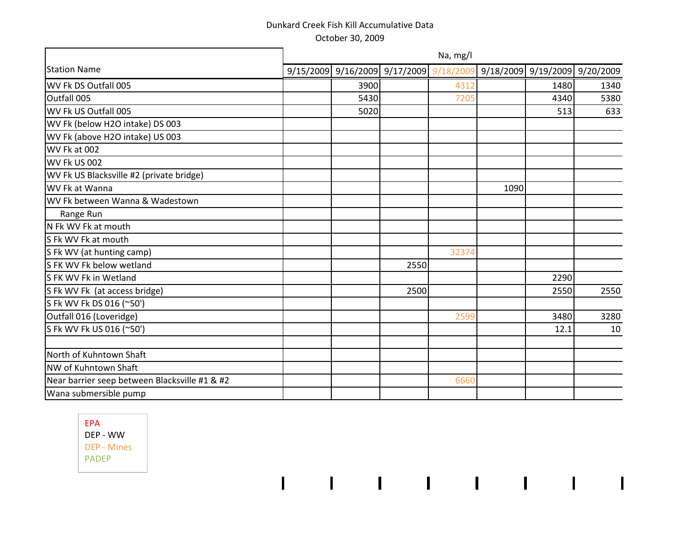|                                               | Na, mg/l |                                                                       |      |       |      |      |      |  |  |  |  |
|-----------------------------------------------|----------|-----------------------------------------------------------------------|------|-------|------|------|------|--|--|--|--|
| <b>Station Name</b>                           |          | 9/15/2009 9/16/2009 9/17/2009 9/18/2009 9/18/2009 9/19/2009 9/20/2009 |      |       |      |      |      |  |  |  |  |
| WV Fk DS Outfall 005                          |          | 3900                                                                  |      | 4312  |      | 1480 | 1340 |  |  |  |  |
| Outfall 005                                   |          | 5430                                                                  |      | 7205  |      | 4340 | 5380 |  |  |  |  |
| WV Fk US Outfall 005                          |          | 5020                                                                  |      |       |      | 513  | 633  |  |  |  |  |
| WV Fk (below H2O intake) DS 003               |          |                                                                       |      |       |      |      |      |  |  |  |  |
| WV Fk (above H2O intake) US 003               |          |                                                                       |      |       |      |      |      |  |  |  |  |
| WV Fk at 002                                  |          |                                                                       |      |       |      |      |      |  |  |  |  |
| WV Fk US 002                                  |          |                                                                       |      |       |      |      |      |  |  |  |  |
| WV Fk US Blacksville #2 (private bridge)      |          |                                                                       |      |       |      |      |      |  |  |  |  |
| WV Fk at Wanna                                |          |                                                                       |      |       | 1090 |      |      |  |  |  |  |
| WV Fk between Wanna & Wadestown               |          |                                                                       |      |       |      |      |      |  |  |  |  |
| Range Run                                     |          |                                                                       |      |       |      |      |      |  |  |  |  |
| N Fk WV Fk at mouth                           |          |                                                                       |      |       |      |      |      |  |  |  |  |
| S Fk WV Fk at mouth                           |          |                                                                       |      |       |      |      |      |  |  |  |  |
| S Fk WV (at hunting camp)                     |          |                                                                       |      | 32374 |      |      |      |  |  |  |  |
| S FK WV Fk below wetland                      |          |                                                                       | 2550 |       |      |      |      |  |  |  |  |
| S FK WV Fk in Wetland                         |          |                                                                       |      |       |      | 2290 |      |  |  |  |  |
| S Fk WV Fk (at access bridge)                 |          |                                                                       | 2500 |       |      | 2550 | 2550 |  |  |  |  |
| S Fk WV Fk DS 016 (~50')                      |          |                                                                       |      |       |      |      |      |  |  |  |  |
| Outfall 016 (Loveridge)                       |          |                                                                       |      | 2599  |      | 3480 | 3280 |  |  |  |  |
| S Fk WV Fk US 016 (~50')                      |          |                                                                       |      |       |      | 12.1 | 10   |  |  |  |  |
| North of Kuhntown Shaft                       |          |                                                                       |      |       |      |      |      |  |  |  |  |
| NW of Kuhntown Shaft                          |          |                                                                       |      |       |      |      |      |  |  |  |  |
| Near barrier seep between Blacksville #1 & #2 |          |                                                                       |      | 6660  |      |      |      |  |  |  |  |
| Wana submersible pump                         |          |                                                                       |      |       |      |      |      |  |  |  |  |

 $1.5 - 1.5 - 1.5 - 1.5 - 1.5 - 1.5 - 1.5 - 1.5$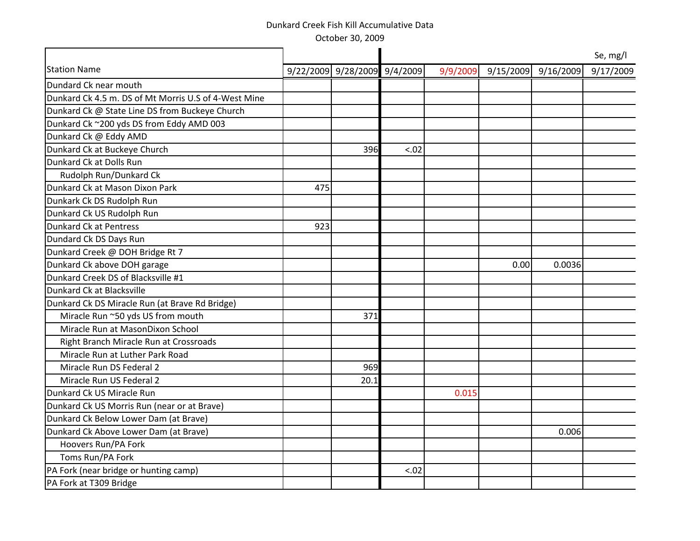October 30, 2009

|                                                      |     |                              |        |          |           |           | Se, mg/l  |
|------------------------------------------------------|-----|------------------------------|--------|----------|-----------|-----------|-----------|
| <b>Station Name</b>                                  |     | 9/22/2009 9/28/2009 9/4/2009 |        | 9/9/2009 | 9/15/2009 | 9/16/2009 | 9/17/2009 |
| Dundard Ck near mouth                                |     |                              |        |          |           |           |           |
| Dunkard Ck 4.5 m. DS of Mt Morris U.S of 4-West Mine |     |                              |        |          |           |           |           |
| Dunkard Ck @ State Line DS from Buckeye Church       |     |                              |        |          |           |           |           |
| Dunkard Ck ~200 yds DS from Eddy AMD 003             |     |                              |        |          |           |           |           |
| Dunkard Ck @ Eddy AMD                                |     |                              |        |          |           |           |           |
| Dunkard Ck at Buckeye Church                         |     | 396                          | $-.02$ |          |           |           |           |
| Dunkard Ck at Dolls Run                              |     |                              |        |          |           |           |           |
| Rudolph Run/Dunkard Ck                               |     |                              |        |          |           |           |           |
| Dunkard Ck at Mason Dixon Park                       | 475 |                              |        |          |           |           |           |
| Dunkark Ck DS Rudolph Run                            |     |                              |        |          |           |           |           |
| Dunkard Ck US Rudolph Run                            |     |                              |        |          |           |           |           |
| <b>Dunkard Ck at Pentress</b>                        | 923 |                              |        |          |           |           |           |
| Dundard Ck DS Days Run                               |     |                              |        |          |           |           |           |
| Dunkard Creek @ DOH Bridge Rt 7                      |     |                              |        |          |           |           |           |
| Dunkard Ck above DOH garage                          |     |                              |        |          | 0.00      | 0.0036    |           |
| Dunkard Creek DS of Blacksville #1                   |     |                              |        |          |           |           |           |
| Dunkard Ck at Blacksville                            |     |                              |        |          |           |           |           |
| Dunkard Ck DS Miracle Run (at Brave Rd Bridge)       |     |                              |        |          |           |           |           |
| Miracle Run ~50 yds US from mouth                    |     | 371                          |        |          |           |           |           |
| Miracle Run at MasonDixon School                     |     |                              |        |          |           |           |           |
| Right Branch Miracle Run at Crossroads               |     |                              |        |          |           |           |           |
| Miracle Run at Luther Park Road                      |     |                              |        |          |           |           |           |
| Miracle Run DS Federal 2                             |     | 969                          |        |          |           |           |           |
| Miracle Run US Federal 2                             |     | 20.1                         |        |          |           |           |           |
| Dunkard Ck US Miracle Run                            |     |                              |        | 0.015    |           |           |           |
| Dunkard Ck US Morris Run (near or at Brave)          |     |                              |        |          |           |           |           |
| Dunkard Ck Below Lower Dam (at Brave)                |     |                              |        |          |           |           |           |
| Dunkard Ck Above Lower Dam (at Brave)                |     |                              |        |          |           | 0.006     |           |
| Hoovers Run/PA Fork                                  |     |                              |        |          |           |           |           |
| Toms Run/PA Fork                                     |     |                              |        |          |           |           |           |
| PA Fork (near bridge or hunting camp)                |     |                              | < .02  |          |           |           |           |
| PA Fork at T309 Bridge                               |     |                              |        |          |           |           |           |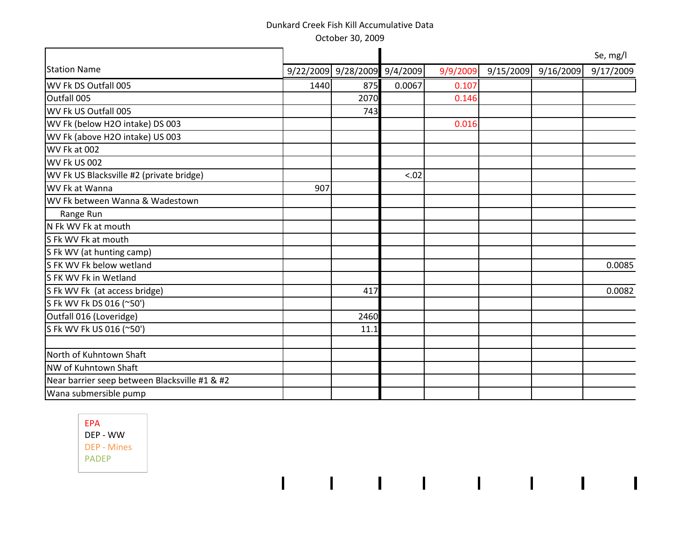October 30, 2009

|                                               |      |                              |        |          |                     | Se, mg/l  |
|-----------------------------------------------|------|------------------------------|--------|----------|---------------------|-----------|
| <b>Station Name</b>                           |      | 9/22/2009 9/28/2009 9/4/2009 |        | 9/9/2009 | 9/15/2009 9/16/2009 | 9/17/2009 |
| WV Fk DS Outfall 005                          | 1440 | 875                          | 0.0067 | 0.107    |                     |           |
| Outfall 005                                   |      | 2070                         |        | 0.146    |                     |           |
| WV Fk US Outfall 005                          |      | 743                          |        |          |                     |           |
| WV Fk (below H2O intake) DS 003               |      |                              |        | 0.016    |                     |           |
| WV Fk (above H2O intake) US 003               |      |                              |        |          |                     |           |
| WV Fk at 002                                  |      |                              |        |          |                     |           |
| WV Fk US 002                                  |      |                              |        |          |                     |           |
| WV Fk US Blacksville #2 (private bridge)      |      |                              | < .02  |          |                     |           |
| WV Fk at Wanna                                | 907  |                              |        |          |                     |           |
| WV Fk between Wanna & Wadestown               |      |                              |        |          |                     |           |
| Range Run                                     |      |                              |        |          |                     |           |
| N Fk WV Fk at mouth                           |      |                              |        |          |                     |           |
| S Fk WV Fk at mouth                           |      |                              |        |          |                     |           |
| S Fk WV (at hunting camp)                     |      |                              |        |          |                     |           |
| S FK WV Fk below wetland                      |      |                              |        |          |                     | 0.0085    |
| S FK WV Fk in Wetland                         |      |                              |        |          |                     |           |
| S Fk WV Fk (at access bridge)                 |      | 417                          |        |          |                     | 0.0082    |
| S Fk WV Fk DS 016 (~50')                      |      |                              |        |          |                     |           |
| Outfall 016 (Loveridge)                       |      | 2460                         |        |          |                     |           |
| S Fk WV Fk US 016 (~50')                      |      | 11.1                         |        |          |                     |           |
|                                               |      |                              |        |          |                     |           |
| North of Kuhntown Shaft                       |      |                              |        |          |                     |           |
| NW of Kuhntown Shaft                          |      |                              |        |          |                     |           |
| Near barrier seep between Blacksville #1 & #2 |      |                              |        |          |                     |           |
| Wana submersible pump                         |      |                              |        |          |                     |           |

the contract of the contract of the contract of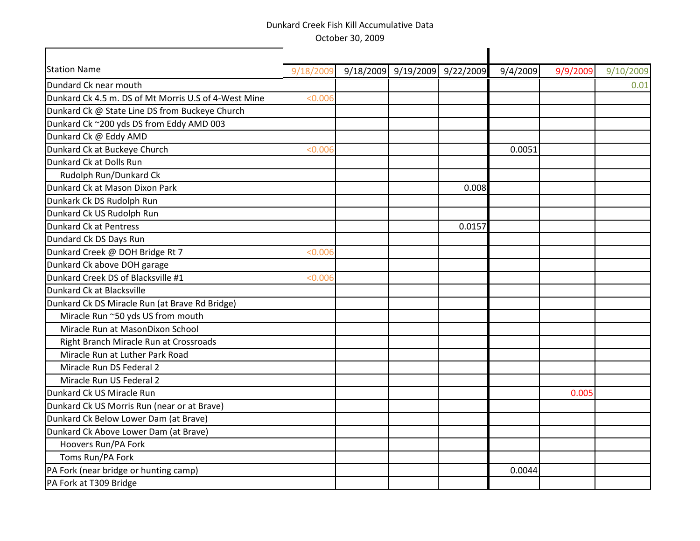| <b>Station Name</b>                                  | 9/18/2009 | 9/18/2009 9/19/2009 9/22/2009 |        | 9/4/2009 | 9/9/2009 | 9/10/2009 |
|------------------------------------------------------|-----------|-------------------------------|--------|----------|----------|-----------|
| Dundard Ck near mouth                                |           |                               |        |          |          | 0.01      |
| Dunkard Ck 4.5 m. DS of Mt Morris U.S of 4-West Mine | < 0.006   |                               |        |          |          |           |
| Dunkard Ck @ State Line DS from Buckeye Church       |           |                               |        |          |          |           |
| Dunkard Ck ~200 yds DS from Eddy AMD 003             |           |                               |        |          |          |           |
| Dunkard Ck @ Eddy AMD                                |           |                               |        |          |          |           |
| Dunkard Ck at Buckeye Church                         | < 0.006   |                               |        | 0.0051   |          |           |
| Dunkard Ck at Dolls Run                              |           |                               |        |          |          |           |
| Rudolph Run/Dunkard Ck                               |           |                               |        |          |          |           |
| Dunkard Ck at Mason Dixon Park                       |           |                               | 0.008  |          |          |           |
| Dunkark Ck DS Rudolph Run                            |           |                               |        |          |          |           |
| Dunkard Ck US Rudolph Run                            |           |                               |        |          |          |           |
| Dunkard Ck at Pentress                               |           |                               | 0.0157 |          |          |           |
| Dundard Ck DS Days Run                               |           |                               |        |          |          |           |
| Dunkard Creek @ DOH Bridge Rt 7                      | < 0.006   |                               |        |          |          |           |
| Dunkard Ck above DOH garage                          |           |                               |        |          |          |           |
| Dunkard Creek DS of Blacksville #1                   | < 0.006   |                               |        |          |          |           |
| Dunkard Ck at Blacksville                            |           |                               |        |          |          |           |
| Dunkard Ck DS Miracle Run (at Brave Rd Bridge)       |           |                               |        |          |          |           |
| Miracle Run ~50 yds US from mouth                    |           |                               |        |          |          |           |
| Miracle Run at MasonDixon School                     |           |                               |        |          |          |           |
| Right Branch Miracle Run at Crossroads               |           |                               |        |          |          |           |
| Miracle Run at Luther Park Road                      |           |                               |        |          |          |           |
| Miracle Run DS Federal 2                             |           |                               |        |          |          |           |
| Miracle Run US Federal 2                             |           |                               |        |          |          |           |
| Dunkard Ck US Miracle Run                            |           |                               |        |          | 0.005    |           |
| Dunkard Ck US Morris Run (near or at Brave)          |           |                               |        |          |          |           |
| Dunkard Ck Below Lower Dam (at Brave)                |           |                               |        |          |          |           |
| Dunkard Ck Above Lower Dam (at Brave)                |           |                               |        |          |          |           |
| Hoovers Run/PA Fork                                  |           |                               |        |          |          |           |
| Toms Run/PA Fork                                     |           |                               |        |          |          |           |
| PA Fork (near bridge or hunting camp)                |           |                               |        | 0.0044   |          |           |
| PA Fork at T309 Bridge                               |           |                               |        |          |          |           |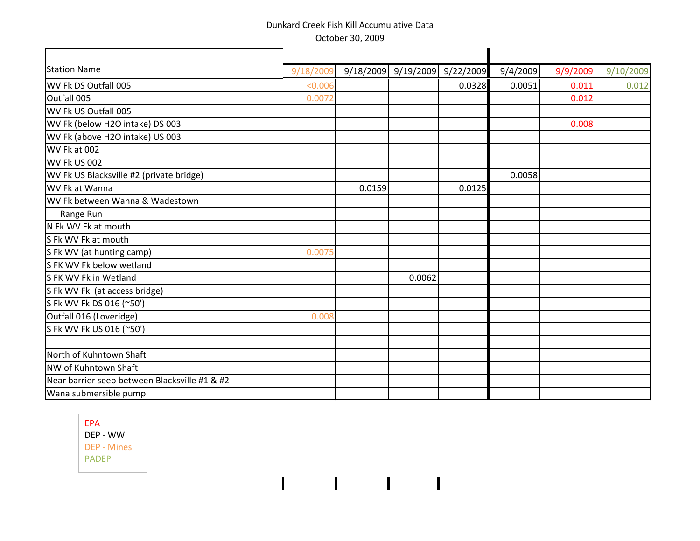| <b>Station Name</b>                           | 9/18/2009 |        |        | 9/18/2009 9/19/2009 9/22/2009 | 9/4/2009 | 9/9/2009 | 9/10/2009 |
|-----------------------------------------------|-----------|--------|--------|-------------------------------|----------|----------|-----------|
| WV Fk DS Outfall 005                          | < 0.006   |        |        | 0.0328                        | 0.0051   | 0.011    | 0.012     |
| Outfall 005                                   | 0.0072    |        |        |                               |          | 0.012    |           |
| WV Fk US Outfall 005                          |           |        |        |                               |          |          |           |
| WV Fk (below H2O intake) DS 003               |           |        |        |                               |          | 0.008    |           |
| WV Fk (above H2O intake) US 003               |           |        |        |                               |          |          |           |
| WV Fk at 002                                  |           |        |        |                               |          |          |           |
| WV Fk US 002                                  |           |        |        |                               |          |          |           |
| WV Fk US Blacksville #2 (private bridge)      |           |        |        |                               | 0.0058   |          |           |
| WV Fk at Wanna                                |           | 0.0159 |        | 0.0125                        |          |          |           |
| WV Fk between Wanna & Wadestown               |           |        |        |                               |          |          |           |
| Range Run                                     |           |        |        |                               |          |          |           |
| N Fk WV Fk at mouth                           |           |        |        |                               |          |          |           |
| S Fk WV Fk at mouth                           |           |        |        |                               |          |          |           |
| S Fk WV (at hunting camp)                     | 0.0075    |        |        |                               |          |          |           |
| S FK WV Fk below wetland                      |           |        |        |                               |          |          |           |
| S FK WV Fk in Wetland                         |           |        | 0.0062 |                               |          |          |           |
| S Fk WV Fk (at access bridge)                 |           |        |        |                               |          |          |           |
| S Fk WV Fk DS 016 (~50')                      |           |        |        |                               |          |          |           |
| Outfall 016 (Loveridge)                       | 0.008     |        |        |                               |          |          |           |
| S Fk WV Fk US 016 (~50')                      |           |        |        |                               |          |          |           |
| North of Kuhntown Shaft                       |           |        |        |                               |          |          |           |
| NW of Kuhntown Shaft                          |           |        |        |                               |          |          |           |
| Near barrier seep between Blacksville #1 & #2 |           |        |        |                               |          |          |           |
| Wana submersible pump                         |           |        |        |                               |          |          |           |
|                                               |           |        |        |                               |          |          |           |

 $1.5 - 1.5 - 1.5 - 1.$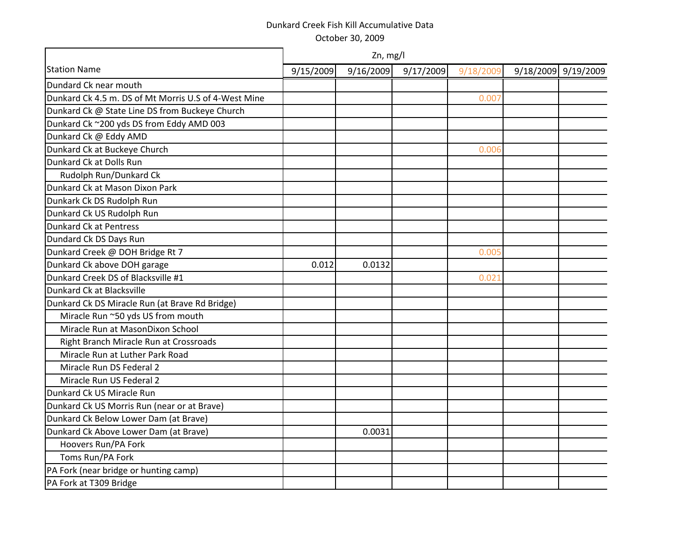|                                                      | Zn, mg/l  |           |           |           |  |                     |  |  |  |  |
|------------------------------------------------------|-----------|-----------|-----------|-----------|--|---------------------|--|--|--|--|
| <b>Station Name</b>                                  | 9/15/2009 | 9/16/2009 | 9/17/2009 | 9/18/2009 |  | 9/18/2009 9/19/2009 |  |  |  |  |
| Dundard Ck near mouth                                |           |           |           |           |  |                     |  |  |  |  |
| Dunkard Ck 4.5 m. DS of Mt Morris U.S of 4-West Mine |           |           |           | 0.007     |  |                     |  |  |  |  |
| Dunkard Ck @ State Line DS from Buckeye Church       |           |           |           |           |  |                     |  |  |  |  |
| Dunkard Ck ~200 yds DS from Eddy AMD 003             |           |           |           |           |  |                     |  |  |  |  |
| Dunkard Ck @ Eddy AMD                                |           |           |           |           |  |                     |  |  |  |  |
| Dunkard Ck at Buckeye Church                         |           |           |           | 0.006     |  |                     |  |  |  |  |
| Dunkard Ck at Dolls Run                              |           |           |           |           |  |                     |  |  |  |  |
| Rudolph Run/Dunkard Ck                               |           |           |           |           |  |                     |  |  |  |  |
| Dunkard Ck at Mason Dixon Park                       |           |           |           |           |  |                     |  |  |  |  |
| Dunkark Ck DS Rudolph Run                            |           |           |           |           |  |                     |  |  |  |  |
| Dunkard Ck US Rudolph Run                            |           |           |           |           |  |                     |  |  |  |  |
| Dunkard Ck at Pentress                               |           |           |           |           |  |                     |  |  |  |  |
| Dundard Ck DS Days Run                               |           |           |           |           |  |                     |  |  |  |  |
| Dunkard Creek @ DOH Bridge Rt 7                      |           |           |           | 0.005     |  |                     |  |  |  |  |
| Dunkard Ck above DOH garage                          | 0.012     | 0.0132    |           |           |  |                     |  |  |  |  |
| Dunkard Creek DS of Blacksville #1                   |           |           |           | 0.021     |  |                     |  |  |  |  |
| Dunkard Ck at Blacksville                            |           |           |           |           |  |                     |  |  |  |  |
| Dunkard Ck DS Miracle Run (at Brave Rd Bridge)       |           |           |           |           |  |                     |  |  |  |  |
| Miracle Run ~50 yds US from mouth                    |           |           |           |           |  |                     |  |  |  |  |
| Miracle Run at MasonDixon School                     |           |           |           |           |  |                     |  |  |  |  |
| Right Branch Miracle Run at Crossroads               |           |           |           |           |  |                     |  |  |  |  |
| Miracle Run at Luther Park Road                      |           |           |           |           |  |                     |  |  |  |  |
| Miracle Run DS Federal 2                             |           |           |           |           |  |                     |  |  |  |  |
| Miracle Run US Federal 2                             |           |           |           |           |  |                     |  |  |  |  |
| Dunkard Ck US Miracle Run                            |           |           |           |           |  |                     |  |  |  |  |
| Dunkard Ck US Morris Run (near or at Brave)          |           |           |           |           |  |                     |  |  |  |  |
| Dunkard Ck Below Lower Dam (at Brave)                |           |           |           |           |  |                     |  |  |  |  |
| Dunkard Ck Above Lower Dam (at Brave)                |           | 0.0031    |           |           |  |                     |  |  |  |  |
| Hoovers Run/PA Fork                                  |           |           |           |           |  |                     |  |  |  |  |
| Toms Run/PA Fork                                     |           |           |           |           |  |                     |  |  |  |  |
| PA Fork (near bridge or hunting camp)                |           |           |           |           |  |                     |  |  |  |  |
| PA Fork at T309 Bridge                               |           |           |           |           |  |                     |  |  |  |  |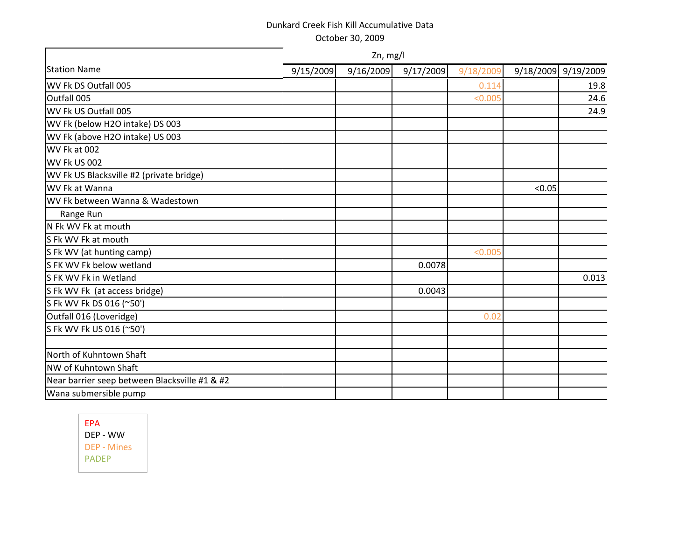|                                               | Zn, mg/l  |           |           |           |        |                     |  |  |  |  |
|-----------------------------------------------|-----------|-----------|-----------|-----------|--------|---------------------|--|--|--|--|
| <b>Station Name</b>                           | 9/15/2009 | 9/16/2009 | 9/17/2009 | 9/18/2009 |        | 9/18/2009 9/19/2009 |  |  |  |  |
| WV Fk DS Outfall 005                          |           |           |           | 0.114     |        | 19.8                |  |  |  |  |
| Outfall 005                                   |           |           |           | < 0.005   |        | 24.6                |  |  |  |  |
| WV Fk US Outfall 005                          |           |           |           |           |        | 24.9                |  |  |  |  |
| WV Fk (below H2O intake) DS 003               |           |           |           |           |        |                     |  |  |  |  |
| WV Fk (above H2O intake) US 003               |           |           |           |           |        |                     |  |  |  |  |
| WV Fk at 002                                  |           |           |           |           |        |                     |  |  |  |  |
| WV Fk US 002                                  |           |           |           |           |        |                     |  |  |  |  |
| WV Fk US Blacksville #2 (private bridge)      |           |           |           |           |        |                     |  |  |  |  |
| WV Fk at Wanna                                |           |           |           |           | < 0.05 |                     |  |  |  |  |
| WV Fk between Wanna & Wadestown               |           |           |           |           |        |                     |  |  |  |  |
| Range Run                                     |           |           |           |           |        |                     |  |  |  |  |
| N Fk WV Fk at mouth                           |           |           |           |           |        |                     |  |  |  |  |
| S Fk WV Fk at mouth                           |           |           |           |           |        |                     |  |  |  |  |
| S Fk WV (at hunting camp)                     |           |           |           | < 0.005   |        |                     |  |  |  |  |
| S FK WV Fk below wetland                      |           |           | 0.0078    |           |        |                     |  |  |  |  |
| S FK WV Fk in Wetland                         |           |           |           |           |        | 0.013               |  |  |  |  |
| S Fk WV Fk (at access bridge)                 |           |           | 0.0043    |           |        |                     |  |  |  |  |
| S Fk WV Fk DS 016 (~50')                      |           |           |           |           |        |                     |  |  |  |  |
| Outfall 016 (Loveridge)                       |           |           |           | 0.02      |        |                     |  |  |  |  |
| S Fk WV Fk US 016 (~50')                      |           |           |           |           |        |                     |  |  |  |  |
|                                               |           |           |           |           |        |                     |  |  |  |  |
| North of Kuhntown Shaft                       |           |           |           |           |        |                     |  |  |  |  |
| NW of Kuhntown Shaft                          |           |           |           |           |        |                     |  |  |  |  |
| Near barrier seep between Blacksville #1 & #2 |           |           |           |           |        |                     |  |  |  |  |
| Wana submersible pump                         |           |           |           |           |        |                     |  |  |  |  |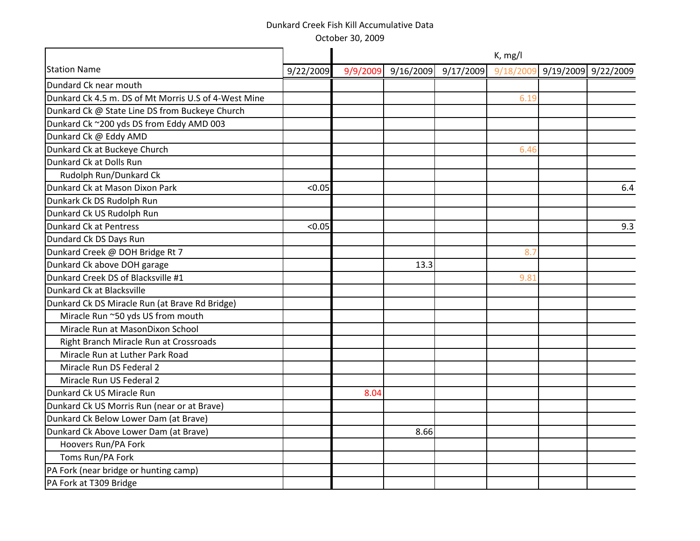October 30, 2009

|                                                      |           | K, mg/l  |           |           |           |                     |     |  |  |
|------------------------------------------------------|-----------|----------|-----------|-----------|-----------|---------------------|-----|--|--|
| <b>Station Name</b>                                  | 9/22/2009 | 9/9/2009 | 9/16/2009 | 9/17/2009 | 9/18/2009 | 9/19/2009 9/22/2009 |     |  |  |
| Dundard Ck near mouth                                |           |          |           |           |           |                     |     |  |  |
| Dunkard Ck 4.5 m. DS of Mt Morris U.S of 4-West Mine |           |          |           |           | 6.19      |                     |     |  |  |
| Dunkard Ck @ State Line DS from Buckeye Church       |           |          |           |           |           |                     |     |  |  |
| Dunkard Ck ~200 yds DS from Eddy AMD 003             |           |          |           |           |           |                     |     |  |  |
| Dunkard Ck @ Eddy AMD                                |           |          |           |           |           |                     |     |  |  |
| Dunkard Ck at Buckeye Church                         |           |          |           |           | 6.46      |                     |     |  |  |
| Dunkard Ck at Dolls Run                              |           |          |           |           |           |                     |     |  |  |
| Rudolph Run/Dunkard Ck                               |           |          |           |           |           |                     |     |  |  |
| Dunkard Ck at Mason Dixon Park                       | < 0.05    |          |           |           |           |                     | 6.4 |  |  |
| Dunkark Ck DS Rudolph Run                            |           |          |           |           |           |                     |     |  |  |
| Dunkard Ck US Rudolph Run                            |           |          |           |           |           |                     |     |  |  |
| Dunkard Ck at Pentress                               | < 0.05    |          |           |           |           |                     | 9.3 |  |  |
| Dundard Ck DS Days Run                               |           |          |           |           |           |                     |     |  |  |
| Dunkard Creek @ DOH Bridge Rt 7                      |           |          |           |           | 8.7       |                     |     |  |  |
| Dunkard Ck above DOH garage                          |           |          | 13.3      |           |           |                     |     |  |  |
| Dunkard Creek DS of Blacksville #1                   |           |          |           |           | 9.81      |                     |     |  |  |
| Dunkard Ck at Blacksville                            |           |          |           |           |           |                     |     |  |  |
| Dunkard Ck DS Miracle Run (at Brave Rd Bridge)       |           |          |           |           |           |                     |     |  |  |
| Miracle Run ~50 yds US from mouth                    |           |          |           |           |           |                     |     |  |  |
| Miracle Run at MasonDixon School                     |           |          |           |           |           |                     |     |  |  |
| Right Branch Miracle Run at Crossroads               |           |          |           |           |           |                     |     |  |  |
| Miracle Run at Luther Park Road                      |           |          |           |           |           |                     |     |  |  |
| Miracle Run DS Federal 2                             |           |          |           |           |           |                     |     |  |  |
| Miracle Run US Federal 2                             |           |          |           |           |           |                     |     |  |  |
| Dunkard Ck US Miracle Run                            |           | 8.04     |           |           |           |                     |     |  |  |
| Dunkard Ck US Morris Run (near or at Brave)          |           |          |           |           |           |                     |     |  |  |
| Dunkard Ck Below Lower Dam (at Brave)                |           |          |           |           |           |                     |     |  |  |
| Dunkard Ck Above Lower Dam (at Brave)                |           |          | 8.66      |           |           |                     |     |  |  |
| Hoovers Run/PA Fork                                  |           |          |           |           |           |                     |     |  |  |
| Toms Run/PA Fork                                     |           |          |           |           |           |                     |     |  |  |
| PA Fork (near bridge or hunting camp)                |           |          |           |           |           |                     |     |  |  |
| PA Fork at T309 Bridge                               |           |          |           |           |           |                     |     |  |  |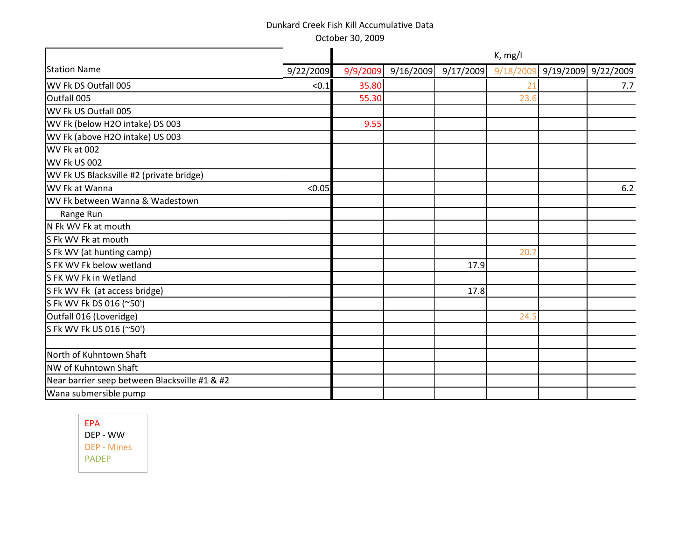October 30, 2009

|                                               |           | K, mg/l  |           |           |           |  |                     |  |  |
|-----------------------------------------------|-----------|----------|-----------|-----------|-----------|--|---------------------|--|--|
| <b>Station Name</b>                           | 9/22/2009 | 9/9/2009 | 9/16/2009 | 9/17/2009 | 9/18/2009 |  | 9/19/2009 9/22/2009 |  |  |
| WV Fk DS Outfall 005                          | < 0.1     | 35.80    |           |           | 21        |  | 7.7                 |  |  |
| Outfall 005                                   |           | 55.30    |           |           | 23.6      |  |                     |  |  |
| WV Fk US Outfall 005                          |           |          |           |           |           |  |                     |  |  |
| WV Fk (below H2O intake) DS 003               |           | 9.55     |           |           |           |  |                     |  |  |
| WV Fk (above H2O intake) US 003               |           |          |           |           |           |  |                     |  |  |
| WV Fk at 002                                  |           |          |           |           |           |  |                     |  |  |
| <b>WV Fk US 002</b>                           |           |          |           |           |           |  |                     |  |  |
| WV Fk US Blacksville #2 (private bridge)      |           |          |           |           |           |  |                     |  |  |
| WV Fk at Wanna                                | < 0.05    |          |           |           |           |  | 6.2                 |  |  |
| WV Fk between Wanna & Wadestown               |           |          |           |           |           |  |                     |  |  |
| Range Run                                     |           |          |           |           |           |  |                     |  |  |
| N Fk WV Fk at mouth                           |           |          |           |           |           |  |                     |  |  |
| S Fk WV Fk at mouth                           |           |          |           |           |           |  |                     |  |  |
| S Fk WV (at hunting camp)                     |           |          |           |           | 20.7      |  |                     |  |  |
| S FK WV Fk below wetland                      |           |          |           | 17.9      |           |  |                     |  |  |
| S FK WV Fk in Wetland                         |           |          |           |           |           |  |                     |  |  |
| S Fk WV Fk (at access bridge)                 |           |          |           | 17.8      |           |  |                     |  |  |
| S Fk WV Fk DS 016 (~50')                      |           |          |           |           |           |  |                     |  |  |
| Outfall 016 (Loveridge)                       |           |          |           |           | 24.5      |  |                     |  |  |
| S Fk WV Fk US 016 (~50')                      |           |          |           |           |           |  |                     |  |  |
|                                               |           |          |           |           |           |  |                     |  |  |
| North of Kuhntown Shaft                       |           |          |           |           |           |  |                     |  |  |
| NW of Kuhntown Shaft                          |           |          |           |           |           |  |                     |  |  |
| Near barrier seep between Blacksville #1 & #2 |           |          |           |           |           |  |                     |  |  |
| Wana submersible pump                         |           |          |           |           |           |  |                     |  |  |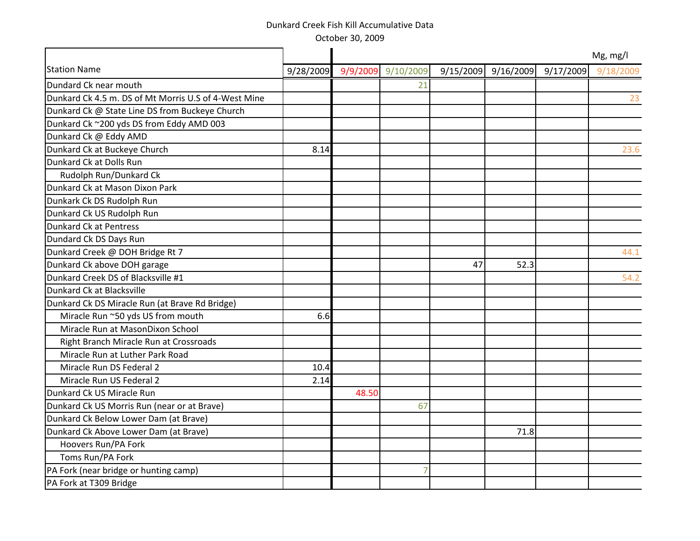October 30, 2009

|                                                      |           |       |                    |    |      |                               | Mg, mg/l  |
|------------------------------------------------------|-----------|-------|--------------------|----|------|-------------------------------|-----------|
| <b>Station Name</b>                                  | 9/28/2009 |       | 9/9/2009 9/10/2009 |    |      | 9/15/2009 9/16/2009 9/17/2009 | 9/18/2009 |
| Dundard Ck near mouth                                |           |       | 21                 |    |      |                               |           |
| Dunkard Ck 4.5 m. DS of Mt Morris U.S of 4-West Mine |           |       |                    |    |      |                               | 23        |
| Dunkard Ck @ State Line DS from Buckeye Church       |           |       |                    |    |      |                               |           |
| Dunkard Ck ~200 yds DS from Eddy AMD 003             |           |       |                    |    |      |                               |           |
| Dunkard Ck @ Eddy AMD                                |           |       |                    |    |      |                               |           |
| Dunkard Ck at Buckeye Church                         | 8.14      |       |                    |    |      |                               | 23.6      |
| Dunkard Ck at Dolls Run                              |           |       |                    |    |      |                               |           |
| Rudolph Run/Dunkard Ck                               |           |       |                    |    |      |                               |           |
| Dunkard Ck at Mason Dixon Park                       |           |       |                    |    |      |                               |           |
| Dunkark Ck DS Rudolph Run                            |           |       |                    |    |      |                               |           |
| Dunkard Ck US Rudolph Run                            |           |       |                    |    |      |                               |           |
| Dunkard Ck at Pentress                               |           |       |                    |    |      |                               |           |
| Dundard Ck DS Days Run                               |           |       |                    |    |      |                               |           |
| Dunkard Creek @ DOH Bridge Rt 7                      |           |       |                    |    |      |                               | 44.1      |
| Dunkard Ck above DOH garage                          |           |       |                    | 47 | 52.3 |                               |           |
| Dunkard Creek DS of Blacksville #1                   |           |       |                    |    |      |                               | 54.2      |
| Dunkard Ck at Blacksville                            |           |       |                    |    |      |                               |           |
| Dunkard Ck DS Miracle Run (at Brave Rd Bridge)       |           |       |                    |    |      |                               |           |
| Miracle Run ~50 yds US from mouth                    | 6.6       |       |                    |    |      |                               |           |
| Miracle Run at MasonDixon School                     |           |       |                    |    |      |                               |           |
| Right Branch Miracle Run at Crossroads               |           |       |                    |    |      |                               |           |
| Miracle Run at Luther Park Road                      |           |       |                    |    |      |                               |           |
| Miracle Run DS Federal 2                             | 10.4      |       |                    |    |      |                               |           |
| Miracle Run US Federal 2                             | 2.14      |       |                    |    |      |                               |           |
| Dunkard Ck US Miracle Run                            |           | 48.50 |                    |    |      |                               |           |
| Dunkard Ck US Morris Run (near or at Brave)          |           |       | 67                 |    |      |                               |           |
| Dunkard Ck Below Lower Dam (at Brave)                |           |       |                    |    |      |                               |           |
| Dunkard Ck Above Lower Dam (at Brave)                |           |       |                    |    | 71.8 |                               |           |
| Hoovers Run/PA Fork                                  |           |       |                    |    |      |                               |           |
| Toms Run/PA Fork                                     |           |       |                    |    |      |                               |           |
| PA Fork (near bridge or hunting camp)                |           |       |                    |    |      |                               |           |
| PA Fork at T309 Bridge                               |           |       |                    |    |      |                               |           |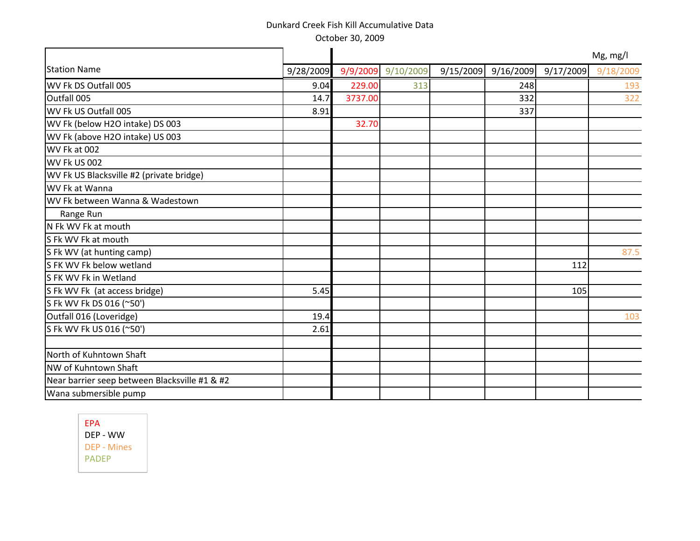|                                               |           | Mg, mg/l |                    |           |           |           |           |  |  |
|-----------------------------------------------|-----------|----------|--------------------|-----------|-----------|-----------|-----------|--|--|
| <b>Station Name</b>                           | 9/28/2009 |          | 9/9/2009 9/10/2009 | 9/15/2009 | 9/16/2009 | 9/17/2009 | 9/18/2009 |  |  |
| WV Fk DS Outfall 005                          | 9.04      | 229.00   | 313                |           | 248       |           | 193       |  |  |
| Outfall 005                                   | 14.7      | 3737.00  |                    |           | 332       |           | 322       |  |  |
| WV Fk US Outfall 005                          | 8.91      |          |                    |           | 337       |           |           |  |  |
| WV Fk (below H2O intake) DS 003               |           | 32.70    |                    |           |           |           |           |  |  |
| WV Fk (above H2O intake) US 003               |           |          |                    |           |           |           |           |  |  |
| WV Fk at 002                                  |           |          |                    |           |           |           |           |  |  |
| WV Fk US 002                                  |           |          |                    |           |           |           |           |  |  |
| WV Fk US Blacksville #2 (private bridge)      |           |          |                    |           |           |           |           |  |  |
| WV Fk at Wanna                                |           |          |                    |           |           |           |           |  |  |
| WV Fk between Wanna & Wadestown               |           |          |                    |           |           |           |           |  |  |
| Range Run                                     |           |          |                    |           |           |           |           |  |  |
| N Fk WV Fk at mouth                           |           |          |                    |           |           |           |           |  |  |
| S Fk WV Fk at mouth                           |           |          |                    |           |           |           |           |  |  |
| S Fk WV (at hunting camp)                     |           |          |                    |           |           |           | 87.5      |  |  |
| S FK WV Fk below wetland                      |           |          |                    |           |           | 112       |           |  |  |
| S FK WV Fk in Wetland                         |           |          |                    |           |           |           |           |  |  |
| S Fk WV Fk (at access bridge)                 | 5.45      |          |                    |           |           | 105       |           |  |  |
| S Fk WV Fk DS 016 (~50')                      |           |          |                    |           |           |           |           |  |  |
| Outfall 016 (Loveridge)                       | 19.4      |          |                    |           |           |           | 103       |  |  |
| S Fk WV Fk US 016 (~50')                      | 2.61      |          |                    |           |           |           |           |  |  |
|                                               |           |          |                    |           |           |           |           |  |  |
| North of Kuhntown Shaft                       |           |          |                    |           |           |           |           |  |  |
| NW of Kuhntown Shaft                          |           |          |                    |           |           |           |           |  |  |
| Near barrier seep between Blacksville #1 & #2 |           |          |                    |           |           |           |           |  |  |
| Wana submersible pump                         |           |          |                    |           |           |           |           |  |  |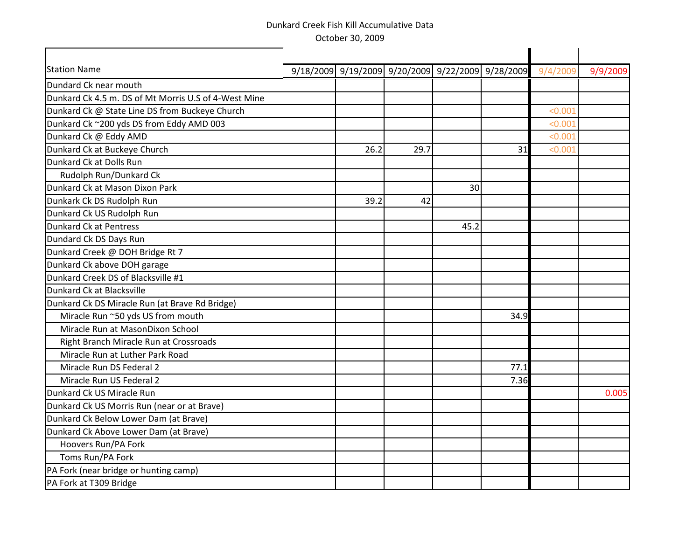| <b>Station Name</b><br>9/18/2009 9/19/2009 9/20/2009 9/22/2009 9/28/2009<br>9/4/2009<br>9/9/2009<br>Dundard Ck near mouth |
|---------------------------------------------------------------------------------------------------------------------------|
|                                                                                                                           |
|                                                                                                                           |
| Dunkard Ck 4.5 m. DS of Mt Morris U.S of 4-West Mine                                                                      |
| Dunkard Ck @ State Line DS from Buckeye Church<br>< 0.001                                                                 |
| Dunkard Ck ~200 yds DS from Eddy AMD 003<br>< 0.001                                                                       |
| Dunkard Ck @ Eddy AMD<br>< 0.001                                                                                          |
| Dunkard Ck at Buckeye Church<br>26.2<br>29.7<br>31<br>< 0.001                                                             |
| Dunkard Ck at Dolls Run                                                                                                   |
| Rudolph Run/Dunkard Ck                                                                                                    |
| Dunkard Ck at Mason Dixon Park<br>30                                                                                      |
| Dunkark Ck DS Rudolph Run<br>39.2<br>42                                                                                   |
| Dunkard Ck US Rudolph Run                                                                                                 |
| Dunkard Ck at Pentress<br>45.2                                                                                            |
| Dundard Ck DS Days Run                                                                                                    |
| Dunkard Creek @ DOH Bridge Rt 7                                                                                           |
| Dunkard Ck above DOH garage                                                                                               |
| Dunkard Creek DS of Blacksville #1                                                                                        |
| Dunkard Ck at Blacksville                                                                                                 |
| Dunkard Ck DS Miracle Run (at Brave Rd Bridge)                                                                            |
| Miracle Run ~50 yds US from mouth<br>34.9                                                                                 |
| Miracle Run at MasonDixon School                                                                                          |
| Right Branch Miracle Run at Crossroads                                                                                    |
| Miracle Run at Luther Park Road                                                                                           |
| Miracle Run DS Federal 2<br>77.1                                                                                          |
| Miracle Run US Federal 2<br>7.36                                                                                          |
| Dunkard Ck US Miracle Run<br>0.005                                                                                        |
| Dunkard Ck US Morris Run (near or at Brave)                                                                               |
| Dunkard Ck Below Lower Dam (at Brave)                                                                                     |
| Dunkard Ck Above Lower Dam (at Brave)                                                                                     |
| Hoovers Run/PA Fork                                                                                                       |
| Toms Run/PA Fork                                                                                                          |
| PA Fork (near bridge or hunting camp)                                                                                     |
| PA Fork at T309 Bridge                                                                                                    |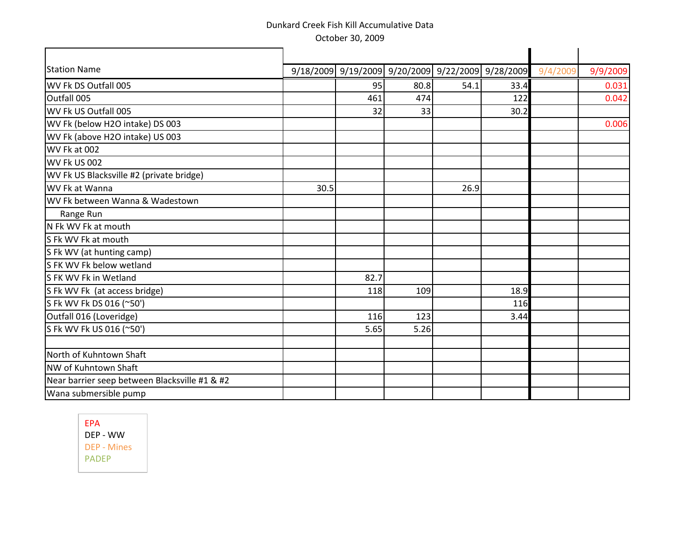| <b>Station Name</b>                           |      |      |      | 9/18/2009 9/19/2009 9/20/2009 9/22/2009 9/28/2009 |      | 9/4/2009 | 9/9/2009 |
|-----------------------------------------------|------|------|------|---------------------------------------------------|------|----------|----------|
| WV Fk DS Outfall 005                          |      | 95   | 80.8 | 54.1                                              | 33.4 |          | 0.031    |
| Outfall 005                                   |      | 461  | 474  |                                                   | 122  |          | 0.042    |
| WV Fk US Outfall 005                          |      | 32   | 33   |                                                   | 30.2 |          |          |
| WV Fk (below H2O intake) DS 003               |      |      |      |                                                   |      |          | 0.006    |
| WV Fk (above H2O intake) US 003               |      |      |      |                                                   |      |          |          |
| WV Fk at 002                                  |      |      |      |                                                   |      |          |          |
| WV Fk US 002                                  |      |      |      |                                                   |      |          |          |
| WV Fk US Blacksville #2 (private bridge)      |      |      |      |                                                   |      |          |          |
| WV Fk at Wanna                                | 30.5 |      |      | 26.9                                              |      |          |          |
| WV Fk between Wanna & Wadestown               |      |      |      |                                                   |      |          |          |
| Range Run                                     |      |      |      |                                                   |      |          |          |
| N Fk WV Fk at mouth                           |      |      |      |                                                   |      |          |          |
| S Fk WV Fk at mouth                           |      |      |      |                                                   |      |          |          |
| S Fk WV (at hunting camp)                     |      |      |      |                                                   |      |          |          |
| S FK WV Fk below wetland                      |      |      |      |                                                   |      |          |          |
| S FK WV Fk in Wetland                         |      | 82.7 |      |                                                   |      |          |          |
| S Fk WV Fk (at access bridge)                 |      | 118  | 109  |                                                   | 18.9 |          |          |
| S Fk WV Fk DS 016 (~50')                      |      |      |      |                                                   | 116  |          |          |
| Outfall 016 (Loveridge)                       |      | 116  | 123  |                                                   | 3.44 |          |          |
| S Fk WV Fk US 016 (~50')                      |      | 5.65 | 5.26 |                                                   |      |          |          |
| North of Kuhntown Shaft                       |      |      |      |                                                   |      |          |          |
| NW of Kuhntown Shaft                          |      |      |      |                                                   |      |          |          |
| Near barrier seep between Blacksville #1 & #2 |      |      |      |                                                   |      |          |          |
| Wana submersible pump                         |      |      |      |                                                   |      |          |          |
|                                               |      |      |      |                                                   |      |          |          |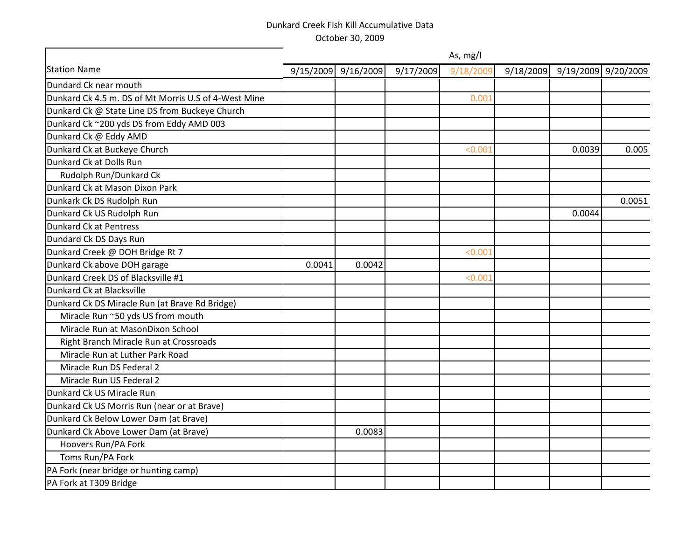|                                                      |        | As, mg/l            |           |           |           |        |                     |  |  |  |  |  |
|------------------------------------------------------|--------|---------------------|-----------|-----------|-----------|--------|---------------------|--|--|--|--|--|
| <b>Station Name</b>                                  |        | 9/15/2009 9/16/2009 | 9/17/2009 | 9/18/2009 | 9/18/2009 |        | 9/19/2009 9/20/2009 |  |  |  |  |  |
| Dundard Ck near mouth                                |        |                     |           |           |           |        |                     |  |  |  |  |  |
| Dunkard Ck 4.5 m. DS of Mt Morris U.S of 4-West Mine |        |                     |           | 0.001     |           |        |                     |  |  |  |  |  |
| Dunkard Ck @ State Line DS from Buckeye Church       |        |                     |           |           |           |        |                     |  |  |  |  |  |
| Dunkard Ck ~200 yds DS from Eddy AMD 003             |        |                     |           |           |           |        |                     |  |  |  |  |  |
| Dunkard Ck @ Eddy AMD                                |        |                     |           |           |           |        |                     |  |  |  |  |  |
| Dunkard Ck at Buckeye Church                         |        |                     |           | < 0.001   |           | 0.0039 | 0.005               |  |  |  |  |  |
| Dunkard Ck at Dolls Run                              |        |                     |           |           |           |        |                     |  |  |  |  |  |
| Rudolph Run/Dunkard Ck                               |        |                     |           |           |           |        |                     |  |  |  |  |  |
| Dunkard Ck at Mason Dixon Park                       |        |                     |           |           |           |        |                     |  |  |  |  |  |
| Dunkark Ck DS Rudolph Run                            |        |                     |           |           |           |        | 0.0051              |  |  |  |  |  |
| Dunkard Ck US Rudolph Run                            |        |                     |           |           |           | 0.0044 |                     |  |  |  |  |  |
| Dunkard Ck at Pentress                               |        |                     |           |           |           |        |                     |  |  |  |  |  |
| Dundard Ck DS Days Run                               |        |                     |           |           |           |        |                     |  |  |  |  |  |
| Dunkard Creek @ DOH Bridge Rt 7                      |        |                     |           | < 0.001   |           |        |                     |  |  |  |  |  |
| Dunkard Ck above DOH garage                          | 0.0041 | 0.0042              |           |           |           |        |                     |  |  |  |  |  |
| Dunkard Creek DS of Blacksville #1                   |        |                     |           | < 0.001   |           |        |                     |  |  |  |  |  |
| Dunkard Ck at Blacksville                            |        |                     |           |           |           |        |                     |  |  |  |  |  |
| Dunkard Ck DS Miracle Run (at Brave Rd Bridge)       |        |                     |           |           |           |        |                     |  |  |  |  |  |
| Miracle Run ~50 yds US from mouth                    |        |                     |           |           |           |        |                     |  |  |  |  |  |
| Miracle Run at MasonDixon School                     |        |                     |           |           |           |        |                     |  |  |  |  |  |
| Right Branch Miracle Run at Crossroads               |        |                     |           |           |           |        |                     |  |  |  |  |  |
| Miracle Run at Luther Park Road                      |        |                     |           |           |           |        |                     |  |  |  |  |  |
| Miracle Run DS Federal 2                             |        |                     |           |           |           |        |                     |  |  |  |  |  |
| Miracle Run US Federal 2                             |        |                     |           |           |           |        |                     |  |  |  |  |  |
| Dunkard Ck US Miracle Run                            |        |                     |           |           |           |        |                     |  |  |  |  |  |
| Dunkard Ck US Morris Run (near or at Brave)          |        |                     |           |           |           |        |                     |  |  |  |  |  |
| Dunkard Ck Below Lower Dam (at Brave)                |        |                     |           |           |           |        |                     |  |  |  |  |  |
| Dunkard Ck Above Lower Dam (at Brave)                |        | 0.0083              |           |           |           |        |                     |  |  |  |  |  |
| Hoovers Run/PA Fork                                  |        |                     |           |           |           |        |                     |  |  |  |  |  |
| Toms Run/PA Fork                                     |        |                     |           |           |           |        |                     |  |  |  |  |  |
| PA Fork (near bridge or hunting camp)                |        |                     |           |           |           |        |                     |  |  |  |  |  |
| PA Fork at T309 Bridge                               |        |                     |           |           |           |        |                     |  |  |  |  |  |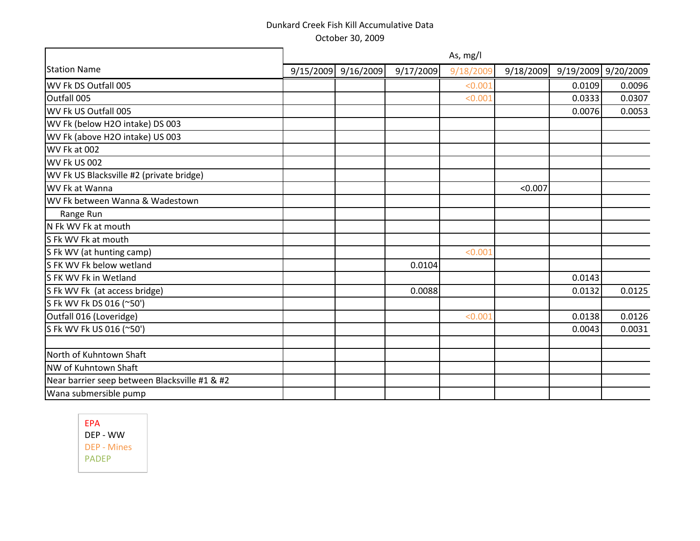|                                               |           |           |           | As, mg/l  |           |        |                     |
|-----------------------------------------------|-----------|-----------|-----------|-----------|-----------|--------|---------------------|
| <b>Station Name</b>                           | 9/15/2009 | 9/16/2009 | 9/17/2009 | 9/18/2009 | 9/18/2009 |        | 9/19/2009 9/20/2009 |
| WV Fk DS Outfall 005                          |           |           |           | < 0.001   |           | 0.0109 | 0.0096              |
| Outfall 005                                   |           |           |           | < 0.001   |           | 0.0333 | 0.0307              |
| WV Fk US Outfall 005                          |           |           |           |           |           | 0.0076 | 0.0053              |
| WV Fk (below H2O intake) DS 003               |           |           |           |           |           |        |                     |
| WV Fk (above H2O intake) US 003               |           |           |           |           |           |        |                     |
| WV Fk at 002                                  |           |           |           |           |           |        |                     |
| WV Fk US 002                                  |           |           |           |           |           |        |                     |
| WV Fk US Blacksville #2 (private bridge)      |           |           |           |           |           |        |                     |
| WV Fk at Wanna                                |           |           |           |           | < 0.007   |        |                     |
| WV Fk between Wanna & Wadestown               |           |           |           |           |           |        |                     |
| Range Run                                     |           |           |           |           |           |        |                     |
| N Fk WV Fk at mouth                           |           |           |           |           |           |        |                     |
| S Fk WV Fk at mouth                           |           |           |           |           |           |        |                     |
| S Fk WV (at hunting camp)                     |           |           |           | < 0.001   |           |        |                     |
| S FK WV Fk below wetland                      |           |           | 0.0104    |           |           |        |                     |
| S FK WV Fk in Wetland                         |           |           |           |           |           | 0.0143 |                     |
| S Fk WV Fk (at access bridge)                 |           |           | 0.0088    |           |           | 0.0132 | 0.0125              |
| S Fk WV Fk DS 016 (~50')                      |           |           |           |           |           |        |                     |
| Outfall 016 (Loveridge)                       |           |           |           | < 0.001   |           | 0.0138 | 0.0126              |
| S Fk WV Fk US 016 (~50')                      |           |           |           |           |           | 0.0043 | 0.0031              |
|                                               |           |           |           |           |           |        |                     |
| North of Kuhntown Shaft                       |           |           |           |           |           |        |                     |
| NW of Kuhntown Shaft                          |           |           |           |           |           |        |                     |
| Near barrier seep between Blacksville #1 & #2 |           |           |           |           |           |        |                     |
| Wana submersible pump                         |           |           |           |           |           |        |                     |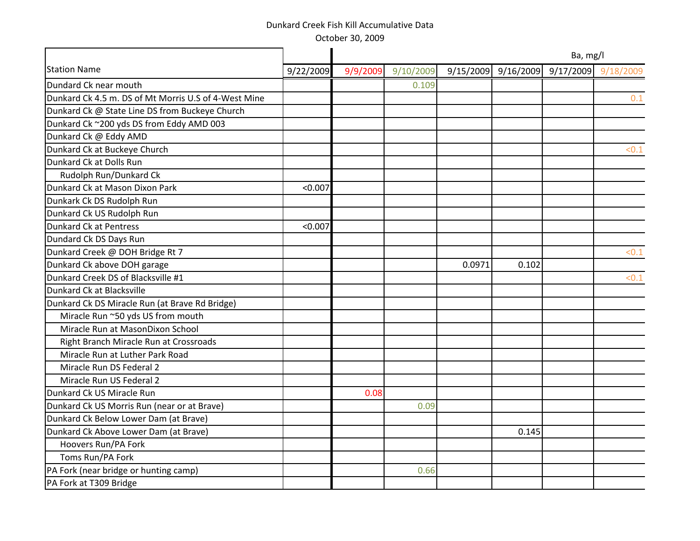October 30, 2009

|                                                      |           | Ba, mg/l |           |           |           |  |                     |  |  |
|------------------------------------------------------|-----------|----------|-----------|-----------|-----------|--|---------------------|--|--|
| <b>Station Name</b>                                  | 9/22/2009 | 9/9/2009 | 9/10/2009 | 9/15/2009 | 9/16/2009 |  | 9/17/2009 9/18/2009 |  |  |
| Dundard Ck near mouth                                |           |          | 0.109     |           |           |  |                     |  |  |
| Dunkard Ck 4.5 m. DS of Mt Morris U.S of 4-West Mine |           |          |           |           |           |  | 0.1                 |  |  |
| Dunkard Ck @ State Line DS from Buckeye Church       |           |          |           |           |           |  |                     |  |  |
| Dunkard Ck ~200 yds DS from Eddy AMD 003             |           |          |           |           |           |  |                     |  |  |
| Dunkard Ck @ Eddy AMD                                |           |          |           |           |           |  |                     |  |  |
| Dunkard Ck at Buckeye Church                         |           |          |           |           |           |  | < 0.1               |  |  |
| Dunkard Ck at Dolls Run                              |           |          |           |           |           |  |                     |  |  |
| Rudolph Run/Dunkard Ck                               |           |          |           |           |           |  |                     |  |  |
| Dunkard Ck at Mason Dixon Park                       | < 0.007   |          |           |           |           |  |                     |  |  |
| Dunkark Ck DS Rudolph Run                            |           |          |           |           |           |  |                     |  |  |
| Dunkard Ck US Rudolph Run                            |           |          |           |           |           |  |                     |  |  |
| <b>Dunkard Ck at Pentress</b>                        | < 0.007   |          |           |           |           |  |                     |  |  |
| Dundard Ck DS Days Run                               |           |          |           |           |           |  |                     |  |  |
| Dunkard Creek @ DOH Bridge Rt 7                      |           |          |           |           |           |  | < 0.1               |  |  |
| Dunkard Ck above DOH garage                          |           |          |           | 0.0971    | 0.102     |  |                     |  |  |
| Dunkard Creek DS of Blacksville #1                   |           |          |           |           |           |  | < 0.1               |  |  |
| Dunkard Ck at Blacksville                            |           |          |           |           |           |  |                     |  |  |
| Dunkard Ck DS Miracle Run (at Brave Rd Bridge)       |           |          |           |           |           |  |                     |  |  |
| Miracle Run ~50 yds US from mouth                    |           |          |           |           |           |  |                     |  |  |
| Miracle Run at MasonDixon School                     |           |          |           |           |           |  |                     |  |  |
| Right Branch Miracle Run at Crossroads               |           |          |           |           |           |  |                     |  |  |
| Miracle Run at Luther Park Road                      |           |          |           |           |           |  |                     |  |  |
| Miracle Run DS Federal 2                             |           |          |           |           |           |  |                     |  |  |
| Miracle Run US Federal 2                             |           |          |           |           |           |  |                     |  |  |
| Dunkard Ck US Miracle Run                            |           | 0.08     |           |           |           |  |                     |  |  |
| Dunkard Ck US Morris Run (near or at Brave)          |           |          | 0.09      |           |           |  |                     |  |  |
| Dunkard Ck Below Lower Dam (at Brave)                |           |          |           |           |           |  |                     |  |  |
| Dunkard Ck Above Lower Dam (at Brave)                |           |          |           |           | 0.145     |  |                     |  |  |
| Hoovers Run/PA Fork                                  |           |          |           |           |           |  |                     |  |  |
| Toms Run/PA Fork                                     |           |          |           |           |           |  |                     |  |  |
| PA Fork (near bridge or hunting camp)                |           |          | 0.66      |           |           |  |                     |  |  |
| PA Fork at T309 Bridge                               |           |          |           |           |           |  |                     |  |  |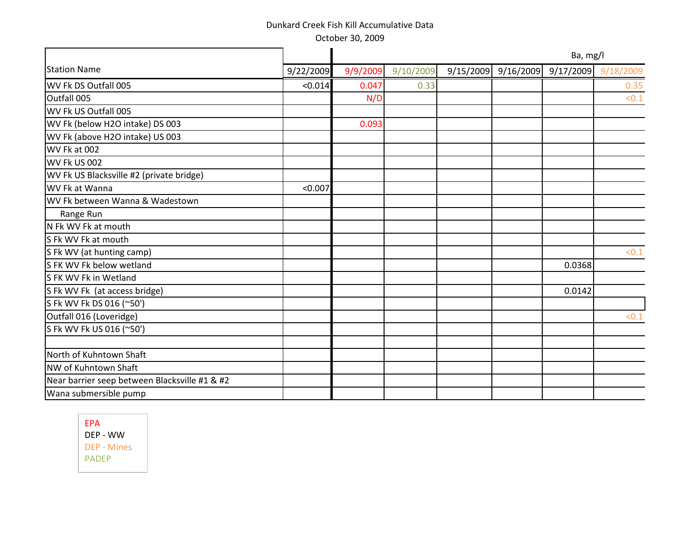October 30, 2009

|                                               |           | Ba, mg/l |           |  |                     |        |                     |  |  |
|-----------------------------------------------|-----------|----------|-----------|--|---------------------|--------|---------------------|--|--|
| <b>Station Name</b>                           | 9/22/2009 | 9/9/2009 | 9/10/2009 |  | 9/15/2009 9/16/2009 |        | 9/17/2009 9/18/2009 |  |  |
| WV Fk DS Outfall 005                          | < 0.014   | 0.047    | 0.33      |  |                     |        | 0.35                |  |  |
| Outfall 005                                   |           | N/D      |           |  |                     |        | < 0.1               |  |  |
| WV Fk US Outfall 005                          |           |          |           |  |                     |        |                     |  |  |
| WV Fk (below H2O intake) DS 003               |           | 0.093    |           |  |                     |        |                     |  |  |
| WV Fk (above H2O intake) US 003               |           |          |           |  |                     |        |                     |  |  |
| WV Fk at 002                                  |           |          |           |  |                     |        |                     |  |  |
| WV Fk US 002                                  |           |          |           |  |                     |        |                     |  |  |
| WV Fk US Blacksville #2 (private bridge)      |           |          |           |  |                     |        |                     |  |  |
| WV Fk at Wanna                                | < 0.007   |          |           |  |                     |        |                     |  |  |
| WV Fk between Wanna & Wadestown               |           |          |           |  |                     |        |                     |  |  |
| Range Run                                     |           |          |           |  |                     |        |                     |  |  |
| N Fk WV Fk at mouth                           |           |          |           |  |                     |        |                     |  |  |
| S Fk WV Fk at mouth                           |           |          |           |  |                     |        |                     |  |  |
| S Fk WV (at hunting camp)                     |           |          |           |  |                     |        | < 0.1               |  |  |
| S FK WV Fk below wetland                      |           |          |           |  |                     | 0.0368 |                     |  |  |
| S FK WV Fk in Wetland                         |           |          |           |  |                     |        |                     |  |  |
| S Fk WV Fk (at access bridge)                 |           |          |           |  |                     | 0.0142 |                     |  |  |
| S Fk WV Fk DS 016 (~50')                      |           |          |           |  |                     |        |                     |  |  |
| Outfall 016 (Loveridge)                       |           |          |           |  |                     |        | < 0.1               |  |  |
| S Fk WV Fk US 016 (~50')                      |           |          |           |  |                     |        |                     |  |  |
|                                               |           |          |           |  |                     |        |                     |  |  |
| North of Kuhntown Shaft                       |           |          |           |  |                     |        |                     |  |  |
| NW of Kuhntown Shaft                          |           |          |           |  |                     |        |                     |  |  |
| Near barrier seep between Blacksville #1 & #2 |           |          |           |  |                     |        |                     |  |  |
| Wana submersible pump                         |           |          |           |  |                     |        |                     |  |  |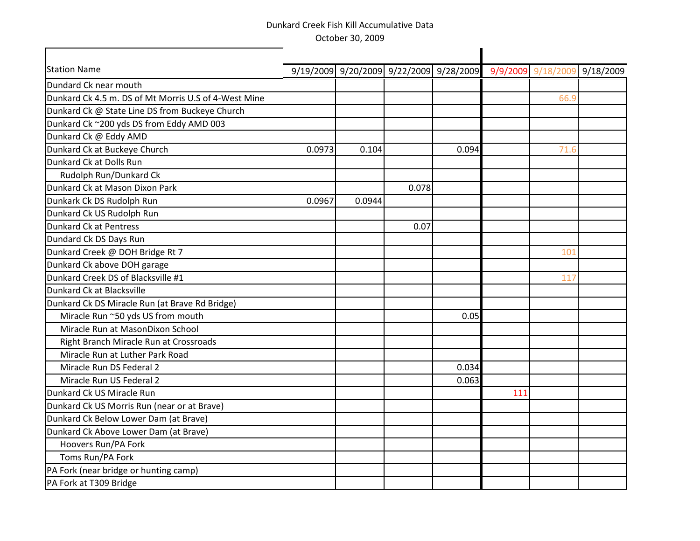| <b>Station Name</b>                                  |        | 9/19/2009 9/20/2009 9/22/2009 9/28/2009 |       |       |     | 9/9/2009 9/18/2009 | 9/18/2009 |
|------------------------------------------------------|--------|-----------------------------------------|-------|-------|-----|--------------------|-----------|
| Dundard Ck near mouth                                |        |                                         |       |       |     |                    |           |
| Dunkard Ck 4.5 m. DS of Mt Morris U.S of 4-West Mine |        |                                         |       |       |     | 66.9               |           |
| Dunkard Ck @ State Line DS from Buckeye Church       |        |                                         |       |       |     |                    |           |
| Dunkard Ck ~200 yds DS from Eddy AMD 003             |        |                                         |       |       |     |                    |           |
| Dunkard Ck @ Eddy AMD                                |        |                                         |       |       |     |                    |           |
| Dunkard Ck at Buckeye Church                         | 0.0973 | 0.104                                   |       | 0.094 |     | 71.6               |           |
| Dunkard Ck at Dolls Run                              |        |                                         |       |       |     |                    |           |
| Rudolph Run/Dunkard Ck                               |        |                                         |       |       |     |                    |           |
| Dunkard Ck at Mason Dixon Park                       |        |                                         | 0.078 |       |     |                    |           |
| Dunkark Ck DS Rudolph Run                            | 0.0967 | 0.0944                                  |       |       |     |                    |           |
| Dunkard Ck US Rudolph Run                            |        |                                         |       |       |     |                    |           |
| Dunkard Ck at Pentress                               |        |                                         | 0.07  |       |     |                    |           |
| Dundard Ck DS Days Run                               |        |                                         |       |       |     |                    |           |
| Dunkard Creek @ DOH Bridge Rt 7                      |        |                                         |       |       |     | 101                |           |
| Dunkard Ck above DOH garage                          |        |                                         |       |       |     |                    |           |
| Dunkard Creek DS of Blacksville #1                   |        |                                         |       |       |     | 117                |           |
| Dunkard Ck at Blacksville                            |        |                                         |       |       |     |                    |           |
| Dunkard Ck DS Miracle Run (at Brave Rd Bridge)       |        |                                         |       |       |     |                    |           |
| Miracle Run ~50 yds US from mouth                    |        |                                         |       | 0.05  |     |                    |           |
| Miracle Run at MasonDixon School                     |        |                                         |       |       |     |                    |           |
| Right Branch Miracle Run at Crossroads               |        |                                         |       |       |     |                    |           |
| Miracle Run at Luther Park Road                      |        |                                         |       |       |     |                    |           |
| Miracle Run DS Federal 2                             |        |                                         |       | 0.034 |     |                    |           |
| Miracle Run US Federal 2                             |        |                                         |       | 0.063 |     |                    |           |
| Dunkard Ck US Miracle Run                            |        |                                         |       |       | 111 |                    |           |
| Dunkard Ck US Morris Run (near or at Brave)          |        |                                         |       |       |     |                    |           |
| Dunkard Ck Below Lower Dam (at Brave)                |        |                                         |       |       |     |                    |           |
| Dunkard Ck Above Lower Dam (at Brave)                |        |                                         |       |       |     |                    |           |
| Hoovers Run/PA Fork                                  |        |                                         |       |       |     |                    |           |
| Toms Run/PA Fork                                     |        |                                         |       |       |     |                    |           |
| PA Fork (near bridge or hunting camp)                |        |                                         |       |       |     |                    |           |
| PA Fork at T309 Bridge                               |        |                                         |       |       |     |                    |           |
|                                                      |        |                                         |       |       |     |                    |           |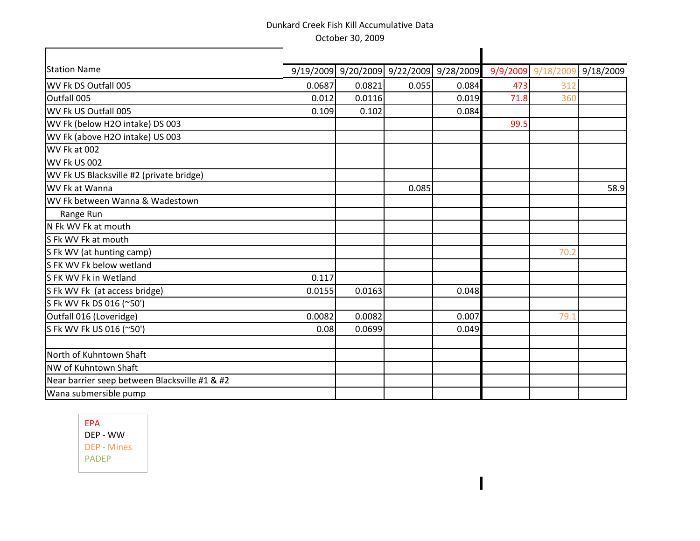| <b>Station Name</b>                           |        |        | 9/19/2009 9/20/2009 9/22/2009 9/28/2009 |       |      | 9/9/2009 9/18/2009 | 9/18/2009 |
|-----------------------------------------------|--------|--------|-----------------------------------------|-------|------|--------------------|-----------|
| WV Fk DS Outfall 005                          | 0.0687 | 0.0821 | 0.055                                   | 0.084 | 473  | 312                |           |
| Outfall 005                                   | 0.012  | 0.0116 |                                         | 0.019 | 71.8 | 360                |           |
| WV Fk US Outfall 005                          | 0.109  | 0.102  |                                         | 0.084 |      |                    |           |
| WV Fk (below H2O intake) DS 003               |        |        |                                         |       | 99.5 |                    |           |
| WV Fk (above H2O intake) US 003               |        |        |                                         |       |      |                    |           |
| WV Fk at 002                                  |        |        |                                         |       |      |                    |           |
| WV Fk US 002                                  |        |        |                                         |       |      |                    |           |
| WV Fk US Blacksville #2 (private bridge)      |        |        |                                         |       |      |                    |           |
| WV Fk at Wanna                                |        |        | 0.085                                   |       |      |                    | 58.9      |
| WV Fk between Wanna & Wadestown               |        |        |                                         |       |      |                    |           |
| Range Run                                     |        |        |                                         |       |      |                    |           |
| N Fk WV Fk at mouth                           |        |        |                                         |       |      |                    |           |
| S Fk WV Fk at mouth                           |        |        |                                         |       |      |                    |           |
| S Fk WV (at hunting camp)                     |        |        |                                         |       |      | 70.2               |           |
| S FK WV Fk below wetland                      |        |        |                                         |       |      |                    |           |
| S FK WV Fk in Wetland                         | 0.117  |        |                                         |       |      |                    |           |
| S Fk WV Fk (at access bridge)                 | 0.0155 | 0.0163 |                                         | 0.048 |      |                    |           |
| S Fk WV Fk DS 016 (~50')                      |        |        |                                         |       |      |                    |           |
| Outfall 016 (Loveridge)                       | 0.0082 | 0.0082 |                                         | 0.007 |      | 79.1               |           |
| S Fk WV Fk US 016 (~50')                      | 0.08   | 0.0699 |                                         | 0.049 |      |                    |           |
| North of Kuhntown Shaft                       |        |        |                                         |       |      |                    |           |
| NW of Kuhntown Shaft                          |        |        |                                         |       |      |                    |           |
| Near barrier seep between Blacksville #1 & #2 |        |        |                                         |       |      |                    |           |
| Wana submersible pump                         |        |        |                                         |       |      |                    |           |
|                                               |        |        |                                         |       |      |                    |           |

 $\blacksquare$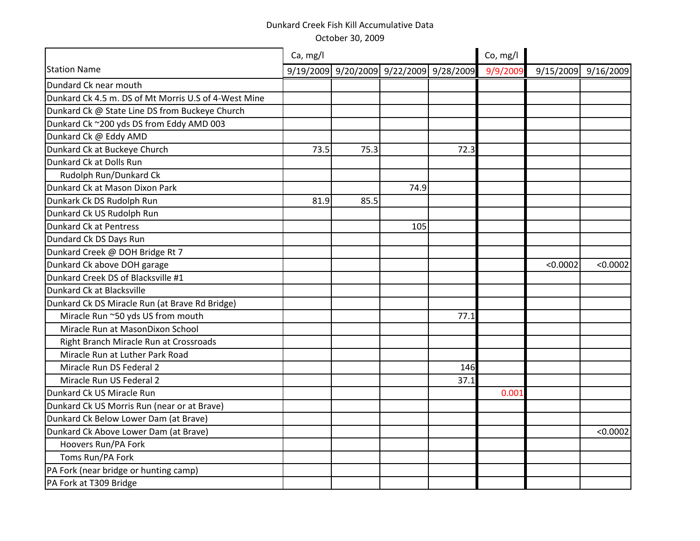|                                                      | Ca, mg/l |      |      |                                         | Co, mg/l |          |                     |
|------------------------------------------------------|----------|------|------|-----------------------------------------|----------|----------|---------------------|
| <b>Station Name</b>                                  |          |      |      | 9/19/2009 9/20/2009 9/22/2009 9/28/2009 | 9/9/2009 |          | 9/15/2009 9/16/2009 |
| Dundard Ck near mouth                                |          |      |      |                                         |          |          |                     |
| Dunkard Ck 4.5 m. DS of Mt Morris U.S of 4-West Mine |          |      |      |                                         |          |          |                     |
| Dunkard Ck @ State Line DS from Buckeye Church       |          |      |      |                                         |          |          |                     |
| Dunkard Ck ~200 yds DS from Eddy AMD 003             |          |      |      |                                         |          |          |                     |
| Dunkard Ck @ Eddy AMD                                |          |      |      |                                         |          |          |                     |
| Dunkard Ck at Buckeye Church                         | 73.5     | 75.3 |      | 72.3                                    |          |          |                     |
| Dunkard Ck at Dolls Run                              |          |      |      |                                         |          |          |                     |
| Rudolph Run/Dunkard Ck                               |          |      |      |                                         |          |          |                     |
| Dunkard Ck at Mason Dixon Park                       |          |      | 74.9 |                                         |          |          |                     |
| Dunkark Ck DS Rudolph Run                            | 81.9     | 85.5 |      |                                         |          |          |                     |
| Dunkard Ck US Rudolph Run                            |          |      |      |                                         |          |          |                     |
| Dunkard Ck at Pentress                               |          |      | 105  |                                         |          |          |                     |
| Dundard Ck DS Days Run                               |          |      |      |                                         |          |          |                     |
| Dunkard Creek @ DOH Bridge Rt 7                      |          |      |      |                                         |          |          |                     |
| Dunkard Ck above DOH garage                          |          |      |      |                                         |          | < 0.0002 | < 0.0002            |
| Dunkard Creek DS of Blacksville #1                   |          |      |      |                                         |          |          |                     |
| Dunkard Ck at Blacksville                            |          |      |      |                                         |          |          |                     |
| Dunkard Ck DS Miracle Run (at Brave Rd Bridge)       |          |      |      |                                         |          |          |                     |
| Miracle Run ~50 yds US from mouth                    |          |      |      | 77.1                                    |          |          |                     |
| Miracle Run at MasonDixon School                     |          |      |      |                                         |          |          |                     |
| Right Branch Miracle Run at Crossroads               |          |      |      |                                         |          |          |                     |
| Miracle Run at Luther Park Road                      |          |      |      |                                         |          |          |                     |
| Miracle Run DS Federal 2                             |          |      |      | 146                                     |          |          |                     |
| Miracle Run US Federal 2                             |          |      |      | 37.1                                    |          |          |                     |
| Dunkard Ck US Miracle Run                            |          |      |      |                                         | 0.001    |          |                     |
| Dunkard Ck US Morris Run (near or at Brave)          |          |      |      |                                         |          |          |                     |
| Dunkard Ck Below Lower Dam (at Brave)                |          |      |      |                                         |          |          |                     |
| Dunkard Ck Above Lower Dam (at Brave)                |          |      |      |                                         |          |          | < 0.0002            |
| Hoovers Run/PA Fork                                  |          |      |      |                                         |          |          |                     |
| Toms Run/PA Fork                                     |          |      |      |                                         |          |          |                     |
| PA Fork (near bridge or hunting camp)                |          |      |      |                                         |          |          |                     |
| PA Fork at T309 Bridge                               |          |      |      |                                         |          |          |                     |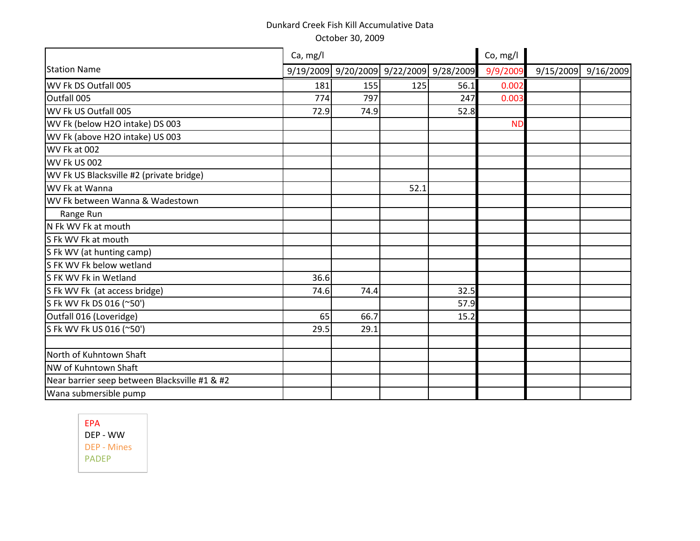|                                               | Ca, mg/l |                                         |      | Co, mg/l |           |  |                     |
|-----------------------------------------------|----------|-----------------------------------------|------|----------|-----------|--|---------------------|
| <b>Station Name</b>                           |          | 9/19/2009 9/20/2009 9/22/2009 9/28/2009 |      |          | 9/9/2009  |  | 9/15/2009 9/16/2009 |
| WV Fk DS Outfall 005                          | 181      | 155                                     | 125  | 56.1     | 0.002     |  |                     |
| Outfall 005                                   | 774      | 797                                     |      | 247      | 0.003     |  |                     |
| WV Fk US Outfall 005                          | 72.9     | 74.9                                    |      | 52.8     |           |  |                     |
| WV Fk (below H2O intake) DS 003               |          |                                         |      |          | <b>ND</b> |  |                     |
| WV Fk (above H2O intake) US 003               |          |                                         |      |          |           |  |                     |
| WV Fk at 002                                  |          |                                         |      |          |           |  |                     |
| WV Fk US 002                                  |          |                                         |      |          |           |  |                     |
| WV Fk US Blacksville #2 (private bridge)      |          |                                         |      |          |           |  |                     |
| WV Fk at Wanna                                |          |                                         | 52.1 |          |           |  |                     |
| WV Fk between Wanna & Wadestown               |          |                                         |      |          |           |  |                     |
| Range Run                                     |          |                                         |      |          |           |  |                     |
| N Fk WV Fk at mouth                           |          |                                         |      |          |           |  |                     |
| S Fk WV Fk at mouth                           |          |                                         |      |          |           |  |                     |
| S Fk WV (at hunting camp)                     |          |                                         |      |          |           |  |                     |
| S FK WV Fk below wetland                      |          |                                         |      |          |           |  |                     |
| S FK WV Fk in Wetland                         | 36.6     |                                         |      |          |           |  |                     |
| S Fk WV Fk (at access bridge)                 | 74.6     | 74.4                                    |      | 32.5     |           |  |                     |
| S Fk WV Fk DS 016 (~50')                      |          |                                         |      | 57.9     |           |  |                     |
| Outfall 016 (Loveridge)                       | 65       | 66.7                                    |      | 15.2     |           |  |                     |
| S Fk WV Fk US 016 (~50')                      | 29.5     | 29.1                                    |      |          |           |  |                     |
|                                               |          |                                         |      |          |           |  |                     |
| North of Kuhntown Shaft                       |          |                                         |      |          |           |  |                     |
| NW of Kuhntown Shaft                          |          |                                         |      |          |           |  |                     |
| Near barrier seep between Blacksville #1 & #2 |          |                                         |      |          |           |  |                     |
| Wana submersible pump                         |          |                                         |      |          |           |  |                     |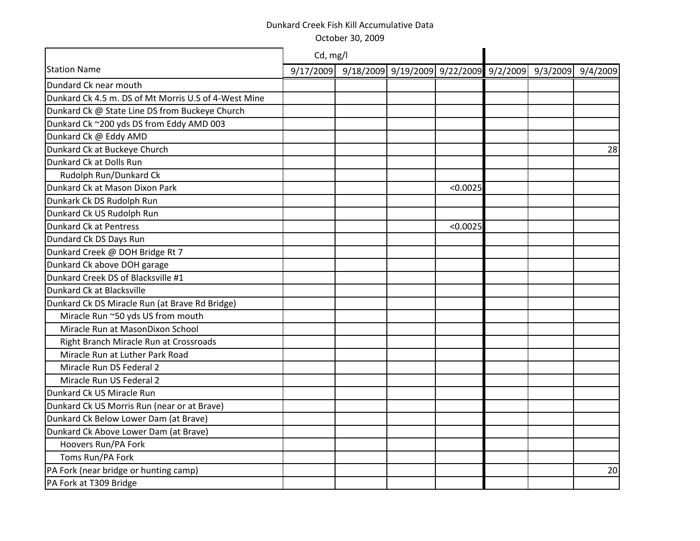|                                                      | Cd, mg/l |                                                                    |          |  |    |
|------------------------------------------------------|----------|--------------------------------------------------------------------|----------|--|----|
| <b>Station Name</b>                                  |          | 9/17/2009 9/18/2009 9/19/2009 9/22/2009 9/2/2009 9/3/2009 9/4/2009 |          |  |    |
| Dundard Ck near mouth                                |          |                                                                    |          |  |    |
| Dunkard Ck 4.5 m. DS of Mt Morris U.S of 4-West Mine |          |                                                                    |          |  |    |
| Dunkard Ck @ State Line DS from Buckeye Church       |          |                                                                    |          |  |    |
| Dunkard Ck ~200 yds DS from Eddy AMD 003             |          |                                                                    |          |  |    |
| Dunkard Ck @ Eddy AMD                                |          |                                                                    |          |  |    |
| Dunkard Ck at Buckeye Church                         |          |                                                                    |          |  | 28 |
| Dunkard Ck at Dolls Run                              |          |                                                                    |          |  |    |
| Rudolph Run/Dunkard Ck                               |          |                                                                    |          |  |    |
| Dunkard Ck at Mason Dixon Park                       |          |                                                                    | < 0.0025 |  |    |
| Dunkark Ck DS Rudolph Run                            |          |                                                                    |          |  |    |
| Dunkard Ck US Rudolph Run                            |          |                                                                    |          |  |    |
| Dunkard Ck at Pentress                               |          |                                                                    | < 0.0025 |  |    |
| Dundard Ck DS Days Run                               |          |                                                                    |          |  |    |
| Dunkard Creek @ DOH Bridge Rt 7                      |          |                                                                    |          |  |    |
| Dunkard Ck above DOH garage                          |          |                                                                    |          |  |    |
| Dunkard Creek DS of Blacksville #1                   |          |                                                                    |          |  |    |
| Dunkard Ck at Blacksville                            |          |                                                                    |          |  |    |
| Dunkard Ck DS Miracle Run (at Brave Rd Bridge)       |          |                                                                    |          |  |    |
| Miracle Run ~50 yds US from mouth                    |          |                                                                    |          |  |    |
| Miracle Run at MasonDixon School                     |          |                                                                    |          |  |    |
| Right Branch Miracle Run at Crossroads               |          |                                                                    |          |  |    |
| Miracle Run at Luther Park Road                      |          |                                                                    |          |  |    |
| Miracle Run DS Federal 2                             |          |                                                                    |          |  |    |
| Miracle Run US Federal 2                             |          |                                                                    |          |  |    |
| Dunkard Ck US Miracle Run                            |          |                                                                    |          |  |    |
| Dunkard Ck US Morris Run (near or at Brave)          |          |                                                                    |          |  |    |
| Dunkard Ck Below Lower Dam (at Brave)                |          |                                                                    |          |  |    |
| Dunkard Ck Above Lower Dam (at Brave)                |          |                                                                    |          |  |    |
| Hoovers Run/PA Fork                                  |          |                                                                    |          |  |    |
| Toms Run/PA Fork                                     |          |                                                                    |          |  |    |
| PA Fork (near bridge or hunting camp)                |          |                                                                    |          |  | 20 |
| PA Fork at T309 Bridge                               |          |                                                                    |          |  |    |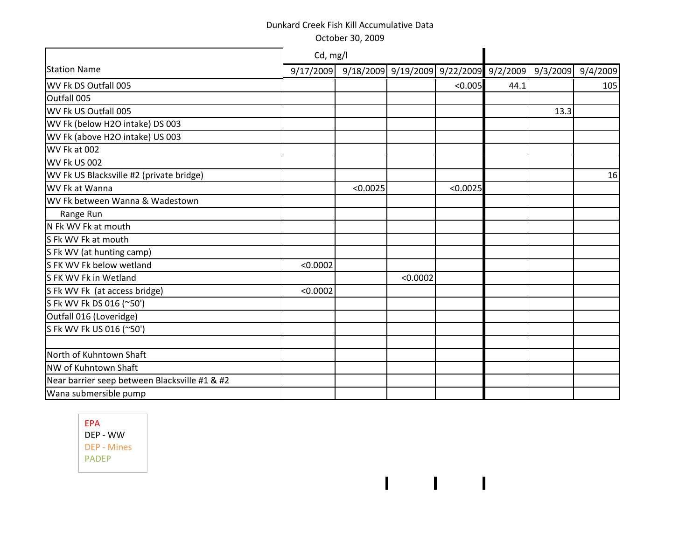October 30, 2009

|                                               | Cd, mg/l  |          |          |                                                          |      |      |     |
|-----------------------------------------------|-----------|----------|----------|----------------------------------------------------------|------|------|-----|
| <b>Station Name</b>                           | 9/17/2009 |          |          | 9/18/2009 9/19/2009 9/22/2009 9/2/2009 9/3/2009 9/4/2009 |      |      |     |
| WV Fk DS Outfall 005                          |           |          |          | < 0.005                                                  | 44.1 |      | 105 |
| Outfall 005                                   |           |          |          |                                                          |      |      |     |
| WV Fk US Outfall 005                          |           |          |          |                                                          |      | 13.3 |     |
| WV Fk (below H2O intake) DS 003               |           |          |          |                                                          |      |      |     |
| WV Fk (above H2O intake) US 003               |           |          |          |                                                          |      |      |     |
| WV Fk at 002                                  |           |          |          |                                                          |      |      |     |
| WV Fk US 002                                  |           |          |          |                                                          |      |      |     |
| WV Fk US Blacksville #2 (private bridge)      |           |          |          |                                                          |      |      | 16  |
| WV Fk at Wanna                                |           | < 0.0025 |          | < 0.0025                                                 |      |      |     |
| WV Fk between Wanna & Wadestown               |           |          |          |                                                          |      |      |     |
| Range Run                                     |           |          |          |                                                          |      |      |     |
| N Fk WV Fk at mouth                           |           |          |          |                                                          |      |      |     |
| S Fk WV Fk at mouth                           |           |          |          |                                                          |      |      |     |
| S Fk WV (at hunting camp)                     |           |          |          |                                                          |      |      |     |
| S FK WV Fk below wetland                      | < 0.0002  |          |          |                                                          |      |      |     |
| S FK WV Fk in Wetland                         |           |          | < 0.0002 |                                                          |      |      |     |
| S Fk WV Fk (at access bridge)                 | < 0.0002  |          |          |                                                          |      |      |     |
| S Fk WV Fk DS 016 (~50')                      |           |          |          |                                                          |      |      |     |
| Outfall 016 (Loveridge)                       |           |          |          |                                                          |      |      |     |
| S Fk WV Fk US 016 (~50')                      |           |          |          |                                                          |      |      |     |
|                                               |           |          |          |                                                          |      |      |     |
| North of Kuhntown Shaft                       |           |          |          |                                                          |      |      |     |
| NW of Kuhntown Shaft                          |           |          |          |                                                          |      |      |     |
| Near barrier seep between Blacksville #1 & #2 |           |          |          |                                                          |      |      |     |
| Wana submersible pump                         |           |          |          |                                                          |      |      |     |

 $1 - 1 - 1$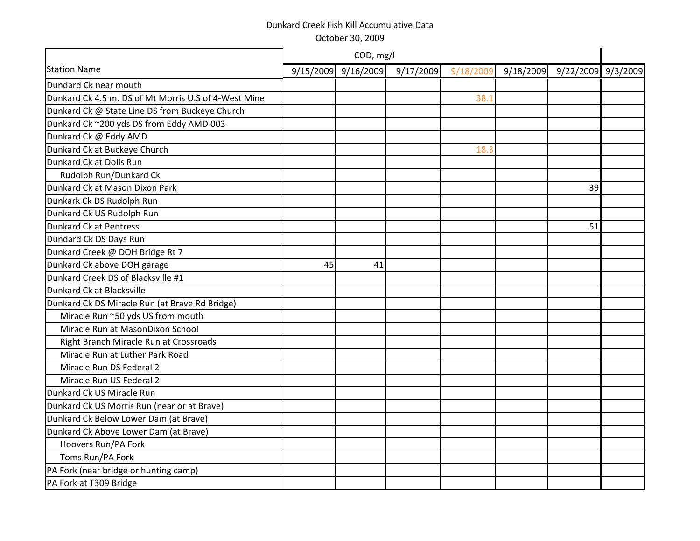|                                                      |    | COD, mg/l           |           |           |           |                    |  |
|------------------------------------------------------|----|---------------------|-----------|-----------|-----------|--------------------|--|
| <b>Station Name</b>                                  |    | 9/15/2009 9/16/2009 | 9/17/2009 | 9/18/2009 | 9/18/2009 | 9/22/2009 9/3/2009 |  |
| Dundard Ck near mouth                                |    |                     |           |           |           |                    |  |
| Dunkard Ck 4.5 m. DS of Mt Morris U.S of 4-West Mine |    |                     |           | 38.1      |           |                    |  |
| Dunkard Ck @ State Line DS from Buckeye Church       |    |                     |           |           |           |                    |  |
| Dunkard Ck ~200 yds DS from Eddy AMD 003             |    |                     |           |           |           |                    |  |
| Dunkard Ck @ Eddy AMD                                |    |                     |           |           |           |                    |  |
| Dunkard Ck at Buckeye Church                         |    |                     |           | 18.3      |           |                    |  |
| Dunkard Ck at Dolls Run                              |    |                     |           |           |           |                    |  |
| Rudolph Run/Dunkard Ck                               |    |                     |           |           |           |                    |  |
| Dunkard Ck at Mason Dixon Park                       |    |                     |           |           |           | 39                 |  |
| Dunkark Ck DS Rudolph Run                            |    |                     |           |           |           |                    |  |
| Dunkard Ck US Rudolph Run                            |    |                     |           |           |           |                    |  |
| Dunkard Ck at Pentress                               |    |                     |           |           |           | 51                 |  |
| Dundard Ck DS Days Run                               |    |                     |           |           |           |                    |  |
| Dunkard Creek @ DOH Bridge Rt 7                      |    |                     |           |           |           |                    |  |
| Dunkard Ck above DOH garage                          | 45 | 41                  |           |           |           |                    |  |
| Dunkard Creek DS of Blacksville #1                   |    |                     |           |           |           |                    |  |
| Dunkard Ck at Blacksville                            |    |                     |           |           |           |                    |  |
| Dunkard Ck DS Miracle Run (at Brave Rd Bridge)       |    |                     |           |           |           |                    |  |
| Miracle Run ~50 yds US from mouth                    |    |                     |           |           |           |                    |  |
| Miracle Run at MasonDixon School                     |    |                     |           |           |           |                    |  |
| Right Branch Miracle Run at Crossroads               |    |                     |           |           |           |                    |  |
| Miracle Run at Luther Park Road                      |    |                     |           |           |           |                    |  |
| Miracle Run DS Federal 2                             |    |                     |           |           |           |                    |  |
| Miracle Run US Federal 2                             |    |                     |           |           |           |                    |  |
| Dunkard Ck US Miracle Run                            |    |                     |           |           |           |                    |  |
| Dunkard Ck US Morris Run (near or at Brave)          |    |                     |           |           |           |                    |  |
| Dunkard Ck Below Lower Dam (at Brave)                |    |                     |           |           |           |                    |  |
| Dunkard Ck Above Lower Dam (at Brave)                |    |                     |           |           |           |                    |  |

 Hoovers Run/PA Fork Toms Run/PA Fork

PA Fork at T309 Bridge

PA Fork (near bridge or hunting camp)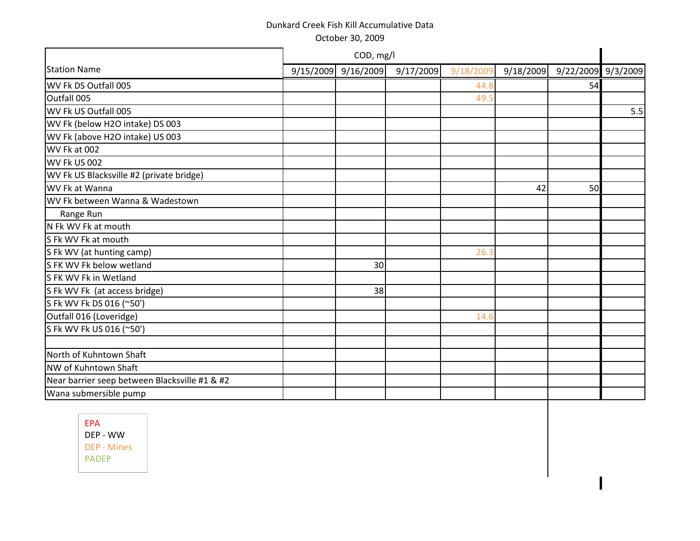|                                               | COD, mg/l           |           |           |           |                    |     |
|-----------------------------------------------|---------------------|-----------|-----------|-----------|--------------------|-----|
| <b>Station Name</b>                           | 9/15/2009 9/16/2009 | 9/17/2009 | 9/18/2009 | 9/18/2009 | 9/22/2009 9/3/2009 |     |
| WV Fk DS Outfall 005                          |                     |           | 44.8      |           | 54                 |     |
| Outfall 005                                   |                     |           | 49.5      |           |                    |     |
| WV Fk US Outfall 005                          |                     |           |           |           |                    | 5.5 |
| WV Fk (below H2O intake) DS 003               |                     |           |           |           |                    |     |
| WV Fk (above H2O intake) US 003               |                     |           |           |           |                    |     |
| WV Fk at 002                                  |                     |           |           |           |                    |     |
| <b>WV Fk US 002</b>                           |                     |           |           |           |                    |     |
| WV Fk US Blacksville #2 (private bridge)      |                     |           |           |           |                    |     |
| WV Fk at Wanna                                |                     |           |           | 42        | 50                 |     |
| WV Fk between Wanna & Wadestown               |                     |           |           |           |                    |     |
| Range Run                                     |                     |           |           |           |                    |     |
| N Fk WV Fk at mouth                           |                     |           |           |           |                    |     |
| S Fk WV Fk at mouth                           |                     |           |           |           |                    |     |
| S Fk WV (at hunting camp)                     |                     |           | 26.3      |           |                    |     |
| SFK WV Fk below wetland                       | 30                  |           |           |           |                    |     |
| S FK WV Fk in Wetland                         |                     |           |           |           |                    |     |
| S Fk WV Fk (at access bridge)                 | 38                  |           |           |           |                    |     |
| S Fk WV Fk DS 016 (~50')                      |                     |           |           |           |                    |     |
| Outfall 016 (Loveridge)                       |                     |           | 14.6      |           |                    |     |
| S Fk WV Fk US 016 (~50')                      |                     |           |           |           |                    |     |
|                                               |                     |           |           |           |                    |     |
| North of Kuhntown Shaft                       |                     |           |           |           |                    |     |
| NW of Kuhntown Shaft                          |                     |           |           |           |                    |     |
| Near barrier seep between Blacksville #1 & #2 |                     |           |           |           |                    |     |
| Wana submersible pump                         |                     |           |           |           |                    |     |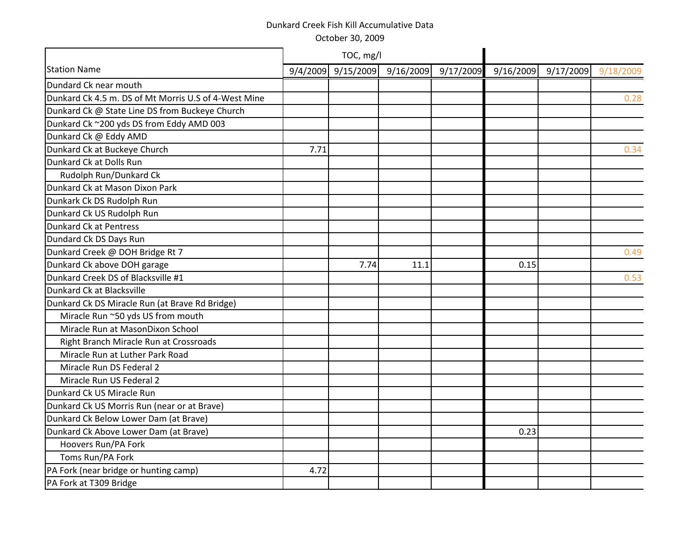|                                                      |          | TOC, mg/l |           |           |           |           |           |
|------------------------------------------------------|----------|-----------|-----------|-----------|-----------|-----------|-----------|
| <b>Station Name</b>                                  | 9/4/2009 | 9/15/2009 | 9/16/2009 | 9/17/2009 | 9/16/2009 | 9/17/2009 | 9/18/2009 |
| Dundard Ck near mouth                                |          |           |           |           |           |           |           |
| Dunkard Ck 4.5 m. DS of Mt Morris U.S of 4-West Mine |          |           |           |           |           |           | 0.28      |
| Dunkard Ck @ State Line DS from Buckeye Church       |          |           |           |           |           |           |           |
| Dunkard Ck ~200 yds DS from Eddy AMD 003             |          |           |           |           |           |           |           |
| Dunkard Ck @ Eddy AMD                                |          |           |           |           |           |           |           |
| Dunkard Ck at Buckeye Church                         | 7.71     |           |           |           |           |           | 0.34      |
| Dunkard Ck at Dolls Run                              |          |           |           |           |           |           |           |
| Rudolph Run/Dunkard Ck                               |          |           |           |           |           |           |           |
| Dunkard Ck at Mason Dixon Park                       |          |           |           |           |           |           |           |
| Dunkark Ck DS Rudolph Run                            |          |           |           |           |           |           |           |
| Dunkard Ck US Rudolph Run                            |          |           |           |           |           |           |           |
| <b>Dunkard Ck at Pentress</b>                        |          |           |           |           |           |           |           |
| Dundard Ck DS Days Run                               |          |           |           |           |           |           |           |
| Dunkard Creek @ DOH Bridge Rt 7                      |          |           |           |           |           |           | 0.49      |
| Dunkard Ck above DOH garage                          |          | 7.74      | 11.1      |           | 0.15      |           |           |
| Dunkard Creek DS of Blacksville #1                   |          |           |           |           |           |           | 0.53      |
| Dunkard Ck at Blacksville                            |          |           |           |           |           |           |           |
| Dunkard Ck DS Miracle Run (at Brave Rd Bridge)       |          |           |           |           |           |           |           |
| Miracle Run ~50 yds US from mouth                    |          |           |           |           |           |           |           |
| Miracle Run at MasonDixon School                     |          |           |           |           |           |           |           |
| Right Branch Miracle Run at Crossroads               |          |           |           |           |           |           |           |
| Miracle Run at Luther Park Road                      |          |           |           |           |           |           |           |
| Miracle Run DS Federal 2                             |          |           |           |           |           |           |           |
| Miracle Run US Federal 2                             |          |           |           |           |           |           |           |
| Dunkard Ck US Miracle Run                            |          |           |           |           |           |           |           |
| Dunkard Ck US Morris Run (near or at Brave)          |          |           |           |           |           |           |           |
| Dunkard Ck Below Lower Dam (at Brave)                |          |           |           |           |           |           |           |
| Dunkard Ck Above Lower Dam (at Brave)                |          |           |           |           | 0.23      |           |           |
| Hoovers Run/PA Fork                                  |          |           |           |           |           |           |           |
| Toms Run/PA Fork                                     |          |           |           |           |           |           |           |
| PA Fork (near bridge or hunting camp)                | 4.72     |           |           |           |           |           |           |
| PA Fork at T309 Bridge                               |          |           |           |           |           |           |           |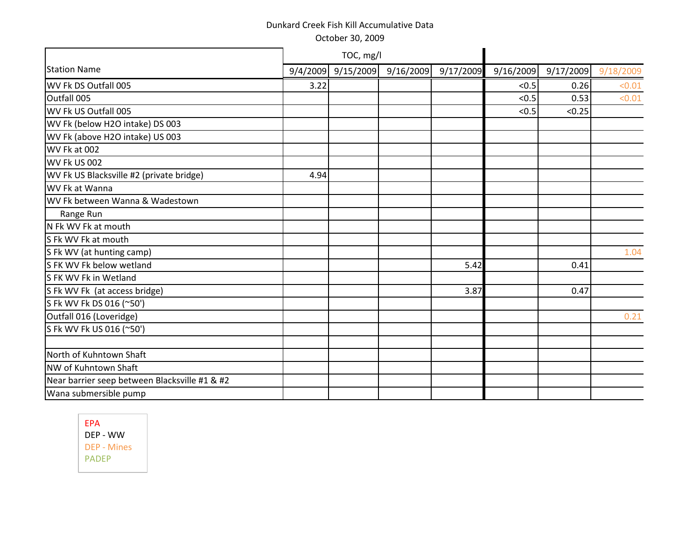October 30, 2009

|                                               |      | TOC, mg/l          |           |           |           |           |           |
|-----------------------------------------------|------|--------------------|-----------|-----------|-----------|-----------|-----------|
| <b>Station Name</b>                           |      | 9/4/2009 9/15/2009 | 9/16/2009 | 9/17/2009 | 9/16/2009 | 9/17/2009 | 9/18/2009 |
| WV Fk DS Outfall 005                          | 3.22 |                    |           |           | < 0.5     | 0.26      | < 0.01    |
| Outfall 005                                   |      |                    |           |           | < 0.5     | 0.53      | < 0.01    |
| WV Fk US Outfall 005                          |      |                    |           |           | < 0.5     | < 0.25    |           |
| WV Fk (below H2O intake) DS 003               |      |                    |           |           |           |           |           |
| WV Fk (above H2O intake) US 003               |      |                    |           |           |           |           |           |
| WV Fk at 002                                  |      |                    |           |           |           |           |           |
| WV Fk US 002                                  |      |                    |           |           |           |           |           |
| WV Fk US Blacksville #2 (private bridge)      | 4.94 |                    |           |           |           |           |           |
| WV Fk at Wanna                                |      |                    |           |           |           |           |           |
| WV Fk between Wanna & Wadestown               |      |                    |           |           |           |           |           |
| Range Run                                     |      |                    |           |           |           |           |           |
| N Fk WV Fk at mouth                           |      |                    |           |           |           |           |           |
| S Fk WV Fk at mouth                           |      |                    |           |           |           |           |           |
| S Fk WV (at hunting camp)                     |      |                    |           |           |           |           | 1.04      |
| S FK WV Fk below wetland                      |      |                    |           | 5.42      |           | 0.41      |           |
| S FK WV Fk in Wetland                         |      |                    |           |           |           |           |           |
| S Fk WV Fk (at access bridge)                 |      |                    |           | 3.87      |           | 0.47      |           |
| S Fk WV Fk DS 016 (~50')                      |      |                    |           |           |           |           |           |
| Outfall 016 (Loveridge)                       |      |                    |           |           |           |           | 0.21      |
| S Fk WV Fk US 016 (~50')                      |      |                    |           |           |           |           |           |
|                                               |      |                    |           |           |           |           |           |
| North of Kuhntown Shaft                       |      |                    |           |           |           |           |           |
| NW of Kuhntown Shaft                          |      |                    |           |           |           |           |           |
| Near barrier seep between Blacksville #1 & #2 |      |                    |           |           |           |           |           |
| Wana submersible pump                         |      |                    |           |           |           |           |           |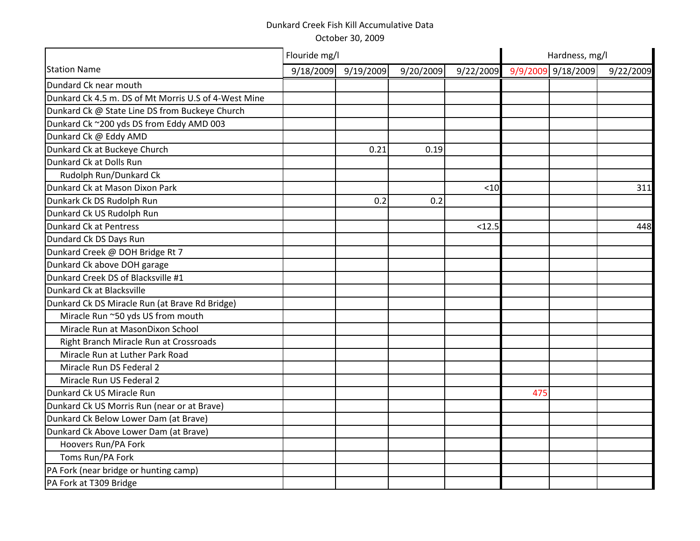|                                                      | Flouride mg/l |           |           |           | Hardness, mg/l |                    |           |  |
|------------------------------------------------------|---------------|-----------|-----------|-----------|----------------|--------------------|-----------|--|
| <b>Station Name</b>                                  | 9/18/2009     | 9/19/2009 | 9/20/2009 | 9/22/2009 |                | 9/9/2009 9/18/2009 | 9/22/2009 |  |
| Dundard Ck near mouth                                |               |           |           |           |                |                    |           |  |
| Dunkard Ck 4.5 m. DS of Mt Morris U.S of 4-West Mine |               |           |           |           |                |                    |           |  |
| Dunkard Ck @ State Line DS from Buckeye Church       |               |           |           |           |                |                    |           |  |
| Dunkard Ck ~200 yds DS from Eddy AMD 003             |               |           |           |           |                |                    |           |  |
| Dunkard Ck @ Eddy AMD                                |               |           |           |           |                |                    |           |  |
| Dunkard Ck at Buckeye Church                         |               | 0.21      | 0.19      |           |                |                    |           |  |
| Dunkard Ck at Dolls Run                              |               |           |           |           |                |                    |           |  |
| Rudolph Run/Dunkard Ck                               |               |           |           |           |                |                    |           |  |
| Dunkard Ck at Mason Dixon Park                       |               |           |           | $<$ 10    |                |                    | 311       |  |
| Dunkark Ck DS Rudolph Run                            |               | 0.2       | 0.2       |           |                |                    |           |  |
| Dunkard Ck US Rudolph Run                            |               |           |           |           |                |                    |           |  |
| <b>Dunkard Ck at Pentress</b>                        |               |           |           | < 12.5    |                |                    | 448       |  |
| Dundard Ck DS Days Run                               |               |           |           |           |                |                    |           |  |
| Dunkard Creek @ DOH Bridge Rt 7                      |               |           |           |           |                |                    |           |  |
| Dunkard Ck above DOH garage                          |               |           |           |           |                |                    |           |  |
| Dunkard Creek DS of Blacksville #1                   |               |           |           |           |                |                    |           |  |
| Dunkard Ck at Blacksville                            |               |           |           |           |                |                    |           |  |
| Dunkard Ck DS Miracle Run (at Brave Rd Bridge)       |               |           |           |           |                |                    |           |  |
| Miracle Run ~50 yds US from mouth                    |               |           |           |           |                |                    |           |  |
| Miracle Run at MasonDixon School                     |               |           |           |           |                |                    |           |  |
| Right Branch Miracle Run at Crossroads               |               |           |           |           |                |                    |           |  |
| Miracle Run at Luther Park Road                      |               |           |           |           |                |                    |           |  |
| Miracle Run DS Federal 2                             |               |           |           |           |                |                    |           |  |
| Miracle Run US Federal 2                             |               |           |           |           |                |                    |           |  |
| Dunkard Ck US Miracle Run                            |               |           |           |           | 475            |                    |           |  |
| Dunkard Ck US Morris Run (near or at Brave)          |               |           |           |           |                |                    |           |  |
| Dunkard Ck Below Lower Dam (at Brave)                |               |           |           |           |                |                    |           |  |
| Dunkard Ck Above Lower Dam (at Brave)                |               |           |           |           |                |                    |           |  |
| Hoovers Run/PA Fork                                  |               |           |           |           |                |                    |           |  |
| Toms Run/PA Fork                                     |               |           |           |           |                |                    |           |  |
| PA Fork (near bridge or hunting camp)                |               |           |           |           |                |                    |           |  |
| PA Fork at T309 Bridge                               |               |           |           |           |                |                    |           |  |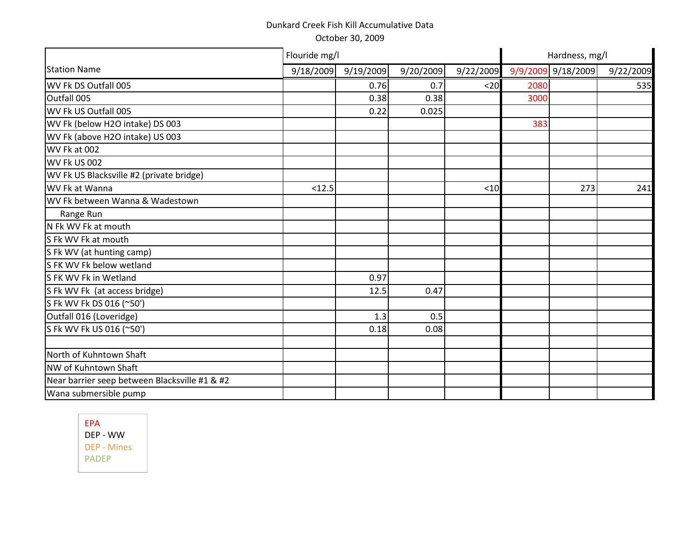|                                               | Flouride mg/l |           |           |           |      | Hardness, mg/l     |           |
|-----------------------------------------------|---------------|-----------|-----------|-----------|------|--------------------|-----------|
| <b>Station Name</b>                           | 9/18/2009     | 9/19/2009 | 9/20/2009 | 9/22/2009 |      | 9/9/2009 9/18/2009 | 9/22/2009 |
| WV Fk DS Outfall 005                          |               | 0.76      | 0.7       | $20$      | 2080 |                    | 535       |
| Outfall 005                                   |               | 0.38      | 0.38      |           | 3000 |                    |           |
| WV Fk US Outfall 005                          |               | 0.22      | 0.025     |           |      |                    |           |
| WV Fk (below H2O intake) DS 003               |               |           |           |           | 383  |                    |           |
| WV Fk (above H2O intake) US 003               |               |           |           |           |      |                    |           |
| WV Fk at 002                                  |               |           |           |           |      |                    |           |
| WV Fk US 002                                  |               |           |           |           |      |                    |           |
| WV Fk US Blacksville #2 (private bridge)      |               |           |           |           |      |                    |           |
| WV Fk at Wanna                                | < 12.5        |           |           | < 10      |      | 273                | 241       |
| WV Fk between Wanna & Wadestown               |               |           |           |           |      |                    |           |
| Range Run                                     |               |           |           |           |      |                    |           |
| N Fk WV Fk at mouth                           |               |           |           |           |      |                    |           |
| S Fk WV Fk at mouth                           |               |           |           |           |      |                    |           |
| S Fk WV (at hunting camp)                     |               |           |           |           |      |                    |           |
| S FK WV Fk below wetland                      |               |           |           |           |      |                    |           |
| S FK WV Fk in Wetland                         |               | 0.97      |           |           |      |                    |           |
| S Fk WV Fk (at access bridge)                 |               | 12.5      | 0.47      |           |      |                    |           |
| S Fk WV Fk DS 016 (~50')                      |               |           |           |           |      |                    |           |
| Outfall 016 (Loveridge)                       |               | 1.3       | 0.5       |           |      |                    |           |
| S Fk WV Fk US 016 (~50')                      |               | 0.18      | 0.08      |           |      |                    |           |
|                                               |               |           |           |           |      |                    |           |
| North of Kuhntown Shaft                       |               |           |           |           |      |                    |           |
| NW of Kuhntown Shaft                          |               |           |           |           |      |                    |           |
| Near barrier seep between Blacksville #1 & #2 |               |           |           |           |      |                    |           |
| Wana submersible pump                         |               |           |           |           |      |                    |           |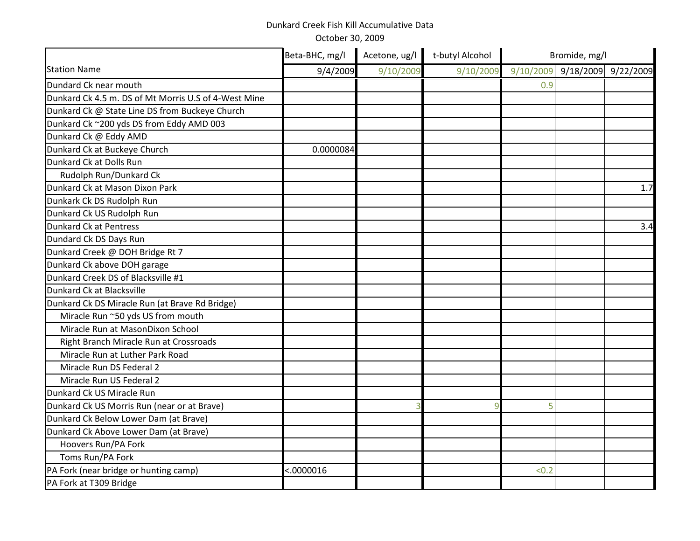|                                                      | Beta-BHC, mg/l | Acetone, ug/l | t-butyl Alcohol |       | Bromide, mg/l                 |     |  |
|------------------------------------------------------|----------------|---------------|-----------------|-------|-------------------------------|-----|--|
| <b>Station Name</b>                                  | 9/4/2009       | 9/10/2009     | 9/10/2009       |       | 9/10/2009 9/18/2009 9/22/2009 |     |  |
| Dundard Ck near mouth                                |                |               |                 | 0.9   |                               |     |  |
| Dunkard Ck 4.5 m. DS of Mt Morris U.S of 4-West Mine |                |               |                 |       |                               |     |  |
| Dunkard Ck @ State Line DS from Buckeye Church       |                |               |                 |       |                               |     |  |
| Dunkard Ck ~200 yds DS from Eddy AMD 003             |                |               |                 |       |                               |     |  |
| Dunkard Ck @ Eddy AMD                                |                |               |                 |       |                               |     |  |
| Dunkard Ck at Buckeye Church                         | 0.0000084      |               |                 |       |                               |     |  |
| Dunkard Ck at Dolls Run                              |                |               |                 |       |                               |     |  |
| Rudolph Run/Dunkard Ck                               |                |               |                 |       |                               |     |  |
| Dunkard Ck at Mason Dixon Park                       |                |               |                 |       |                               | 1.7 |  |
| Dunkark Ck DS Rudolph Run                            |                |               |                 |       |                               |     |  |
| Dunkard Ck US Rudolph Run                            |                |               |                 |       |                               |     |  |
| <b>Dunkard Ck at Pentress</b>                        |                |               |                 |       |                               | 3.4 |  |
| Dundard Ck DS Days Run                               |                |               |                 |       |                               |     |  |
| Dunkard Creek @ DOH Bridge Rt 7                      |                |               |                 |       |                               |     |  |
| Dunkard Ck above DOH garage                          |                |               |                 |       |                               |     |  |
| Dunkard Creek DS of Blacksville #1                   |                |               |                 |       |                               |     |  |
| Dunkard Ck at Blacksville                            |                |               |                 |       |                               |     |  |
| Dunkard Ck DS Miracle Run (at Brave Rd Bridge)       |                |               |                 |       |                               |     |  |
| Miracle Run ~50 yds US from mouth                    |                |               |                 |       |                               |     |  |
| Miracle Run at MasonDixon School                     |                |               |                 |       |                               |     |  |
| Right Branch Miracle Run at Crossroads               |                |               |                 |       |                               |     |  |
| Miracle Run at Luther Park Road                      |                |               |                 |       |                               |     |  |
| Miracle Run DS Federal 2                             |                |               |                 |       |                               |     |  |
| Miracle Run US Federal 2                             |                |               |                 |       |                               |     |  |
| Dunkard Ck US Miracle Run                            |                |               |                 |       |                               |     |  |
| Dunkard Ck US Morris Run (near or at Brave)          |                |               | $\mathbf{Q}$    | 5     |                               |     |  |
| Dunkard Ck Below Lower Dam (at Brave)                |                |               |                 |       |                               |     |  |
| Dunkard Ck Above Lower Dam (at Brave)                |                |               |                 |       |                               |     |  |
| Hoovers Run/PA Fork                                  |                |               |                 |       |                               |     |  |
| Toms Run/PA Fork                                     |                |               |                 |       |                               |     |  |
| PA Fork (near bridge or hunting camp)                | < .0000016     |               |                 | < 0.2 |                               |     |  |
| PA Fork at T309 Bridge                               |                |               |                 |       |                               |     |  |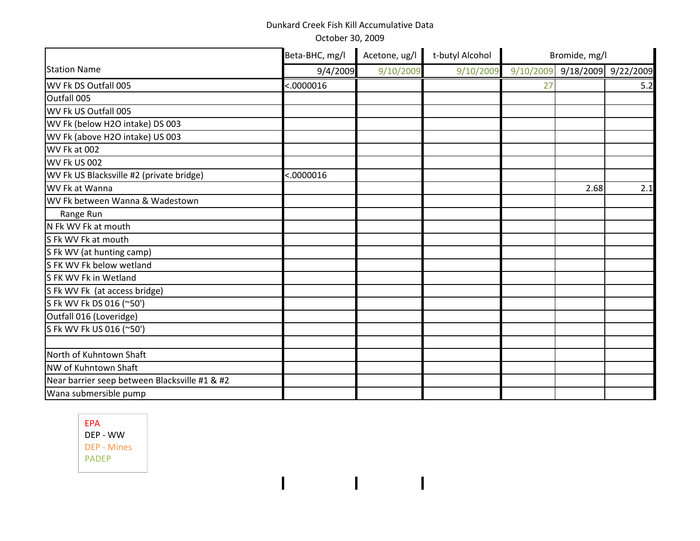October 30, 2009

|                                               | Beta-BHC, mg/l | Acetone, ug/l | t-butyl Alcohol |           | Bromide, mg/l |                     |
|-----------------------------------------------|----------------|---------------|-----------------|-----------|---------------|---------------------|
| <b>Station Name</b>                           | 9/4/2009       | 9/10/2009     | 9/10/2009       | 9/10/2009 |               | 9/18/2009 9/22/2009 |
| WV Fk DS Outfall 005                          | < .0000016     |               |                 | 27        |               | 5.2                 |
| Outfall 005                                   |                |               |                 |           |               |                     |
| WV Fk US Outfall 005                          |                |               |                 |           |               |                     |
| WV Fk (below H2O intake) DS 003               |                |               |                 |           |               |                     |
| WV Fk (above H2O intake) US 003               |                |               |                 |           |               |                     |
| WV Fk at 002                                  |                |               |                 |           |               |                     |
| <b>WV Fk US 002</b>                           |                |               |                 |           |               |                     |
| WV Fk US Blacksville #2 (private bridge)      | < .0000016     |               |                 |           |               |                     |
| WV Fk at Wanna                                |                |               |                 |           | 2.68          | 2.1                 |
| WV Fk between Wanna & Wadestown               |                |               |                 |           |               |                     |
| Range Run                                     |                |               |                 |           |               |                     |
| N Fk WV Fk at mouth                           |                |               |                 |           |               |                     |
| S Fk WV Fk at mouth                           |                |               |                 |           |               |                     |
| S Fk WV (at hunting camp)                     |                |               |                 |           |               |                     |
| S FK WV Fk below wetland                      |                |               |                 |           |               |                     |
| S FK WV Fk in Wetland                         |                |               |                 |           |               |                     |
| S Fk WV Fk (at access bridge)                 |                |               |                 |           |               |                     |
| S Fk WV Fk DS 016 (~50')                      |                |               |                 |           |               |                     |
| Outfall 016 (Loveridge)                       |                |               |                 |           |               |                     |
| S Fk WV Fk US 016 (~50')                      |                |               |                 |           |               |                     |
|                                               |                |               |                 |           |               |                     |
| North of Kuhntown Shaft                       |                |               |                 |           |               |                     |
| NW of Kuhntown Shaft                          |                |               |                 |           |               |                     |
| Near barrier seep between Blacksville #1 & #2 |                |               |                 |           |               |                     |
| Wana submersible pump                         |                |               |                 |           |               |                     |

 $\begin{array}{c} \hline \end{array}$ 

 $\mathbf{I}$ 

 $\mathbf{I}$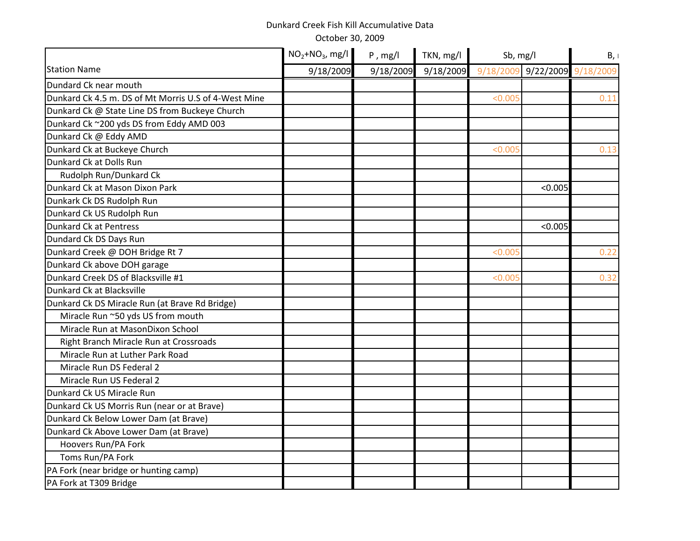|                                                      | $NO2+NO3$ , mg/l | $P$ , mg/l | TKN, mg/l |         | Sb, mg/l                      |      |
|------------------------------------------------------|------------------|------------|-----------|---------|-------------------------------|------|
| <b>Station Name</b>                                  | 9/18/2009        | 9/18/2009  | 9/18/2009 |         | 9/18/2009 9/22/2009 9/18/2009 |      |
| Dundard Ck near mouth                                |                  |            |           |         |                               |      |
| Dunkard Ck 4.5 m. DS of Mt Morris U.S of 4-West Mine |                  |            |           | < 0.005 |                               | 0.11 |
| Dunkard Ck @ State Line DS from Buckeye Church       |                  |            |           |         |                               |      |
| Dunkard Ck ~200 yds DS from Eddy AMD 003             |                  |            |           |         |                               |      |
| Dunkard Ck @ Eddy AMD                                |                  |            |           |         |                               |      |
| Dunkard Ck at Buckeye Church                         |                  |            |           | < 0.005 |                               | 0.13 |
| Dunkard Ck at Dolls Run                              |                  |            |           |         |                               |      |
| Rudolph Run/Dunkard Ck                               |                  |            |           |         |                               |      |
| Dunkard Ck at Mason Dixon Park                       |                  |            |           |         | < 0.005                       |      |
| Dunkark Ck DS Rudolph Run                            |                  |            |           |         |                               |      |
| Dunkard Ck US Rudolph Run                            |                  |            |           |         |                               |      |
| <b>Dunkard Ck at Pentress</b>                        |                  |            |           |         | < 0.005                       |      |
| Dundard Ck DS Days Run                               |                  |            |           |         |                               |      |
| Dunkard Creek @ DOH Bridge Rt 7                      |                  |            |           | < 0.005 |                               | 0.22 |
| Dunkard Ck above DOH garage                          |                  |            |           |         |                               |      |
| Dunkard Creek DS of Blacksville #1                   |                  |            |           | < 0.005 |                               | 0.32 |
| Dunkard Ck at Blacksville                            |                  |            |           |         |                               |      |
| Dunkard Ck DS Miracle Run (at Brave Rd Bridge)       |                  |            |           |         |                               |      |
| Miracle Run ~50 yds US from mouth                    |                  |            |           |         |                               |      |
| Miracle Run at MasonDixon School                     |                  |            |           |         |                               |      |
| Right Branch Miracle Run at Crossroads               |                  |            |           |         |                               |      |
| Miracle Run at Luther Park Road                      |                  |            |           |         |                               |      |
| Miracle Run DS Federal 2                             |                  |            |           |         |                               |      |
| Miracle Run US Federal 2                             |                  |            |           |         |                               |      |
| Dunkard Ck US Miracle Run                            |                  |            |           |         |                               |      |
| Dunkard Ck US Morris Run (near or at Brave)          |                  |            |           |         |                               |      |
| Dunkard Ck Below Lower Dam (at Brave)                |                  |            |           |         |                               |      |
| Dunkard Ck Above Lower Dam (at Brave)                |                  |            |           |         |                               |      |
| Hoovers Run/PA Fork                                  |                  |            |           |         |                               |      |
| Toms Run/PA Fork                                     |                  |            |           |         |                               |      |
| PA Fork (near bridge or hunting camp)                |                  |            |           |         |                               |      |
| PA Fork at T309 Bridge                               |                  |            |           |         |                               |      |
|                                                      |                  |            |           |         |                               |      |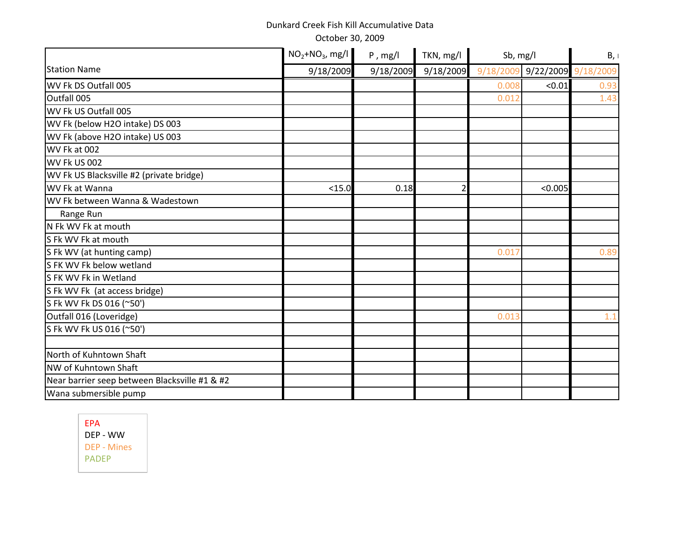|                                               | $NO2+NO3$ , mg/l | $P$ , mg/l | TKN, mg/l |       | Sb, mg/l                      |      |
|-----------------------------------------------|------------------|------------|-----------|-------|-------------------------------|------|
| <b>Station Name</b>                           | 9/18/2009        | 9/18/2009  | 9/18/2009 |       | 9/18/2009 9/22/2009 9/18/2009 |      |
| WV Fk DS Outfall 005                          |                  |            |           | 0.008 | < 0.01                        | 0.93 |
| Outfall 005                                   |                  |            |           | 0.012 |                               | 1.43 |
| WV Fk US Outfall 005                          |                  |            |           |       |                               |      |
| WV Fk (below H2O intake) DS 003               |                  |            |           |       |                               |      |
| WV Fk (above H2O intake) US 003               |                  |            |           |       |                               |      |
| WV Fk at 002                                  |                  |            |           |       |                               |      |
| WV Fk US 002                                  |                  |            |           |       |                               |      |
| WV Fk US Blacksville #2 (private bridge)      |                  |            |           |       |                               |      |
| WV Fk at Wanna                                | $15.0$           | 0.18       |           |       | < 0.005                       |      |
| WV Fk between Wanna & Wadestown               |                  |            |           |       |                               |      |
| Range Run                                     |                  |            |           |       |                               |      |
| N Fk WV Fk at mouth                           |                  |            |           |       |                               |      |
| S Fk WV Fk at mouth                           |                  |            |           |       |                               |      |
| S Fk WV (at hunting camp)                     |                  |            |           | 0.017 |                               | 0.89 |
| S FK WV Fk below wetland                      |                  |            |           |       |                               |      |
| S FK WV Fk in Wetland                         |                  |            |           |       |                               |      |
| S Fk WV Fk (at access bridge)                 |                  |            |           |       |                               |      |
| S Fk WV Fk DS 016 (~50')                      |                  |            |           |       |                               |      |
| Outfall 016 (Loveridge)                       |                  |            |           | 0.013 |                               | 1.1  |
| S Fk WV Fk US 016 (~50')                      |                  |            |           |       |                               |      |
| North of Kuhntown Shaft                       |                  |            |           |       |                               |      |
| NW of Kuhntown Shaft                          |                  |            |           |       |                               |      |
| Near barrier seep between Blacksville #1 & #2 |                  |            |           |       |                               |      |
| Wana submersible pump                         |                  |            |           |       |                               |      |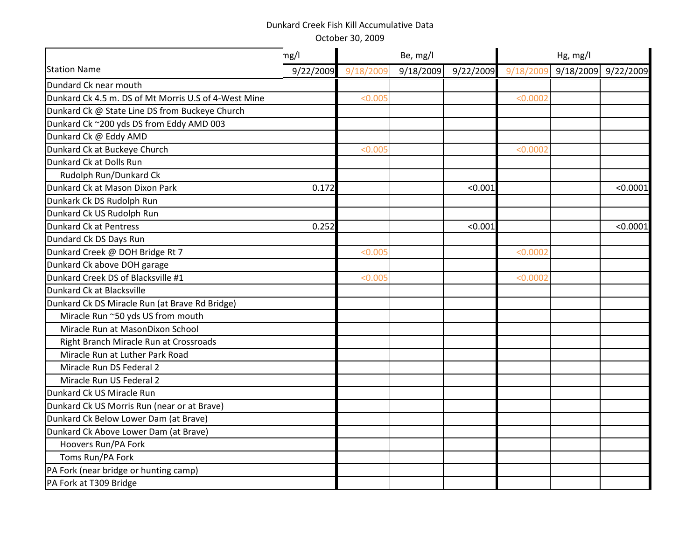|                                                      | mg/l      |           | Be, mg/l  |           |           | Hg, mg/l  |           |
|------------------------------------------------------|-----------|-----------|-----------|-----------|-----------|-----------|-----------|
| <b>Station Name</b>                                  | 9/22/2009 | 9/18/2009 | 9/18/2009 | 9/22/2009 | 9/18/2009 | 9/18/2009 | 9/22/2009 |
| Dundard Ck near mouth                                |           |           |           |           |           |           |           |
| Dunkard Ck 4.5 m. DS of Mt Morris U.S of 4-West Mine |           | < 0.005   |           |           | < 0.0002  |           |           |
| Dunkard Ck @ State Line DS from Buckeye Church       |           |           |           |           |           |           |           |
| Dunkard Ck ~200 yds DS from Eddy AMD 003             |           |           |           |           |           |           |           |
| Dunkard Ck @ Eddy AMD                                |           |           |           |           |           |           |           |
| Dunkard Ck at Buckeye Church                         |           | < 0.005   |           |           | < 0.0002  |           |           |
| Dunkard Ck at Dolls Run                              |           |           |           |           |           |           |           |
| Rudolph Run/Dunkard Ck                               |           |           |           |           |           |           |           |
| Dunkard Ck at Mason Dixon Park                       | 0.172     |           |           | < 0.001   |           |           | < 0.0001  |
| Dunkark Ck DS Rudolph Run                            |           |           |           |           |           |           |           |
| Dunkard Ck US Rudolph Run                            |           |           |           |           |           |           |           |
| Dunkard Ck at Pentress                               | 0.252     |           |           | < 0.001   |           |           | < 0.0001  |
| Dundard Ck DS Days Run                               |           |           |           |           |           |           |           |
| Dunkard Creek @ DOH Bridge Rt 7                      |           | < 0.005   |           |           | < 0.0002  |           |           |
| Dunkard Ck above DOH garage                          |           |           |           |           |           |           |           |
| Dunkard Creek DS of Blacksville #1                   |           | < 0.005   |           |           | < 0.0002  |           |           |
| Dunkard Ck at Blacksville                            |           |           |           |           |           |           |           |
| Dunkard Ck DS Miracle Run (at Brave Rd Bridge)       |           |           |           |           |           |           |           |
| Miracle Run ~50 yds US from mouth                    |           |           |           |           |           |           |           |
| Miracle Run at MasonDixon School                     |           |           |           |           |           |           |           |
| Right Branch Miracle Run at Crossroads               |           |           |           |           |           |           |           |
| Miracle Run at Luther Park Road                      |           |           |           |           |           |           |           |
| Miracle Run DS Federal 2                             |           |           |           |           |           |           |           |
| Miracle Run US Federal 2                             |           |           |           |           |           |           |           |
| Dunkard Ck US Miracle Run                            |           |           |           |           |           |           |           |
| Dunkard Ck US Morris Run (near or at Brave)          |           |           |           |           |           |           |           |
| Dunkard Ck Below Lower Dam (at Brave)                |           |           |           |           |           |           |           |
| Dunkard Ck Above Lower Dam (at Brave)                |           |           |           |           |           |           |           |
| Hoovers Run/PA Fork                                  |           |           |           |           |           |           |           |
| Toms Run/PA Fork                                     |           |           |           |           |           |           |           |
| PA Fork (near bridge or hunting camp)                |           |           |           |           |           |           |           |
| PA Fork at T309 Bridge                               |           |           |           |           |           |           |           |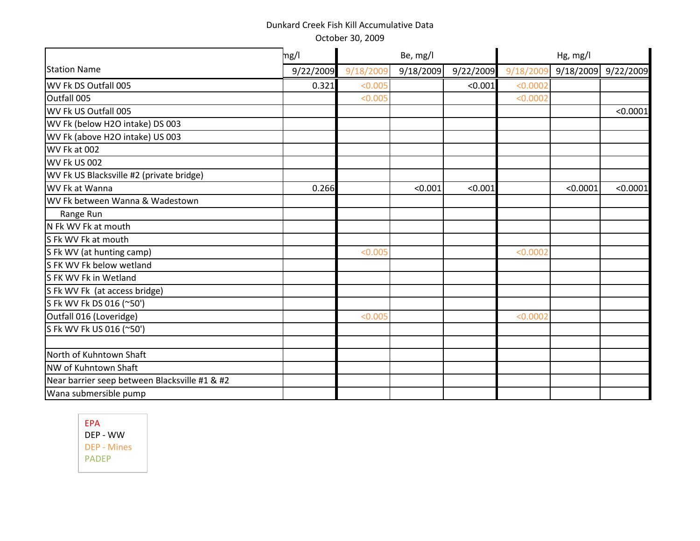|                                               | mg/l      | Be, mg/l<br>Hg, mg/l |           |           |           |           |           |
|-----------------------------------------------|-----------|----------------------|-----------|-----------|-----------|-----------|-----------|
| <b>Station Name</b>                           | 9/22/2009 | 9/18/2009            | 9/18/2009 | 9/22/2009 | 9/18/2009 | 9/18/2009 | 9/22/2009 |
| WV Fk DS Outfall 005                          | 0.321     | < 0.005              |           | < 0.001   | < 0.0002  |           |           |
| Outfall 005                                   |           | < 0.005              |           |           | < 0.0002  |           |           |
| WV Fk US Outfall 005                          |           |                      |           |           |           |           | < 0.0001  |
| WV Fk (below H2O intake) DS 003               |           |                      |           |           |           |           |           |
| WV Fk (above H2O intake) US 003               |           |                      |           |           |           |           |           |
| WV Fk at 002                                  |           |                      |           |           |           |           |           |
| WV Fk US 002                                  |           |                      |           |           |           |           |           |
| WV Fk US Blacksville #2 (private bridge)      |           |                      |           |           |           |           |           |
| WV Fk at Wanna                                | 0.266     |                      | < 0.001   | < 0.001   |           | < 0.0001  | < 0.0001  |
| WV Fk between Wanna & Wadestown               |           |                      |           |           |           |           |           |
| Range Run                                     |           |                      |           |           |           |           |           |
| N Fk WV Fk at mouth                           |           |                      |           |           |           |           |           |
| S Fk WV Fk at mouth                           |           |                      |           |           |           |           |           |
| S Fk WV (at hunting camp)                     |           | < 0.005              |           |           | < 0.0002  |           |           |
| S FK WV Fk below wetland                      |           |                      |           |           |           |           |           |
| S FK WV Fk in Wetland                         |           |                      |           |           |           |           |           |
| S Fk WV Fk (at access bridge)                 |           |                      |           |           |           |           |           |
| S Fk WV Fk DS 016 (~50')                      |           |                      |           |           |           |           |           |
| Outfall 016 (Loveridge)                       |           | < 0.005              |           |           | < 0.0002  |           |           |
| S Fk WV Fk US 016 (~50')                      |           |                      |           |           |           |           |           |
|                                               |           |                      |           |           |           |           |           |
| North of Kuhntown Shaft                       |           |                      |           |           |           |           |           |
| NW of Kuhntown Shaft                          |           |                      |           |           |           |           |           |
| Near barrier seep between Blacksville #1 & #2 |           |                      |           |           |           |           |           |
| Wana submersible pump                         |           |                      |           |           |           |           |           |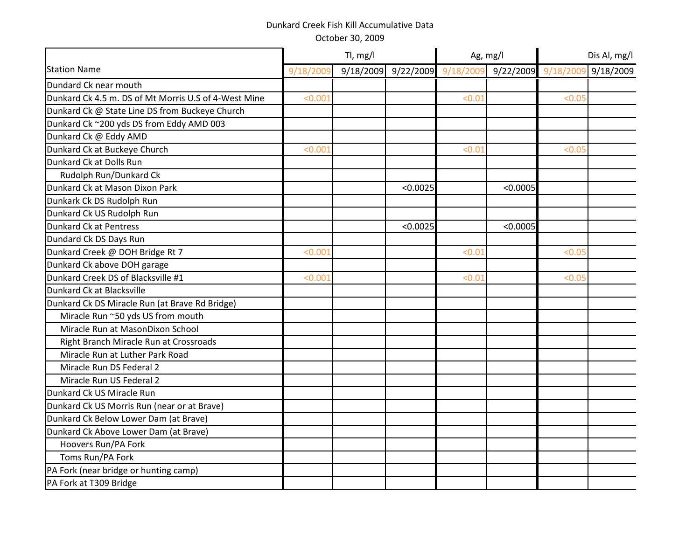|                                                      |           | Tl, mg/l  |          | Ag, mg/l            |           | Dis Al, mg/l |           |
|------------------------------------------------------|-----------|-----------|----------|---------------------|-----------|--------------|-----------|
| <b>Station Name</b>                                  | 9/18/2009 | 9/18/2009 |          | 9/22/2009 9/18/2009 | 9/22/2009 | 9/18/2009    | 9/18/2009 |
| Dundard Ck near mouth                                |           |           |          |                     |           |              |           |
| Dunkard Ck 4.5 m. DS of Mt Morris U.S of 4-West Mine | < 0.001   |           |          | < 0.01              |           | < 0.05       |           |
| Dunkard Ck @ State Line DS from Buckeye Church       |           |           |          |                     |           |              |           |
| Dunkard Ck ~200 yds DS from Eddy AMD 003             |           |           |          |                     |           |              |           |
| Dunkard Ck @ Eddy AMD                                |           |           |          |                     |           |              |           |
| Dunkard Ck at Buckeye Church                         | < 0.001   |           |          | < 0.01              |           | < 0.05       |           |
| Dunkard Ck at Dolls Run                              |           |           |          |                     |           |              |           |
| Rudolph Run/Dunkard Ck                               |           |           |          |                     |           |              |           |
| Dunkard Ck at Mason Dixon Park                       |           |           | < 0.0025 |                     | < 0.0005  |              |           |
| Dunkark Ck DS Rudolph Run                            |           |           |          |                     |           |              |           |
| Dunkard Ck US Rudolph Run                            |           |           |          |                     |           |              |           |
| <b>Dunkard Ck at Pentress</b>                        |           |           | < 0.0025 |                     | < 0.0005  |              |           |
| Dundard Ck DS Days Run                               |           |           |          |                     |           |              |           |
| Dunkard Creek @ DOH Bridge Rt 7                      | < 0.001   |           |          | < 0.01              |           | < 0.05       |           |
| Dunkard Ck above DOH garage                          |           |           |          |                     |           |              |           |
| Dunkard Creek DS of Blacksville #1                   | < 0.001   |           |          | < 0.01              |           | < 0.05       |           |
| Dunkard Ck at Blacksville                            |           |           |          |                     |           |              |           |
| Dunkard Ck DS Miracle Run (at Brave Rd Bridge)       |           |           |          |                     |           |              |           |
| Miracle Run ~50 yds US from mouth                    |           |           |          |                     |           |              |           |
| Miracle Run at MasonDixon School                     |           |           |          |                     |           |              |           |
| Right Branch Miracle Run at Crossroads               |           |           |          |                     |           |              |           |
| Miracle Run at Luther Park Road                      |           |           |          |                     |           |              |           |
| Miracle Run DS Federal 2                             |           |           |          |                     |           |              |           |
| Miracle Run US Federal 2                             |           |           |          |                     |           |              |           |
| Dunkard Ck US Miracle Run                            |           |           |          |                     |           |              |           |
| Dunkard Ck US Morris Run (near or at Brave)          |           |           |          |                     |           |              |           |
| Dunkard Ck Below Lower Dam (at Brave)                |           |           |          |                     |           |              |           |
| Dunkard Ck Above Lower Dam (at Brave)                |           |           |          |                     |           |              |           |
| Hoovers Run/PA Fork                                  |           |           |          |                     |           |              |           |
| Toms Run/PA Fork                                     |           |           |          |                     |           |              |           |
| PA Fork (near bridge or hunting camp)                |           |           |          |                     |           |              |           |
| PA Fork at T309 Bridge                               |           |           |          |                     |           |              |           |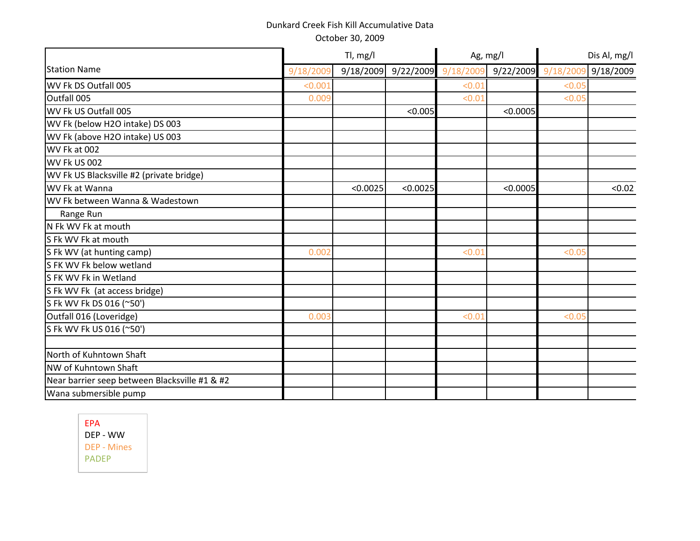October 30, 2009

|                                               |           | Tl, mg/l  |          | Ag, mg/l            |          | Dis Al, mg/l        |           |
|-----------------------------------------------|-----------|-----------|----------|---------------------|----------|---------------------|-----------|
| <b>Station Name</b>                           | 9/18/2009 | 9/18/2009 |          | 9/22/2009 9/18/2009 |          | 9/22/2009 9/18/2009 | 9/18/2009 |
| WV Fk DS Outfall 005                          | < 0.001   |           |          | < 0.01              |          | < 0.05              |           |
| Outfall 005                                   | 0.009     |           |          | < 0.01              |          | < 0.05              |           |
| WV Fk US Outfall 005                          |           |           | < 0.005  |                     | < 0.0005 |                     |           |
| WV Fk (below H2O intake) DS 003               |           |           |          |                     |          |                     |           |
| WV Fk (above H2O intake) US 003               |           |           |          |                     |          |                     |           |
| WV Fk at 002                                  |           |           |          |                     |          |                     |           |
| WV Fk US 002                                  |           |           |          |                     |          |                     |           |
| WV Fk US Blacksville #2 (private bridge)      |           |           |          |                     |          |                     |           |
| WV Fk at Wanna                                |           | < 0.0025  | < 0.0025 |                     | < 0.0005 |                     | < 0.02    |
| WV Fk between Wanna & Wadestown               |           |           |          |                     |          |                     |           |
| Range Run                                     |           |           |          |                     |          |                     |           |
| N Fk WV Fk at mouth                           |           |           |          |                     |          |                     |           |
| S Fk WV Fk at mouth                           |           |           |          |                     |          |                     |           |
| S Fk WV (at hunting camp)                     | 0.002     |           |          | < 0.01              |          | < 0.05              |           |
| S FK WV Fk below wetland                      |           |           |          |                     |          |                     |           |
| S FK WV Fk in Wetland                         |           |           |          |                     |          |                     |           |
| S Fk WV Fk (at access bridge)                 |           |           |          |                     |          |                     |           |
| S Fk WV Fk DS 016 (~50')                      |           |           |          |                     |          |                     |           |
| Outfall 016 (Loveridge)                       | 0.003     |           |          | < 0.01              |          | < 0.05              |           |
| S Fk WV Fk US 016 (~50')                      |           |           |          |                     |          |                     |           |
|                                               |           |           |          |                     |          |                     |           |
| North of Kuhntown Shaft                       |           |           |          |                     |          |                     |           |
| NW of Kuhntown Shaft                          |           |           |          |                     |          |                     |           |
| Near barrier seep between Blacksville #1 & #2 |           |           |          |                     |          |                     |           |
| Wana submersible pump                         |           |           |          |                     |          |                     |           |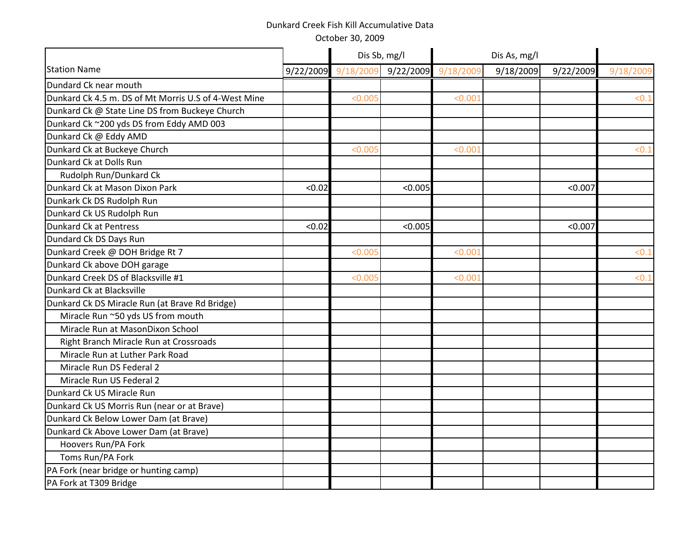|                                                      |           | Dis Sb, mg/l |         |                     |           |           |          |
|------------------------------------------------------|-----------|--------------|---------|---------------------|-----------|-----------|----------|
| <b>Station Name</b>                                  | 9/22/2009 | 9/18/2009    |         | 9/22/2009 9/18/2009 | 9/18/2009 | 9/22/2009 | 9/18/200 |
| Dundard Ck near mouth                                |           |              |         |                     |           |           |          |
| Dunkard Ck 4.5 m. DS of Mt Morris U.S of 4-West Mine |           | < 0.005      |         | < 0.001             |           |           | < 0.1    |
| Dunkard Ck @ State Line DS from Buckeye Church       |           |              |         |                     |           |           |          |
| Dunkard Ck ~200 yds DS from Eddy AMD 003             |           |              |         |                     |           |           |          |
| Dunkard Ck @ Eddy AMD                                |           |              |         |                     |           |           |          |
| Dunkard Ck at Buckeye Church                         |           | < 0.005      |         | < 0.001             |           |           | < 0.1    |
| Dunkard Ck at Dolls Run                              |           |              |         |                     |           |           |          |
| Rudolph Run/Dunkard Ck                               |           |              |         |                     |           |           |          |
| Dunkard Ck at Mason Dixon Park                       | < 0.02    |              | < 0.005 |                     |           | < 0.007   |          |
| Dunkark Ck DS Rudolph Run                            |           |              |         |                     |           |           |          |
| Dunkard Ck US Rudolph Run                            |           |              |         |                     |           |           |          |
| Dunkard Ck at Pentress                               | < 0.02    |              | < 0.005 |                     |           | < 0.007   |          |
| Dundard Ck DS Days Run                               |           |              |         |                     |           |           |          |
| Dunkard Creek @ DOH Bridge Rt 7                      |           | < 0.005      |         | < 0.001             |           |           | < 0.1    |
| Dunkard Ck above DOH garage                          |           |              |         |                     |           |           |          |
| Dunkard Creek DS of Blacksville #1                   |           | < 0.001      |         | < 0.001             |           |           | <0.:     |
| Dunkard Ck at Blacksville                            |           |              |         |                     |           |           |          |
| Dunkard Ck DS Miracle Run (at Brave Rd Bridge)       |           |              |         |                     |           |           |          |
| Miracle Run ~50 yds US from mouth                    |           |              |         |                     |           |           |          |
| Miracle Run at MasonDixon School                     |           |              |         |                     |           |           |          |
| Right Branch Miracle Run at Crossroads               |           |              |         |                     |           |           |          |
| Miracle Run at Luther Park Road                      |           |              |         |                     |           |           |          |
| Miracle Run DS Federal 2                             |           |              |         |                     |           |           |          |
| Miracle Run US Federal 2                             |           |              |         |                     |           |           |          |
| Dunkard Ck US Miracle Run                            |           |              |         |                     |           |           |          |
| Dunkard Ck US Morris Run (near or at Brave)          |           |              |         |                     |           |           |          |
| Dunkard Ck Below Lower Dam (at Brave)                |           |              |         |                     |           |           |          |
| Dunkard Ck Above Lower Dam (at Brave)                |           |              |         |                     |           |           |          |
| Hoovers Run/PA Fork                                  |           |              |         |                     |           |           |          |
| Toms Run/PA Fork                                     |           |              |         |                     |           |           |          |
| PA Fork (near bridge or hunting camp)                |           |              |         |                     |           |           |          |
| PA Fork at T309 Bridge                               |           |              |         |                     |           |           |          |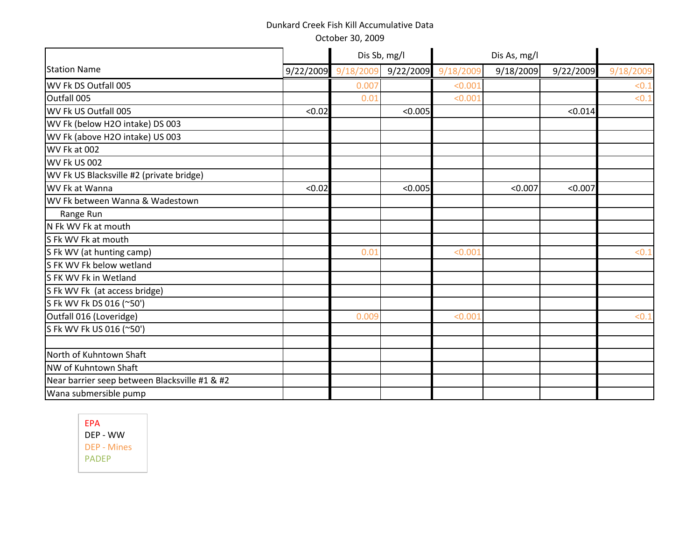|                                               |           |          | Dis Sb, mg/l | Dis As, mg/l |           |           |          |
|-----------------------------------------------|-----------|----------|--------------|--------------|-----------|-----------|----------|
| <b>Station Name</b>                           | 9/22/2009 | 9/18/200 | 9/22/2009    | 9/18/2009    | 9/18/2009 | 9/22/2009 | 9/18/200 |
| WV Fk DS Outfall 005                          |           | 0.007    |              | < 0.001      |           |           | $< 0$ .  |
| Outfall 005                                   |           | 0.01     |              | < 0.001      |           |           | <0.1     |
| WV Fk US Outfall 005                          | < 0.02    |          | < 0.005      |              |           | < 0.014   |          |
| WV Fk (below H2O intake) DS 003               |           |          |              |              |           |           |          |
| WV Fk (above H2O intake) US 003               |           |          |              |              |           |           |          |
| WV Fk at 002                                  |           |          |              |              |           |           |          |
| WV Fk US 002                                  |           |          |              |              |           |           |          |
| WV Fk US Blacksville #2 (private bridge)      |           |          |              |              |           |           |          |
| WV Fk at Wanna                                | < 0.02    |          | < 0.005      |              | < 0.007   | < 0.007   |          |
| WV Fk between Wanna & Wadestown               |           |          |              |              |           |           |          |
| Range Run                                     |           |          |              |              |           |           |          |
| N Fk WV Fk at mouth                           |           |          |              |              |           |           |          |
| S Fk WV Fk at mouth                           |           |          |              |              |           |           |          |
| S Fk WV (at hunting camp)                     |           | 0.01     |              | < 0.001      |           |           | < 0.1    |
| S FK WV Fk below wetland                      |           |          |              |              |           |           |          |
| S FK WV Fk in Wetland                         |           |          |              |              |           |           |          |
| S Fk WV Fk (at access bridge)                 |           |          |              |              |           |           |          |
| S Fk WV Fk DS 016 (~50')                      |           |          |              |              |           |           |          |
| Outfall 016 (Loveridge)                       |           | 0.009    |              | < 0.001      |           |           | <0.1     |
| S Fk WV Fk US 016 (~50')                      |           |          |              |              |           |           |          |
|                                               |           |          |              |              |           |           |          |
| North of Kuhntown Shaft                       |           |          |              |              |           |           |          |
| NW of Kuhntown Shaft                          |           |          |              |              |           |           |          |
| Near barrier seep between Blacksville #1 & #2 |           |          |              |              |           |           |          |
| Wana submersible pump                         |           |          |              |              |           |           |          |
|                                               |           |          |              |              |           |           |          |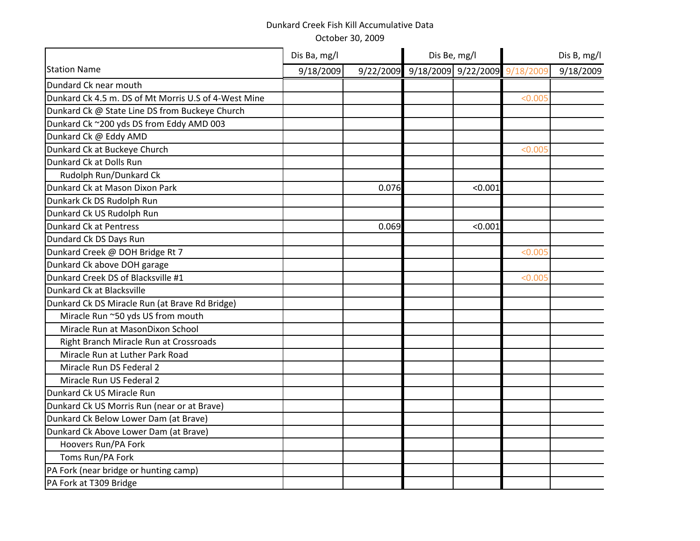|                                                      | Dis Ba, mg/l |       | Dis Be, mg/l                            |         | Dis B, mg/l |           |  |
|------------------------------------------------------|--------------|-------|-----------------------------------------|---------|-------------|-----------|--|
| <b>Station Name</b>                                  | 9/18/2009    |       | 9/22/2009 9/18/2009 9/22/2009 9/18/2009 |         |             | 9/18/2009 |  |
| Dundard Ck near mouth                                |              |       |                                         |         |             |           |  |
| Dunkard Ck 4.5 m. DS of Mt Morris U.S of 4-West Mine |              |       |                                         |         | < 0.005     |           |  |
| Dunkard Ck @ State Line DS from Buckeye Church       |              |       |                                         |         |             |           |  |
| Dunkard Ck ~200 yds DS from Eddy AMD 003             |              |       |                                         |         |             |           |  |
| Dunkard Ck @ Eddy AMD                                |              |       |                                         |         |             |           |  |
| Dunkard Ck at Buckeye Church                         |              |       |                                         |         | < 0.005     |           |  |
| Dunkard Ck at Dolls Run                              |              |       |                                         |         |             |           |  |
| Rudolph Run/Dunkard Ck                               |              |       |                                         |         |             |           |  |
| Dunkard Ck at Mason Dixon Park                       |              | 0.076 |                                         | < 0.001 |             |           |  |
| Dunkark Ck DS Rudolph Run                            |              |       |                                         |         |             |           |  |
| Dunkard Ck US Rudolph Run                            |              |       |                                         |         |             |           |  |
| <b>Dunkard Ck at Pentress</b>                        |              | 0.069 |                                         | < 0.001 |             |           |  |
| Dundard Ck DS Days Run                               |              |       |                                         |         |             |           |  |
| Dunkard Creek @ DOH Bridge Rt 7                      |              |       |                                         |         | < 0.005     |           |  |
| Dunkard Ck above DOH garage                          |              |       |                                         |         |             |           |  |
| Dunkard Creek DS of Blacksville #1                   |              |       |                                         |         | < 0.005     |           |  |
| Dunkard Ck at Blacksville                            |              |       |                                         |         |             |           |  |
| Dunkard Ck DS Miracle Run (at Brave Rd Bridge)       |              |       |                                         |         |             |           |  |
| Miracle Run ~50 yds US from mouth                    |              |       |                                         |         |             |           |  |
| Miracle Run at MasonDixon School                     |              |       |                                         |         |             |           |  |
| Right Branch Miracle Run at Crossroads               |              |       |                                         |         |             |           |  |
| Miracle Run at Luther Park Road                      |              |       |                                         |         |             |           |  |
| Miracle Run DS Federal 2                             |              |       |                                         |         |             |           |  |
| Miracle Run US Federal 2                             |              |       |                                         |         |             |           |  |
| Dunkard Ck US Miracle Run                            |              |       |                                         |         |             |           |  |
| Dunkard Ck US Morris Run (near or at Brave)          |              |       |                                         |         |             |           |  |
| Dunkard Ck Below Lower Dam (at Brave)                |              |       |                                         |         |             |           |  |
| Dunkard Ck Above Lower Dam (at Brave)                |              |       |                                         |         |             |           |  |
| Hoovers Run/PA Fork                                  |              |       |                                         |         |             |           |  |
| Toms Run/PA Fork                                     |              |       |                                         |         |             |           |  |
| PA Fork (near bridge or hunting camp)                |              |       |                                         |         |             |           |  |
| PA Fork at T309 Bridge                               |              |       |                                         |         |             |           |  |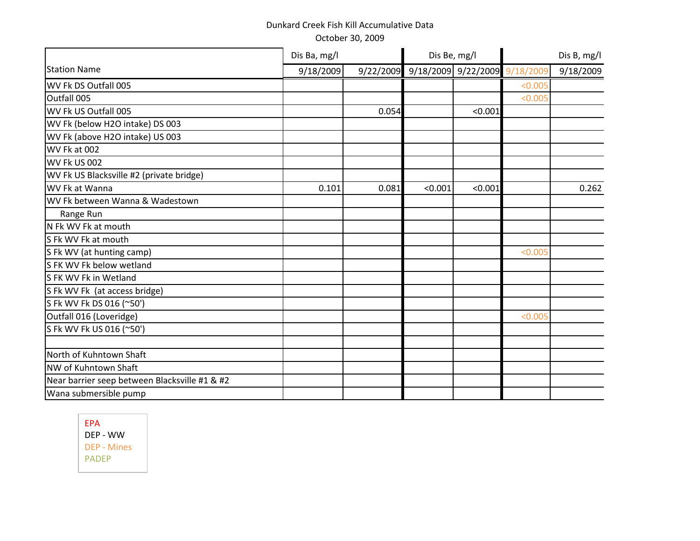|                                               | Dis Ba, mg/l |       | Dis Be, mg/l                            |         |         | Dis B, mg/l |
|-----------------------------------------------|--------------|-------|-----------------------------------------|---------|---------|-------------|
| <b>Station Name</b>                           | 9/18/2009    |       | 9/22/2009 9/18/2009 9/22/2009 9/18/2009 |         |         | 9/18/2009   |
| WV Fk DS Outfall 005                          |              |       |                                         |         | < 0.005 |             |
| Outfall 005                                   |              |       |                                         |         | < 0.005 |             |
| WV Fk US Outfall 005                          |              | 0.054 |                                         | < 0.001 |         |             |
| WV Fk (below H2O intake) DS 003               |              |       |                                         |         |         |             |
| WV Fk (above H2O intake) US 003               |              |       |                                         |         |         |             |
| WV Fk at 002                                  |              |       |                                         |         |         |             |
| WV Fk US 002                                  |              |       |                                         |         |         |             |
| WV Fk US Blacksville #2 (private bridge)      |              |       |                                         |         |         |             |
| WV Fk at Wanna                                | 0.101        | 0.081 | < 0.001                                 | < 0.001 |         | 0.262       |
| WV Fk between Wanna & Wadestown               |              |       |                                         |         |         |             |
| Range Run                                     |              |       |                                         |         |         |             |
| N Fk WV Fk at mouth                           |              |       |                                         |         |         |             |
| S Fk WV Fk at mouth                           |              |       |                                         |         |         |             |
| S Fk WV (at hunting camp)                     |              |       |                                         |         | < 0.005 |             |
| S FK WV Fk below wetland                      |              |       |                                         |         |         |             |
| S FK WV Fk in Wetland                         |              |       |                                         |         |         |             |
| S Fk WV Fk (at access bridge)                 |              |       |                                         |         |         |             |
| S Fk WV Fk DS 016 (~50')                      |              |       |                                         |         |         |             |
| Outfall 016 (Loveridge)                       |              |       |                                         |         | < 0.005 |             |
| S Fk WV Fk US 016 (~50')                      |              |       |                                         |         |         |             |
|                                               |              |       |                                         |         |         |             |
| North of Kuhntown Shaft                       |              |       |                                         |         |         |             |
| NW of Kuhntown Shaft                          |              |       |                                         |         |         |             |
| Near barrier seep between Blacksville #1 & #2 |              |       |                                         |         |         |             |
| Wana submersible pump                         |              |       |                                         |         |         |             |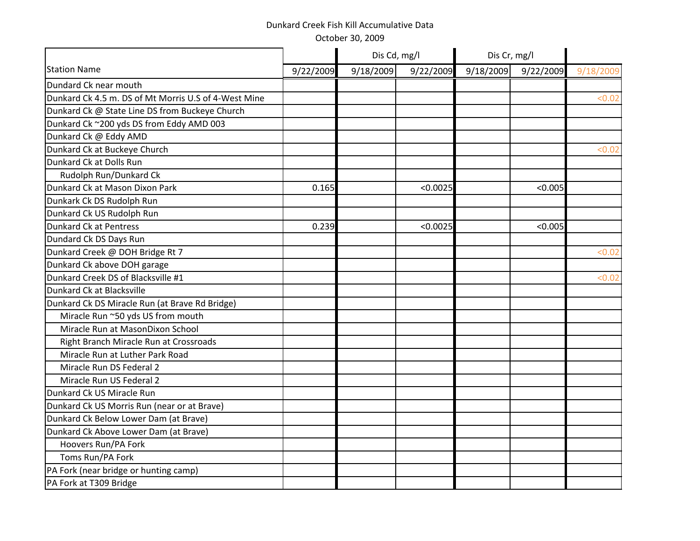|                                                      |           | Dis Cd, mg/l |           | Dis Cr, mg/l |           |          |
|------------------------------------------------------|-----------|--------------|-----------|--------------|-----------|----------|
| <b>Station Name</b>                                  | 9/22/2009 | 9/18/2009    | 9/22/2009 | 9/18/2009    | 9/22/2009 | 9/18/200 |
| Dundard Ck near mouth                                |           |              |           |              |           |          |
| Dunkard Ck 4.5 m. DS of Mt Morris U.S of 4-West Mine |           |              |           |              |           | < 0.02   |
| Dunkard Ck @ State Line DS from Buckeye Church       |           |              |           |              |           |          |
| Dunkard Ck ~200 yds DS from Eddy AMD 003             |           |              |           |              |           |          |
| Dunkard Ck @ Eddy AMD                                |           |              |           |              |           |          |
| Dunkard Ck at Buckeye Church                         |           |              |           |              |           | < 0.02   |
| Dunkard Ck at Dolls Run                              |           |              |           |              |           |          |
| Rudolph Run/Dunkard Ck                               |           |              |           |              |           |          |
| Dunkard Ck at Mason Dixon Park                       | 0.165     |              | < 0.0025  |              | < 0.005   |          |
| Dunkark Ck DS Rudolph Run                            |           |              |           |              |           |          |
| Dunkard Ck US Rudolph Run                            |           |              |           |              |           |          |
| <b>Dunkard Ck at Pentress</b>                        | 0.239     |              | < 0.0025  |              | < 0.005   |          |
| Dundard Ck DS Days Run                               |           |              |           |              |           |          |
| Dunkard Creek @ DOH Bridge Rt 7                      |           |              |           |              |           | < 0.02   |
| Dunkard Ck above DOH garage                          |           |              |           |              |           |          |
| Dunkard Creek DS of Blacksville #1                   |           |              |           |              |           | < 0.02   |
| Dunkard Ck at Blacksville                            |           |              |           |              |           |          |
| Dunkard Ck DS Miracle Run (at Brave Rd Bridge)       |           |              |           |              |           |          |
| Miracle Run ~50 yds US from mouth                    |           |              |           |              |           |          |
| Miracle Run at MasonDixon School                     |           |              |           |              |           |          |
| Right Branch Miracle Run at Crossroads               |           |              |           |              |           |          |
| Miracle Run at Luther Park Road                      |           |              |           |              |           |          |
| Miracle Run DS Federal 2                             |           |              |           |              |           |          |
| Miracle Run US Federal 2                             |           |              |           |              |           |          |
| Dunkard Ck US Miracle Run                            |           |              |           |              |           |          |
| Dunkard Ck US Morris Run (near or at Brave)          |           |              |           |              |           |          |
| Dunkard Ck Below Lower Dam (at Brave)                |           |              |           |              |           |          |
| Dunkard Ck Above Lower Dam (at Brave)                |           |              |           |              |           |          |
| Hoovers Run/PA Fork                                  |           |              |           |              |           |          |
| Toms Run/PA Fork                                     |           |              |           |              |           |          |
| PA Fork (near bridge or hunting camp)                |           |              |           |              |           |          |
| PA Fork at T309 Bridge                               |           |              |           |              |           |          |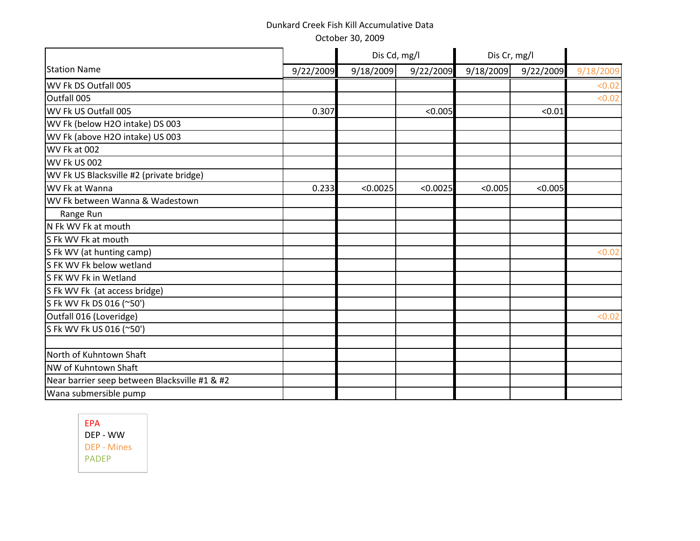October 30, 2009

|                                               | Dis Cd, mg/l |           | Dis Cr, mg/l |           |           |           |
|-----------------------------------------------|--------------|-----------|--------------|-----------|-----------|-----------|
| <b>Station Name</b>                           | 9/22/2009    | 9/18/2009 | 9/22/2009    | 9/18/2009 | 9/22/2009 | 9/18/2009 |
| WV Fk DS Outfall 005                          |              |           |              |           |           | < 0.02    |
| Outfall 005                                   |              |           |              |           |           | < 0.02    |
| WV Fk US Outfall 005                          | 0.307        |           | < 0.005      |           | < 0.01    |           |
| WV Fk (below H2O intake) DS 003               |              |           |              |           |           |           |
| WV Fk (above H2O intake) US 003               |              |           |              |           |           |           |
| WV Fk at 002                                  |              |           |              |           |           |           |
| WV Fk US 002                                  |              |           |              |           |           |           |
| WV Fk US Blacksville #2 (private bridge)      |              |           |              |           |           |           |
| WV Fk at Wanna                                | 0.233        | < 0.0025  | < 0.0025     | < 0.005   | < 0.005   |           |
| WV Fk between Wanna & Wadestown               |              |           |              |           |           |           |
| Range Run                                     |              |           |              |           |           |           |
| N Fk WV Fk at mouth                           |              |           |              |           |           |           |
| S Fk WV Fk at mouth                           |              |           |              |           |           |           |
| S Fk WV (at hunting camp)                     |              |           |              |           |           | < 0.02    |
| S FK WV Fk below wetland                      |              |           |              |           |           |           |
| S FK WV Fk in Wetland                         |              |           |              |           |           |           |
| S Fk WV Fk (at access bridge)                 |              |           |              |           |           |           |
| S Fk WV Fk DS 016 (~50')                      |              |           |              |           |           |           |
| Outfall 016 (Loveridge)                       |              |           |              |           |           | < 0.02    |
| S Fk WV Fk US 016 (~50')                      |              |           |              |           |           |           |
|                                               |              |           |              |           |           |           |
| North of Kuhntown Shaft                       |              |           |              |           |           |           |
| NW of Kuhntown Shaft                          |              |           |              |           |           |           |
| Near barrier seep between Blacksville #1 & #2 |              |           |              |           |           |           |
| Wana submersible pump                         |              |           |              |           |           |           |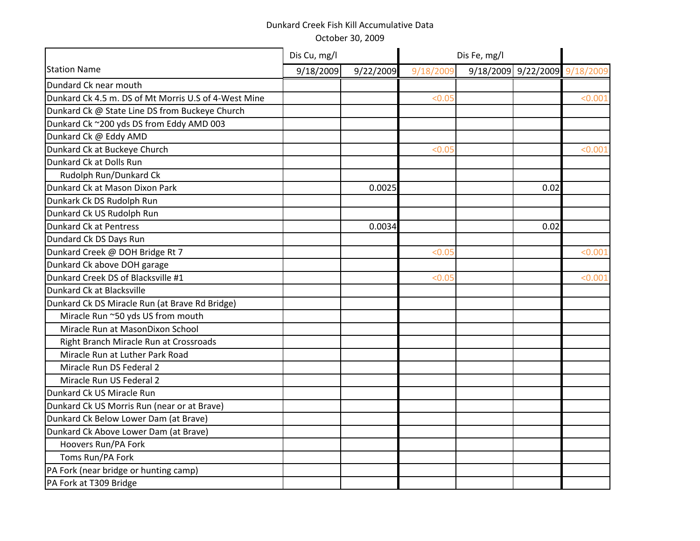|                                                      | Dis Cu, mg/l |           | Dis Fe, mg/l |                               |         |
|------------------------------------------------------|--------------|-----------|--------------|-------------------------------|---------|
| <b>Station Name</b>                                  | 9/18/2009    | 9/22/2009 | 9/18/2009    | 9/18/2009 9/22/2009 9/18/2009 |         |
| Dundard Ck near mouth                                |              |           |              |                               |         |
| Dunkard Ck 4.5 m. DS of Mt Morris U.S of 4-West Mine |              |           | < 0.05       |                               | < 0.001 |
| Dunkard Ck @ State Line DS from Buckeye Church       |              |           |              |                               |         |
| Dunkard Ck ~200 yds DS from Eddy AMD 003             |              |           |              |                               |         |
| Dunkard Ck @ Eddy AMD                                |              |           |              |                               |         |
| Dunkard Ck at Buckeye Church                         |              |           | < 0.05       |                               | < 0.001 |
| Dunkard Ck at Dolls Run                              |              |           |              |                               |         |
| Rudolph Run/Dunkard Ck                               |              |           |              |                               |         |
| Dunkard Ck at Mason Dixon Park                       |              | 0.0025    |              | 0.02                          |         |
| Dunkark Ck DS Rudolph Run                            |              |           |              |                               |         |
| Dunkard Ck US Rudolph Run                            |              |           |              |                               |         |
| <b>Dunkard Ck at Pentress</b>                        |              | 0.0034    |              | 0.02                          |         |
| Dundard Ck DS Days Run                               |              |           |              |                               |         |
| Dunkard Creek @ DOH Bridge Rt 7                      |              |           | < 0.05       |                               | < 0.001 |
| Dunkard Ck above DOH garage                          |              |           |              |                               |         |
| Dunkard Creek DS of Blacksville #1                   |              |           | < 0.05       |                               | < 0.001 |
| Dunkard Ck at Blacksville                            |              |           |              |                               |         |
| Dunkard Ck DS Miracle Run (at Brave Rd Bridge)       |              |           |              |                               |         |
| Miracle Run ~50 yds US from mouth                    |              |           |              |                               |         |
| Miracle Run at MasonDixon School                     |              |           |              |                               |         |
| Right Branch Miracle Run at Crossroads               |              |           |              |                               |         |
| Miracle Run at Luther Park Road                      |              |           |              |                               |         |
| Miracle Run DS Federal 2                             |              |           |              |                               |         |
| Miracle Run US Federal 2                             |              |           |              |                               |         |
| Dunkard Ck US Miracle Run                            |              |           |              |                               |         |
| Dunkard Ck US Morris Run (near or at Brave)          |              |           |              |                               |         |
| Dunkard Ck Below Lower Dam (at Brave)                |              |           |              |                               |         |
| Dunkard Ck Above Lower Dam (at Brave)                |              |           |              |                               |         |
| Hoovers Run/PA Fork                                  |              |           |              |                               |         |
| Toms Run/PA Fork                                     |              |           |              |                               |         |
| PA Fork (near bridge or hunting camp)                |              |           |              |                               |         |
| PA Fork at T309 Bridge                               |              |           |              |                               |         |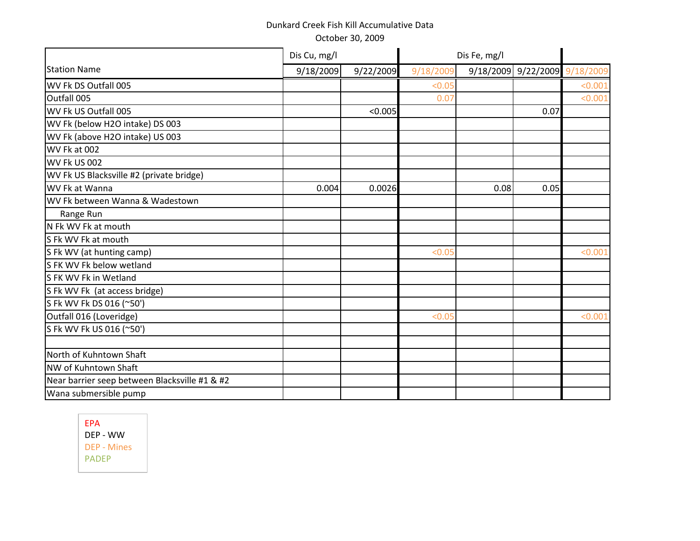|                                               | Dis Cu, mg/l |           | Dis Fe, mg/l |                               |      |         |
|-----------------------------------------------|--------------|-----------|--------------|-------------------------------|------|---------|
| <b>Station Name</b>                           | 9/18/2009    | 9/22/2009 | 9/18/2009    | 9/18/2009 9/22/2009 9/18/2009 |      |         |
| WV Fk DS Outfall 005                          |              |           | < 0.05       |                               |      | < 0.001 |
| Outfall 005                                   |              |           | 0.07         |                               |      | < 0.001 |
| WV Fk US Outfall 005                          |              | < 0.005   |              |                               | 0.07 |         |
| WV Fk (below H2O intake) DS 003               |              |           |              |                               |      |         |
| WV Fk (above H2O intake) US 003               |              |           |              |                               |      |         |
| WV Fk at 002                                  |              |           |              |                               |      |         |
| WV Fk US 002                                  |              |           |              |                               |      |         |
| WV Fk US Blacksville #2 (private bridge)      |              |           |              |                               |      |         |
| WV Fk at Wanna                                | 0.004        | 0.0026    |              | 0.08                          | 0.05 |         |
| WV Fk between Wanna & Wadestown               |              |           |              |                               |      |         |
| Range Run                                     |              |           |              |                               |      |         |
| N Fk WV Fk at mouth                           |              |           |              |                               |      |         |
| S Fk WV Fk at mouth                           |              |           |              |                               |      |         |
| S Fk WV (at hunting camp)                     |              |           | < 0.05       |                               |      | < 0.001 |
| S FK WV Fk below wetland                      |              |           |              |                               |      |         |
| S FK WV Fk in Wetland                         |              |           |              |                               |      |         |
| S Fk WV Fk (at access bridge)                 |              |           |              |                               |      |         |
| S Fk WV Fk DS 016 (~50')                      |              |           |              |                               |      |         |
| Outfall 016 (Loveridge)                       |              |           | < 0.05       |                               |      | < 0.001 |
| S Fk WV Fk US 016 (~50')                      |              |           |              |                               |      |         |
|                                               |              |           |              |                               |      |         |
| North of Kuhntown Shaft                       |              |           |              |                               |      |         |
| NW of Kuhntown Shaft                          |              |           |              |                               |      |         |
| Near barrier seep between Blacksville #1 & #2 |              |           |              |                               |      |         |
| Wana submersible pump                         |              |           |              |                               |      |         |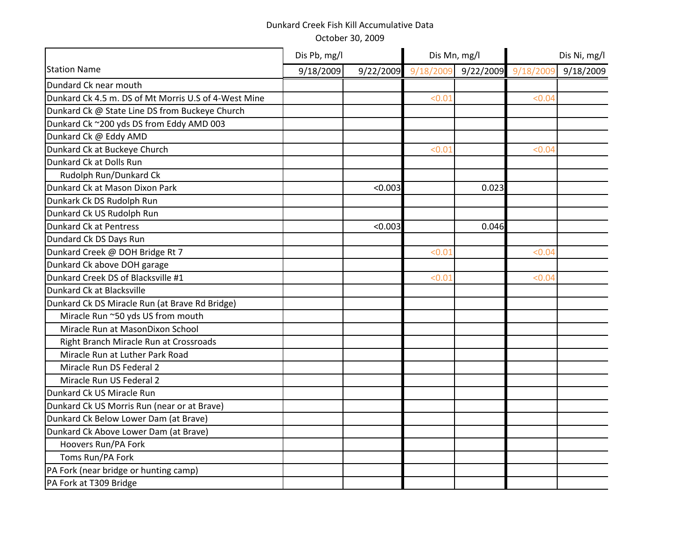|                                                      | Dis Pb, mg/l |           | Dis Mn, mg/l |           | Dis Ni, mg/l |           |  |
|------------------------------------------------------|--------------|-----------|--------------|-----------|--------------|-----------|--|
| <b>Station Name</b>                                  | 9/18/2009    | 9/22/2009 | 9/18/2009    | 9/22/2009 | 9/18/2009    | 9/18/2009 |  |
| Dundard Ck near mouth                                |              |           |              |           |              |           |  |
| Dunkard Ck 4.5 m. DS of Mt Morris U.S of 4-West Mine |              |           | < 0.01       |           | < 0.04       |           |  |
| Dunkard Ck @ State Line DS from Buckeye Church       |              |           |              |           |              |           |  |
| Dunkard Ck ~200 yds DS from Eddy AMD 003             |              |           |              |           |              |           |  |
| Dunkard Ck @ Eddy AMD                                |              |           |              |           |              |           |  |
| Dunkard Ck at Buckeye Church                         |              |           | < 0.01       |           | < 0.04       |           |  |
| Dunkard Ck at Dolls Run                              |              |           |              |           |              |           |  |
| Rudolph Run/Dunkard Ck                               |              |           |              |           |              |           |  |
| Dunkard Ck at Mason Dixon Park                       |              | < 0.003   |              | 0.023     |              |           |  |
| Dunkark Ck DS Rudolph Run                            |              |           |              |           |              |           |  |
| Dunkard Ck US Rudolph Run                            |              |           |              |           |              |           |  |
| <b>Dunkard Ck at Pentress</b>                        |              | < 0.003   |              | 0.046     |              |           |  |
| Dundard Ck DS Days Run                               |              |           |              |           |              |           |  |
| Dunkard Creek @ DOH Bridge Rt 7                      |              |           | < 0.01       |           | < 0.04       |           |  |
| Dunkard Ck above DOH garage                          |              |           |              |           |              |           |  |
| Dunkard Creek DS of Blacksville #1                   |              |           | < 0.01       |           | < 0.04       |           |  |
| Dunkard Ck at Blacksville                            |              |           |              |           |              |           |  |
| Dunkard Ck DS Miracle Run (at Brave Rd Bridge)       |              |           |              |           |              |           |  |
| Miracle Run ~50 yds US from mouth                    |              |           |              |           |              |           |  |
| Miracle Run at MasonDixon School                     |              |           |              |           |              |           |  |
| Right Branch Miracle Run at Crossroads               |              |           |              |           |              |           |  |
| Miracle Run at Luther Park Road                      |              |           |              |           |              |           |  |
| Miracle Run DS Federal 2                             |              |           |              |           |              |           |  |
| Miracle Run US Federal 2                             |              |           |              |           |              |           |  |
| Dunkard Ck US Miracle Run                            |              |           |              |           |              |           |  |
| Dunkard Ck US Morris Run (near or at Brave)          |              |           |              |           |              |           |  |
| Dunkard Ck Below Lower Dam (at Brave)                |              |           |              |           |              |           |  |
| Dunkard Ck Above Lower Dam (at Brave)                |              |           |              |           |              |           |  |
| Hoovers Run/PA Fork                                  |              |           |              |           |              |           |  |
| Toms Run/PA Fork                                     |              |           |              |           |              |           |  |
| PA Fork (near bridge or hunting camp)                |              |           |              |           |              |           |  |
| PA Fork at T309 Bridge                               |              |           |              |           |              |           |  |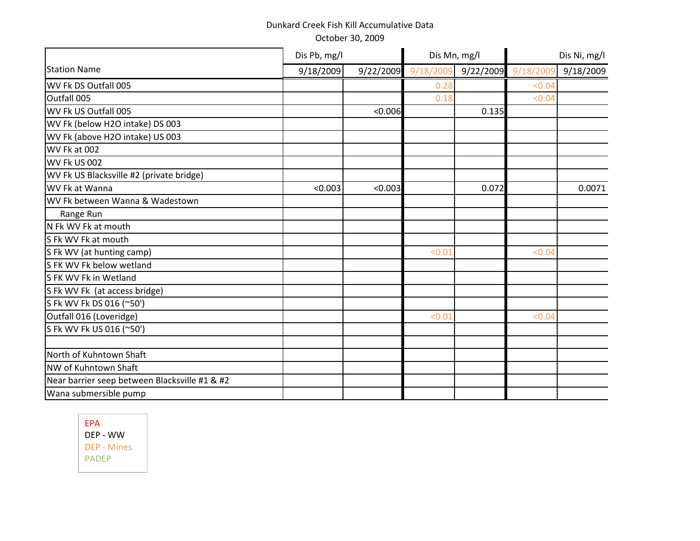|                                               | Dis Pb, mg/l |         | Dis Mn, mg/l        |           | Dis Ni, mg/l |           |  |
|-----------------------------------------------|--------------|---------|---------------------|-----------|--------------|-----------|--|
| <b>Station Name</b>                           | 9/18/2009    |         | 9/22/2009 9/18/2009 | 9/22/2009 | 9/18/2009    | 9/18/2009 |  |
| WV Fk DS Outfall 005                          |              |         | 0.28                |           | < 0.04       |           |  |
| Outfall 005                                   |              |         | 0.18                |           | < 0.04       |           |  |
| WV Fk US Outfall 005                          |              | < 0.006 |                     | 0.135     |              |           |  |
| WV Fk (below H2O intake) DS 003               |              |         |                     |           |              |           |  |
| WV Fk (above H2O intake) US 003               |              |         |                     |           |              |           |  |
| WV Fk at 002                                  |              |         |                     |           |              |           |  |
| WV Fk US 002                                  |              |         |                     |           |              |           |  |
| WV Fk US Blacksville #2 (private bridge)      |              |         |                     |           |              |           |  |
| WV Fk at Wanna                                | < 0.003      | < 0.003 |                     | 0.072     |              | 0.0071    |  |
| WV Fk between Wanna & Wadestown               |              |         |                     |           |              |           |  |
| Range Run                                     |              |         |                     |           |              |           |  |
| N Fk WV Fk at mouth                           |              |         |                     |           |              |           |  |
| S Fk WV Fk at mouth                           |              |         |                     |           |              |           |  |
| S Fk WV (at hunting camp)                     |              |         | < 0.01              |           | < 0.04       |           |  |
| S FK WV Fk below wetland                      |              |         |                     |           |              |           |  |
| S FK WV Fk in Wetland                         |              |         |                     |           |              |           |  |
| S Fk WV Fk (at access bridge)                 |              |         |                     |           |              |           |  |
| S Fk WV Fk DS 016 (~50')                      |              |         |                     |           |              |           |  |
| Outfall 016 (Loveridge)                       |              |         | < 0.01              |           | < 0.04       |           |  |
| S Fk WV Fk US 016 (~50')                      |              |         |                     |           |              |           |  |
|                                               |              |         |                     |           |              |           |  |
| North of Kuhntown Shaft                       |              |         |                     |           |              |           |  |
| NW of Kuhntown Shaft                          |              |         |                     |           |              |           |  |
| Near barrier seep between Blacksville #1 & #2 |              |         |                     |           |              |           |  |
| Wana submersible pump                         |              |         |                     |           |              |           |  |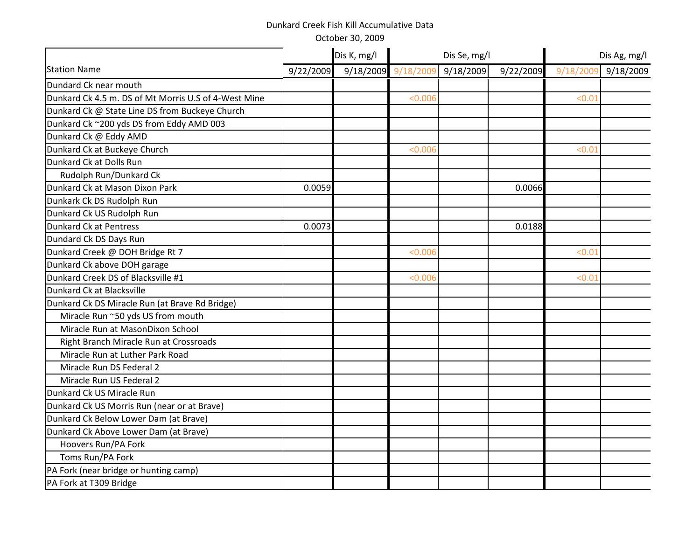|                                                      |           | Dis K, mg/l | Dis Se, mg/l |           |           | Dis Ag, mg/l |           |  |
|------------------------------------------------------|-----------|-------------|--------------|-----------|-----------|--------------|-----------|--|
| <b>Station Name</b>                                  | 9/22/2009 | 9/18/2009   | 9/18/2009    | 9/18/2009 | 9/22/2009 | 9/18/2009    | 9/18/2009 |  |
| Dundard Ck near mouth                                |           |             |              |           |           |              |           |  |
| Dunkard Ck 4.5 m. DS of Mt Morris U.S of 4-West Mine |           |             | < 0.006      |           |           | < 0.01       |           |  |
| Dunkard Ck @ State Line DS from Buckeye Church       |           |             |              |           |           |              |           |  |
| Dunkard Ck ~200 yds DS from Eddy AMD 003             |           |             |              |           |           |              |           |  |
| Dunkard Ck @ Eddy AMD                                |           |             |              |           |           |              |           |  |
| Dunkard Ck at Buckeye Church                         |           |             | < 0.006      |           |           | < 0.01       |           |  |
| Dunkard Ck at Dolls Run                              |           |             |              |           |           |              |           |  |
| Rudolph Run/Dunkard Ck                               |           |             |              |           |           |              |           |  |
| Dunkard Ck at Mason Dixon Park                       | 0.0059    |             |              |           | 0.0066    |              |           |  |
| Dunkark Ck DS Rudolph Run                            |           |             |              |           |           |              |           |  |
| Dunkard Ck US Rudolph Run                            |           |             |              |           |           |              |           |  |
| <b>Dunkard Ck at Pentress</b>                        | 0.0073    |             |              |           | 0.0188    |              |           |  |
| Dundard Ck DS Days Run                               |           |             |              |           |           |              |           |  |
| Dunkard Creek @ DOH Bridge Rt 7                      |           |             | < 0.006      |           |           | < 0.01       |           |  |
| Dunkard Ck above DOH garage                          |           |             |              |           |           |              |           |  |
| Dunkard Creek DS of Blacksville #1                   |           |             | < 0.006      |           |           | < 0.01       |           |  |
| Dunkard Ck at Blacksville                            |           |             |              |           |           |              |           |  |
| Dunkard Ck DS Miracle Run (at Brave Rd Bridge)       |           |             |              |           |           |              |           |  |
| Miracle Run ~50 yds US from mouth                    |           |             |              |           |           |              |           |  |
| Miracle Run at MasonDixon School                     |           |             |              |           |           |              |           |  |
| Right Branch Miracle Run at Crossroads               |           |             |              |           |           |              |           |  |
| Miracle Run at Luther Park Road                      |           |             |              |           |           |              |           |  |
| Miracle Run DS Federal 2                             |           |             |              |           |           |              |           |  |
| Miracle Run US Federal 2                             |           |             |              |           |           |              |           |  |
| Dunkard Ck US Miracle Run                            |           |             |              |           |           |              |           |  |
| Dunkard Ck US Morris Run (near or at Brave)          |           |             |              |           |           |              |           |  |
| Dunkard Ck Below Lower Dam (at Brave)                |           |             |              |           |           |              |           |  |
| Dunkard Ck Above Lower Dam (at Brave)                |           |             |              |           |           |              |           |  |
| Hoovers Run/PA Fork                                  |           |             |              |           |           |              |           |  |
| Toms Run/PA Fork                                     |           |             |              |           |           |              |           |  |
| PA Fork (near bridge or hunting camp)                |           |             |              |           |           |              |           |  |
| PA Fork at T309 Bridge                               |           |             |              |           |           |              |           |  |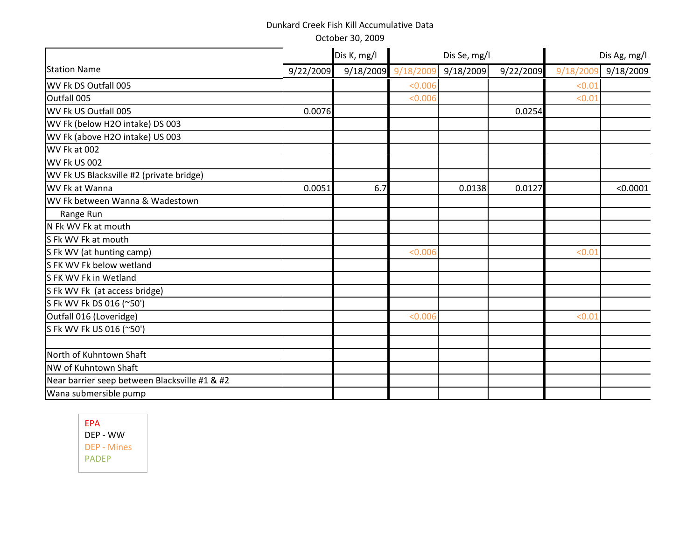October 30, 2009

|                                               |           | Dis K, mg/l | Dis Se, mg/l        |           |           | Dis Ag, mg/l |           |  |
|-----------------------------------------------|-----------|-------------|---------------------|-----------|-----------|--------------|-----------|--|
| <b>Station Name</b>                           | 9/22/2009 |             | 9/18/2009 9/18/2009 | 9/18/2009 | 9/22/2009 | 9/18/2009    | 9/18/2009 |  |
| WV Fk DS Outfall 005                          |           |             | < 0.006             |           |           | < 0.01       |           |  |
| Outfall 005                                   |           |             | < 0.006             |           |           | < 0.01       |           |  |
| WV Fk US Outfall 005                          | 0.0076    |             |                     |           | 0.0254    |              |           |  |
| WV Fk (below H2O intake) DS 003               |           |             |                     |           |           |              |           |  |
| WV Fk (above H2O intake) US 003               |           |             |                     |           |           |              |           |  |
| WV Fk at 002                                  |           |             |                     |           |           |              |           |  |
| WV Fk US 002                                  |           |             |                     |           |           |              |           |  |
| WV Fk US Blacksville #2 (private bridge)      |           |             |                     |           |           |              |           |  |
| WV Fk at Wanna                                | 0.0051    | 6.7         |                     | 0.0138    | 0.0127    |              | < 0.0001  |  |
| WV Fk between Wanna & Wadestown               |           |             |                     |           |           |              |           |  |
| Range Run                                     |           |             |                     |           |           |              |           |  |
| N Fk WV Fk at mouth                           |           |             |                     |           |           |              |           |  |
| S Fk WV Fk at mouth                           |           |             |                     |           |           |              |           |  |
| S Fk WV (at hunting camp)                     |           |             | < 0.006             |           |           | < 0.01       |           |  |
| S FK WV Fk below wetland                      |           |             |                     |           |           |              |           |  |
| S FK WV Fk in Wetland                         |           |             |                     |           |           |              |           |  |
| S Fk WV Fk (at access bridge)                 |           |             |                     |           |           |              |           |  |
| S Fk WV Fk DS 016 (~50')                      |           |             |                     |           |           |              |           |  |
| Outfall 016 (Loveridge)                       |           |             | < 0.006             |           |           | < 0.01       |           |  |
| S Fk WV Fk US 016 (~50')                      |           |             |                     |           |           |              |           |  |
| North of Kuhntown Shaft                       |           |             |                     |           |           |              |           |  |
| NW of Kuhntown Shaft                          |           |             |                     |           |           |              |           |  |
| Near barrier seep between Blacksville #1 & #2 |           |             |                     |           |           |              |           |  |
| Wana submersible pump                         |           |             |                     |           |           |              |           |  |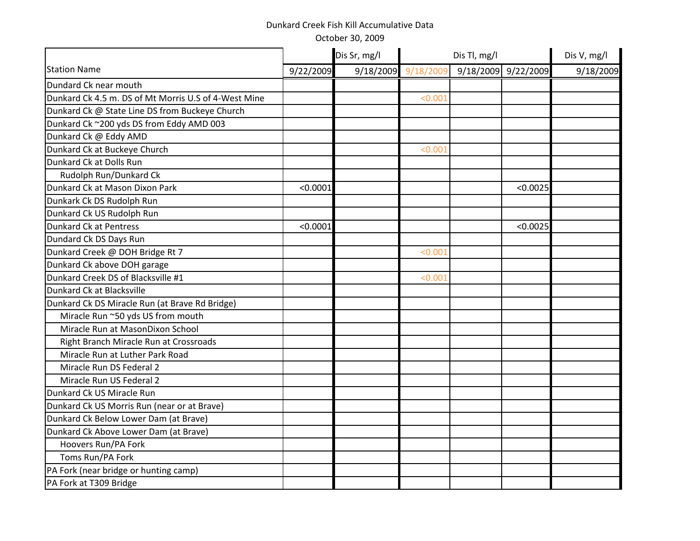|                                                      |           | Dis Sr, mg/l | Dis Tl, mg/l |           | Dis V, mg/l |           |
|------------------------------------------------------|-----------|--------------|--------------|-----------|-------------|-----------|
| <b>Station Name</b>                                  | 9/22/2009 | 9/18/2009    | 9/18/2009    | 9/18/2009 | 9/22/2009   | 9/18/2009 |
| Dundard Ck near mouth                                |           |              |              |           |             |           |
| Dunkard Ck 4.5 m. DS of Mt Morris U.S of 4-West Mine |           |              | < 0.001      |           |             |           |
| Dunkard Ck @ State Line DS from Buckeye Church       |           |              |              |           |             |           |
| Dunkard Ck ~200 yds DS from Eddy AMD 003             |           |              |              |           |             |           |
| Dunkard Ck @ Eddy AMD                                |           |              |              |           |             |           |
| Dunkard Ck at Buckeye Church                         |           |              | < 0.001      |           |             |           |
| Dunkard Ck at Dolls Run                              |           |              |              |           |             |           |
| Rudolph Run/Dunkard Ck                               |           |              |              |           |             |           |
| Dunkard Ck at Mason Dixon Park                       | < 0.0001  |              |              |           | < 0.0025    |           |
| Dunkark Ck DS Rudolph Run                            |           |              |              |           |             |           |
| Dunkard Ck US Rudolph Run                            |           |              |              |           |             |           |
| <b>Dunkard Ck at Pentress</b>                        | < 0.0001  |              |              |           | < 0.0025    |           |
| Dundard Ck DS Days Run                               |           |              |              |           |             |           |
| Dunkard Creek @ DOH Bridge Rt 7                      |           |              | < 0.001      |           |             |           |
| Dunkard Ck above DOH garage                          |           |              |              |           |             |           |
| Dunkard Creek DS of Blacksville #1                   |           |              | < 0.001      |           |             |           |
| Dunkard Ck at Blacksville                            |           |              |              |           |             |           |
| Dunkard Ck DS Miracle Run (at Brave Rd Bridge)       |           |              |              |           |             |           |
| Miracle Run ~50 yds US from mouth                    |           |              |              |           |             |           |
| Miracle Run at MasonDixon School                     |           |              |              |           |             |           |
| Right Branch Miracle Run at Crossroads               |           |              |              |           |             |           |
| Miracle Run at Luther Park Road                      |           |              |              |           |             |           |
| Miracle Run DS Federal 2                             |           |              |              |           |             |           |
| Miracle Run US Federal 2                             |           |              |              |           |             |           |
| Dunkard Ck US Miracle Run                            |           |              |              |           |             |           |
| Dunkard Ck US Morris Run (near or at Brave)          |           |              |              |           |             |           |
| Dunkard Ck Below Lower Dam (at Brave)                |           |              |              |           |             |           |
| Dunkard Ck Above Lower Dam (at Brave)                |           |              |              |           |             |           |
| Hoovers Run/PA Fork                                  |           |              |              |           |             |           |
| Toms Run/PA Fork                                     |           |              |              |           |             |           |
| PA Fork (near bridge or hunting camp)                |           |              |              |           |             |           |
| PA Fork at T309 Bridge                               |           |              |              |           |             |           |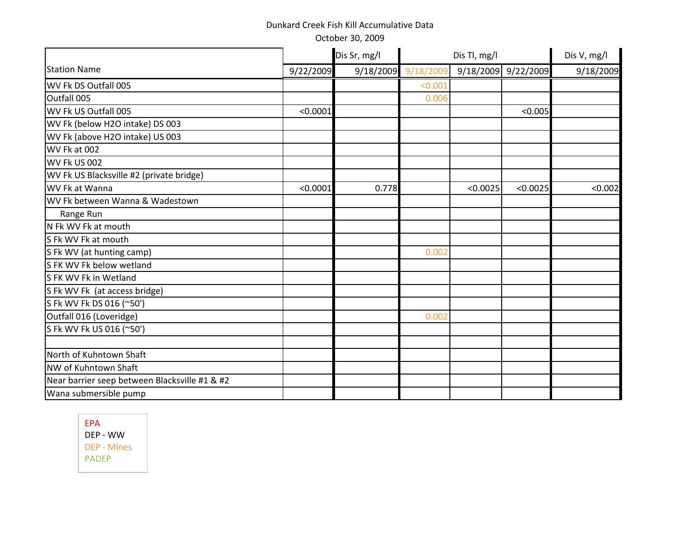October 30, 2009

|                                               |           | Dis Sr, mg/l<br>Dis Tl, mg/l |                     |           |           | Dis V, mg/l |
|-----------------------------------------------|-----------|------------------------------|---------------------|-----------|-----------|-------------|
| <b>Station Name</b>                           | 9/22/2009 |                              | 9/18/2009 9/18/2009 | 9/18/2009 | 9/22/2009 | 9/18/2009   |
| WV Fk DS Outfall 005                          |           |                              | < 0.001             |           |           |             |
| Outfall 005                                   |           |                              | 0.006               |           |           |             |
| WV Fk US Outfall 005                          | < 0.0001  |                              |                     |           | < 0.005   |             |
| WV Fk (below H2O intake) DS 003               |           |                              |                     |           |           |             |
| WV Fk (above H2O intake) US 003               |           |                              |                     |           |           |             |
| WV Fk at 002                                  |           |                              |                     |           |           |             |
| <b>WV Fk US 002</b>                           |           |                              |                     |           |           |             |
| WV Fk US Blacksville #2 (private bridge)      |           |                              |                     |           |           |             |
| WV Fk at Wanna                                | < 0.0001  | 0.778                        |                     | < 0.0025  | < 0.0025  | < 0.002     |
| WV Fk between Wanna & Wadestown               |           |                              |                     |           |           |             |
| Range Run                                     |           |                              |                     |           |           |             |
| N Fk WV Fk at mouth                           |           |                              |                     |           |           |             |
| S Fk WV Fk at mouth                           |           |                              |                     |           |           |             |
| S Fk WV (at hunting camp)                     |           |                              | 0.002               |           |           |             |
| S FK WV Fk below wetland                      |           |                              |                     |           |           |             |
| S FK WV Fk in Wetland                         |           |                              |                     |           |           |             |
| S Fk WV Fk (at access bridge)                 |           |                              |                     |           |           |             |
| S Fk WV Fk DS 016 (~50')                      |           |                              |                     |           |           |             |
| Outfall 016 (Loveridge)                       |           |                              | 0.002               |           |           |             |
| S Fk WV Fk US 016 (~50')                      |           |                              |                     |           |           |             |
|                                               |           |                              |                     |           |           |             |
| North of Kuhntown Shaft                       |           |                              |                     |           |           |             |
| NW of Kuhntown Shaft                          |           |                              |                     |           |           |             |
| Near barrier seep between Blacksville #1 & #2 |           |                              |                     |           |           |             |
| Wana submersible pump                         |           |                              |                     |           |           |             |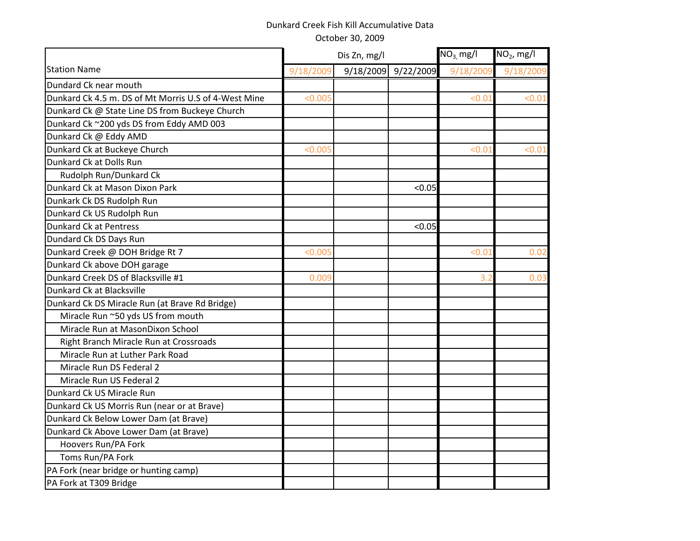|                                                      |           | Dis Zn, mg/l | $NO3$ mg/l | $NO2$ , mg/l |           |
|------------------------------------------------------|-----------|--------------|------------|--------------|-----------|
| <b>Station Name</b>                                  | 9/18/2009 | 9/18/2009    | 9/22/2009  | 9/18/2009    | 9/18/2009 |
| Dundard Ck near mouth                                |           |              |            |              |           |
| Dunkard Ck 4.5 m. DS of Mt Morris U.S of 4-West Mine | < 0.005   |              |            | < 0.01       | < 0.01    |
| Dunkard Ck @ State Line DS from Buckeye Church       |           |              |            |              |           |
| Dunkard Ck ~200 yds DS from Eddy AMD 003             |           |              |            |              |           |
| Dunkard Ck @ Eddy AMD                                |           |              |            |              |           |
| Dunkard Ck at Buckeye Church                         | < 0.005   |              |            | < 0.01       | < 0.01    |
| Dunkard Ck at Dolls Run                              |           |              |            |              |           |
| Rudolph Run/Dunkard Ck                               |           |              |            |              |           |
| Dunkard Ck at Mason Dixon Park                       |           |              | < 0.05     |              |           |
| Dunkark Ck DS Rudolph Run                            |           |              |            |              |           |
| Dunkard Ck US Rudolph Run                            |           |              |            |              |           |
| <b>Dunkard Ck at Pentress</b>                        |           |              | < 0.05     |              |           |
| Dundard Ck DS Days Run                               |           |              |            |              |           |
| Dunkard Creek @ DOH Bridge Rt 7                      | < 0.005   |              |            | < 0.01       | 0.02      |
| Dunkard Ck above DOH garage                          |           |              |            |              |           |
| Dunkard Creek DS of Blacksville #1                   | 0.009     |              |            | 3.2          | 0.03      |
| Dunkard Ck at Blacksville                            |           |              |            |              |           |
| Dunkard Ck DS Miracle Run (at Brave Rd Bridge)       |           |              |            |              |           |
| Miracle Run ~50 yds US from mouth                    |           |              |            |              |           |
| Miracle Run at MasonDixon School                     |           |              |            |              |           |
| Right Branch Miracle Run at Crossroads               |           |              |            |              |           |
| Miracle Run at Luther Park Road                      |           |              |            |              |           |
| Miracle Run DS Federal 2                             |           |              |            |              |           |
| Miracle Run US Federal 2                             |           |              |            |              |           |
| Dunkard Ck US Miracle Run                            |           |              |            |              |           |
| Dunkard Ck US Morris Run (near or at Brave)          |           |              |            |              |           |
| Dunkard Ck Below Lower Dam (at Brave)                |           |              |            |              |           |
| Dunkard Ck Above Lower Dam (at Brave)                |           |              |            |              |           |
| Hoovers Run/PA Fork                                  |           |              |            |              |           |
| Toms Run/PA Fork                                     |           |              |            |              |           |
| PA Fork (near bridge or hunting camp)                |           |              |            |              |           |
| PA Fork at T309 Bridge                               |           |              |            |              |           |